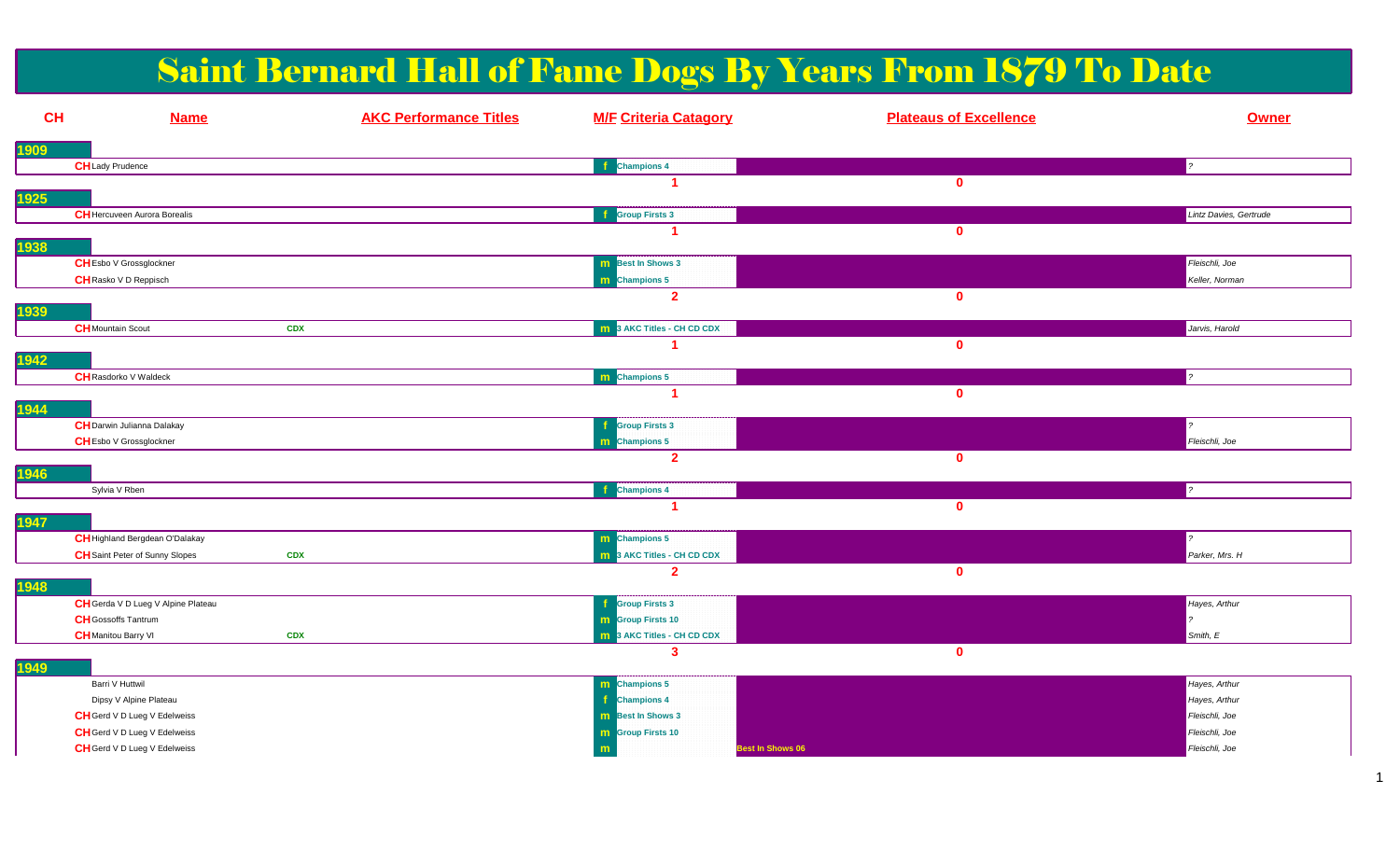# Saint Bernard Hall of Fame Dogs By Years From 1879 To Date

| <b>CH</b>   | <b>Name</b>                         | <b>AKC Performance Titles</b> | <b>M/F Criteria Catagory</b>      | <b>Plateaus of Excellence</b> | <b>Owner</b>           |
|-------------|-------------------------------------|-------------------------------|-----------------------------------|-------------------------------|------------------------|
| <u>1909</u> |                                     |                               |                                   |                               |                        |
|             | <b>CH</b> Lady Prudence             |                               | <b>Champions 4</b>                |                               | $\mathbf{z}$           |
|             |                                     |                               |                                   | $\mathbf{0}$                  |                        |
| <b>1925</b> |                                     |                               |                                   |                               |                        |
|             | <b>CH</b> Hercuveen Aurora Borealis |                               | <b>f</b> Group Firsts 3           |                               | Lintz Davies, Gertrude |
| 1938        |                                     |                               |                                   | $\mathbf{0}$                  |                        |
|             | <b>CHEsbo V Grossglockner</b>       |                               | <b>m</b> Best In Shows 3          |                               | Fleischli, Joe         |
|             | CH Rasko V D Reppisch               |                               | m Champions 5                     |                               | Keller, Norman         |
|             |                                     |                               | $\overline{2}$                    | $\mathbf 0$                   |                        |
| 1939        |                                     |                               |                                   |                               |                        |
|             | <b>CH</b> Mountain Scout            | <b>CDX</b>                    | 3 AKC Titles - CH CD CDX          |                               | Jarvis, Harold         |
|             |                                     |                               |                                   | $\mathbf 0$                   |                        |
| 1942        |                                     |                               |                                   |                               | $\sim$                 |
|             | <b>CH</b> Rasdorko V Waldeck        |                               | m Champions 5<br>и                |                               |                        |
| 1944        |                                     |                               |                                   | $\mathbf 0$                   |                        |
|             | <b>CH</b> Darwin Julianna Dalakay   |                               | <b>Group Firsts 3</b>             |                               |                        |
|             | <b>CHEsbo V Grossglockner</b>       |                               | m Champions 5                     |                               | Fleischli, Joe         |
|             |                                     |                               | $\overline{2}$                    | $\mathbf 0$                   |                        |
| <b>1946</b> |                                     |                               |                                   |                               |                        |
|             | Sylvia V Rben                       |                               | <b>i</b> Champions 4              | $\mathbf 0$                   |                        |
| 1947        |                                     |                               |                                   |                               |                        |
|             | CH Highland Bergdean O'Dalakay      |                               | m Champions 5                     |                               |                        |
|             | CH Saint Peter of Sunny Slopes      | <b>CDX</b>                    | <b>m</b> 3 AKC Titles - CH CD CDX |                               | Parker, Mrs. H         |
|             |                                     |                               | $\overline{2}$                    | $\mathbf 0$                   |                        |
| 1948        |                                     |                               |                                   |                               |                        |
|             | CH Gerda V D Lueg V Alpine Plateau  |                               | <b>Group Firsts 3</b>             |                               | Hayes, Arthur          |
|             | <b>CH</b> Gossoffs Tantrum          |                               | <b>m</b> Group Firsts 10          |                               |                        |
|             | <b>CH</b> Manitou Barry VI          | <b>CDX</b>                    | 3 AKC Titles - CH CD CDX<br>3     |                               | Smith, E               |
| <b>1949</b> |                                     |                               |                                   | $\mathbf{0}$                  |                        |
|             | Barri V Huttwil                     |                               | m Champions 5                     |                               | Hayes, Arthur          |
|             | Dipsy V Alpine Plateau              |                               | <b>Champions 4</b>                |                               | Hayes, Arthur          |
|             | CH Gerd V D Lueg V Edelweiss        |                               | <b>m</b> Best In Shows 3          |                               | Fleischli, Joe         |
|             | CH Gerd V D Lueg V Edelweiss        |                               | <b>m</b> Group Firsts 10          |                               | Fleischli, Joe         |
|             | CH Gerd V D Lueg V Edelweiss        |                               | Best In Shows 06<br>m             |                               | Fleischli, Joe         |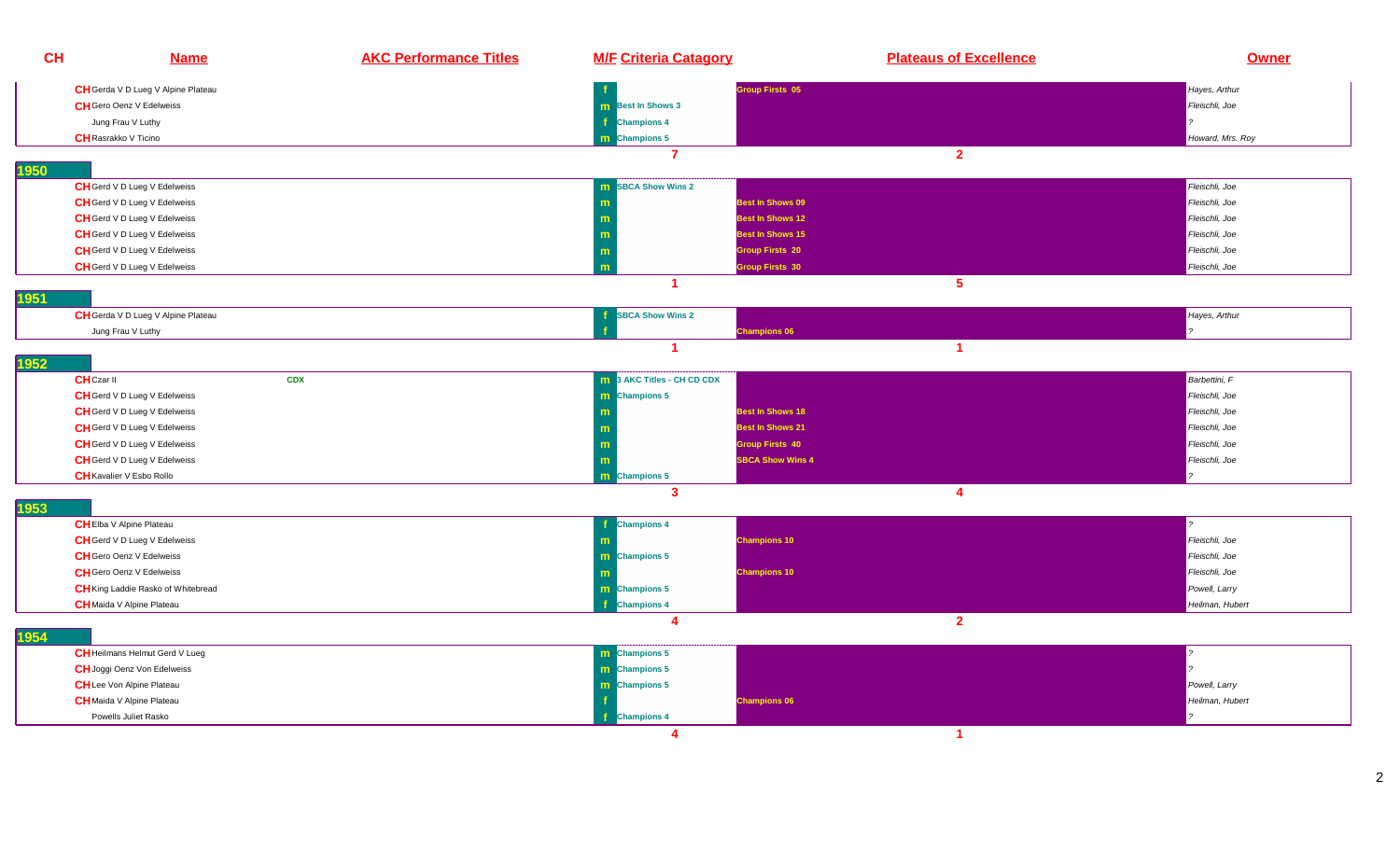| <b>CH</b>                   | <b>Name</b>                               | <b>AKC Performance Titles</b> | <b>M/F Criteria Catagory</b>           | <b>Plateaus of Excellence</b> | <b>Owner</b>     |
|-----------------------------|-------------------------------------------|-------------------------------|----------------------------------------|-------------------------------|------------------|
|                             | CH Gerda V D Lueg V Alpine Plateau        |                               |                                        | <b>Sroup Firsts 05</b>        | Hayes, Arthur    |
|                             | <b>CH</b> Gero Oenz V Edelweiss           |                               | <b>m</b> Best In Shows 3               |                               | Fleischli, Joe   |
|                             | Jung Frau V Luthy                         |                               | <b>Champions 4</b>                     |                               |                  |
| <b>CH</b> Rasrakko V Ticino |                                           |                               | m Champions 5                          |                               | Howard, Mrs. Roy |
|                             |                                           |                               | 7                                      | $\overline{2}$                |                  |
| 1950                        |                                           |                               |                                        |                               |                  |
|                             | CH Gerd V D Lueg V Edelweiss              |                               | <b>m</b> SBCA Show Wins 2              |                               | Fleischli, Joe   |
|                             | <b>CH</b> Gerd V D Lueg V Edelweiss       |                               |                                        | Best In Shows 09              | Fleischli, Joe   |
|                             | CH Gerd V D Lueg V Edelweiss              |                               |                                        | <b>Best In Shows 12</b>       | Fleischli, Joe   |
|                             | <b>CH</b> Gerd V D Lueg V Edelweiss       |                               | m                                      | <b>Best In Shows 15</b>       | Fleischli, Joe   |
|                             | CH Gerd V D Lueg V Edelweiss              |                               | <b>Group Firsts 20</b><br>$\mathbf{m}$ |                               | Fleischli, Joe   |
|                             | <b>CH</b> Gerd V D Lueg V Edelweiss       |                               | m                                      | roup Firsts 30                | Fleischli, Joe   |
|                             |                                           |                               | $\blacktriangleleft$                   | 5 <sub>5</sub>                |                  |
| 1951                        |                                           |                               |                                        |                               |                  |
|                             | CH Gerda V D Lueg V Alpine Plateau        |                               | <b>SBCA Show Wins 2</b>                |                               | Hayes, Arthur    |
|                             | Jung Frau V Luthy                         |                               | <b>Champions 06</b>                    |                               |                  |
| 1952                        |                                           |                               | -1                                     | $\blacktriangleleft$          |                  |
| <b>CH</b> Czar II           |                                           | <b>CDX</b>                    | <b>m</b> 3 AKC Titles - CH CD CDX      |                               | Barbettini, F    |
|                             | CH Gerd V D Lueg V Edelweiss              |                               | m Champions 5                          |                               | Fleischli, Joe   |
|                             | CH Gerd V D Lueg V Edelweiss              |                               |                                        | <b>Best In Shows 18</b>       | Fleischli, Joe   |
|                             | CH Gerd V D Lueg V Edelweiss              |                               |                                        | <b>Best In Shows 21</b>       | Fleischli, Joe   |
|                             | <b>CH</b> Gerd V D Lueg V Edelweiss       |                               | <b>Group Firsts 40</b>                 |                               | Fleischli, Joe   |
|                             | CH Gerd V D Lueg V Edelweiss              |                               |                                        | <b>SBCA Show Wins 4</b>       | Fleischli, Joe   |
|                             | <b>CH</b> Kavalier V Esbo Rollo           |                               | m Champions 5                          |                               |                  |
|                             |                                           |                               | $\mathbf{3}$                           | $\overline{4}$                |                  |
| 1953                        |                                           |                               |                                        |                               |                  |
|                             | <b>CH</b> Elba V Alpine Plateau           |                               | <b>Champions 4</b><br>- 1              |                               |                  |
|                             | <b>CH</b> Gerd V D Lueg V Edelweiss       |                               | <b>Champions 10</b>                    |                               | Fleischli, Joe   |
|                             | <b>CH</b> Gero Oenz V Edelweiss           |                               | m Champions 5                          |                               | Fleischli, Joe   |
|                             | <b>CH</b> Gero Oenz V Edelweiss           |                               | <b>Champions 10</b>                    |                               | Fleischli, Joe   |
|                             | <b>CH</b> King Laddie Rasko of Whitebread |                               | m Champions 5                          |                               | Powell, Larry    |
|                             | <b>CH</b> Maida V Alpine Plateau          |                               | <b>Champions 4</b>                     |                               | Heilman, Hubert  |
| 1954                        |                                           |                               | 4                                      | $\overline{2}$                |                  |
|                             | <b>CH</b> Heilmans Helmut Gerd V Lueg     |                               | m Champions 5                          |                               |                  |
|                             | <b>CH</b> Joggi Oenz Von Edelweiss        |                               | m Champions 5                          |                               |                  |
|                             | <b>CH</b> Lee Von Alpine Plateau          |                               | <b>m</b> Champions 5                   |                               | Powell, Larry    |
|                             | <b>CH</b> Maida V Alpine Plateau          |                               | <b>Champions 06</b>                    |                               | Heilman, Hubert  |
|                             | Powells Juliet Rasko                      |                               | <b>Champions 4</b>                     |                               |                  |
|                             |                                           |                               | 4                                      | $\blacktriangleleft$          |                  |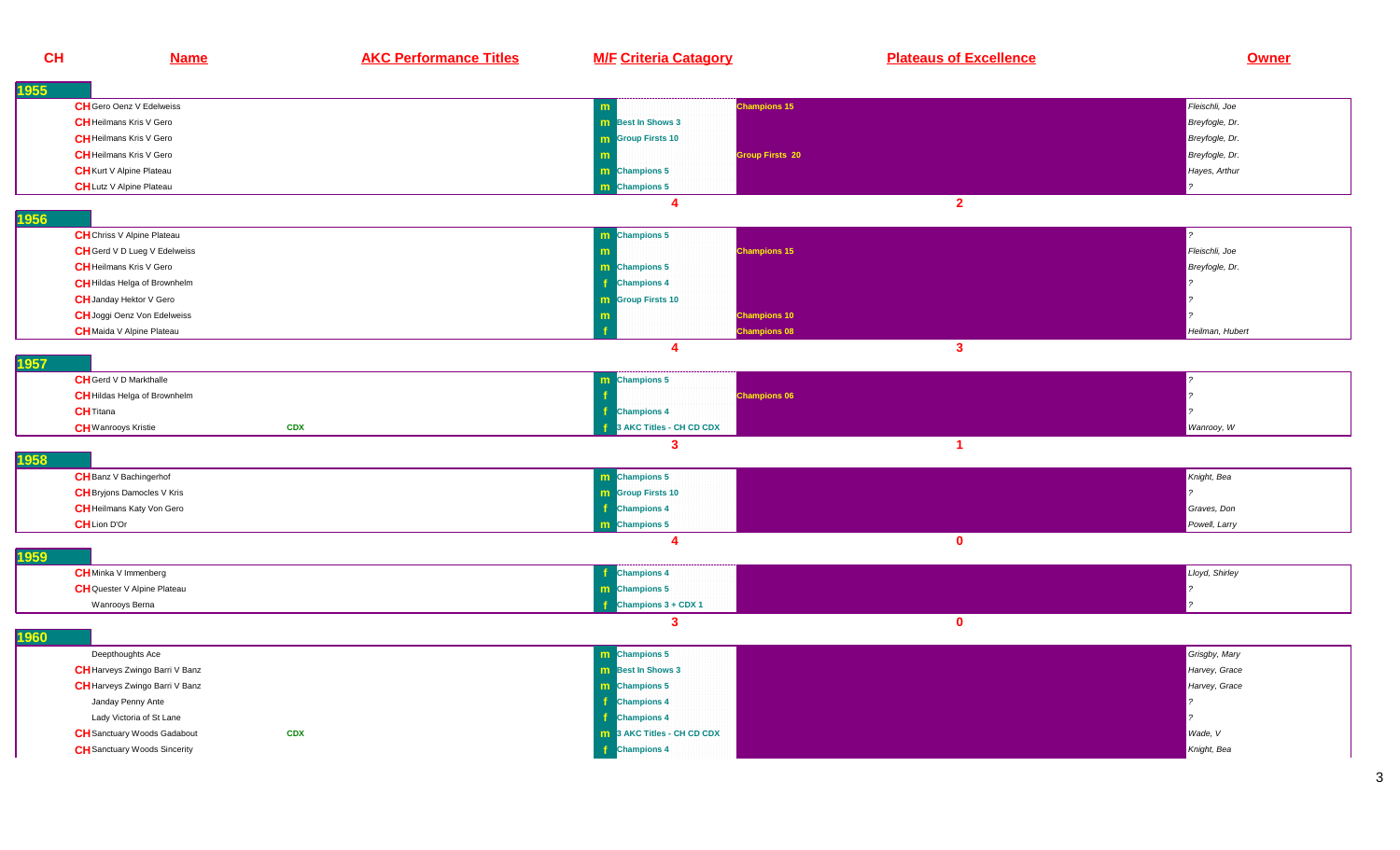| <b>CH</b> | <b>Name</b>                         | <b>AKC Performance Titles</b> | <b>M/F Criteria Catagory</b>  | <b>Plateaus of Excellence</b> | <b>Owner</b>    |
|-----------|-------------------------------------|-------------------------------|-------------------------------|-------------------------------|-----------------|
| 1955      |                                     |                               |                               |                               |                 |
|           | <b>CH</b> Gero Oenz V Edelweiss     |                               | m                             | <b>Champions 15</b>           | Fleischli, Joe  |
|           | <b>CH</b> Heilmans Kris V Gero      |                               | <b>m</b> Best In Shows 3      |                               | Breyfogle, Dr.  |
|           | <b>CH</b> Heilmans Kris V Gero      |                               | <b>m</b> Group Firsts 10      |                               | Breyfogle, Dr.  |
|           | <b>CH</b> Heilmans Kris V Gero      |                               |                               | <b>Group Firsts 20</b>        | Breyfogle, Dr.  |
|           | <b>CH</b> Kurt V Alpine Plateau     |                               | m Champions 5                 |                               | Hayes, Arthur   |
|           | <b>CH</b> Lutz V Alpine Plateau     |                               | m Champions 5                 |                               |                 |
|           |                                     |                               | $\boldsymbol{A}$              | 2 <sup>1</sup>                |                 |
| 1956      |                                     |                               |                               |                               |                 |
|           | <b>CH</b> Chriss V Alpine Plateau   |                               | m Champions 5                 |                               |                 |
|           | CH Gerd V D Lueg V Edelweiss        |                               | m                             | <b>Champions 15</b>           | Fleischli, Joe  |
|           | <b>CH</b> Heilmans Kris V Gero      |                               | m Champions 5                 |                               | Breyfogle, Dr.  |
|           | <b>CH</b> Hildas Helga of Brownhelm |                               | <b>Champions 4</b>            |                               |                 |
|           | <b>CH</b> Janday Hektor V Gero      |                               | <b>m</b> Group Firsts 10      |                               |                 |
|           | <b>CH</b> Joggi Oenz Von Edelweiss  |                               | m                             | <b>Champions 10</b>           |                 |
|           | <b>CH</b> Maida V Alpine Plateau    |                               |                               | <b>Champions 08</b>           | Heilman, Hubert |
|           |                                     |                               | 4                             | $\overline{\mathbf{3}}$       |                 |
| 1957      |                                     |                               |                               |                               |                 |
|           | <b>CH</b> Gerd V D Markthalle       |                               | <b>Champions 5</b><br>m.      |                               |                 |
|           | <b>CH</b> Hildas Helga of Brownhelm |                               |                               | <b>Champions 06</b>           |                 |
|           | <b>CH</b> Titana                    |                               | <b>Champions 4</b>            |                               |                 |
|           | <b>CH</b> Wanrooys Kristie          | <b>CDX</b>                    | <b>AKC Titles - CH CD CDX</b> |                               | Wanrooy, W      |
| 1958      |                                     |                               | 3                             | $\blacktriangleleft$          |                 |
|           | <b>CH</b> Banz V Bachingerhof       |                               | <b>m</b> Champions 5          |                               | Knight, Bea     |
|           | <b>CH</b> Bryjons Damocles V Kris   |                               | <b>m</b> Group Firsts 10      |                               |                 |
|           | <b>CH</b> Heilmans Katy Von Gero    |                               | <b>Champions 4</b>            |                               | Graves, Don     |
|           | <b>CH</b> Lion D'Or                 |                               | <b>m</b> Champions 5          |                               | Powell, Larry   |
|           |                                     |                               | $\boldsymbol{4}$              | $\mathbf 0$                   |                 |
| 1959      |                                     |                               |                               |                               |                 |
|           | <b>CH</b> Minka V Immenberg         |                               | <b>Champions 4</b>            |                               | Lloyd, Shirley  |
|           | <b>CH</b> Quester V Alpine Plateau  |                               | m Champions 5                 |                               |                 |
|           | Wanrooys Berna                      |                               | Champions 3 + CDX 1           |                               |                 |
| 1960      |                                     |                               | $\mathbf{3}$                  | $\mathbf{0}$                  |                 |
|           | Deepthoughts Ace                    |                               | m Champions 5                 |                               | Grisgby, Mary   |
|           | CH Harveys Zwingo Barri V Banz      |                               | <b>m</b> Best In Shows 3      |                               | Harvey, Grace   |
|           | CH Harveys Zwingo Barri V Banz      |                               | m Champions 5                 |                               | Harvey, Grace   |
|           | Janday Penny Ante                   |                               | <b>Champions 4</b>            |                               |                 |
|           | Lady Victoria of St Lane            |                               | <b>Champions 4</b>            |                               |                 |
|           | <b>CH</b> Sanctuary Woods Gadabout  | <b>CDX</b>                    | 13 AKC Titles - CH CD CDX     |                               | Wade, V         |
|           | <b>CH</b> Sanctuary Woods Sincerity |                               | <b>Champions 4</b>            |                               | Knight, Bea     |
|           |                                     |                               |                               |                               |                 |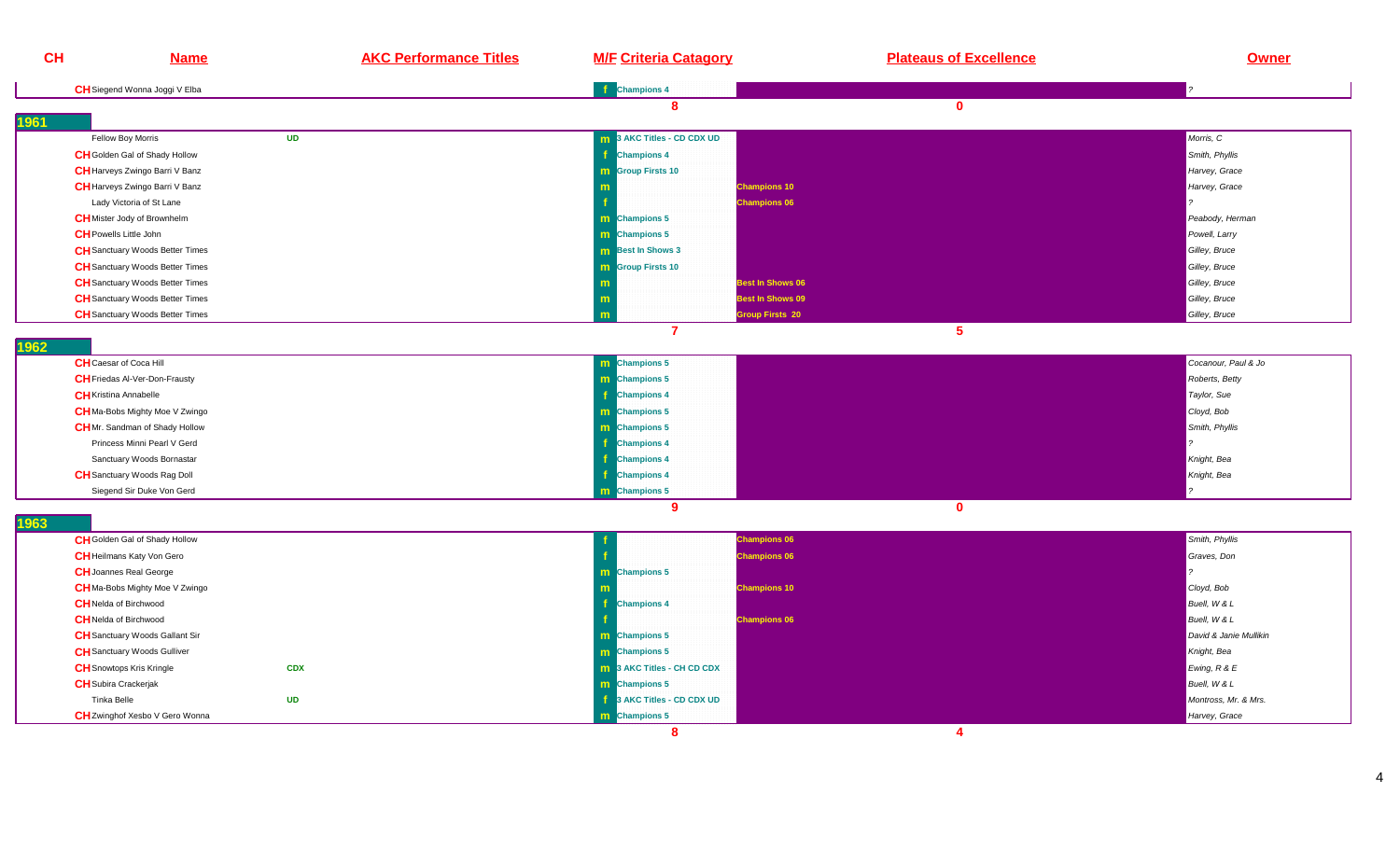| <b>CH</b>                                                    | <b>Name</b>                                                                 | <b>AKC Performance Titles</b> | <b>M/F Criteria Catagory</b>      | <b>Plateaus of Excellence</b> | <b>Owner</b>               |
|--------------------------------------------------------------|-----------------------------------------------------------------------------|-------------------------------|-----------------------------------|-------------------------------|----------------------------|
|                                                              | CH Siegend Wonna Joggi V Elba                                               |                               | <b>f</b> Champions 4              |                               |                            |
|                                                              |                                                                             |                               | 8                                 | $\mathbf{0}$                  |                            |
| 1961                                                         |                                                                             |                               |                                   |                               |                            |
|                                                              | Fellow Boy Morris                                                           | <b>UD</b>                     | 3 AKC Titles - CD CDX UD          |                               | Morris, C                  |
|                                                              | CH Golden Gal of Shady Hollow                                               |                               | <b>Champions 4</b>                |                               | Smith, Phyllis             |
|                                                              | <b>CH</b> Harveys Zwingo Barri V Banz                                       |                               | <b>m</b> Group Firsts 10          |                               | Harvey, Grace              |
|                                                              | <b>CH</b> Harveys Zwingo Barri V Banz                                       |                               |                                   | <b>Champions 10</b>           | Harvey, Grace              |
|                                                              | Lady Victoria of St Lane                                                    |                               |                                   | <b>Champions 06</b>           |                            |
|                                                              | <b>CH</b> Mister Jody of Brownhelm                                          |                               | m Champions 5                     |                               | Peabody, Herman            |
| <b>CH</b> Powells Little John                                |                                                                             |                               | <b>m</b> Champions 5              |                               | Powell, Larry              |
|                                                              | CH Sanctuary Woods Better Times                                             |                               | <b>m</b> Best In Shows 3          |                               | Gilley, Bruce              |
|                                                              | CH Sanctuary Woods Better Times                                             |                               | <b>m</b> Group Firsts 10          |                               | Gilley, Bruce              |
|                                                              | <b>CH</b> Sanctuary Woods Better Times                                      |                               | m                                 | <b>Best In Shows 06</b>       | Gilley, Bruce              |
|                                                              | <b>CH</b> Sanctuary Woods Better Times                                      |                               | m                                 | <b>Best In Shows 09</b>       | Gilley, Bruce              |
|                                                              | <b>CH</b> Sanctuary Woods Better Times                                      |                               |                                   | <b>Sroup Firsts 20</b>        | Gilley, Bruce              |
| 1962                                                         |                                                                             |                               | $\overline{7}$                    | $5\phantom{.0}$               |                            |
| <b>CH</b> Caesar of Coca Hill                                |                                                                             |                               | m Champions 5                     |                               | Cocanour, Paul & Jo        |
|                                                              | <b>CH</b> Friedas Al-Ver-Don-Frausty                                        |                               | m Champions 5                     |                               | Roberts, Betty             |
| <b>CH</b> Kristina Annabelle                                 |                                                                             |                               | <b>f</b> Champions 4              |                               | Taylor, Sue                |
|                                                              | CH Ma-Bobs Mighty Moe V Zwingo                                              |                               | m Champions 5                     |                               | Cloyd, Bob                 |
|                                                              | <b>CH</b> Mr. Sandman of Shady Hollow                                       |                               | m Champions 5                     |                               | Smith, Phyllis             |
|                                                              | Princess Minni Pearl V Gerd                                                 |                               | <b>f</b> Champions 4              |                               |                            |
|                                                              | Sanctuary Woods Bornastar                                                   |                               | <b>f</b> Champions 4              |                               | Knight, Bea                |
|                                                              | <b>CH</b> Sanctuary Woods Rag Doll                                          |                               | f.<br><b>Champions 4</b>          |                               | Knight, Bea                |
|                                                              | Siegend Sir Duke Von Gerd                                                   |                               | m Champions 5                     |                               |                            |
|                                                              |                                                                             |                               | 9                                 | $\mathbf{0}$                  |                            |
| 1963                                                         |                                                                             |                               |                                   |                               |                            |
|                                                              | CH Golden Gal of Shady Hollow                                               |                               |                                   | <b>Champions 06</b>           | Smith, Phyllis             |
|                                                              | <b>CH</b> Heilmans Katy Von Gero                                            |                               |                                   | <b>Champions 06</b>           | Graves, Don                |
|                                                              | <b>CH</b> Joannes Real George                                               |                               | m Champions 5                     |                               |                            |
|                                                              | <b>CH</b> Ma-Bobs Mighty Moe V Zwingo                                       |                               |                                   | <b>Champions 10</b>           | Cloyd, Bob<br>Buell, W & L |
| <b>CH</b> Nelda of Birchwood<br><b>CH</b> Nelda of Birchwood |                                                                             |                               | <b>Champions 4</b>                |                               | Buell, W & L               |
|                                                              |                                                                             |                               | <b>m</b> Champions 5              | <b>Champions 06</b>           | David & Janie Mullikin     |
|                                                              | <b>CH</b> Sanctuary Woods Gallant Sir<br><b>CH</b> Sanctuary Woods Gulliver |                               | m Champions 5                     |                               | Knight, Bea                |
|                                                              | <b>CH</b> Snowtops Kris Kringle                                             | <b>CDX</b>                    | <b>m</b> 3 AKC Titles - CH CD CDX |                               | Ewing, R & E               |
| <b>CH</b> Subira Crackerjak                                  |                                                                             |                               | m Champions 5                     |                               | Buell, W & L               |
| Tinka Belle                                                  |                                                                             | <b>UD</b>                     | Ŧ<br>3 AKC Titles - CD CDX UD     |                               | Montross, Mr. & Mrs.       |
|                                                              | CH Zwinghof Xesbo V Gero Wonna                                              |                               | m Champions 5                     |                               | Harvey, Grace              |
|                                                              |                                                                             |                               | 8                                 | $\overline{\mathbf{4}}$       |                            |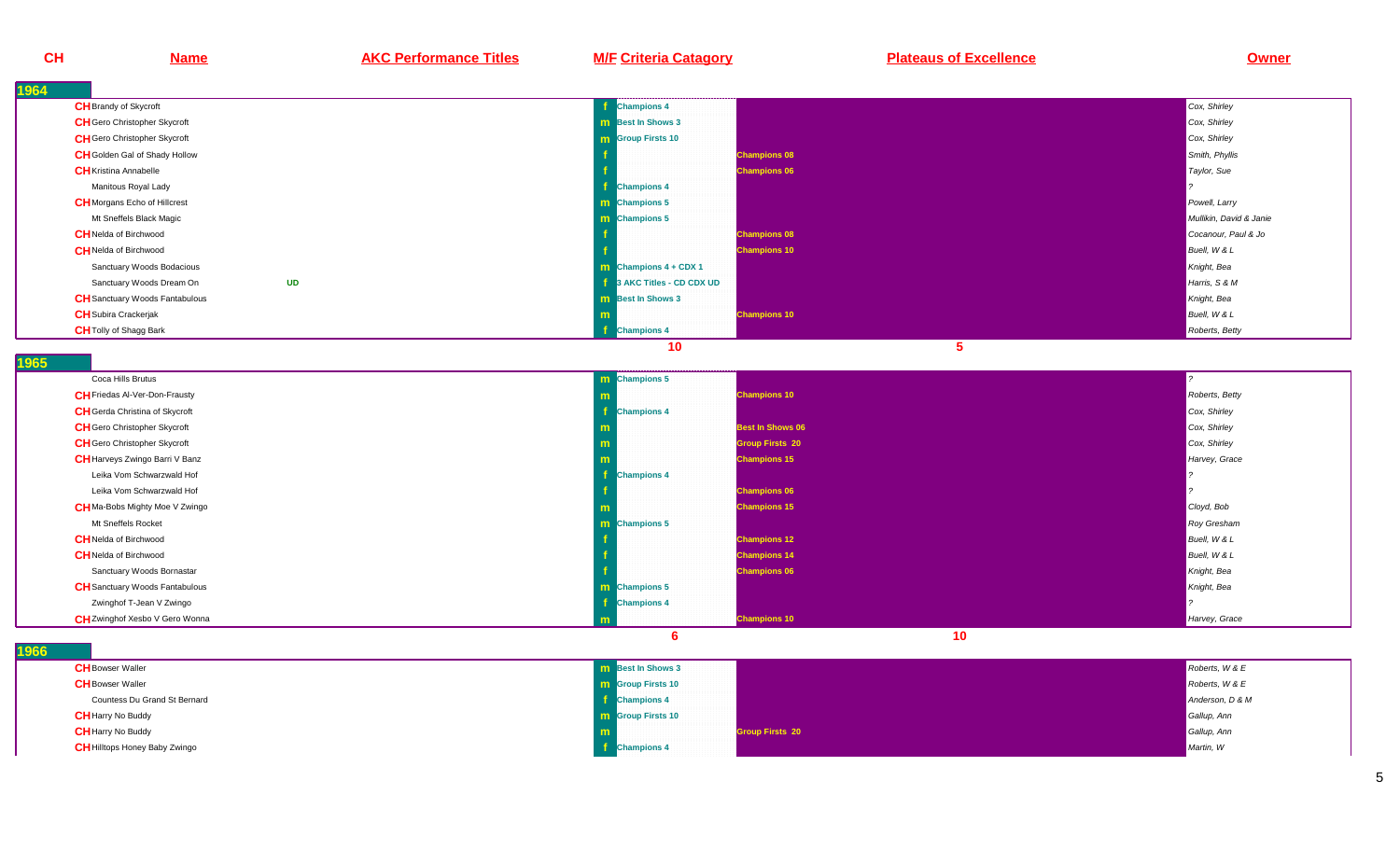| CH   | <b>Name</b>                           | <b>AKC Performance Titles</b> | <b>M/F Criteria Catagory</b>   | <b>Plateaus of Excellence</b> | Owner                   |
|------|---------------------------------------|-------------------------------|--------------------------------|-------------------------------|-------------------------|
| 1964 |                                       |                               |                                |                               |                         |
|      | <b>CH</b> Brandy of Skycroft          |                               | <b>Champions 4</b>             |                               | Cox, Shirley            |
|      | <b>CH</b> Gero Christopher Skycroft   |                               | <b>m</b> Best In Shows 3       |                               | Cox, Shirley            |
|      | <b>CH</b> Gero Christopher Skycroft   |                               | <b>m</b> Group Firsts 10       |                               | Cox, Shirley            |
|      | <b>CH</b> Golden Gal of Shady Hollow  |                               |                                | <b>Champions 08</b>           | Smith, Phyllis          |
|      | <b>CH</b> Kristina Annabelle          |                               |                                | <b>Champions 06</b>           | Taylor, Sue             |
|      | Manitous Royal Lady                   |                               | <b>Champions 4</b>             |                               |                         |
|      | <b>CH</b> Morgans Echo of Hillcrest   |                               | m Champions 5                  |                               | Powell, Larry           |
|      | Mt Sneffels Black Magic               |                               | m Champions 5                  |                               | Mullikin, David & Janie |
|      | <b>CH</b> Nelda of Birchwood          |                               |                                | <b>Champions 08</b>           | Cocanour, Paul & Jo     |
|      | <b>CH</b> Nelda of Birchwood          |                               |                                | <b>Champions 10</b>           | Buell, W & L            |
|      | Sanctuary Woods Bodacious             |                               | <b>m</b> Champions $4 + CDX 1$ |                               | Knight, Bea             |
|      | Sanctuary Woods Dream On              | <b>UD</b>                     | 3 AKC Titles - CD CDX UD       |                               | Harris, S & M           |
|      | <b>CH</b> Sanctuary Woods Fantabulous |                               | <b>m</b> Best In Shows 3       |                               | Knight, Bea             |
|      | <b>CH</b> Subira Crackerjak           |                               |                                | <b>Champions 10</b>           | Buell, W & L            |
|      | <b>CH</b> Tolly of Shagg Bark         |                               | <b>Champions 4</b>             |                               | Roberts, Betty          |
|      |                                       |                               | 10                             | 5 <sub>5</sub>                |                         |
| 1965 |                                       |                               |                                |                               |                         |
|      | Coca Hills Brutus                     |                               | m Champions 5                  |                               |                         |
|      | <b>CH</b> Friedas Al-Ver-Don-Frausty  |                               | m                              | <b>Champions 10</b>           | Roberts, Betty          |
|      | <b>CH</b> Gerda Christina of Skycroft |                               | <b>Champions 4</b>             |                               | Cox, Shirley            |
|      | <b>CH</b> Gero Christopher Skycroft   |                               |                                | <b>Best In Shows 06</b>       | Cox, Shirley            |
|      | <b>CH</b> Gero Christopher Skycroft   |                               |                                | <b>Group Firsts 20</b>        | Cox, Shirley            |
|      | <b>CH</b> Harveys Zwingo Barri V Banz |                               |                                | <b>Champions 15</b>           | Harvey, Grace           |
|      | Leika Vom Schwarzwald Hof             |                               | <b>Champions 4</b>             |                               |                         |
|      | Leika Vom Schwarzwald Hof             |                               |                                | <b>Champions 06</b>           |                         |
|      | <b>CH</b> Ma-Bobs Mighty Moe V Zwingo |                               |                                | <b>Champions 15</b>           | Cloyd, Bob              |
|      | Mt Sneffels Rocket                    |                               | m Champions 5                  |                               | <b>Roy Gresham</b>      |
|      | <b>CH</b> Nelda of Birchwood          |                               |                                | <b>Champions 12</b>           | Buell, W & L            |
|      | <b>CH</b> Nelda of Birchwood          |                               |                                | <b>Champions 14</b>           | Buell, W & L            |
|      | Sanctuary Woods Bornastar             |                               |                                | <b>Champions 06</b>           | Knight, Bea             |
|      | <b>CH</b> Sanctuary Woods Fantabulous |                               | <b>m</b> Champions 5           |                               | Knight, Bea             |
|      | Zwinghof T-Jean V Zwingo              |                               | <b>Champions 4</b>             |                               |                         |
|      | <b>CH</b> Zwinghof Xesbo V Gero Wonna |                               |                                | <b>Champions 10</b>           | Harvey, Grace           |
| 1966 |                                       |                               | 6                              | 10                            |                         |
|      | <b>CH</b> Bowser Waller               |                               | <b>m</b> Best In Shows 3       |                               | Roberts, W & E          |
|      | <b>CH</b> Bowser Waller               |                               | <b>m</b> Group Firsts 10       |                               | Roberts, W & E          |
|      | Countess Du Grand St Bernard          |                               | $\frac{1}{2}$ Champions 4      |                               | Anderson, D & M         |
|      | <b>CH</b> Harry No Buddy              |                               | <b>m</b> Group Firsts 10       |                               | Gallup, Ann             |
|      | <b>CH</b> Harry No Buddy              |                               |                                | <b>Group Firsts 20</b>        | Gallup, Ann             |
|      | <b>CH</b> Hilltops Honey Baby Zwingo  |                               | <b>Champions 4</b>             |                               | Martin, W               |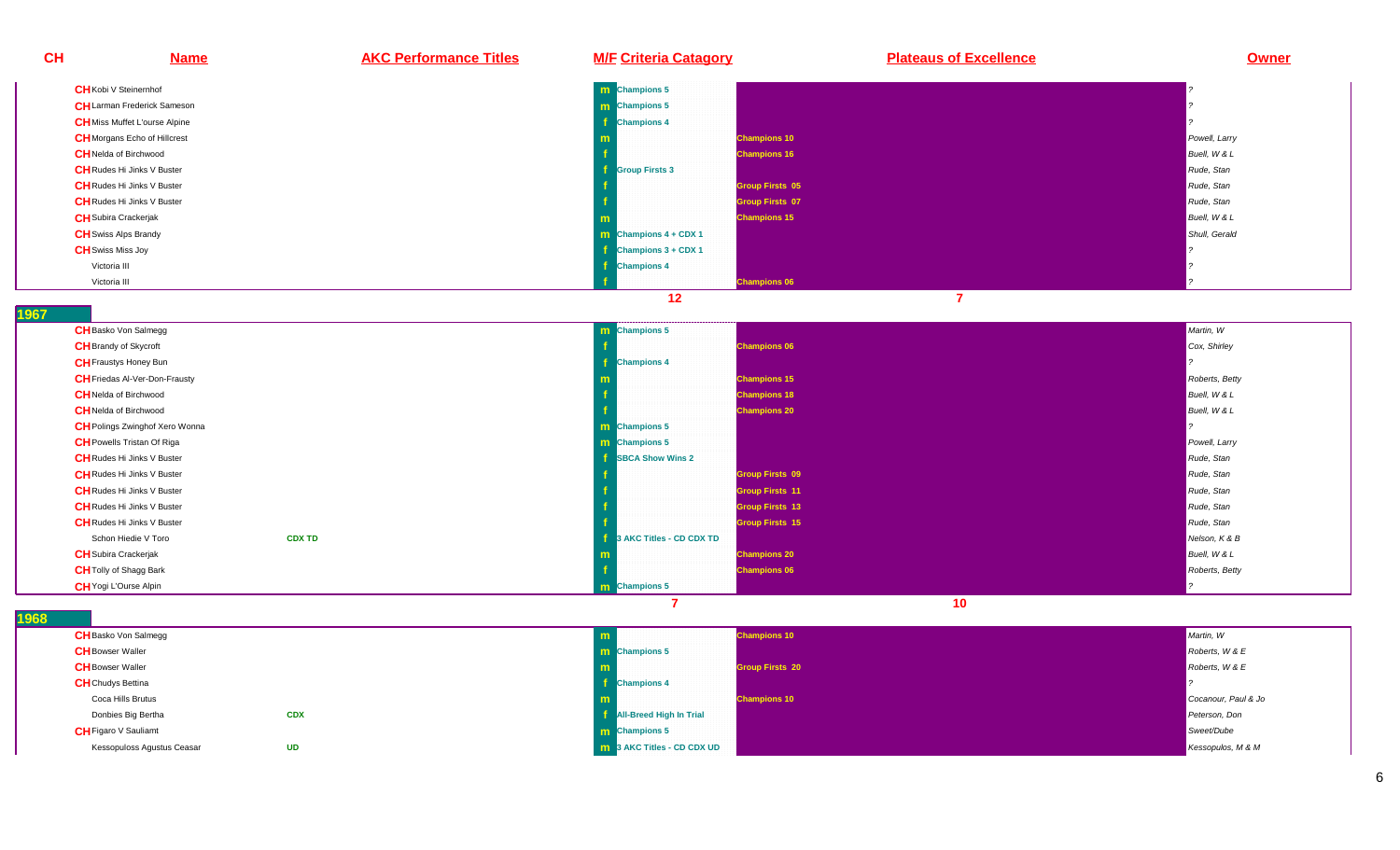| <b>CH</b> | <u>Name</u>                          | <b>AKC Performance Titles</b> | <b>M/F Criteria Catagory</b>   |                        | <b>Plateaus of Excellence</b> | <b>Owner</b>  |
|-----------|--------------------------------------|-------------------------------|--------------------------------|------------------------|-------------------------------|---------------|
|           | <b>CH</b> Kobi V Steinernhof         |                               | <b>m</b> Champions 5           |                        |                               |               |
|           | <b>CH</b> Larman Frederick Sameson   |                               | <b>m</b> Champions 5           |                        |                               |               |
|           | <b>CH</b> Miss Muffet L'ourse Alpine |                               | <b>Champions 4</b>             |                        |                               |               |
|           | <b>CH</b> Morgans Echo of Hillcrest  |                               |                                | <b>Champions 10</b>    |                               | Powell, Larry |
|           | <b>CH</b> Nelda of Birchwood         |                               |                                | <b>Champions 16</b>    |                               | Buell, W & L  |
|           | <b>CH</b> Rudes Hi Jinks V Buster    |                               | <b>Group Firsts 3</b>          |                        |                               | Rude, Stan    |
|           | <b>CH</b> Rudes Hi Jinks V Buster    |                               |                                | <b>Group Firsts 05</b> |                               | Rude, Stan    |
|           | <b>CH</b> Rudes Hi Jinks V Buster    |                               |                                | <b>Group Firsts 07</b> |                               | Rude, Stan    |
|           | <b>CH</b> Subira Crackerjak          |                               |                                | <b>Champions 15</b>    |                               | Buell, W & L  |
|           | <b>CH</b> Swiss Alps Brandy          |                               | <b>m</b> Champions $4 + CDX 1$ |                        |                               | Shull, Gerald |
|           | <b>CH</b> Swiss Miss Joy             |                               | $Champions 3 + CDX 1$          |                        |                               |               |
|           | Victoria III                         |                               | <b>Champions 4</b>             |                        |                               |               |
|           | Victoria III                         |                               |                                | <b>Champions 06</b>    |                               |               |

**1967** 

| <b>CH</b> Basko Von Salmegg           | <b>m</b> Champions 5              |                        | Martin, W      |
|---------------------------------------|-----------------------------------|------------------------|----------------|
| <b>CH</b> Brandy of Skycroft          |                                   | <b>Champions 06</b>    | Cox, Shirley   |
| <b>CH</b> Fraustys Honey Bun          | <b>Champions 4</b>                |                        |                |
| <b>CH</b> Friedas Al-Ver-Don-Frausty  |                                   | <b>Champions 15</b>    | Roberts, Betty |
| <b>CH</b> Nelda of Birchwood          |                                   | <b>Champions 18</b>    | Buell, W & L   |
| <b>CH</b> Nelda of Birchwood          |                                   | <b>Champions 20</b>    | Buell, W & L   |
| <b>CH</b> Polings Zwinghof Xero Wonna | <b>m</b> Champions 5              |                        |                |
| <b>CH</b> Powells Tristan Of Riga     | <b>m</b> Champions 5              |                        | Powell, Larry  |
| <b>CH</b> Rudes Hi Jinks V Buster     | <b>SBCA Show Wins 2</b>           |                        | Rude, Stan     |
| <b>CH</b> Rudes Hi Jinks V Buster     |                                   | <b>Group Firsts 09</b> | Rude, Stan     |
| <b>CH</b> Rudes Hi Jinks V Buster     |                                   | <b>Group Firsts 11</b> | Rude, Stan     |
| <b>CH</b> Rudes Hi Jinks V Buster     |                                   | <b>Group Firsts 13</b> | Rude, Stan     |
| <b>CH</b> Rudes Hi Jinks V Buster     |                                   | <b>Group Firsts 15</b> | Rude, Stan     |
| <b>CDX TD</b><br>Schon Hiedie V Toro  | <b>1</b> 3 AKC Titles - CD CDX TD |                        | Nelson, K & B  |
| <b>CH</b> Subira Crackerjak           |                                   | <b>Champions 20</b>    | Buell, W & L   |
| <b>CH</b> Tolly of Shagg Bark         |                                   | <b>Champions 06</b>    | Roberts, Betty |
| <b>CH</b> Yogi L'Ourse Alpin          | <b>m</b> Champions 5              |                        |                |

| <b>CH</b> Basko Von Salmegg |            |                                   | <b>Champions 10</b>    | Martin, W           |
|-----------------------------|------------|-----------------------------------|------------------------|---------------------|
| <b>CH</b> Bowser Waller     |            | <b>m</b> Champions 5              |                        | Roberts, W & E      |
| <b>CH</b> Bowser Waller     |            |                                   | <b>Group Firsts 20</b> | Roberts, W & E      |
| <b>CH</b> Chudys Bettina    |            | <b>Champions 4</b>                |                        |                     |
| Coca Hills Brutus           |            |                                   | <b>Champions 10</b>    | Cocanour, Paul & Jo |
| Donbies Big Bertha          | <b>CDX</b> | All-Breed High In Trial           |                        | Peterson, Don       |
| <b>CH</b> Figaro V Sauliamt |            | <b>m</b> Champions 5              |                        | Sweet/Dube          |
| Kessopuloss Agustus Ceasar  | <b>UD</b>  | <b>m</b> 3 AKC Titles - CD CDX UD |                        | Kessopulos, M & M   |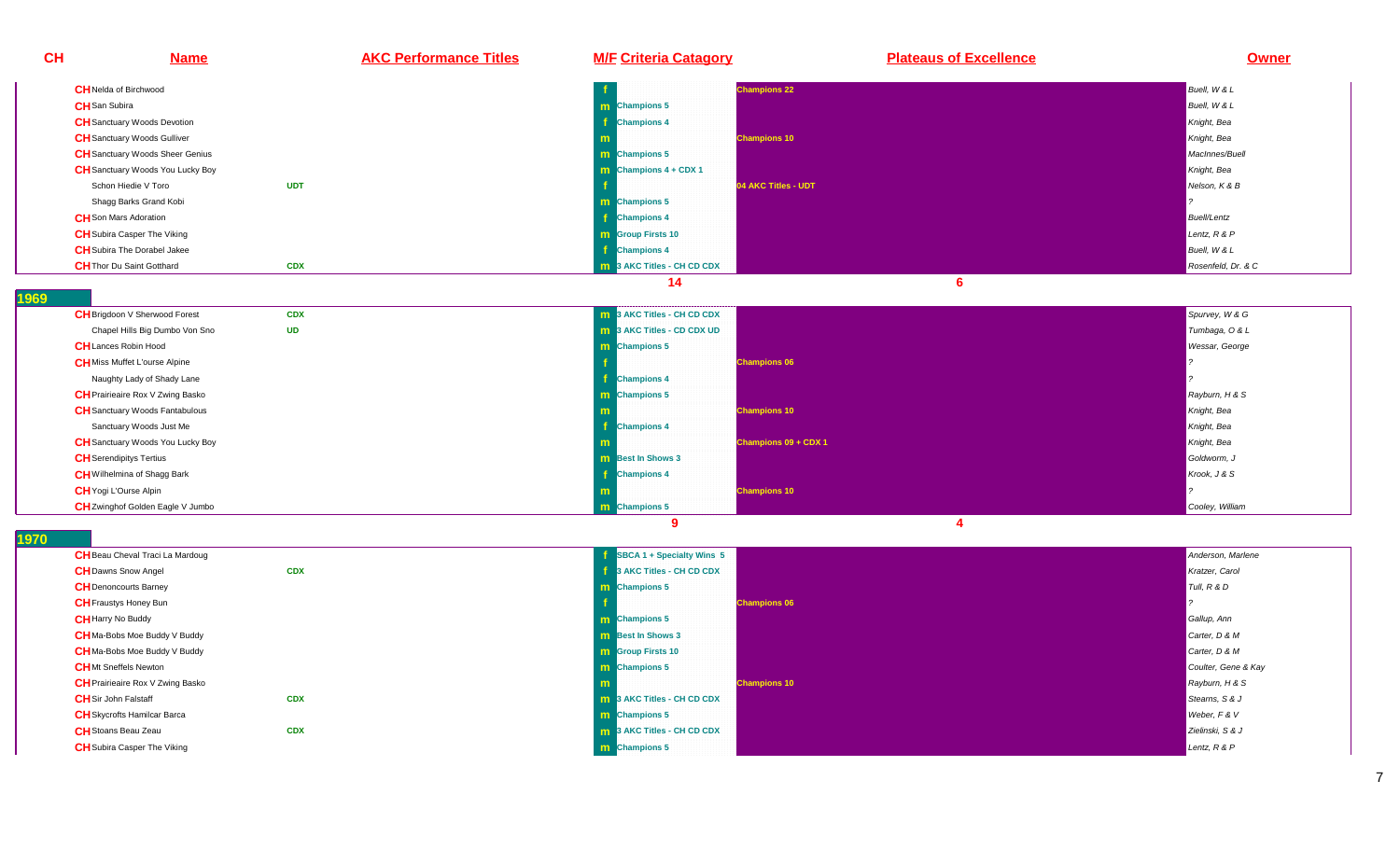**CH Name AKC Performance Titles M/F Criteria Catagory Plateaus of Excellence Owner CH**Nelda of Birchwood **<sup>f</sup> Champions 22** Buell, W & L **CH**San Subira**a** and the contract of the contract of the contract of the contract of the contract of the contract of the contract of the contract of the contract of the contract of the contract of the contract of the contract of the co **Champions 5** Buell, W & L **CH** Sanctuary Woods Devotion **<sup>f</sup>f** Champions 4 Knight, Beaumont and Champions and Champions and Champions and Champions 4 Knight, Beaumont and Champions and Champions and Champions and Champions and Champions and Champions and Champions and Champions an **CH**Sanctuary Woods Gulliver **mChampions 10** Knight, Beau of the Champions 10 Knight, Beau of the Champions of the Champions of the Champions of the Champions of the Champions of the Champions of the Champions of the Champions of the Champions of the C **CH** Sanctuary Woods Sheer Genius s and the second contract of the second contract of the second contract of the second contract of the second contract of the second contract of the second contract of the second contract of the second contract of the secon **Champions 5** MacInnes/Buell **CH** Sanctuary Woods You Lucky Boy **m Champions 4 + CDX 1** Knight, Beau of the Champions of the Champions of the Champions 4 + CDX 1 Knight, Beau of the<br>The Champions 4 + CDX 1 Knight, Beau of the Champions of the Champions of the Champions of the Champions o Schon Hiedie V Toro **UDT <sup>f</sup> 04 AKC Titles - UDT** Nelson, K & BShagg Barks Grand Kobi **m Champions 5** ? **CH**Son Mars Adoration **<sup>f</sup> Champions 4** Buell/Lentz **CH**Subira Casper The Vikingg and the second contract of the second contract of the second contract of the second contract of the second contract of the second contract of the second contract of the second contract of the second contract of the secon **Group Firsts 10** Lentz, R & P **CH**Subira The Dorabel Jakee**f** the contract of the contract of the contract of the contract of the contract of the contract of the contract of the contract of the contract of the contract of the contract of the contract of the contract of the contra **Champions 4** Buell, W & L **CH**Thor Du Saint Gotthard **CDX <sup>m</sup>3 AKC Titles - CH CD CDX** Rosenfeld, Dr. & C<br>A Rosenfeld, Dr. & C **14 6 1969 CH**Brigdoon V Sherwood Forest **CDXx m 10 3 AKC Titles - CH CD CDX** Spurvey, W & G Spurvey, W & G Spurvey, W & G Spurvey, W & G Spurvey, W & G Spurvey, W & G Spurvey, W & G Spurvey, W & G Spurvey, W & G Spurvey, W & G Spurvey, W & G Spurvey, W & G Spurvey, W Chapel Hills Big Dumbo Von Sno **UDm 3 AKC Titles - CD CDX UD** Tumbaga, O & L **CH**Lances Robin Hoodd<sub>d</sub> and the contract of the contract of the contract of the contract of the contract of the contract of the contract of the contract of the contract of the contract of the contract of the contract of the contract of the c **Champions 5** Wessar, George **CH**Miss Muffet L'ourse Alpine **<sup>f</sup> Champions 06** ? Naughty Lady of Shady Lane **<sup>f</sup> Champions 4** ? **CH**Prairieaire Rox V Zwing Basko**o Champions 5 Rayburn, H & S**<br>Champions 5 Rayburn, H & S **CH**Sanctuary Woods Fantabulouss and the second contract of the second contract of the second contract of the second contract of the second contract of the second contract of the second contract of the second contract of the second contract of the secon **Champions 10** Knight, Beau of the Champions 10 Knight, Beau of the Champions of the Champions of the Champions of the Champions of the Champions of the Champions of the Champions of the Champions of the Champions of the C Sanctuary Woods Just Me **<sup>f</sup>f** Champions 4 Knight, Beaumont and Champions and Champions and Champions and Champions 4 Knight, Beaumont and Champions and Champions and Champions and Champions and Champions and Champions and Champions and Champions an **CH** Sanctuary Woods You Lucky Boy **<sup>m</sup>Champions 09 + CDX 1** Knight, Beach and Champions 09 + CDX 1 Knight, Beach and Champions 10 Knight, Beach and Champions 10 Knight, Beach and Champions 10 Knight, Beach and Champions 10 Knight, Beach and Champions 10 Knigh **CH** Serendipitys Tertius **s** and the contract of the contract of the contract of the contract of the contract of the contract of the contract of the contract of the contract of the contract of the contract of the contract of the contract of the co **m** Best In Shows 3 Goldworm, J. Communication of the communication of the communication of the Goldworm, J. Coldworm, J. Communication of the communication of the communication of the communication of the communication of **CH**Wilhelmina of Shagg Bark**k** the contract of the contract of the contract of the contract of the contract of the contract of the contract of the contract of the contract of the contract of the contract of the contract of the contract of the contra **Champions 4** Krook, J & S**CH**Yogi L'Ourse Alpin**m Champions 10 Champions 10 Property of the contract of the contract of the contract of the contract of the contract of the contract of the contract of the contract of the contract of the contract of the contract of the CH**Zwinghof Golden Eagle V Jumbo**o m** Champions 5 Cooley, William Cooley, William Cooley, William Cooley, William Cooley, William Cooley, William

**1970** 

| <b>CH</b> Beau Cheval Traci La Mardoug  |            | SBCA 1 + Specialty Wins 5          | Anderson, Marlene   |
|-----------------------------------------|------------|------------------------------------|---------------------|
| <b>CH</b> Dawns Snow Angel              | <b>CDX</b> | 3 AKC Titles - CH CD CDX           | Kratzer, Carol      |
| <b>CH</b> Denoncourts Barney            |            | <b>m</b> Champions 5               | Tull, R & D         |
| <b>CH</b> Fraustys Honey Bun            |            | <b>Champions 06</b>                |                     |
| <b>CH</b> Harry No Buddy                |            | <b>m</b> Champions 5               | Gallup, Ann         |
| <b>CH</b> Ma-Bobs Moe Buddy V Buddy     |            | <b>m</b> Best In Shows 3           | Carter, D & M       |
| <b>CH</b> Ma-Bobs Moe Buddy V Buddy     |            | <b>m</b> Group Firsts 10           | Carter, D & M       |
| <b>CH</b> Mt Sneffels Newton            |            | <b>m</b> Champions 5               | Coulter, Gene & Kay |
| <b>CH</b> Prairieaire Rox V Zwing Basko |            | <b>Champions 10</b>                | Rayburn, H & S      |
| <b>CH</b> Sir John Falstaff             | <b>CDX</b> | <b>In 3 AKC Titles - CH CD CDX</b> | Stearns, S & J      |
| <b>CH</b> Skycrofts Hamilcar Barca      |            | <b>m</b> Champions 5               | Weber, F & V        |
| <b>CH</b> Stoans Beau Zeau              | <b>CDX</b> | <b>m</b> 3 AKC Titles - CH CD CDX  | Zielinski, S & J    |
| <b>CH</b> Subira Casper The Viking      |            | <b>m</b> Champions 5               | Lentz, R & P        |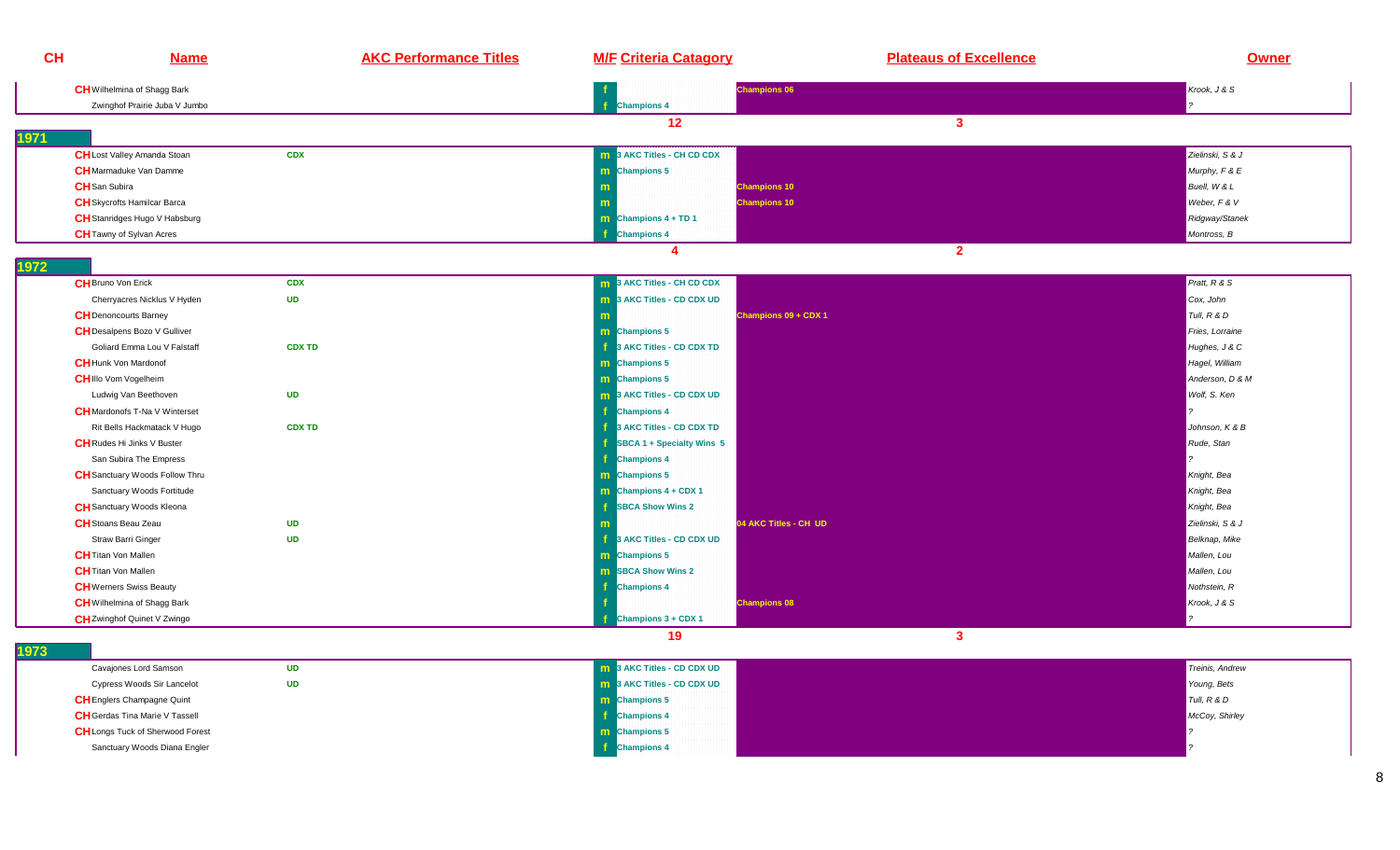| <b>CH</b>                  | <b>Name</b>                           | <b>AKC Performance Titles</b> | <b>M/F Criteria Catagory</b>            | <b>Plateaus of Excellence</b> | <b>Owner</b>     |
|----------------------------|---------------------------------------|-------------------------------|-----------------------------------------|-------------------------------|------------------|
|                            | <b>CH</b> Wilhelmina of Shagg Bark    |                               |                                         | <b>Champions 06</b>           | Krook, J & S     |
|                            | Zwinghof Prairie Juba V Jumbo         |                               | <b>Champions 4</b>                      |                               |                  |
|                            |                                       |                               | 12                                      | $\mathbf{3}$                  |                  |
| 1971                       |                                       |                               |                                         |                               |                  |
|                            | <b>CH</b> Lost Valley Amanda Stoan    | <b>CDX</b>                    | 3 AKC Titles - CH CD CDX<br>m           |                               | Zielinski, S & J |
|                            | <b>CH</b> Marmaduke Van Damme         |                               | <b>m</b> Champions 5                    |                               | Murphy, F & E    |
| <b>CH</b> San Subira       |                                       |                               |                                         | <b>Champions 10</b>           | Buell, W & L     |
|                            | <b>CH</b> Skycrofts Hamilcar Barca    |                               |                                         | <b>Champions 10</b>           | Weber, F & V     |
|                            | CH Stanridges Hugo V Habsburg         |                               | $\boxed{\mathbf{m}}$ Champions 4 + TD 1 |                               | Ridgway/Stanek   |
|                            | <b>CH</b> Tawny of Sylvan Acres       |                               | <b>Champions 4</b>                      |                               | Montross, B      |
|                            |                                       |                               | $\boldsymbol{\Lambda}$                  | $\overline{2}$                |                  |
| 1972                       |                                       |                               |                                         |                               |                  |
| <b>CH</b> Bruno Von Erick  |                                       | <b>CDX</b>                    | 3 AKC Titles - CH CD CDX                |                               | Pratt, R & S     |
|                            | Cherryacres Nicklus V Hyden           | <b>UD</b>                     | 3 AKC Titles - CD CDX UD<br>m           |                               | Cox, John        |
|                            | <b>CH</b> Denoncourts Barney          |                               |                                         | Champions 09 + CDX 1          | Tull, R & D      |
|                            | <b>CH</b> Desalpens Bozo V Gulliver   |                               | <b>m</b> Champions 5                    |                               | Fries, Lorraine  |
|                            | Goliard Emma Lou V Falstaff           | <b>CDX TD</b>                 | <b>1</b> 3 AKC Titles - CD CDX TD       |                               | Hughes, J & C    |
|                            | <b>CH</b> Hunk Von Mardonof           |                               | <b>m</b> Champions 5                    |                               | Hagel, William   |
|                            | <b>CHIIIo Vom Vogelheim</b>           |                               | m Champions 5                           |                               | Anderson, D & M  |
|                            | Ludwig Van Beethoven                  | <b>UD</b>                     | 3 AKC Titles - CD CDX UD<br>m.          |                               | Wolf, S. Ken     |
|                            | <b>CH</b> Mardonofs T-Na V Winterset  |                               | $\mathbf f$<br><b>Champions 4</b>       |                               |                  |
|                            | Rit Bells Hackmatack V Hugo           | <b>CDX TD</b>                 | 3 AKC Titles - CD CDX TD                |                               | Johnson, K & B   |
|                            | <b>CH</b> Rudes Hi Jinks V Buster     |                               | SBCA 1 + Specialty Wins 5               |                               | Rude, Stan       |
|                            | San Subira The Empress                |                               | f.<br><b>Champions 4</b>                |                               |                  |
|                            | <b>CH</b> Sanctuary Woods Follow Thru |                               | <b>m</b> Champions 5                    |                               | Knight, Bea      |
|                            | Sanctuary Woods Fortitude             |                               | $\mathbf{m}$ Champions 4 + CDX 1        |                               | Knight, Bea      |
|                            | <b>CH</b> Sanctuary Woods Kleona      |                               | <b>SBCA Show Wins 2</b>                 |                               | Knight, Bea      |
|                            | <b>CH</b> Stoans Beau Zeau            | <b>UD</b>                     |                                         | 04 AKC Titles - CH UD         | Zielinski, S & J |
|                            | Straw Barri Ginger                    | <b>UD</b>                     | Æ.<br>3 AKC Titles - CD CDX UD          |                               | Belknap, Mike    |
| <b>CH</b> Titan Von Mallen |                                       |                               | <b>m</b> Champions 5                    |                               | Mallen, Lou      |
| <b>CH</b> Titan Von Mallen |                                       |                               | <b>m</b> SBCA Show Wins 2               |                               | Mallen, Lou      |
|                            | <b>CH</b> Werners Swiss Beauty        |                               | <b>Champions 4</b>                      |                               | Nothstein, R     |
|                            | <b>CH</b> Wilhelmina of Shagg Bark    |                               |                                         | <b>Champions 08</b>           | Krook, J & S     |
|                            | <b>CH</b> Zwinghof Quinet V Zwingo    |                               | Champions 3 + CDX 1                     |                               |                  |
|                            |                                       |                               | 19                                      | $\mathbf{3}$                  |                  |
| 1973                       |                                       |                               |                                         |                               |                  |

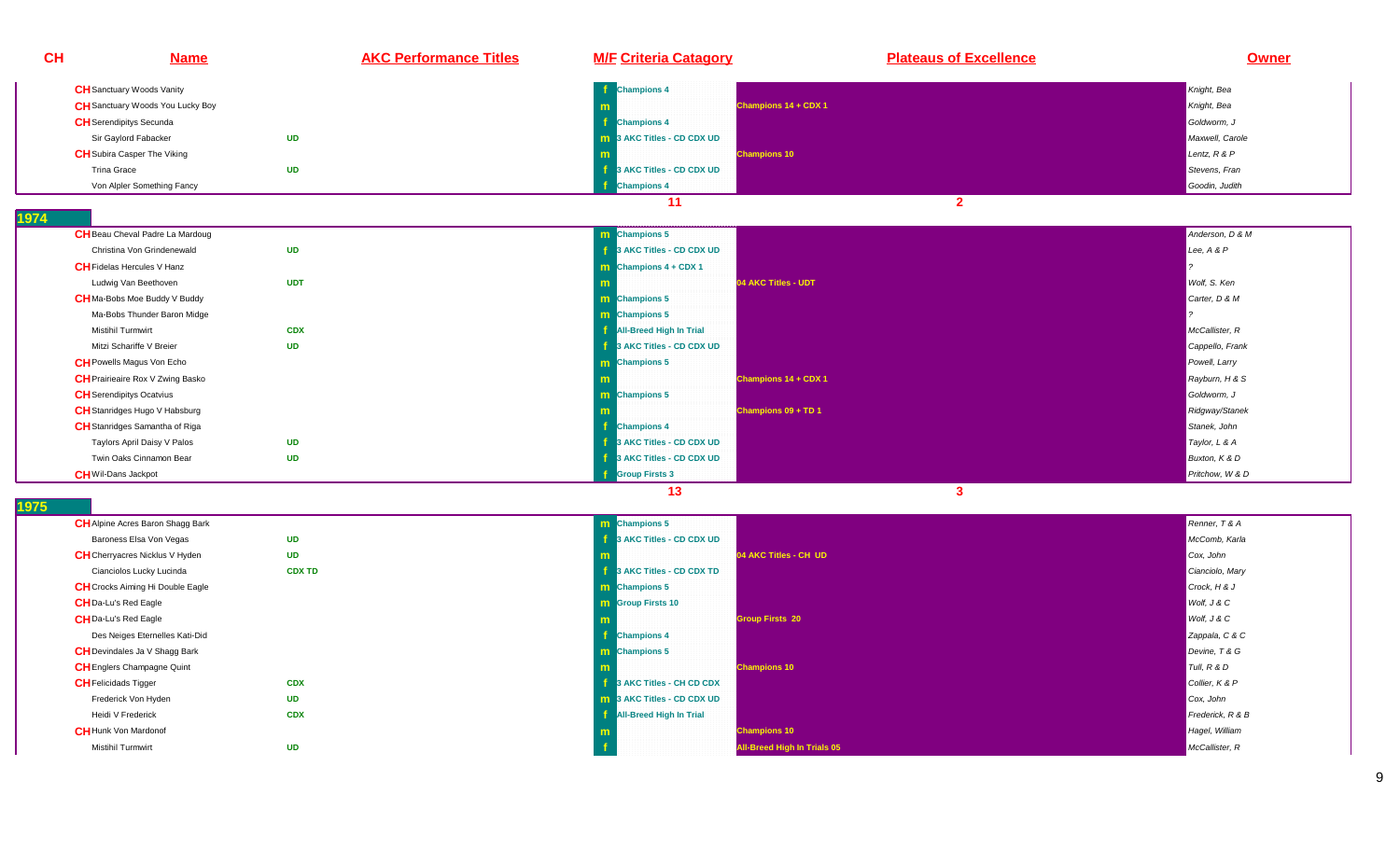| CH                          | <b>Name</b>                             | <b>AKC Performance Titles</b> | <b>M/F Criteria Catagory</b>      | <b>Plateaus of Excellence</b> | Owner            |
|-----------------------------|-----------------------------------------|-------------------------------|-----------------------------------|-------------------------------|------------------|
|                             | <b>CH</b> Sanctuary Woods Vanity        |                               | <b>Champions 4</b>                |                               | Knight, Bea      |
|                             | <b>CH</b> Sanctuary Woods You Lucky Boy |                               |                                   | Champions 14 + CDX 1          | Knight, Bea      |
|                             | <b>CH</b> Serendipitys Secunda          |                               | <b>Champions 4</b>                |                               | Goldworm, J      |
|                             | Sir Gaylord Fabacker                    | <b>UD</b>                     | <b>m</b> 3 AKC Titles - CD CDX UD |                               | Maxwell, Carole  |
|                             | <b>CH</b> Subira Casper The Viking      |                               |                                   | <b>Champions 10</b>           | Lentz, $R$ & $P$ |
| Trina Grace                 |                                         | <b>UD</b>                     | 3 AKC Titles - CD CDX UD          |                               | Stevens, Fran    |
|                             | Von Alpler Something Fancy              |                               | <b>Champions 4</b>                |                               | Goodin, Judith   |
|                             |                                         |                               | 11                                | $\overline{2}$                |                  |
| 74                          |                                         |                               |                                   |                               |                  |
|                             | <b>CH</b> Beau Cheval Padre La Mardoug  |                               | m Champions 5                     |                               | Anderson, D & M  |
|                             | Christina Von Grindenewald              | <b>UD</b>                     | 3 AKC Titles - CD CDX UD          |                               | Lee, A & P       |
|                             | <b>CH</b> Fidelas Hercules V Hanz       |                               | m Champions $4 + CDX 1$           |                               |                  |
|                             | Ludwig Van Beethoven                    | <b>UDT</b>                    |                                   | 04 AKC Titles - UDT           | Wolf, S. Ken     |
|                             | <b>CH</b> Ma-Bobs Moe Buddy V Buddy     |                               | m Champions 5                     |                               | Carter, D & M    |
|                             | Ma-Bobs Thunder Baron Midge             |                               | m Champions 5                     |                               |                  |
|                             | <b>Mistihil Turmwirt</b>                | <b>CDX</b>                    | <b>All-Breed High In Trial</b>    |                               | McCallister, R   |
|                             | Mitzi Schariffe V Breier                | <b>UD</b>                     | 3 AKC Titles - CD CDX UD          |                               | Cappello, Frank  |
|                             | <b>CH</b> Powells Magus Von Echo        |                               | m Champions 5                     |                               | Powell, Larry    |
|                             | <b>CH</b> Prairieaire Rox V Zwing Basko |                               |                                   | Champions 14 + CDX 1          | Rayburn, H & S   |
|                             | <b>CH</b> Serendipitys Ocatvius         |                               | m Champions 5                     |                               | Goldworm. J      |
|                             | <b>CH</b> Stanridges Hugo V Habsburg    |                               |                                   | Champions 09 + TD 1           | Ridgway/Stanek   |
|                             | CH Stanridges Samantha of Riga          |                               | <b>Champions 4</b>                |                               | Stanek, John     |
|                             | Taylors April Daisy V Palos             | <b>UD</b>                     | 3 AKC Titles - CD CDX UD          |                               | Taylor, L & A    |
|                             | Twin Oaks Cinnamon Bear                 | <b>UD</b>                     | 3 AKC Titles - CD CDX UD          |                               | Buxton, K & D    |
| <b>CH</b> Wil-Dans Jackpot  |                                         |                               | <b>Group Firsts 3</b>             |                               | Pritchow, W & D  |
|                             |                                         |                               | 13                                | $\mathbf{3}$                  |                  |
| 75                          |                                         |                               |                                   |                               |                  |
|                             | CH Alpine Acres Baron Shagg Bark        |                               | <b>Champions 5</b><br>m           |                               | Renner, T & A    |
|                             | Baroness Elsa Von Vegas                 | <b>UD</b>                     | 3 AKC Titles - CD CDX UD          |                               | McComb, Karla    |
|                             | <b>CH</b> Cherryacres Nicklus V Hyden   | <b>UD</b>                     |                                   | 04 AKC Titles - CH UD         | Cox, John        |
|                             | Cianciolos Lucky Lucinda                | <b>CDX TD</b>                 | 3 AKC Titles - CD CDX TD          |                               | Cianciolo, Mary  |
|                             | <b>CH</b> Crocks Aiming Hi Double Eagle |                               | <b>m</b> Champions 5              |                               | Crock, H & J     |
|                             | <b>CHDa-Lu's Red Eagle</b>              |                               | <b>m</b> Group Firsts 10          |                               | Wolf, J & C      |
|                             | <b>CH</b> Da-Lu's Red Eagle             |                               |                                   | Group Firsts 20               | Wolf, J & C      |
|                             | Des Neiges Eternelles Kati-Did          |                               | <b>Champions 4</b>                |                               | Zappala, C & C   |
|                             | CH Devindales Ja V Shagg Bark           |                               | m Champions 5                     |                               | Devine, T & G    |
|                             | <b>CH</b> Englers Champagne Quint       |                               |                                   | <b>Champions 10</b>           | Tull, $R$ & $D$  |
| <b>CH</b> Felicidads Tigger |                                         | <b>CDX</b>                    | 3 AKC Titles - CH CD CDX          |                               | Collier, K & P   |
|                             | Frederick Von Hyden                     | <b>UD</b>                     | 3 AKC Titles - CD CDX UD          |                               | Cox, John        |
|                             | Heidi V Frederick                       | <b>CDX</b>                    | <b>All-Breed High In Trial</b>    |                               | Frederick, R & B |
|                             | <b>CH</b> Hunk Von Mardonof             |                               |                                   | <b>Champions 10</b>           | Hagel, William   |

**o f a All-Breed High In Trials 05** McCallister, Research McCallister, Research McCallister, Research McCallister, R

**Champions 10 Champions 10** Hagel, William Schwarz (1999) and the control of the control of the control of the control of the control of the control of the control of the control of the control of the control of the cont

**UD**

**1974** 

**1975** 

Mistihil Turmwirt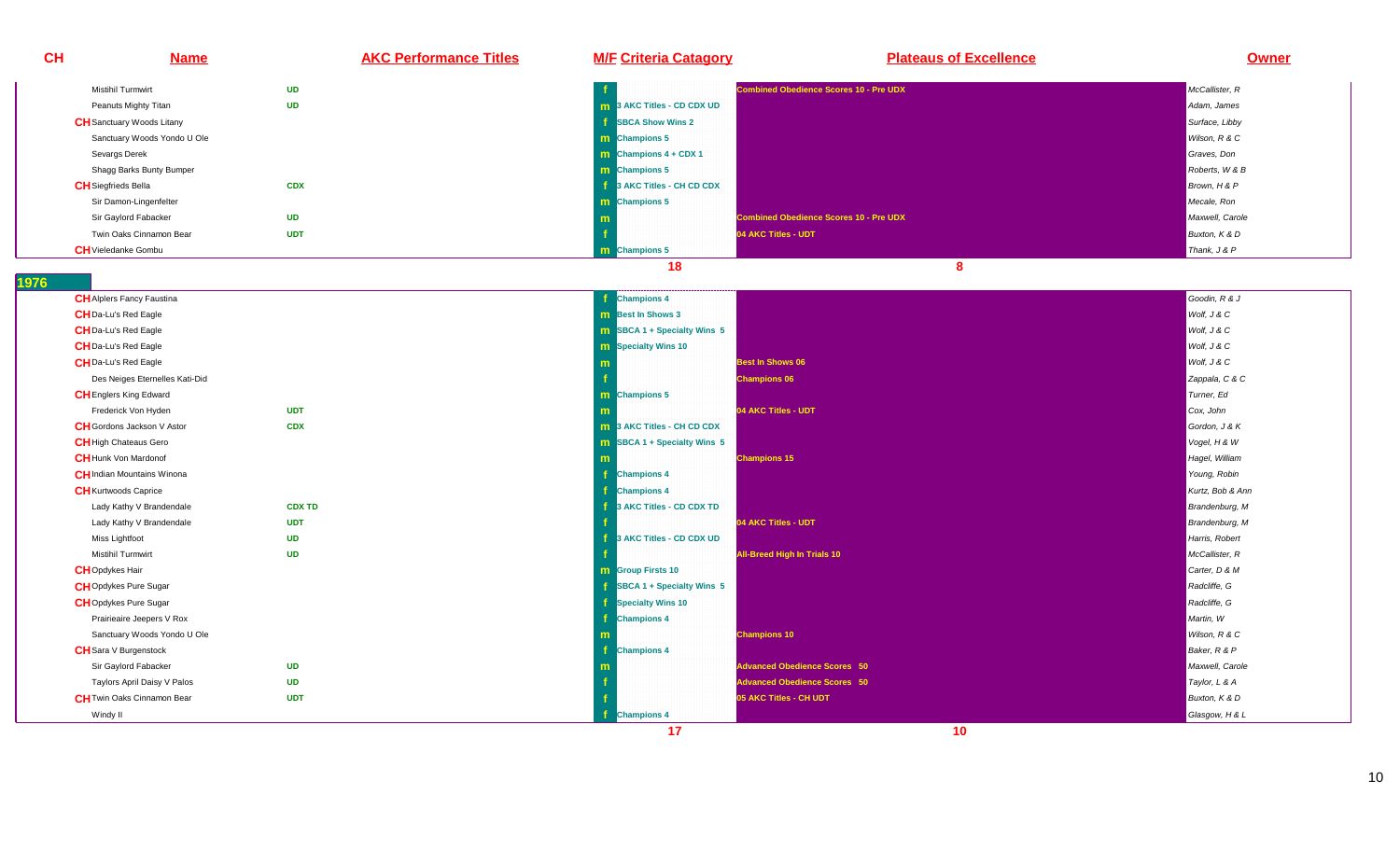| <b>CH</b> | <b>Name</b>                       | <b>AKC Performance Titles</b> | <b>M/F Criteria Catagory</b>       | <b>Plateaus of Excellence</b>                 | <b>Owner</b>     |
|-----------|-----------------------------------|-------------------------------|------------------------------------|-----------------------------------------------|------------------|
|           | Mistihil Turmwirt                 | <b>UD</b>                     |                                    | ombined Obedience Scores 10 - Pre UDX         | McCallister, R   |
|           | Peanuts Mighty Titan              | <b>UD</b>                     | 3 AKC Titles - CD CDX UD           |                                               | Adam, James      |
|           | <b>CH</b> Sanctuary Woods Litany  |                               | <b>SBCA Show Wins 2</b>            |                                               | Surface, Libby   |
|           | Sanctuary Woods Yondo U Ole       |                               | m Champions 5                      |                                               | Wilson, R & C    |
|           | Sevargs Derek                     |                               | <b>m</b> Champions $4 + CDX 1$     |                                               | Graves, Don      |
|           | Shagg Barks Bunty Bumper          |                               | m Champions 5                      |                                               | Roberts, W & B   |
|           | <b>CH</b> Siegfrieds Bella        | <b>CDX</b>                    | 3 AKC Titles - CH CD CDX           |                                               | Brown, H & P     |
|           | Sir Damon-Lingenfelter            |                               | <b>Champions 5</b><br>m            |                                               | Mecale, Ron      |
|           | Sir Gaylord Fabacker              | <b>UD</b>                     | m                                  | <b>Combined Obedience Scores 10 - Pre UDX</b> | Maxwell, Carole  |
|           | Twin Oaks Cinnamon Bear           | <b>UDT</b>                    |                                    | 04 AKC Titles - UDT                           | Buxton, K & D    |
|           | <b>CH</b> Vieledanke Gombu        |                               | <b>Champions 5</b><br>m.           |                                               | Thank, J & P     |
|           |                                   |                               | 18                                 | 8                                             |                  |
| 1976      |                                   |                               |                                    |                                               |                  |
|           | <b>CH</b> Alplers Fancy Faustina  |                               | <b>Champions 4</b>                 |                                               | Goodin, R & J    |
|           | <b>CH</b> Da-Lu's Red Eagle       |                               | <b>m</b> Best In Shows 3           |                                               | Wolf, J & C      |
|           | <b>CH</b> Da-Lu's Red Eagle       |                               | <b>m</b> SBCA 1 + Specialty Wins 5 |                                               | Wolf, J & C      |
|           | <b>CH</b> Da-Lu's Red Eagle       |                               | <b>m</b> Specialty Wins 10         |                                               | Wolf, J & C      |
|           | <b>CH</b> Da-Lu's Red Eagle       |                               |                                    | <b>Best In Shows 06</b>                       | Wolf, J & C      |
|           | Des Neiges Eternelles Kati-Did    |                               |                                    | <b>Champions 06</b>                           | Zappala, C & C   |
|           | <b>CH</b> Englers King Edward     |                               | <b>Champions 5</b><br>m.           |                                               | Turner, Ed       |
|           | Frederick Von Hyden               | <b>UDT</b>                    |                                    | 04 AKC Titles - UDT                           | Cox, John        |
|           | <b>CH</b> Gordons Jackson V Astor | <b>CDX</b>                    | 3 AKC Titles - CH CD CDX<br>m.     |                                               | Gordon, J & K    |
|           | <b>CH</b> High Chateaus Gero      |                               | SBCA 1 + Specialty Wins 5<br>m     |                                               | Vogel, H & W     |
|           | <b>CH</b> Hunk Von Mardonof       |                               |                                    | <b>Champions 15</b>                           | Hagel, William   |
|           | <b>CH</b> Indian Mountains Winona |                               | <b>Champions 4</b>                 |                                               | Young, Robin     |
|           | <b>CH</b> Kurtwoods Caprice       |                               | <b>Champions 4</b>                 |                                               | Kurtz, Bob & Ann |
|           | Lady Kathy V Brandendale          | <b>CDX TD</b>                 | 3 AKC Titles - CD CDX TD           |                                               | Brandenburg, M   |
|           | Lady Kathy V Brandendale          | <b>UDT</b>                    |                                    | 04 AKC Titles - UDT                           | Brandenburg, M   |
|           | Miss Lightfoot                    | <b>UD</b>                     | 3 AKC Titles - CD CDX UD           |                                               | Harris, Robert   |
|           | <b>Mistihil Turmwirt</b>          | <b>UD</b>                     |                                    | <b>All-Breed High In Trials 10</b>            | McCallister, R   |
|           | <b>CH</b> Opdykes Hair            |                               | <b>Group Firsts 10</b><br>m.       |                                               | Carter, D & M    |
|           | <b>CH</b> Opdykes Pure Sugar      |                               | SBCA 1 + Specialty Wins 5          |                                               | Radcliffe, G     |
|           | <b>CH</b> Opdykes Pure Sugar      |                               | <b>Specialty Wins 10</b>           |                                               | Radcliffe, G     |
|           | Prairieaire Jeepers V Rox         |                               | <b>Champions 4</b>                 |                                               | Martin, W        |
|           | Sanctuary Woods Yondo U Ole       |                               |                                    | <b>Champions 10</b>                           | Wilson, R & C    |
|           | <b>CH</b> Sara V Burgenstock      |                               | <b>Champions 4</b>                 |                                               | Baker, R & P     |
|           | Sir Gaylord Fabacker              | <b>UD</b>                     |                                    | <b>Advanced Obedience Scores 50</b>           | Maxwell, Carole  |
|           | Taylors April Daisy V Palos       | <b>UD</b>                     |                                    | <b>Advanced Obedience Scores 50</b>           | Taylor, L & A    |
|           | <b>CH</b> Twin Oaks Cinnamon Bear | <b>UDT</b>                    |                                    | 05 AKC Titles - CH UDT                        | Buxton, K & D    |
|           | Windy II                          |                               | <b>Champions 4</b>                 |                                               | Glasgow, H & L   |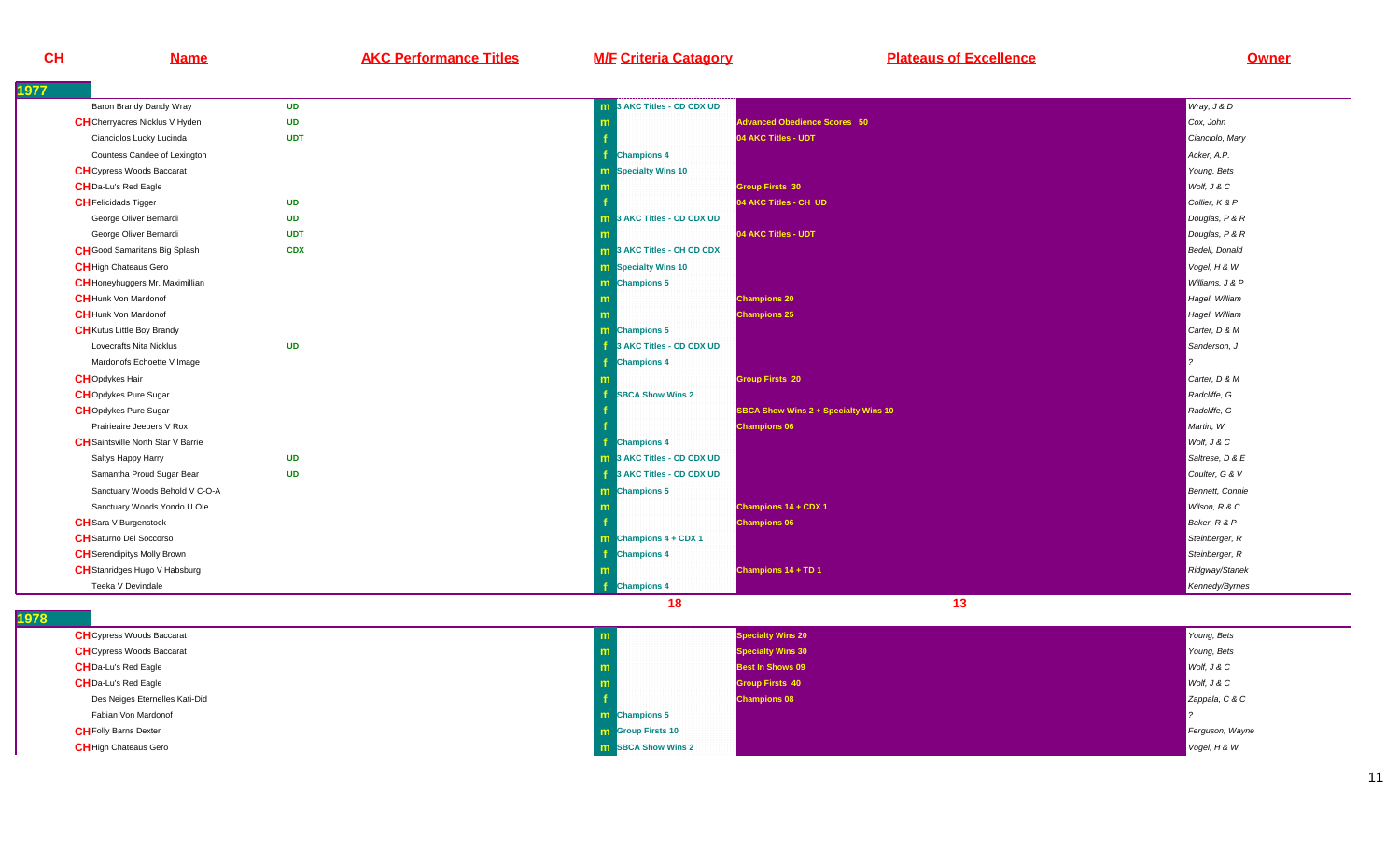**Name AKC Performance Titles M/F Criteria Catagory Plateaus of Excellence Owner**

| 1977                                      |            |                                   |                                             |                        |
|-------------------------------------------|------------|-----------------------------------|---------------------------------------------|------------------------|
| Baron Brandy Dandy Wray                   | <b>UD</b>  | <b>m</b> 3 AKC Titles - CD CDX UD |                                             | Wray, J & D            |
| <b>CH</b> Cherryacres Nicklus V Hyden     | <b>UD</b>  | m                                 | <b>Advanced Obedience Scores 50</b>         | Cox, John              |
| Cianciolos Lucky Lucinda                  | <b>UDT</b> |                                   | 04 AKC Titles - UDT                         | Cianciolo, Mary        |
| Countess Candee of Lexington              |            | <b>Champions 4</b>                |                                             | Acker, A.P.            |
| <b>CH</b> Cypress Woods Baccarat          |            | <b>m</b> Specialty Wins 10        |                                             | Young, Bets            |
| <b>CH</b> Da-Lu's Red Eagle               |            |                                   | <b>Group Firsts 30</b>                      | Wolf, J & C            |
| <b>CH</b> Felicidads Tigger               | <b>UD</b>  |                                   | 04 AKC Titles - CH UD                       | Collier, K & P         |
| George Oliver Bernardi                    | <b>UD</b>  | <b>m</b> 3 AKC Titles - CD CDX UD |                                             | Douglas, P & R         |
| George Oliver Bernardi                    | <b>UDT</b> |                                   | 04 AKC Titles - UDT                         | Douglas, P & R         |
| <b>CH</b> Good Samaritans Big Splash      | <b>CDX</b> | <b>m</b> 3 AKC Titles - CH CD CDX |                                             | <b>Bedell</b> , Donald |
| <b>CH</b> High Chateaus Gero              |            | <b>m</b> Specialty Wins 10        |                                             | Vogel, H & W           |
| <b>CH</b> Honeyhuggers Mr. Maximillian    |            | m Champions 5                     |                                             | Williams, J & P        |
| <b>CH</b> Hunk Von Mardonof               |            | m                                 | <b>Champions 20</b>                         | Hagel, William         |
| <b>CH</b> Hunk Von Mardonof               |            | m                                 | <b>Champions 25</b>                         | Hagel, William         |
| <b>CH</b> Kutus Little Boy Brandy         |            | m Champions 5                     |                                             | Carter, D & M          |
| Lovecrafts Nita Nicklus                   | <b>UD</b>  | 3 AKC Titles - CD CDX UD<br>-f    |                                             | Sanderson, J           |
| Mardonofs Echoette V Image                |            | <b>Champions 4</b>                |                                             |                        |
| <b>CH</b> Opdykes Hair                    |            |                                   | <b>Group Firsts 20</b>                      | Carter, D & M          |
| <b>CH</b> Opdykes Pure Sugar              |            | <b>SBCA Show Wins 2</b>           |                                             | Radcliffe, G           |
| <b>CH</b> Opdykes Pure Sugar              |            |                                   | <b>SBCA Show Wins 2 + Specialty Wins 10</b> | Radcliffe, G           |
| Prairieaire Jeepers V Rox                 |            |                                   | <b>Champions 06</b>                         | Martin, W              |
| <b>CH</b> Saintsville North Star V Barrie |            | <b>Champions 4</b>                |                                             | Wolf, J & C            |
| Saltys Happy Harry                        | <b>UD</b>  | <b>m</b> 3 AKC Titles - CD CDX UD |                                             | Saltrese, D & E        |
| Samantha Proud Sugar Bear                 | <b>UD</b>  | 3 AKC Titles - CD CDX UD          |                                             | Coulter, G & V         |
| Sanctuary Woods Behold V C-O-A            |            | m Champions 5                     |                                             | Bennett, Connie        |
| Sanctuary Woods Yondo U Ole               |            |                                   | Champions 14 + CDX 1                        | Wilson, R & C          |
| <b>CH</b> Sara V Burgenstock              |            |                                   | <b>Champions 06</b>                         | Baker, R & P           |
| <b>CH</b> Saturno Del Soccorso            |            | $\text{m}$ Champions 4 + CDX 1    |                                             | Steinberger, R         |
| <b>CH</b> Serendipitys Molly Brown        |            | <b>Champions 4</b>                |                                             | Steinberger, R         |
| <b>CH</b> Stanridges Hugo V Habsburg      |            | m                                 | Champions 14 + TD 1                         | Ridgway/Stanek         |
| Teeka V Devindale                         |            | <b>Champions 4</b>                |                                             | Kennedy/Byrnes         |
|                                           |            | 18                                | 13                                          |                        |

| <b>CH</b> Cypress Woods Baccarat | <b>Specialty Wins 20</b>   | Young, Bets     |
|----------------------------------|----------------------------|-----------------|
| <b>CH</b> Cypress Woods Baccarat | <b>Specialty Wins 30</b>   | Young, Bets     |
| <b>CH</b> Da-Lu's Red Eagle      | <b>Best In Shows 09</b>    | Wolf, J & C     |
| <b>CH</b> Da-Lu's Red Eagle      | <b>Group Firsts 40</b>     | Wolf, J & C     |
| Des Neiges Eternelles Kati-Did   | <b>Champions 08</b>        | Zappala, C & C  |
| Fabian Von Mardonof              | <b>n</b> Champions 5       |                 |
| <b>CH</b> Folly Barns Dexter     | <b>m</b> Group Firsts 10   | Ferguson, Wayne |
| <b>CH</b> High Chateaus Gero     | <b>IM</b> SBCA Show Wins 2 | $V$ ogel, H & W |
|                                  |                            |                 |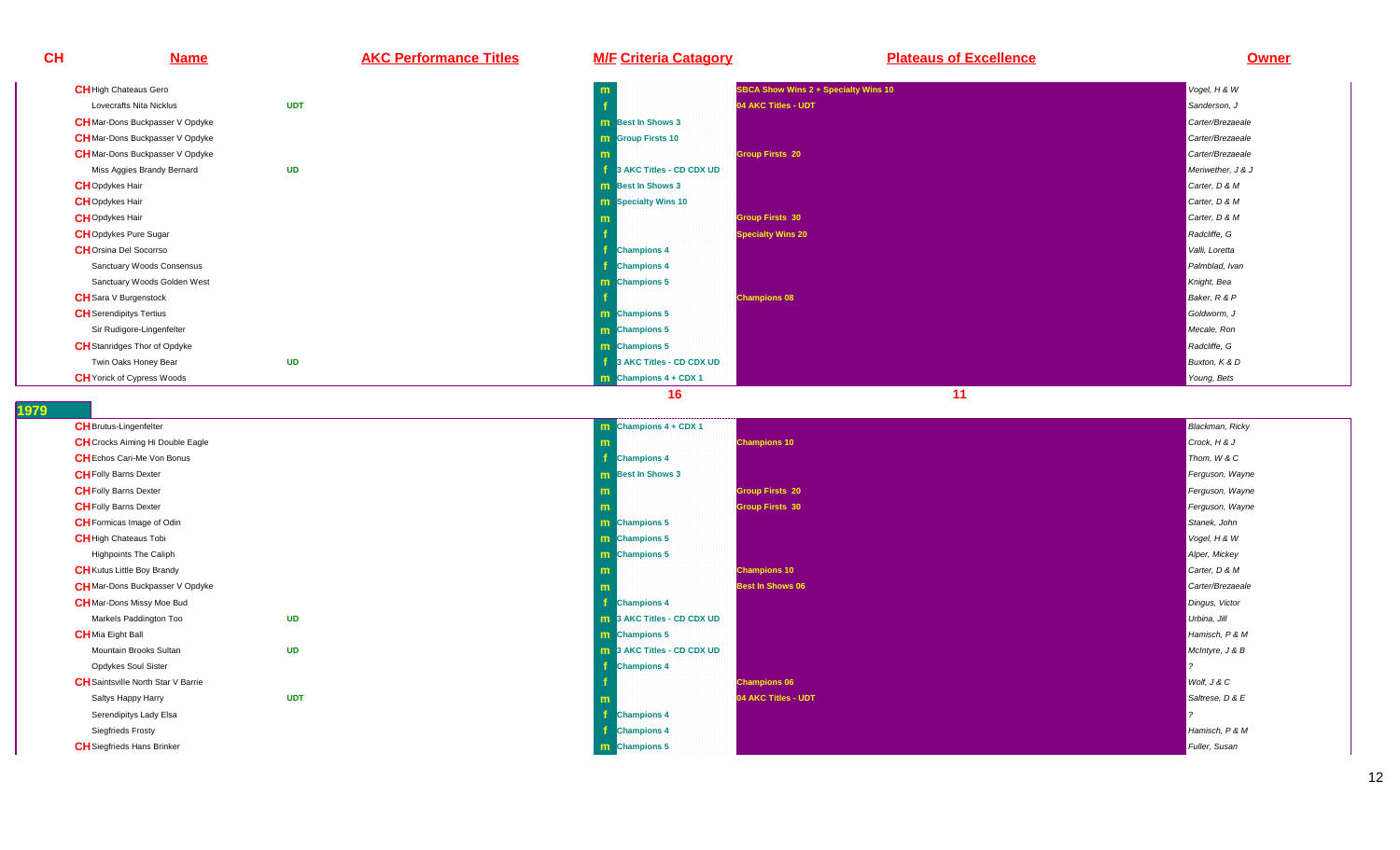



**CH**

| <b>CH</b> Brutus-Lingenfelter           |            | $\mathbf m$ Champions 4 + CDX 1   | <b>Blackman, Ricky</b> |
|-----------------------------------------|------------|-----------------------------------|------------------------|
| <b>CH</b> Crocks Aiming Hi Double Eagle |            | <b>Champions 10</b>               | Crock, H & J           |
| <b>CH</b> Echos Cari-Me Von Bonus       |            | <b>Champions 4</b>                | Thom, W & C            |
| <b>CH</b> Folly Barns Dexter            |            | <b>m</b> Best In Shows 3          | Ferguson, Wayne        |
| <b>CH</b> Folly Barns Dexter            |            | <b>Group Firsts 20</b>            | Ferguson, Wayne        |
| <b>CH</b> Folly Barns Dexter            |            | <b>Group Firsts 30</b>            | Ferguson, Wayne        |
| <b>CH</b> Formicas Image of Odin        |            | <b>m</b> Champions 5              | Stanek, John           |
| <b>CH</b> High Chateaus Tobi            |            | <b>m</b> Champions 5              | Vogel, H & W           |
| <b>Highpoints The Caliph</b>            |            | <b>m</b> Champions 5              | Alper, Mickey          |
| <b>CH</b> Kutus Little Boy Brandy       |            | <b>Champions 10</b>               | Carter, D & M          |
| <b>CH</b> Mar-Dons Buckpasser V Opdyke  |            | <b>Best In Shows 06</b>           | Carter/Brezaeale       |
| <b>CH</b> Mar-Dons Missy Moe Bud        |            | <b>Champions 4</b>                | Dingus, Victor         |
| Markels Paddington Too                  | UD         | <b>m</b> 3 AKC Titles - CD CDX UD | Urbina, Jill           |
| <b>CH</b> Mia Eight Ball                |            | <b>m</b> Champions 5              | Hamisch, P & M         |
| Mountain Brooks Sultan                  | <b>UD</b>  | <b>m</b> 3 AKC Titles - CD CDX UD | McIntyre, J & B        |
| Opdykes Soul Sister                     |            | <b>Champions 4</b>                |                        |
| CH Saintsville North Star V Barrie      |            | <b>Champions 06</b>               | Wolf, J & C            |
| Saltys Happy Harry                      | <b>UDT</b> | 04 AKC Titles - UDT               | Saltrese, D & E        |
| Serendipitys Lady Elsa                  |            | <b>Champions 4</b>                |                        |
| <b>Siegfrieds Frosty</b>                |            | <b>Champions 4</b>                | Hamisch, P & M         |
| <b>CH</b> Siegfrieds Hans Brinker       |            | m Champions 5                     | Fuller, Susan          |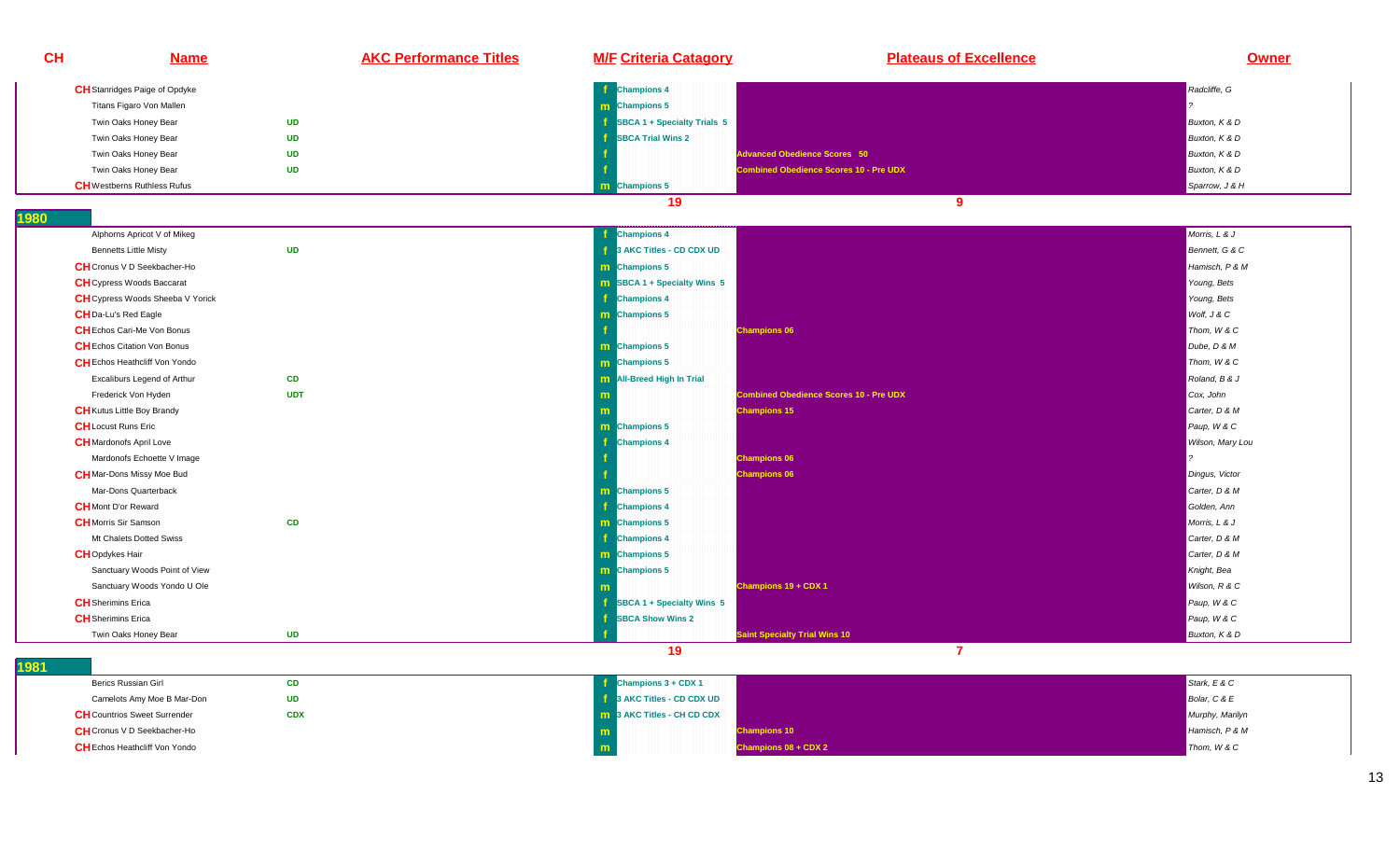| CH                        | <b>Name</b>                                       | <b>AKC Performance Titles</b> | <b>M/F Criteria Catagory</b>       | <b>Plateaus of Excellence</b>                 | Owner            |
|---------------------------|---------------------------------------------------|-------------------------------|------------------------------------|-----------------------------------------------|------------------|
|                           | <b>CH</b> Stanridges Paige of Opdyke              |                               | <b>Champions 4</b>                 |                                               | Radcliffe, G     |
|                           | Titans Figaro Von Mallen                          |                               | <b>m</b> Champions 5               |                                               |                  |
|                           | <b>UD</b><br>Twin Oaks Honey Bear                 |                               | SBCA 1 + Specialty Trials 5        |                                               | Buxton, K & D    |
|                           | <b>UD</b><br>Twin Oaks Honey Bear                 |                               | <b>SBCA Trial Wins 2</b>           |                                               | Buxton, K & D    |
|                           | <b>UD</b><br>Twin Oaks Honey Bear                 |                               |                                    | dvanced Obedience Scores 50                   | Buxton, K & D    |
|                           | <b>UD</b><br>Twin Oaks Honey Bear                 |                               |                                    | <b>Combined Obedience Scores 10 - Pre UDX</b> | Buxton, K & D    |
|                           | <b>CH</b> Westberns Ruthless Rufus                |                               | m Champions 5                      |                                               | Sparrow, J & H   |
|                           |                                                   |                               | 19                                 | 9                                             |                  |
| 1980                      |                                                   |                               |                                    |                                               |                  |
|                           | Alphorns Apricot V of Mikeg                       |                               | <b>Champions 4</b>                 |                                               | Morris, L & J    |
|                           | <b>UD</b><br><b>Bennetts Little Misty</b>         |                               | 3 AKC Titles - CD CDX UD           |                                               | Bennett, G & C   |
|                           | <b>CH</b> Cronus V D Seekbacher-Ho                |                               | m Champions 5                      |                                               | Hamisch, P & M   |
|                           | <b>CH</b> Cypress Woods Baccarat                  |                               | <b>m</b> SBCA 1 + Specialty Wins 5 |                                               | Young, Bets      |
|                           | <b>CH</b> Cypress Woods Sheeba V Yorick           |                               | <b>Champions 4</b>                 |                                               | Young, Bets      |
|                           | <b>CH</b> Da-Lu's Red Eagle                       |                               | m Champions 5                      |                                               | Wolf, J & C      |
|                           | <b>CH</b> Echos Cari-Me Von Bonus                 |                               |                                    | <b>Champions 06</b>                           | Thom, W & C      |
|                           | <b>CH</b> Echos Citation Von Bonus                |                               | m Champions 5                      |                                               | Dube, D & M      |
|                           | <b>CH</b> Echos Heathcliff Von Yondo              |                               | m Champions 5                      |                                               | Thom, W & C      |
|                           | CD<br>Excaliburs Legend of Arthur                 |                               | M All-Breed High In Trial          |                                               | Roland, B & J    |
|                           | Frederick Von Hyden<br><b>UDT</b>                 |                               | m                                  | <b>Combined Obedience Scores 10 - Pre UDX</b> | Cox, John        |
|                           | <b>CH</b> Kutus Little Boy Brandy                 |                               | m                                  | <b>Champions 15</b>                           | Carter, D & M    |
|                           | <b>CH</b> Locust Runs Eric                        |                               | m Champions 5                      |                                               | Paup, W & C      |
|                           | <b>CH</b> Mardonofs April Love                    |                               | <b>Champions 4</b>                 |                                               | Wilson, Mary Lou |
|                           | Mardonofs Echoette V Image                        |                               |                                    | <b>Champions 06</b>                           |                  |
|                           | <b>CH</b> Mar-Dons Missy Moe Bud                  |                               |                                    | <b>Champions 06</b>                           | Dingus, Victor   |
|                           | Mar-Dons Quarterback                              |                               | <b>m</b> Champions 5               |                                               | Carter, D & M    |
|                           | <b>CH</b> Mont D'or Reward                        |                               | <b>Champions 4</b>                 |                                               | Golden, Ann      |
|                           | CD<br><b>CH</b> Morris Sir Samson                 |                               | m Champions 5                      |                                               | Morris, L & J    |
|                           | Mt Chalets Dotted Swiss                           |                               | <b>Champions 4</b>                 |                                               | Carter, D & M    |
| <b>CH</b> Opdykes Hair    |                                                   |                               | m Champions 5                      |                                               | Carter, D & M    |
|                           | Sanctuary Woods Point of View                     |                               | m Champions 5                      |                                               | Knight, Bea      |
|                           | Sanctuary Woods Yondo U Ole                       |                               |                                    | Champions 19 + CDX 1                          | Wilson, R & C    |
| <b>CH</b> Sherimins Erica |                                                   |                               | SBCA 1 + Specialty Wins 5          |                                               | Paup, W & C      |
| <b>CH</b> Sherimins Erica |                                                   |                               | <b>SBCA Show Wins 2</b>            |                                               | Paup, W & C      |
|                           | <b>UD</b><br>Twin Oaks Honey Bear                 |                               |                                    | <b>Saint Specialty Trial Wins 10</b>          | Buxton, K & D    |
| 1981                      |                                                   |                               | 19                                 | $\overline{7}$                                |                  |
|                           | Berics Russian Girl<br><b>CD</b>                  |                               | Champions 3 + CDX 1                |                                               | Stark, E & C     |
|                           | Camelots Amy Moe B Mar-Don<br><b>UD</b>           |                               | 3 AKC Titles - CD CDX UD           |                                               | Bolar, C & E     |
|                           | <b>CH</b> Countrios Sweet Surrender<br><b>CDX</b> |                               | <b>m</b> 3 AKC Titles - CH CD CDX  |                                               | Murphy, Marilyn  |
|                           |                                                   |                               |                                    |                                               |                  |

**CH**Cronus V D Seekbacher-Ho

**CH**Echos Heathcliff Von Yondo

**o** 

**<sup>m</sup>**

**Champions 10** Hamisch, P & M<br>The contract of the contract of the contract of the contract of the contract of the contract of the contract of

**Champions 08 + CDX 2 Champions 08 + CDX 2 Thom, W & C**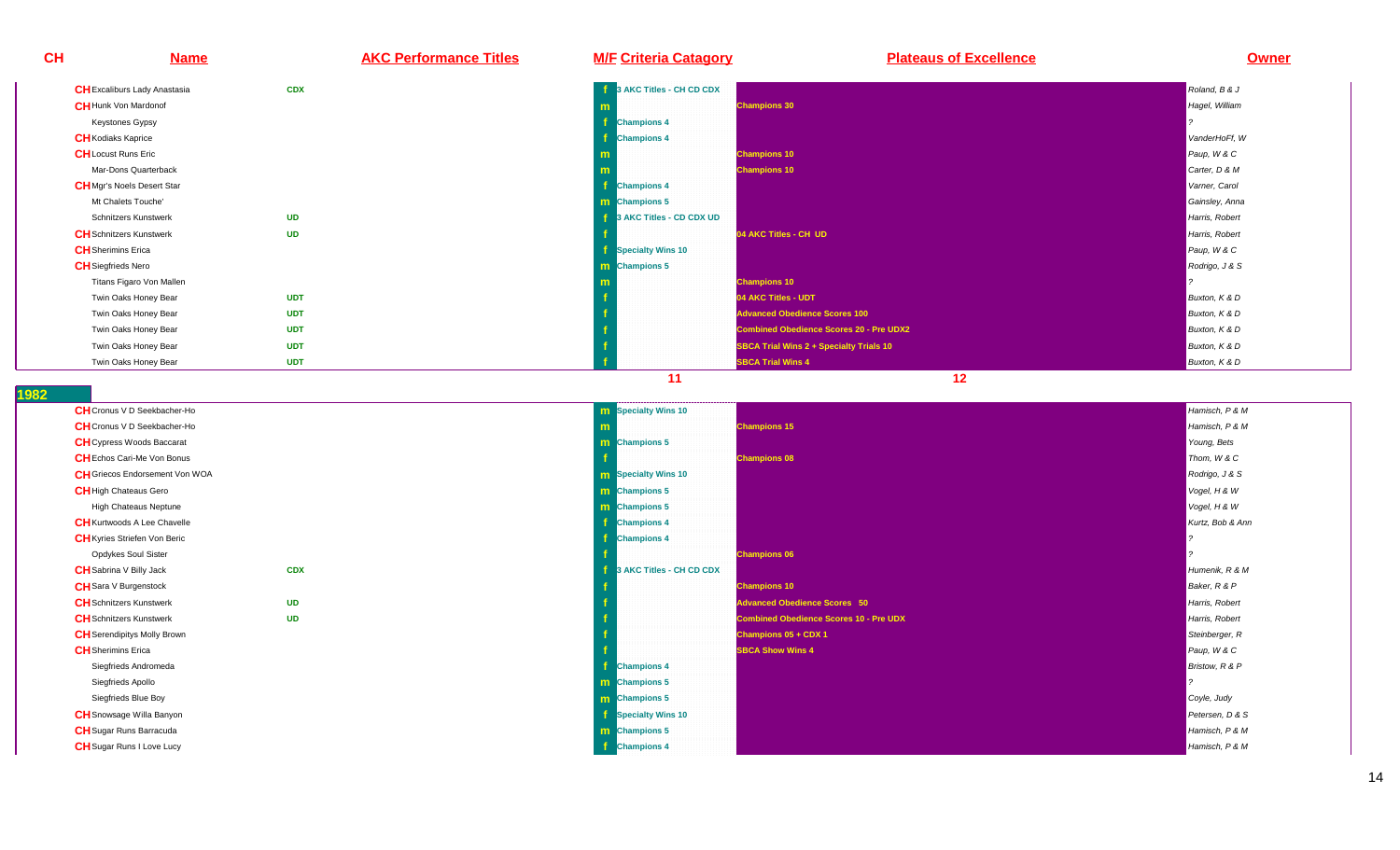**CH Name AKC Performance Titles M/F Criteria Catagory Plateaus of Excellence Owner CH**Excaliburs Lady Anastasia **CDXf 3** AKC Titles - CH CD CDX **Roland, B & J** Roland, B & J Roland, B & J Roland, B & J **CH**Hunk Von Mardonof **mIn the champions 30 Hagel, William Schwarzer (1998)**<br>The change of the champions 30 Hagel, William Schwarzer (1998) and the champions of the champions of the champi Keystones Gypsy **f Champions 4** ? **CH**Kodiaks Kaprice **<sup>f</sup> Champions 4** VanderHoFf, WPaup, W & C **CH**Locust Runs Eric**c m Champions 10** Paup, W & C Paup, W & C Paup, W & C Paup, W & C Paup, W & C Paup, W & C Paup, W & C Paup, W & C Mar-Dons Quarterback**k** the contract of the contract of the contract of the contract of the contract of the contract of the contract of the contract of the contract of the contract of the contract of the contract of the contract of the contra **Champions 10** Champions 10<br> **Carter, D & M CH**Mgr's Noels Desert Star **f Champions 4** Varner, Carol Mt Chalets Touche' **m Champions 5** Gainsley, Anna Schnitzers Kunstwerk **UDf 3** AKC Titles - CD CDX UD **Harris, Robert States - CD CDX UD** Harris, Robert States - CD CDX UD Harris, Robert **CH**Schnitzers Kunstwerk **UDf de AKC Titles - CH UD Designed AKC Titles - CH UD CH UD CH UD** Harris, Robert AME Titles - CH UD **Harris, Robert AME Titles - CH UD CH**Sherimins Erica **<sup>f</sup> Specialty Wins 10** Paup, W & CRodrigo, J & S **CH**Siegfrieds Nero**o** and the contract of the contract of the contract of the contract of the contract of the contract of the contract of the contract of the contract of the contract of the contract of the contract of the contract of the co **Champions 5** Rodrigo, J & S Titans Figaro Von Mallen**m Champions 10 Champions 10 Properties that the contract of the contract of the contract of the contract of the contract of the contract of the contract of the contract of the contract of the contract of the contract of** Twin Oaks Honey Bear **UDT <sup>f</sup> 04 AKC Titles - UDT** Buxton, K & DBuxton, K & D Twin Oaks Honey Bear **UDTAdvanced Obedience Scores 100** Buxton, K & D Twin Oaks Honey Bear **UDTCombined Obedience Scores 20 - Pre UDX2** Buxton, K & D Twin Oaks Honey Bear **UDTSBCA Trial Wins 2 + Specialty Trials 10** Buxton, K & D Twin Oaks Honey Bear**UDT**

**<sup>f</sup> SBCA Trial Wins 4** Buxton, K & D

**11 12** 

| <b>CH</b> Cronus V D Seekbacher-Ho    |            | m |
|---------------------------------------|------------|---|
| <b>CH</b> Cronus V D Seekbacher-Ho    |            | m |
| <b>CH</b> Cypress Woods Baccarat      |            | m |
| <b>CH</b> Echos Cari-Me Von Bonus     |            | f |
| <b>CH</b> Griecos Endorsement Von WOA |            | m |
| <b>CH</b> High Chateaus Gero          |            | m |
| High Chateaus Neptune                 |            | m |
| <b>CH</b> Kurtwoods A Lee Chavelle    |            | f |
| <b>CH</b> Kyries Striefen Von Beric   |            | f |
| Opdykes Soul Sister                   |            | f |
| <b>CH</b> Sabrina V Billy Jack        | <b>CDX</b> | f |
| <b>CH</b> Sara V Burgenstock          |            | f |
| <b>CH</b> Schnitzers Kunstwerk        | <b>UD</b>  | f |
| <b>CH</b> Schnitzers Kunstwerk        | <b>UD</b>  | f |
| <b>CH</b> Serendipitys Molly Brown    |            | f |
| <b>CH</b> Sherimins Erica             |            | f |
| Siegfrieds Andromeda                  |            | f |
| Siegfrieds Apollo                     |            | m |
| Siegfrieds Blue Boy                   |            | m |
| <b>CH</b> Snowsage Willa Banyon       |            | f |
| <b>CH</b> Sugar Runs Barracuda        |            | m |
| <b>CH</b> Sugar Runs I Love Lucy      |            |   |
|                                       |            |   |

|    | <b>m</b> Specialty Wins 10        |                                               | Hamisch, P & M   |
|----|-----------------------------------|-----------------------------------------------|------------------|
|    | m                                 | <b>Champions 15</b>                           | Hamisch, P & M   |
|    | m Champions 5                     |                                               | Young, Bets      |
|    |                                   | <b>Champions 08</b>                           | Thom, W & C      |
|    | <b>m</b> Specialty Wins 10        |                                               | Rodrigo, J & S   |
|    | <b>m</b> Champions 5              |                                               | Vogel, H & W     |
|    | m Champions 5                     |                                               | Vogel, H & W     |
|    | <b>Champions 4</b>                |                                               | Kurtz, Bob & Ann |
|    | <b>Champions 4</b>                |                                               |                  |
|    |                                   | <b>Champions 06</b>                           |                  |
| DX | <b>1</b> 3 AKC Titles - CH CD CDX |                                               | Humenik, R & M   |
|    |                                   | <b>Champions 10</b>                           | Baker, R & P     |
| D  |                                   | <b>Advanced Obedience Scores 50</b>           | Harris, Robert   |
| D  |                                   | <b>Combined Obedience Scores 10 - Pre UDX</b> | Harris, Robert   |
|    |                                   | Champions 05 + CDX 1                          | Steinberger, R   |
|    |                                   | <b>SBCA Show Wins 4</b>                       | Paup, W & C      |
|    | <b>Champions 4</b>                |                                               | Bristow, R & P   |
|    | <b>m</b> Champions 5              |                                               |                  |
|    | <b>m</b> Champions 5              |                                               | Coyle, Judy      |
|    | <b>Specialty Wins 10</b>          |                                               | Petersen, D & S  |
|    | <b>m</b> Champions 5              |                                               | Hamisch, P & M   |
|    | <b>f</b> Champions 4              |                                               | Hamisch, P & M   |
|    |                                   |                                               |                  |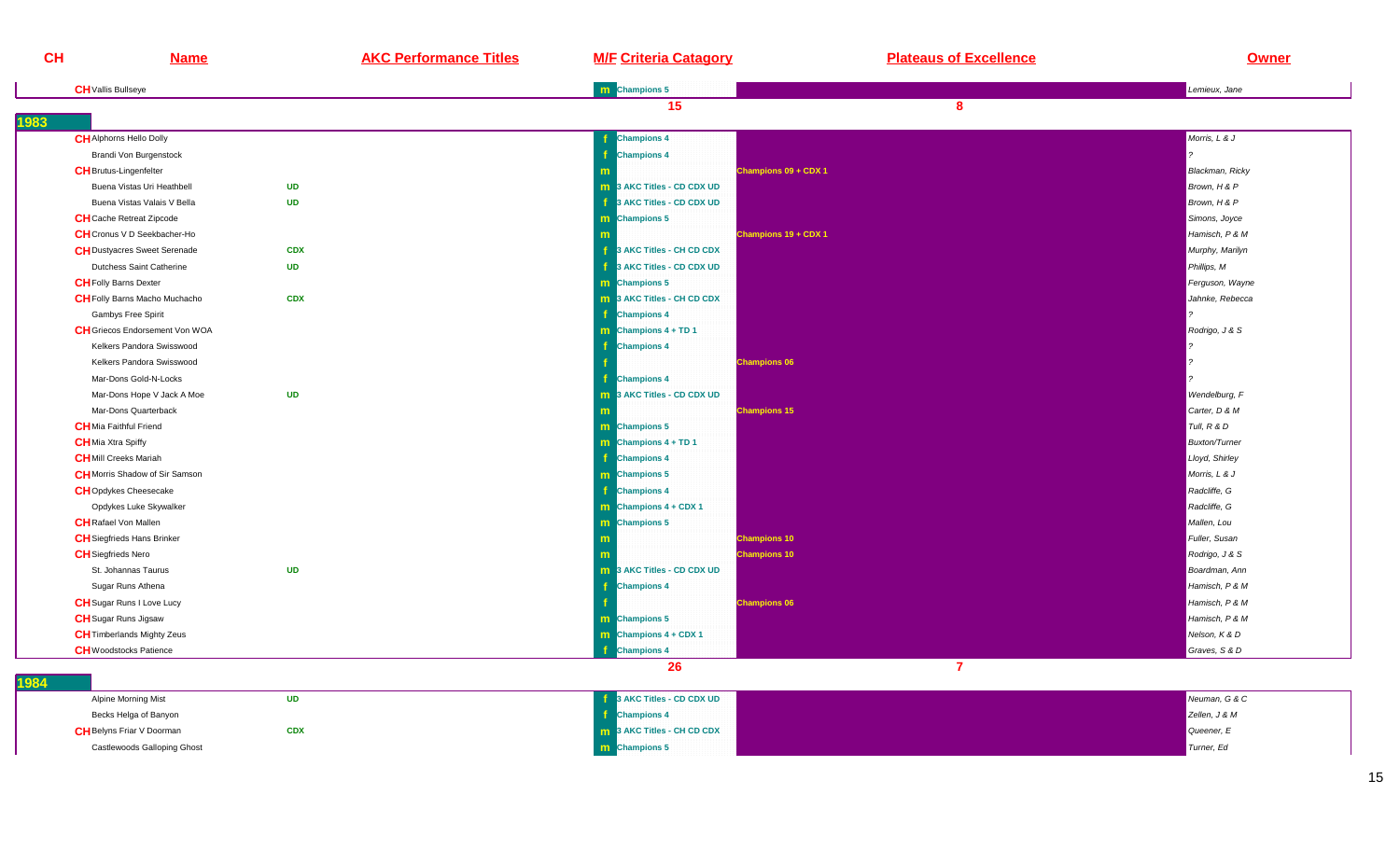| CH                            | <b>Name</b>                                        | <b>AKC Performance Titles</b> | <b>M/F Criteria Catagory</b>             | <b>Plateaus of Excellence</b> | Owner                  |
|-------------------------------|----------------------------------------------------|-------------------------------|------------------------------------------|-------------------------------|------------------------|
| <b>CH</b> Vallis Bullseye     |                                                    |                               | m Champions 5                            |                               | Lemieux, Jane          |
| 1983                          |                                                    |                               | 15                                       | 8                             |                        |
|                               | <b>CH</b> Alphorns Hello Dolly                     |                               | <b>Champions 4</b>                       |                               | Morris, L & J          |
|                               | Brandi Von Burgenstock                             |                               | <b>Champions 4</b>                       |                               |                        |
| <b>CH</b> Brutus-Lingenfelter |                                                    |                               |                                          | Champions 09 + CDX 1          | <b>Blackman, Ricky</b> |
|                               | Buena Vistas Uri Heathbell<br><b>UD</b>            |                               | m 3 AKC Titles - CD CDX UD               |                               | Brown, H & P           |
|                               | <b>UD</b><br>Buena Vistas Valais V Bella           |                               | 3 AKC Titles - CD CDX UD<br>÷            |                               | Brown, H & P           |
|                               | <b>CH</b> Cache Retreat Zipcode                    |                               | m Champions 5                            |                               | Simons, Joyce          |
|                               | <b>CH</b> Cronus V D Seekbacher-Ho                 |                               |                                          | Champions 19 + CDX 1          | Hamisch, P & M         |
|                               | <b>CH</b> Dustyacres Sweet Serenade<br><b>CDX</b>  |                               | Æ.<br>3 AKC Titles - CH CD CDX           |                               | Murphy, Marilyn        |
|                               | <b>Dutchess Saint Catherine</b><br><b>UD</b>       |                               | 3 AKC Titles - CD CDX UD                 |                               | Phillips, M            |
| <b>CH</b> Folly Barns Dexter  |                                                    |                               | m Champions 5                            |                               | Ferguson, Wayne        |
|                               | <b>CH</b> Folly Barns Macho Muchacho<br><b>CDX</b> |                               | <b>m</b> 3 AKC Titles - CH CD CDX        |                               | Jahnke, Rebecca        |
|                               | Gambys Free Spirit                                 |                               | Æ<br><b>Champions 4</b>                  |                               |                        |
|                               | <b>CH</b> Griecos Endorsement Von WOA              |                               | $\mathbf{m}$ Champions 4 + TD 1          |                               | Rodrigo, J & S         |
|                               | Kelkers Pandora Swisswood                          |                               | <b>Champions 4</b>                       |                               |                        |
|                               | Kelkers Pandora Swisswood                          |                               | <b>Champions 06</b>                      |                               |                        |
|                               | Mar-Dons Gold-N-Locks                              |                               | <b>Champions 4</b>                       |                               |                        |
|                               | Mar-Dons Hope V Jack A Moe<br><b>UD</b>            |                               | <b>m</b> 3 AKC Titles - CD CDX UD        |                               | Wendelburg, F          |
|                               | Mar-Dons Quarterback                               |                               | <b>Champions 15</b>                      |                               | Carter, D & M          |
| <b>CH</b> Mia Faithful Friend |                                                    |                               | m Champions 5                            |                               | Tull, R & D            |
| <b>CH</b> Mia Xtra Spiffy     |                                                    |                               | <b>m</b> Champions $4 + TD 1$            |                               | <b>Buxton/Turner</b>   |
| <b>CH</b> Mill Creeks Mariah  |                                                    |                               | <b>Champions 4</b>                       |                               | Lloyd, Shirley         |
|                               | <b>CH</b> Morris Shadow of Sir Samson              |                               | m Champions 5                            |                               | Morris, L & J          |
|                               | <b>CH</b> Opdykes Cheesecake                       |                               | Æ.<br><b>Champions 4</b>                 |                               | Radcliffe, G           |
|                               | Opdykes Luke Skywalker                             |                               | $\boxed{\mathbf{m}}$ Champions 4 + CDX 1 |                               | Radcliffe, G           |
| <b>CH</b> Rafael Von Mallen   |                                                    |                               | <b>m</b> Champions 5                     |                               | Mallen, Lou            |
|                               | <b>CH</b> Siegfrieds Hans Brinker                  |                               | <b>Champions 10</b>                      |                               | Fuller, Susan          |
| <b>CH</b> Siegfrieds Nero     |                                                    |                               | <b>Champions 10</b>                      |                               | Rodrigo, J & S         |
|                               | <b>UD</b><br>St. Johannas Taurus                   |                               | <b>m</b> 3 AKC Titles - CD CDX UD        |                               | Boardman, Ann          |
|                               | Sugar Runs Athena                                  |                               | <b>Champions 4</b>                       |                               | Hamisch, P & M         |
|                               | <b>CH</b> Sugar Runs I Love Lucy                   |                               | <b>Champions 06</b>                      |                               | Hamisch, P & M         |
| <b>CH</b> Sugar Runs Jigsaw   |                                                    |                               | <b>m</b> Champions 5                     |                               | Hamisch, P & M         |
|                               | <b>CH</b> Timberlands Mighty Zeus                  |                               | $\mathbf{m}$ Champions 4 + CDX 1         |                               | Nelson, K & D          |
|                               | <b>CH</b> Woodstocks Patience                      |                               | <b>Champions 4</b>                       |                               | Graves, S & D          |
|                               |                                                    |                               | 26                                       | $\overline{7}$                |                        |

| 1984 |                                  |            |                          |               |
|------|----------------------------------|------------|--------------------------|---------------|
|      | Alpine Morning Mist              | UD         | 3 AKC Titles - CD CDX UD | Neuman, G & C |
|      | Becks Helga of Banyon            |            | <b>Champions 4</b>       | Zellen, J & M |
|      | <b>CH</b> Belyns Friar V Doorman | <b>CDX</b> | 3 AKC Titles - CH CD CDX | Queener, E    |
|      | Castlewoods Galloping Ghost      |            | <b>n</b> Champions 5     | Turner, Ed    |
|      |                                  |            |                          |               |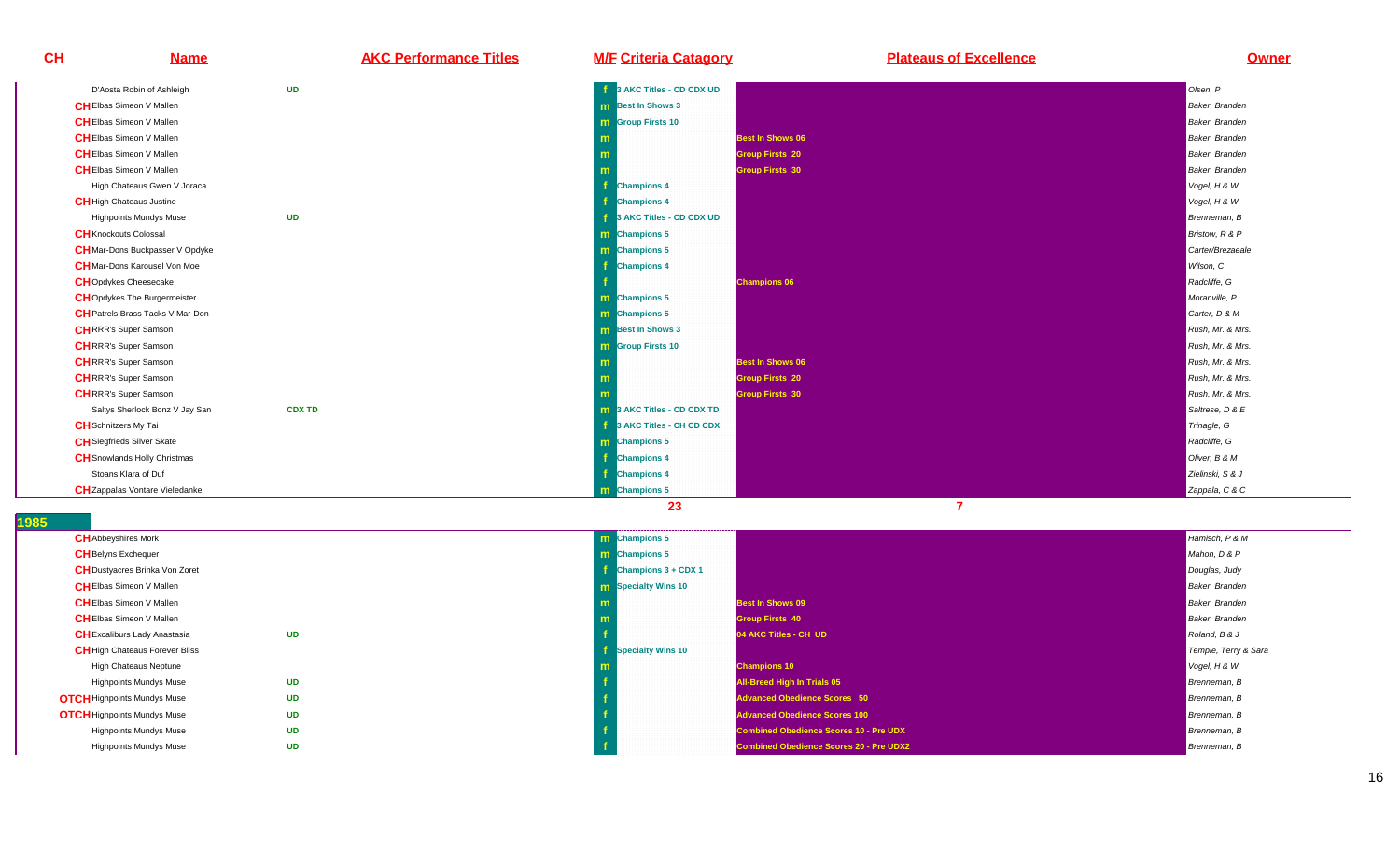| CH | <b>Name</b>                             | <b>AKC Performance Titles</b> | <b>M/F Criteria Catagory</b>      | <b>Plateaus of Excellence</b> | <b>Owner</b>     |
|----|-----------------------------------------|-------------------------------|-----------------------------------|-------------------------------|------------------|
|    | D'Aosta Robin of Ashleigh               | <b>UD</b>                     | 3 AKC Titles - CD CDX UD          |                               | Olsen, P         |
|    | <b>CH</b> Elbas Simeon V Mallen         |                               | <b>m</b> Best In Shows 3          |                               | Baker, Branden   |
|    | <b>CH</b> Elbas Simeon V Mallen         |                               | <b>m</b> Group Firsts 10          |                               | Baker, Branden   |
|    | <b>CH</b> Elbas Simeon V Mallen         |                               | m                                 | <b>Best In Shows 06</b>       | Baker, Branden   |
|    | <b>CHEIbas Simeon V Mallen</b>          |                               | m                                 | <b>Group Firsts 20</b>        | Baker, Branden   |
|    | <b>CHEIbas Simeon V Mallen</b>          |                               |                                   | <b>Group Firsts 30</b>        | Baker, Branden   |
|    | High Chateaus Gwen V Joraca             |                               | <b>Champions 4</b>                |                               | Vogel, H & W     |
|    | <b>CH</b> High Chateaus Justine         |                               | <b>Champions 4</b>                |                               | Vogel, H & W     |
|    | <b>Highpoints Mundys Muse</b>           | <b>UD</b>                     | 3 AKC Titles - CD CDX UD          |                               | Brenneman, B     |
|    | <b>CH</b> Knockouts Colossal            |                               | <b>m</b> Champions 5              |                               | Bristow, R & P   |
|    | <b>CH</b> Mar-Dons Buckpasser V Opdyke  |                               | <b>m</b> Champions 5              |                               | Carter/Brezaeale |
|    | <b>CH</b> Mar-Dons Karousel Von Moe     |                               | <b>Champions 4</b>                |                               | Wilson, C        |
|    | <b>CH</b> Opdykes Cheesecake            |                               |                                   | <b>Champions 06</b>           | Radcliffe, G     |
|    | <b>CH</b> Opdykes The Burgermeister     |                               | m Champions 5                     |                               | Moranville, P    |
|    | <b>CH</b> Patrels Brass Tacks V Mar-Don |                               | <b>m</b> Champions 5              |                               | Carter, D & M    |
|    | <b>CHRRR's Super Samson</b>             |                               | <b>m</b> Best In Shows 3          |                               | Rush, Mr. & Mrs. |
|    | <b>CHRRR's Super Samson</b>             |                               | <b>m</b> Group Firsts 10          |                               | Rush, Mr. & Mrs. |
|    | <b>CH</b> RRR's Super Samson            |                               | m                                 | <b>Best In Shows 06</b>       | Rush, Mr. & Mrs. |
|    | <b>CHRRR's Super Samson</b>             |                               | m                                 | <b>Group Firsts 20</b>        | Rush, Mr. & Mrs. |
|    | <b>CHRRR's Super Samson</b>             |                               |                                   | <b>Group Firsts 30</b>        | Rush, Mr. & Mrs. |
|    | Saltys Sherlock Bonz V Jay San          | <b>CDX TD</b>                 | <b>m</b> 3 AKC Titles - CD CDX TD |                               | Saltrese, D & E  |
|    | <b>CH</b> Schnitzers My Tai             |                               | 3 AKC Titles - CH CD CDX          |                               | Trinagle, G      |
|    | <b>CH</b> Siegfrieds Silver Skate       |                               | <b>m</b> Champions 5              |                               | Radcliffe, G     |
|    | <b>CH</b> Snowlands Holly Christmas     |                               | <b>Champions 4</b>                |                               | Oliver, B & M    |
|    | Stoans Klara of Duf                     |                               | <b>Champions 4</b>                |                               | Zielinski, S & J |
|    | <b>CH</b> Zappalas Vontare Vieledanke   |                               | m Champions 5                     |                               | Zappala, C & C   |

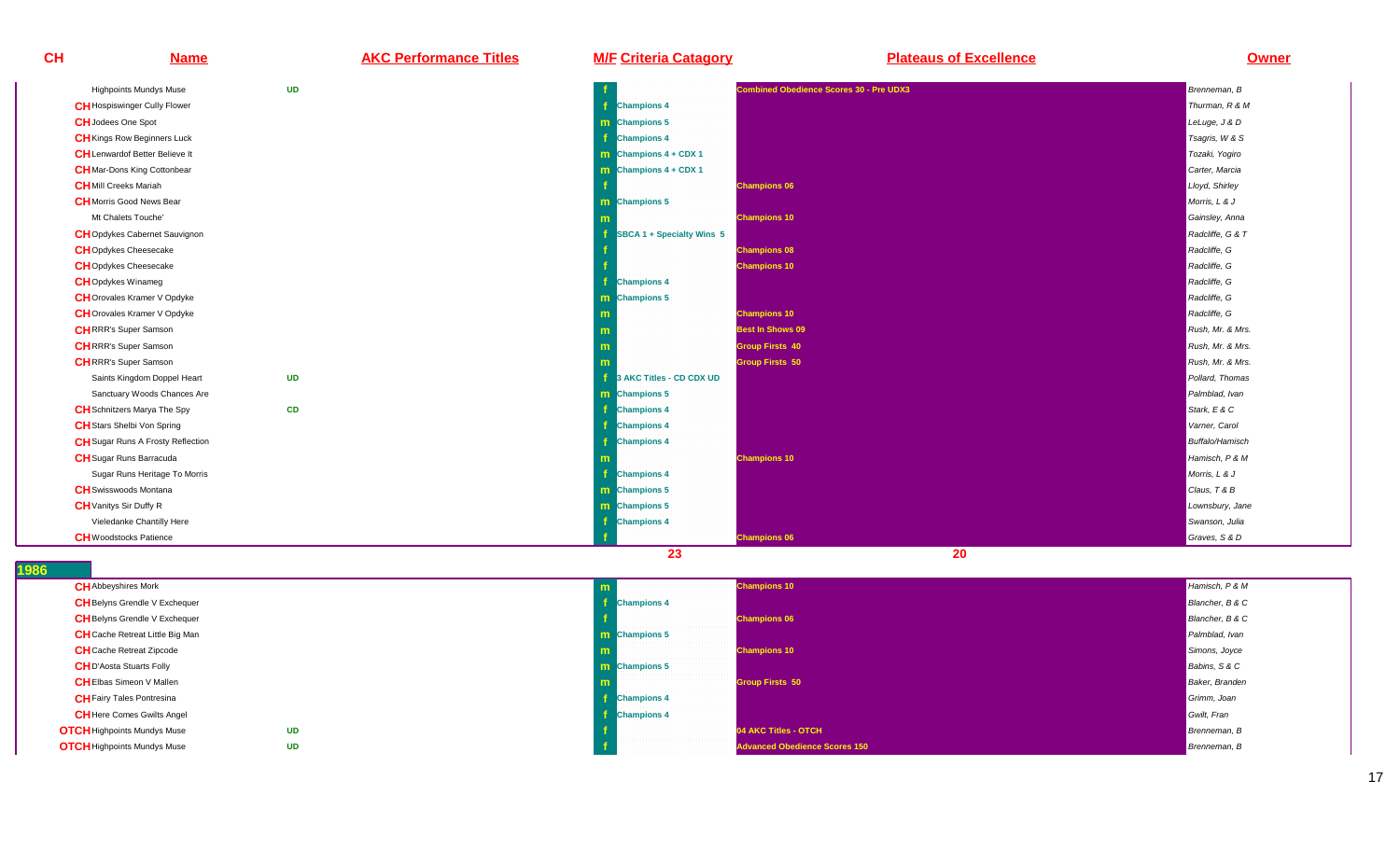**Name AKC Performance Titles M/F Criteria Catagory Plateaus of Excellence Owner**

| <b>Highpoints Mundys Muse</b>            | <b>UD</b> |                                | <b>Combined Obedience Scores 30 - Pre UDX3</b> | Brenneman, B           |
|------------------------------------------|-----------|--------------------------------|------------------------------------------------|------------------------|
| <b>CH</b> Hospiswinger Cully Flower      |           | <b>Champions 4</b>             |                                                | Thurman, R & M         |
| <b>CH</b> Jodees One Spot                |           | <b>m</b> Champions 5           |                                                | LeLuge, J & D          |
| <b>CH</b> Kings Row Beginners Luck       |           | <b>Champions 4</b>             |                                                | Tsagris, W & S         |
| <b>CH</b> Lenwardof Better Believe It    |           | m Champions $4 + CDX 1$        |                                                | Tozaki, Yogiro         |
| <b>CH</b> Mar-Dons King Cottonbear       |           | <b>m</b> Champions $4 + CDX 1$ |                                                | Carter, Marcia         |
| <b>CH</b> Mill Creeks Mariah             |           |                                | <b>Champions 06</b>                            | Lloyd, Shirley         |
| <b>CH</b> Morris Good News Bear          |           | m Champions 5                  |                                                | Morris, L & J          |
| Mt Chalets Touche'                       |           |                                | <b>Champions 10</b>                            | Gainsley, Anna         |
| <b>CH</b> Opdykes Cabernet Sauvignon     |           | SBCA 1 + Specialty Wins 5      |                                                | Radcliffe, G & T       |
| <b>CH</b> Opdykes Cheesecake             |           |                                | <b>Champions 08</b>                            | Radcliffe, G           |
| <b>CH</b> Opdykes Cheesecake             |           |                                | <b>Champions 10</b>                            | Radcliffe, G           |
| <b>CH</b> Opdykes Winameg                |           | <b>Champions 4</b>             |                                                | Radcliffe, G           |
| <b>CH</b> Orovales Kramer V Opdyke       |           | <b>m</b> Champions 5           |                                                | Radcliffe, G           |
| <b>CH</b> Orovales Kramer V Opdyke       |           |                                | <b>Champions 10</b>                            | Radcliffe, G           |
| <b>CHRRR's Super Samson</b>              |           |                                | <b>Best In Shows 09</b>                        | Rush, Mr. & Mrs.       |
| <b>CHRRR's Super Samson</b>              |           |                                | <b>Group Firsts 40</b>                         | Rush, Mr. & Mrs.       |
| <b>CH</b> RRR's Super Samson             |           |                                | <b>Group Firsts 50</b>                         | Rush, Mr. & Mrs.       |
| Saints Kingdom Doppel Heart              | <b>UD</b> | 3 AKC Titles - CD CDX UD       |                                                | Pollard, Thomas        |
| Sanctuary Woods Chances Are              |           | m Champions 5                  |                                                | Palmblad, Ivan         |
| <b>CH</b> Schnitzers Marya The Spy       | <b>CD</b> | <b>Champions 4</b>             |                                                | Stark, $E$ & $C$       |
| <b>CH</b> Stars Shelbi Von Spring        |           | <b>Champions 4</b>             |                                                | Varner, Carol          |
| <b>CH</b> Sugar Runs A Frosty Reflection |           | <b>Champions 4</b>             |                                                | <b>Buffalo/Hamisch</b> |
| <b>CH</b> Sugar Runs Barracuda           |           |                                | <b>Champions 10</b>                            | Hamisch, P & M         |
| Sugar Runs Heritage To Morris            |           | <b>Champions 4</b>             |                                                | Morris, L & J          |
| <b>CH</b> Swisswoods Montana             |           | m Champions 5                  |                                                | Claus, T & B           |
| <b>CH</b> Vanitys Sir Duffy R            |           | m Champions 5                  |                                                | Lownsbury, Jane        |
| Vieledanke Chantilly Here                |           | <b>Champions 4</b>             |                                                | Swanson, Julia         |
| <b>CH</b> Woodstocks Patience            |           |                                | <b>Champions 06</b>                            | Graves, S & D          |
|                                          |           | 23                             | 20                                             |                        |

**1986** 

**CH**

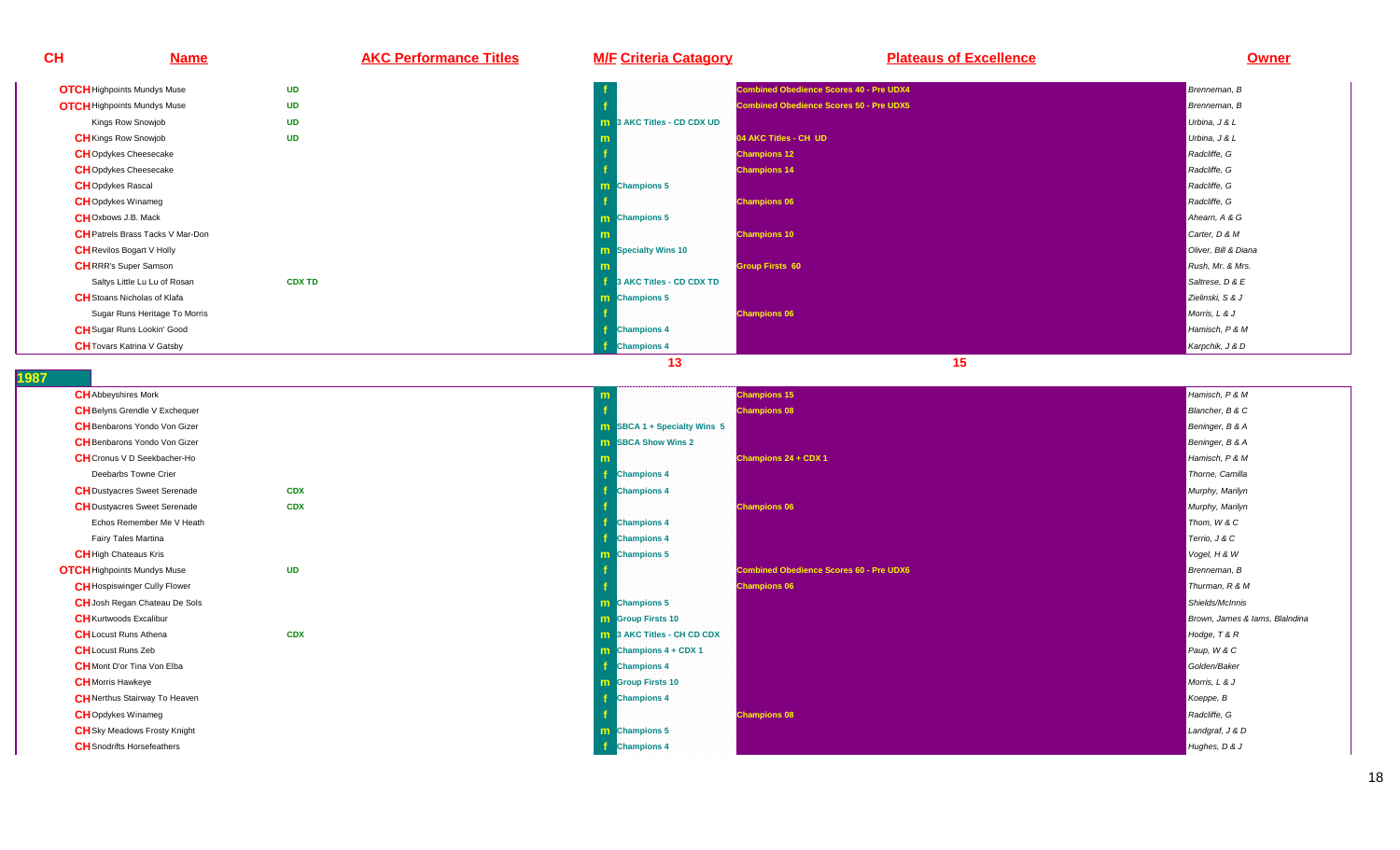| <b>CH</b> | <b>Name</b>                             | <b>AKC Performance Titles</b> | <b>M/F Criteria Catagory</b>      | <b>Plateaus of Excellence</b>                  | <b>Owner</b>         |
|-----------|-----------------------------------------|-------------------------------|-----------------------------------|------------------------------------------------|----------------------|
|           | <b>OTCH</b> Highpoints Mundys Muse      | <b>UD</b>                     |                                   | <b>Combined Obedience Scores 40 - Pre UDX4</b> | Brenneman, B         |
|           | <b>OTCH</b> Highpoints Mundys Muse      | <b>UD</b>                     |                                   | <b>Combined Obedience Scores 50 - Pre UDX5</b> | Brenneman, B         |
|           | Kings Row Snowjob                       | <b>UD</b>                     | <b>m</b> 3 AKC Titles - CD CDX UD |                                                | Urbina, J & L        |
|           | <b>CH</b> Kings Row Snowjob             | <b>UD</b>                     |                                   | 04 AKC Titles - CH UD                          | Urbina, J & L        |
|           | <b>CH</b> Opdykes Cheesecake            |                               |                                   | <b>Champions 12</b>                            | Radcliffe, G         |
|           | <b>CHOpdykes Cheesecake</b>             |                               |                                   | <b>Champions 14</b>                            | Radcliffe, G         |
|           | <b>CH</b> Opdykes Rascal                |                               | <b>m</b> Champions 5              |                                                | Radcliffe, G         |
|           | <b>CH</b> Opdykes Winameg               |                               |                                   | <b>Champions 06</b>                            | Radcliffe, G         |
|           | <b>CHOxbows J.B. Mack</b>               |                               | <b>m</b> Champions 5              |                                                | Ahearn, A & G        |
|           | <b>CH</b> Patrels Brass Tacks V Mar-Don |                               |                                   | <b>Champions 10</b>                            | Carter, D & M        |
|           | <b>CH</b> Revilos Bogart V Holly        |                               | <b>m</b> Specialty Wins 10        |                                                | Oliver, Bill & Diana |
|           | <b>CHRRR's Super Samson</b>             |                               |                                   | <b>Group Firsts 60</b>                         | Rush, Mr. & Mrs.     |
|           | Saltys Little Lu Lu of Rosan            | <b>CDX TD</b>                 | 3 AKC Titles - CD CDX TD          |                                                | Saltrese, D & E      |
|           | <b>CH</b> Stoans Nicholas of Klafa      |                               | <b>m</b> Champions 5              |                                                | Zielinski, S & J     |
|           | Sugar Runs Heritage To Morris           |                               |                                   | <b>Champions 06</b>                            | Morris, L & J        |
|           | <b>CH</b> Sugar Runs Lookin' Good       |                               | <b>Champions 4</b>                |                                                | Hamisch, P & M       |
|           | <b>CH</b> Tovars Katrina V Gatsby       |                               | <b>Champions 4</b>                |                                                | Karpchik, J & D      |
|           |                                         |                               | 13                                | 15                                             |                      |

| <b>CH</b> Abbeyshires Mork           |            |                                    | <b>Champions 15</b>                            | Hamisch, P & M                 |
|--------------------------------------|------------|------------------------------------|------------------------------------------------|--------------------------------|
| <b>CH</b> Belyns Grendle V Exchequer |            |                                    | <b>Champions 08</b>                            | Blancher, B & C                |
| <b>CH</b> Benbarons Yondo Von Gizer  |            | <b>m</b> SBCA 1 + Specialty Wins 5 |                                                | Beninger, B & A                |
| <b>CH</b> Benbarons Yondo Von Gizer  |            | <b>m</b> SBCA Show Wins 2          |                                                | Beninger, B & A                |
| <b>CH</b> Cronus V D Seekbacher-Ho   |            |                                    | <b>Champions 24 + CDX 1</b>                    | Hamisch, P & M                 |
| Deebarbs Towne Crier                 |            | <b>Champions 4</b>                 |                                                | Thorne, Camilla                |
| <b>CH</b> Dustyacres Sweet Serenade  | <b>CDX</b> | <b>Champions 4</b>                 |                                                | Murphy, Marilyn                |
| <b>CH</b> Dustyacres Sweet Serenade  | <b>CDX</b> |                                    | <b>Champions 06</b>                            | Murphy, Marilyn                |
| Echos Remember Me V Heath            |            | <b>Champions 4</b>                 |                                                | Thom, W & C                    |
| Fairy Tales Martina                  |            | <b>Champions 4</b>                 |                                                | Terrio, J & C                  |
| <b>CH</b> High Chateaus Kris         |            | m Champions 5                      |                                                | Vogel, H & W                   |
| <b>OTCH</b> Highpoints Mundys Muse   | <b>UD</b>  |                                    | <b>Combined Obedience Scores 60 - Pre UDX6</b> | Brenneman, B                   |
| <b>CH</b> Hospiswinger Cully Flower  |            |                                    | <b>Champions 06</b>                            | Thurman, R & M                 |
| <b>CH</b> Josh Regan Chateau De Sols |            | m Champions 5                      |                                                | Shields/McInnis                |
| <b>CH</b> Kurtwoods Excalibur        |            | <b>m</b> Group Firsts 10           |                                                | Brown, James & lams, Blaindina |
| <b>CH</b> Locust Runs Athena         | <b>CDX</b> | <b>m</b> 3 AKC Titles - CH CD CDX  |                                                | Hodge, T & R                   |
| <b>CH</b> Locust Runs Zeb            |            | $\mathbf m$ Champions 4 + CDX 1    |                                                | Paup, W & C                    |
| <b>CH</b> Mont D'or Tina Von Elba    |            | <b>Champions 4</b>                 |                                                | Golden/Baker                   |
| <b>CH</b> Morris Hawkeye             |            | <b>m</b> Group Firsts 10           |                                                | Morris, L & J                  |
| <b>CH</b> Nerthus Stairway To Heaven |            | <b>Champions 4</b>                 |                                                | Koeppe, B                      |
| <b>CH</b> Opdykes Winameg            |            |                                    | <b>Champions 08</b>                            | Radcliffe, G                   |
| <b>CH</b> Sky Meadows Frosty Knight  |            | <b>m</b> Champions 5               |                                                | Landgraf, J & D                |
| <b>CH</b> Snodrifts Horsefeathers    |            | <b>Champions 4</b>                 |                                                | Hughes, D & J                  |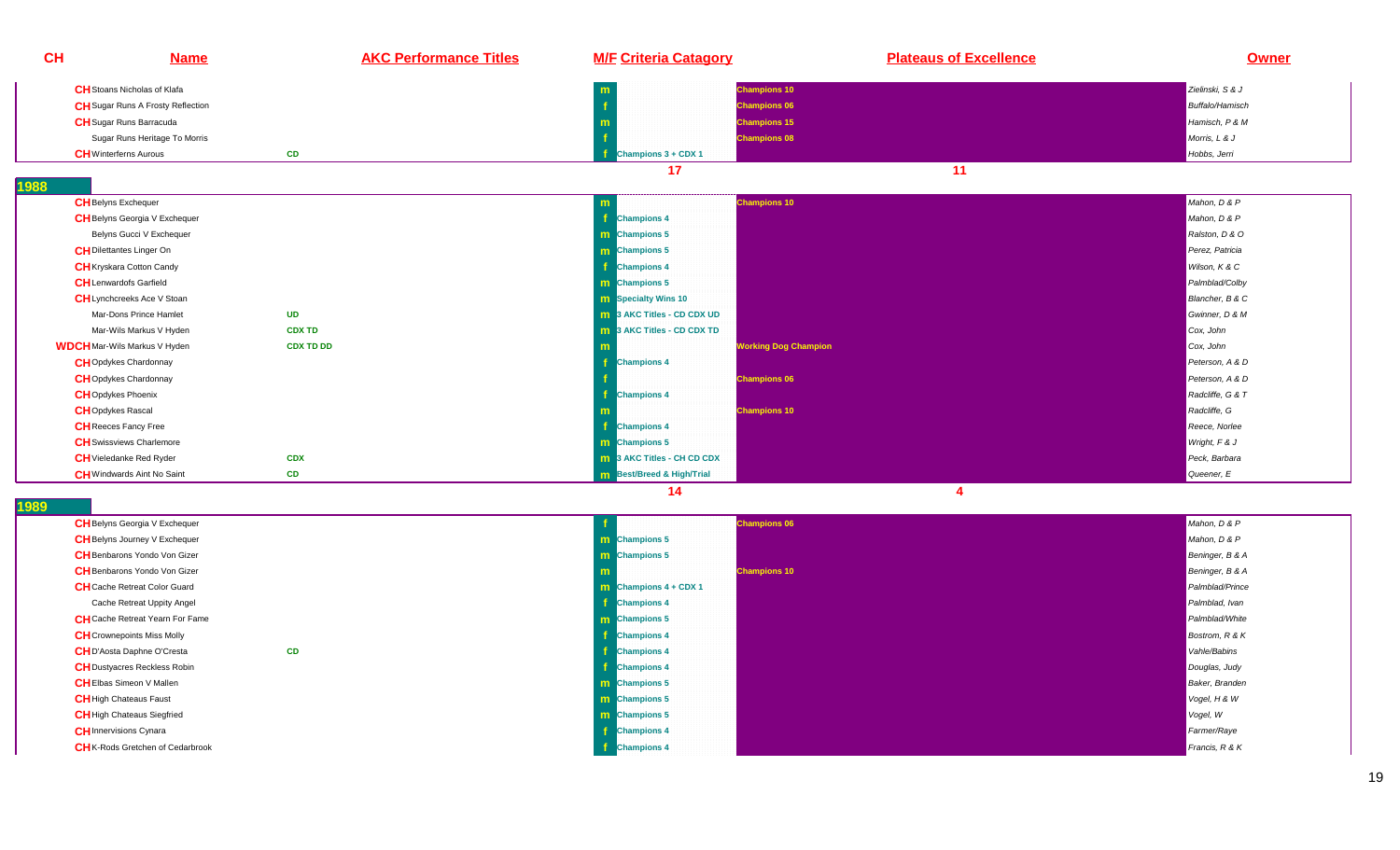| <b>Name</b>                              | <b>AKC Performance Titles</b> | <b>M/F Criteria Catagory</b>      | <b>Plateaus of Excellence</b> | <b>Owner</b>                                                                                                                                                                                                        |
|------------------------------------------|-------------------------------|-----------------------------------|-------------------------------|---------------------------------------------------------------------------------------------------------------------------------------------------------------------------------------------------------------------|
| <b>CH</b> Stoans Nicholas of Klafa       |                               |                                   |                               | Zielinski, S & J                                                                                                                                                                                                    |
| <b>CH</b> Sugar Runs A Frosty Reflection |                               |                                   |                               | <b>Buffalo/Hamisch</b>                                                                                                                                                                                              |
| <b>CH</b> Sugar Runs Barracuda           |                               |                                   |                               | Hamisch, P & M                                                                                                                                                                                                      |
| Sugar Runs Heritage To Morris            |                               |                                   |                               | Morris, L & J                                                                                                                                                                                                       |
| <b>CH</b> Winterferns Aurous             | <b>CD</b>                     | Champions 3 + CDX 1               |                               | Hobbs, Jerri                                                                                                                                                                                                        |
|                                          |                               | 17                                | 11                            |                                                                                                                                                                                                                     |
|                                          |                               |                                   |                               |                                                                                                                                                                                                                     |
| <b>CH</b> Belyns Exchequer               |                               | m                                 |                               | Mahon, D & P                                                                                                                                                                                                        |
| <b>CH</b> Belyns Georgia V Exchequer     |                               | <b>Champions 4</b>                |                               | Mahon, D & P                                                                                                                                                                                                        |
| Belyns Gucci V Exchequer                 |                               | <b>m</b> Champions 5              |                               | Ralston, D & O                                                                                                                                                                                                      |
| <b>CH</b> Dilettantes Linger On          |                               | <b>m</b> Champions 5              |                               | Perez, Patricia                                                                                                                                                                                                     |
| <b>CH</b> Kryskara Cotton Candy          |                               | <b>Champions 4</b>                |                               | Wilson, K & C                                                                                                                                                                                                       |
| <b>CH</b> Lenwardofs Garfield            |                               | m Champions 5                     |                               | Palmblad/Colby                                                                                                                                                                                                      |
| <b>CH</b> Lynchcreeks Ace V Stoan        |                               | <b>m</b> Specialty Wins 10        |                               | Blancher, B & C                                                                                                                                                                                                     |
| Mar-Dons Prince Hamlet                   | <b>UD</b>                     | <b>m</b> 3 AKC Titles - CD CDX UD |                               | Gwinner, D & M                                                                                                                                                                                                      |
| Mar-Wils Markus V Hyden                  | <b>CDX TD</b>                 | <b>m</b> 3 AKC Titles - CD CDX TD |                               | Cox, John                                                                                                                                                                                                           |
| <b>WDCH</b> Mar-Wils Markus V Hyden      | <b>CDX TD DD</b>              |                                   |                               | Cox, John                                                                                                                                                                                                           |
| <b>CH</b> Opdykes Chardonnay             |                               | <b>Champions 4</b>                |                               | Peterson, A & D                                                                                                                                                                                                     |
| <b>CH</b> Opdykes Chardonnay             |                               |                                   |                               | Peterson, A & D                                                                                                                                                                                                     |
| <b>CH</b> Opdykes Phoenix                |                               | <b>Champions 4</b>                |                               | Radcliffe, G & T                                                                                                                                                                                                    |
| <b>CH</b> Opdykes Rascal                 |                               |                                   |                               | Radcliffe, G                                                                                                                                                                                                        |
| <b>CH</b> Reeces Fancy Free              |                               | <b>Champions 4</b>                |                               | Reece, Norlee                                                                                                                                                                                                       |
| <b>CH</b> Swissviews Charlemore          |                               | m Champions 5                     |                               | Wright, F & J                                                                                                                                                                                                       |
| <b>CH</b> Vieledanke Red Ryder           | <b>CDX</b>                    | <b>m</b> 3 AKC Titles - CH CD CDX |                               | Peck, Barbara                                                                                                                                                                                                       |
| <b>CH</b> Windwards Aint No Saint        | CD                            | <b>m</b> Best/Breed & High/Trial  |                               | Queener, E                                                                                                                                                                                                          |
|                                          |                               |                                   | 14                            | <b>Champions 10</b><br><b>Champions 06</b><br><b>Champions 15</b><br><b>Champions 08</b><br><b>Champions 10</b><br><b>Working Dog Champion</b><br><b>Champions 06</b><br><b>Champions 10</b><br>$\overline{\bf{4}}$ |

| <b>CH</b> Belyns Georgia V Exchequer    |    |                                | <b>Champions 06</b> | Mahon, D & P           |
|-----------------------------------------|----|--------------------------------|---------------------|------------------------|
| <b>CH</b> Belyns Journey V Exchequer    |    | <b>m</b> Champions 5           |                     | Mahon, D & P           |
| <b>CH</b> Benbarons Yondo Von Gizer     |    | <b>m</b> Champions 5           |                     | Beninger, B & A        |
| <b>CH</b> Benbarons Yondo Von Gizer     |    |                                | <b>Champions 10</b> | Beninger, B & A        |
| <b>CH</b> Cache Retreat Color Guard     |    | <b>m</b> Champions $4 + CDX 1$ |                     | Palmblad/Prince        |
| Cache Retreat Uppity Angel              |    | <b>Champions 4</b>             |                     | Palmblad, Ivan         |
| <b>CH</b> Cache Retreat Yearn For Fame  |    | <b>m</b> Champions 5           |                     | Palmblad/White         |
| <b>CH</b> Crownepoints Miss Molly       |    | <b>Champions 4</b>             |                     | Bostrom, R & K         |
| <b>CH</b> D'Aosta Daphne O'Cresta       | CD | <b>Champions 4</b>             |                     | Vahle/Babins           |
| <b>CH</b> Dustyacres Reckless Robin     |    | <b>Champions 4</b>             |                     | Douglas, Judy          |
| <b>CH</b> Elbas Simeon V Mallen         |    | <b>m</b> Champions 5           |                     | <b>Baker</b> , Branden |
| <b>CH</b> High Chateaus Faust           |    | <b>m</b> Champions 5           |                     | Vogel, H & W           |
| <b>CH</b> High Chateaus Siegfried       |    | <b>m</b> Champions 5           |                     | Vogel, W               |
| <b>CH</b> Innervisions Cynara           |    | <b>Champions 4</b>             |                     | Farmer/Raye            |
| <b>CH</b> K-Rods Gretchen of Cedarbrook |    | <b>Champions 4</b>             |                     | Francis, $R$ & $K$     |
|                                         |    |                                |                     |                        |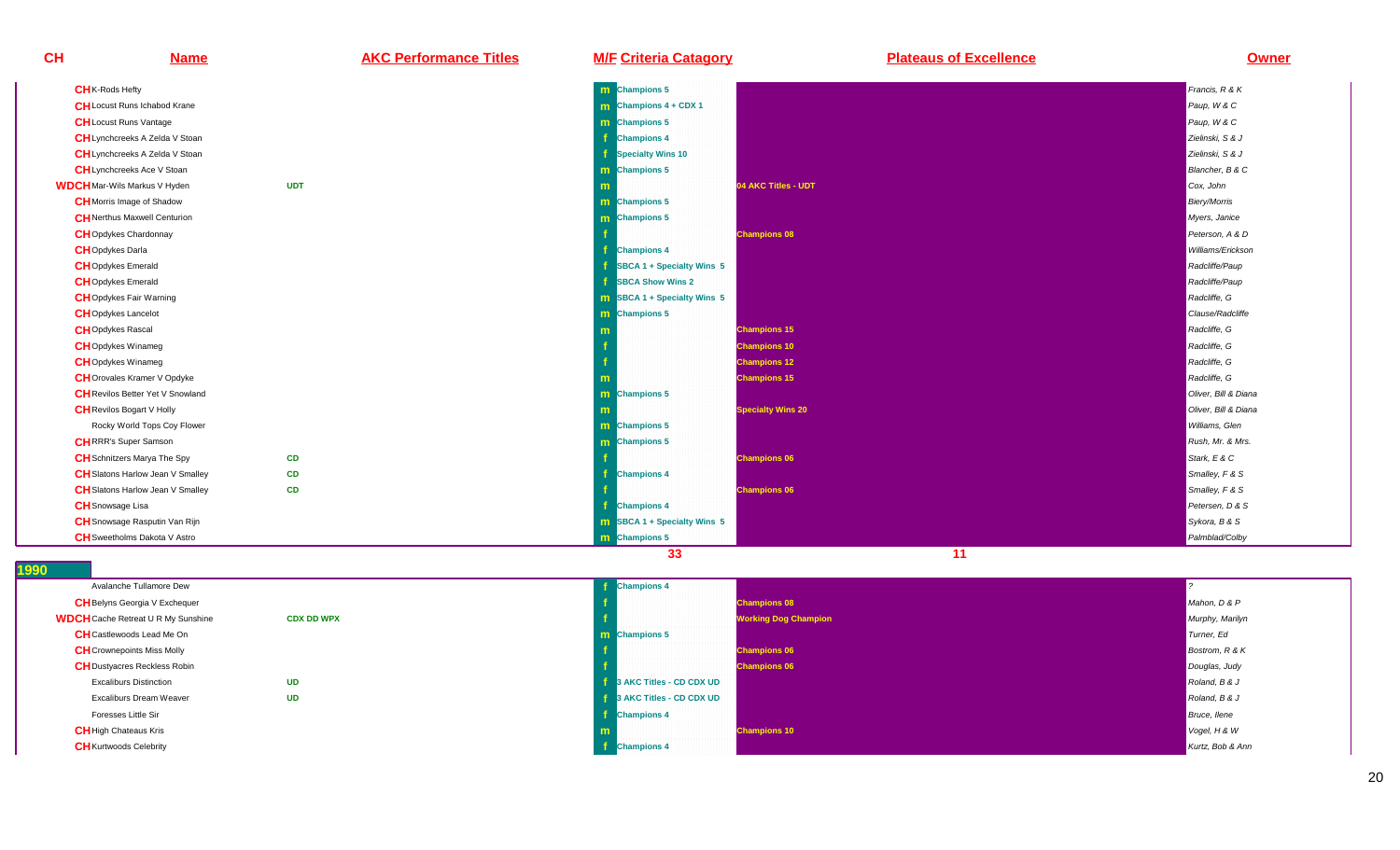| <b>CH</b> | <b>Name</b>                             | <b>AKC Performance Titles</b> | <b>M/F Criteria Catagory</b>       | <b>Plateaus of Excellence</b> | <b>Owner</b>         |
|-----------|-----------------------------------------|-------------------------------|------------------------------------|-------------------------------|----------------------|
|           | <b>CH</b> K-Rods Hefty                  |                               | m Champions 5                      |                               | Francis, R & K       |
|           | <b>CH</b> Locust Runs Ichabod Krane     |                               | $\mathbf{m}$ Champions 4 + CDX 1   |                               | Paup, W & C          |
|           | <b>CH</b> Locust Runs Vantage           |                               | <b>m</b> Champions 5               |                               | Paup, W & C          |
|           | <b>CH</b> Lynchcreeks A Zelda V Stoan   |                               | -f<br><b>Champions 4</b>           |                               | Zielinski, S & J     |
|           | CH Lynchcreeks A Zelda V Stoan          |                               | Specialty Wins 10                  |                               | Zielinski, S & J     |
|           | <b>CH</b> Lynchcreeks Ace V Stoan       |                               | <b>m</b> Champions 5               |                               | Blancher, B & C      |
|           | <b>WDCH</b> Mar-Wils Markus V Hyden     | <b>UDT</b>                    |                                    | 04 AKC Titles - UDT           | Cox, John            |
|           | <b>CH</b> Morris Image of Shadow        |                               | m Champions 5                      |                               | <b>Biery/Morris</b>  |
|           | <b>CH</b> Nerthus Maxwell Centurion     |                               | <b>m</b> Champions 5               |                               | Myers, Janice        |
|           | <b>CH</b> Opdykes Chardonnay            |                               | <b>Champions 08</b>                |                               | Peterson, A & D      |
|           | <b>CH</b> Opdykes Darla                 |                               | <b>Champions 4</b>                 |                               | Williams/Erickson    |
|           | <b>CH</b> Opdykes Emerald               |                               | SBCA 1 + Specialty Wins 5          |                               | Radcliffe/Paup       |
|           | <b>CH</b> Opdykes Emerald               |                               | <b>SBCA Show Wins 2</b>            |                               | Radcliffe/Paup       |
|           | <b>CH</b> Opdykes Fair Warning          |                               | <b>m</b> SBCA 1 + Specialty Wins 5 |                               | Radcliffe, G         |
|           | <b>CH</b> Opdykes Lancelot              |                               | <b>m</b> Champions 5               |                               | Clause/Radcliffe     |
|           | <b>CH</b> Opdykes Rascal                |                               | <b>Champions 15</b>                |                               | Radcliffe, G         |
|           | <b>CH</b> Opdykes Winameg               |                               | <b>Champions 10</b>                |                               | Radcliffe, G         |
|           | <b>CH</b> Opdykes Winameg               |                               | <b>Champions 12</b>                |                               | Radcliffe, G         |
|           | <b>CH</b> Orovales Kramer V Opdyke      |                               | <b>Champions 15</b>                |                               | Radcliffe, G         |
|           | <b>CH</b> Revilos Better Yet V Snowland |                               | m Champions 5                      |                               | Oliver, Bill & Diana |
|           | <b>CH</b> Revilos Bogart V Holly        |                               |                                    | <b>Specialty Wins 20</b>      | Oliver, Bill & Diana |
|           | Rocky World Tops Coy Flower             |                               | <b>m</b> Champions 5               |                               | Williams, Glen       |
|           | <b>CHRRR's Super Samson</b>             |                               | m Champions 5                      |                               | Rush, Mr. & Mrs.     |
|           | <b>CH</b> Schnitzers Marya The Spy      | <b>CD</b>                     | <b>Champions 06</b>                |                               | Stark, E & C         |
|           | <b>CH</b> Slatons Harlow Jean V Smalley | <b>CD</b>                     | <b>Champions 4</b>                 |                               | Smalley, F & S       |
|           | <b>CH</b> Slatons Harlow Jean V Smalley | <b>CD</b>                     | <b>Champions 06</b>                |                               | Smalley, F & S       |
|           | <b>CH</b> Snowsage Lisa                 |                               | <b>Champions 4</b>                 |                               | Petersen, D & S      |
|           | <b>CH</b> Snowsage Rasputin Van Rijn    |                               | <b>m</b> SBCA 1 + Specialty Wins 5 |                               | Sykora, B & S        |
|           | <b>CH</b> Sweetholms Dakota V Astro     |                               | <b>m</b> Champions 5               |                               | Palmblad/Colby       |

| w                                         |                   |    |
|-------------------------------------------|-------------------|----|
| Avalanche Tullamore Dew                   |                   |    |
| <b>CH</b> Belyns Georgia V Exchequer      |                   | f  |
| <b>WDCH</b> Cache Retreat U R My Sunshine | <b>CDX DD WPX</b> | ۱f |
| <b>CH</b> Castlewoods Lead Me On          |                   | m  |
| <b>CH</b> Crownepoints Miss Molly         |                   | f  |
| <b>CH</b> Dustyacres Reckless Robin       |                   | f  |
| <b>Excaliburs Distinction</b>             | <b>UD</b>         |    |
| Excaliburs Dream Weaver                   | <b>UD</b>         |    |
| Foresses Little Sir                       |                   | f  |
| <b>CH</b> High Chateaus Kris              |                   | m  |
| <b>CH</b> Kurtwoods Celebrity             |                   |    |
|                                           |                   |    |



**33** 11 **11**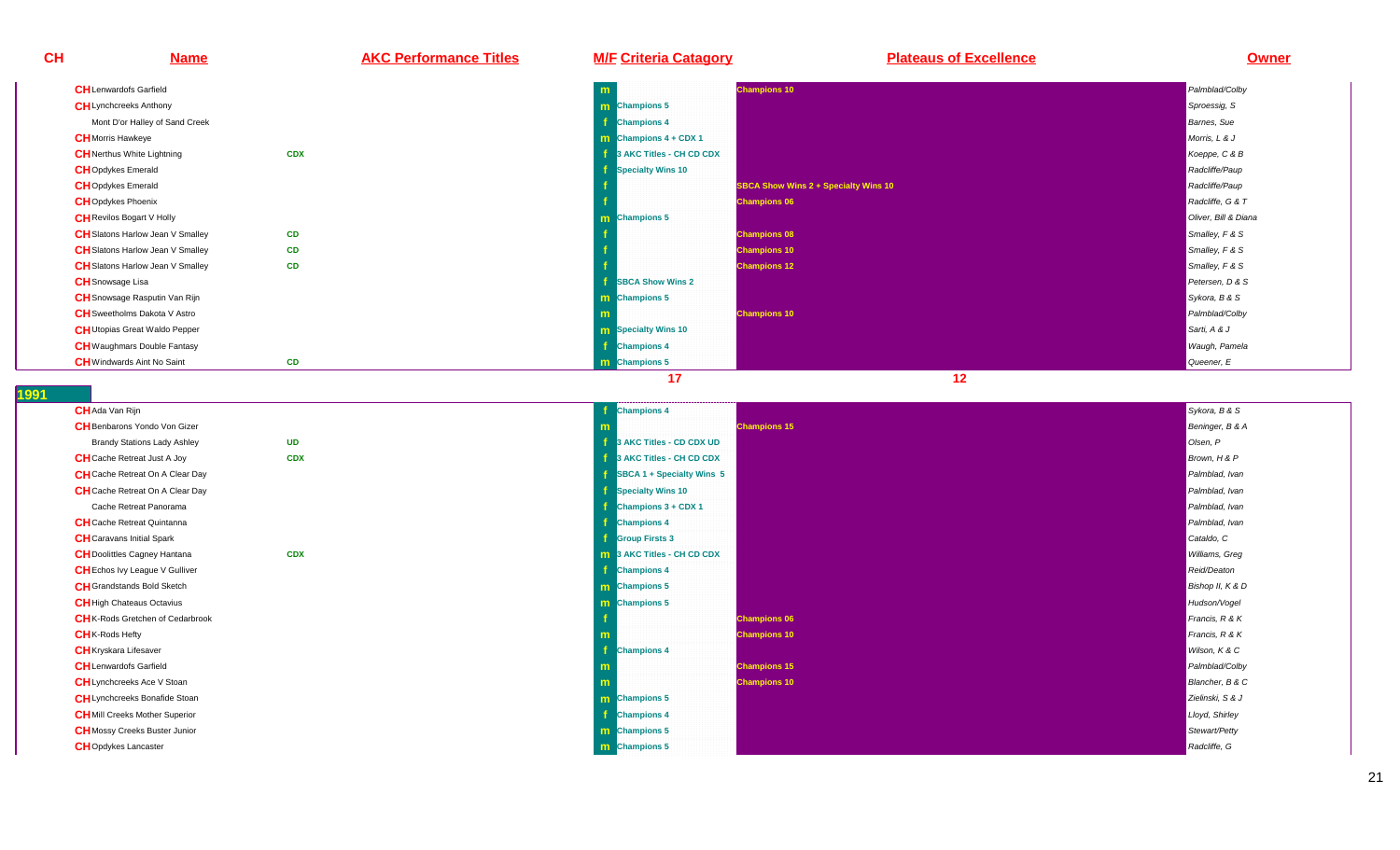**Name AKC Performance Titles M/F Criteria Catagory Plateaus of Excellence Owner**

| <b>CH</b> Lenwardofs Garfield           |            | m                              | <b>Champions 10</b>                         | Palmblad/Colby       |
|-----------------------------------------|------------|--------------------------------|---------------------------------------------|----------------------|
| <b>CH</b> Lynchcreeks Anthony           |            | <b>m</b> Champions 5           |                                             | Sproessig, S         |
| Mont D'or Halley of Sand Creek          |            | <b>Champions 4</b>             |                                             | <b>Barnes</b> , Sue  |
| <b>CH</b> Morris Hawkeye                |            | <b>m</b> Champions $4 + CDX 1$ |                                             | Morris, L & J        |
| <b>CH</b> Nerthus White Lightning       | <b>CDX</b> | 3 AKC Titles - CH CD CDX       |                                             | Koeppe, C & B        |
| <b>CH</b> Opdykes Emerald               |            | <b>Specialty Wins 10</b>       |                                             | Radcliffe/Paup       |
| <b>CH</b> Opdykes Emerald               |            |                                | <b>SBCA Show Wins 2 + Specialty Wins 10</b> | Radcliffe/Paup       |
| <b>CH</b> Opdykes Phoenix               |            |                                | <b>Champions 06</b>                         | Radcliffe, G & T     |
| <b>CH</b> Revilos Bogart V Holly        |            | <b>m</b> Champions 5           |                                             | Oliver, Bill & Diana |
| <b>CH</b> Slatons Harlow Jean V Smalley | <b>CD</b>  |                                | <b>Champions 08</b>                         | Smalley, F & S       |
| <b>CH</b> Slatons Harlow Jean V Smalley | <b>CD</b>  |                                | <b>Champions 10</b>                         | Smalley, F & S       |
| <b>CH</b> Slatons Harlow Jean V Smalley | <b>CD</b>  |                                | <b>Champions 12</b>                         | Smalley, F & S       |
| <b>CH</b> Snowsage Lisa                 |            | <b>SBCA Show Wins 2</b>        |                                             | Petersen, D & S      |
| <b>CH</b> Snowsage Rasputin Van Rijn    |            | <b>m</b> Champions 5           |                                             | Sykora, B & S        |
| <b>CH</b> Sweetholms Dakota V Astro     |            | - m                            | <b>Champions 10</b>                         | Palmblad/Colby       |
| <b>CH</b> Utopias Great Waldo Pepper    |            | <b>m</b> Specialty Wins 10     |                                             | Sarti, A & J         |
| <b>CH</b> Waughmars Double Fantasy      |            | <b>Champions 4</b>             |                                             | Waugh, Pamela        |
| <b>CH</b> Windwards Aint No Saint       | CD         | <b>m</b> Champions 5           |                                             | Queener, E           |

**1991** 

**CH**

| <b>CH</b> Ada Van Rijn                  |            | f  |
|-----------------------------------------|------------|----|
| <b>CH</b> Benbarons Yondo Von Gizer     |            | m  |
| <b>Brandy Stations Lady Ashley</b>      | <b>UD</b>  | f  |
| <b>CH</b> Cache Retreat Just A Joy      | <b>CDX</b> | f  |
| <b>CH</b> Cache Retreat On A Clear Day  |            | f  |
| CH Cache Retreat On A Clear Day         |            | f  |
| Cache Retreat Panorama                  |            | f. |
| <b>CH</b> Cache Retreat Quintanna       |            | f  |
| <b>CH</b> Caravans Initial Spark        |            | f  |
| <b>CH</b> Doolittles Cagney Hantana     | <b>CDX</b> | m  |
| <b>CH</b> Echos Ivy League V Gulliver   |            | f  |
| <b>CH</b> Grandstands Bold Sketch       |            | m  |
| <b>CH</b> High Chateaus Octavius        |            | m  |
| <b>CH</b> K-Rods Gretchen of Cedarbrook |            | f  |
| <b>CH</b> K-Rods Hefty                  |            | m  |
| <b>CH</b> Kryskara Lifesaver            |            | f  |
| <b>CH</b> Lenwardofs Garfield           |            | m  |
| <b>CH</b> Lynchcreeks Ace V Stoan       |            | m  |
| <b>CH</b> Lynchcreeks Bonafide Stoan    |            | m  |
| <b>CH</b> Mill Creeks Mother Superior   |            | f  |
| <b>CH</b> Mossy Creeks Buster Junior    |            | m  |
| <b>CH</b> Opdykes Lancaster             |            | m  |
|                                         |            |    |

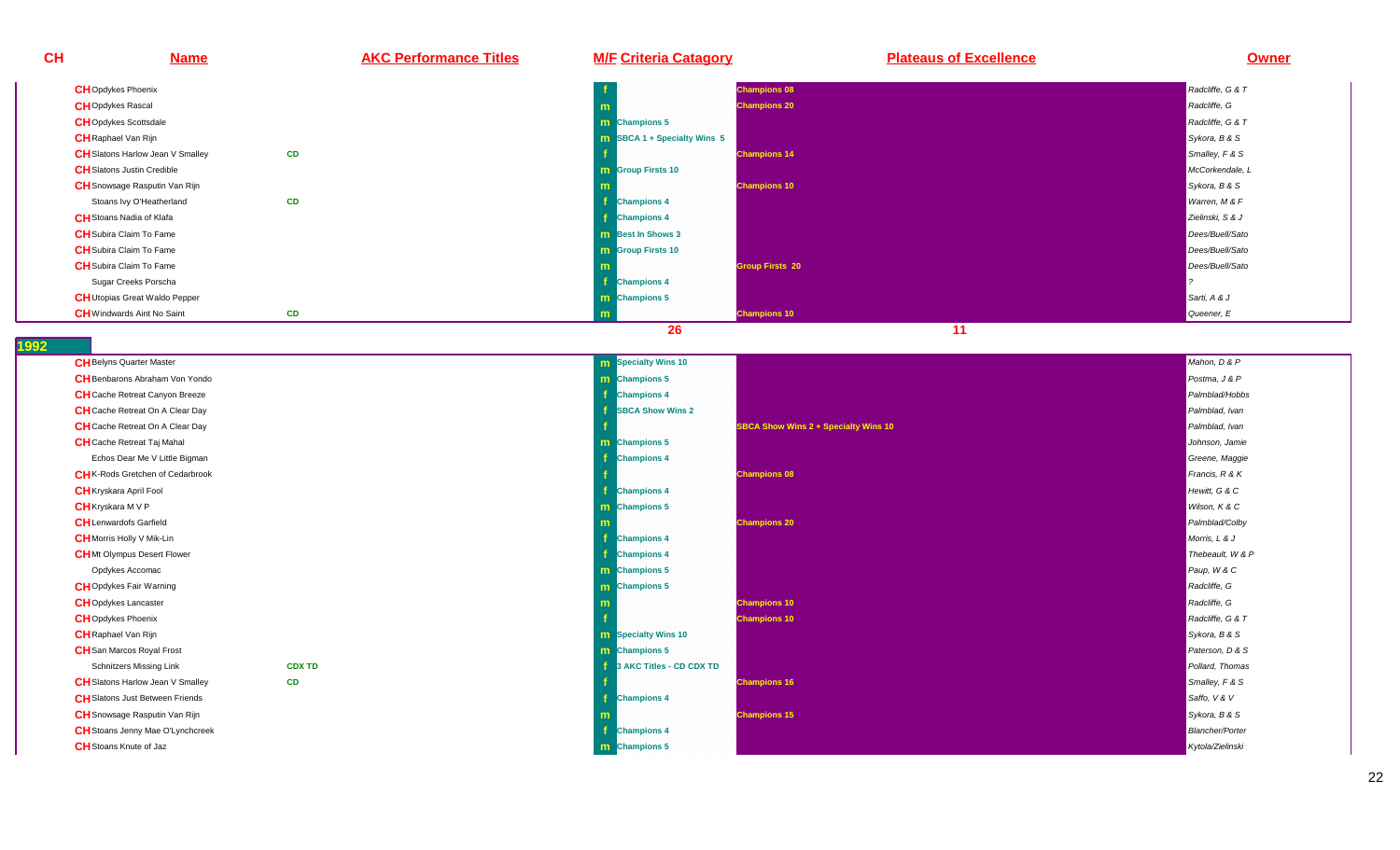**CH Name AKC Performance Titles M/F Criteria Catagory Plateaus of Excellence Owner CH**Opdykes Phoenix**f** and  $\overline{f}$  and  $\overline{f}$  and  $\overline{f}$  and  $\overline{f}$  and  $\overline{f}$  and  $\overline{f}$  and  $\overline{f}$  and  $\overline{f}$  and  $\overline{f}$  and  $\overline{f}$  and  $\overline{f}$  and  $\overline{f}$  and  $\overline{f}$  and  $\overline{f}$  and  $\overline{f}$  and  $\overline{f}$  and  $\overline{f$  **Champions 08** Radcliffe, G & T**CH**Opdykes Rascal **mChampions 20 Reach in the Champions 20** Reach in the control of the control of the control of the control of the control of the control of the control of the control of the control of the control of the control of the con **CH**Opdykes Scottsdalee **m Champions 5** Radcliffe, G & T **CH**Raphael Van Rijn**n SBCA 1 + Specialty Wins 5** Sykora, B & S **CH** Slatons Harlow Jean V Smalley y **CD champions 14** Smalley, F & Smalley, F & Smalley, F & Smalley, F & Smalley, F & Smalley, F & Smalley, F & Smalley, F & Smalley, F & Smalley, F & Smalley, F & Smalley, F & Smalley, F & Smalley, F & Smalley, F & Smalley, F & **CH**Slatons Justin Crediblee and the second contract of the second contract of the second contract of the second contract of the second contract of the second contract of the second contract of the second contract of the second contract of the secon **Group Firsts 10** McCorkendale, L **CH**Snowsage Rasputin Van Rijn**m Champions 10** Sykora, B & S<sup>ykora, B & S<br>External of the contract of the contract of the contract of the contract of the contract of the contract of the</sup> Stoans Ivy O'Heatherlandd CD **f** Champions 4 **contract of the contract of the contract of the contract of the contract of the contract of the contract of the contract of the contract of the contract of the contract of the contract of the contract of t CH**Stoans Nadia of Klafa**f** and the contract of the contract of the contract of the contract of the contract of the contract of the contract of the contract of the contract of the contract of the contract of the contract of the contract of the co **Champions 4** Zielinski, S & J **CH**Subira Claim To Fame **<sup>m</sup> Best In Shows 3** Dees/Buell/Sato **CH**Subira Claim To Fame**m** and the contract of the contract of the contract of the contract of the contract of the contract of the contract of the contract of the contract of the contract of the contract of the contract of the contract of the co **m** Scroup Firsts 10 Dees/Buell/Sato and the contract of the contract of the contract of the contract of the contract of the contract of the contract of the contract of the contract of the contract of the contract of the c **CH**Subira Claim To Fame**m** and the contract of the contract of the contract of the contract of the contract of the contract of the contract of the contract of the contract of the contract of the contract of the contract of the contract of the co **m** and the computation of the computation of the computation of the computation of the computation of the computation of the computation of the computation of the computation of the computation of the computation of the c Sugar Creeks Porscha**f** and the contract of the contract of the contract of the contract of the contract of the contract of the contract of the contract of the contract of the contract of the contract of the contract of the contract of the co **Champions 4** ? **CH**Utopias Great Waldo Pepper **mChampions 5** Sarti, A & June 1999, Sarti, A & June 1999, Sarti, A & June 1999, Sarti, A & June 1999, Sarti, A & J<br>The same of the same of the same of the same of the same of the same of the same of the same of the same of **CH**Windwards Aint No Saint **CD <sup>m</sup>Champions 10 Champions 10 Champions 10 Champions 10 Champions 10 Champions 10 Queener, E 26 11 1992 CH**Belyns Quarter Master **m Specialty Wins 10** Mahon, D & P **CH**Benbarons Abraham Von Yondo **<sup>m</sup>Champions 5** Postma, J & Postma, J & Postma, J & Postma, J & Postma, J & Postma, J & Postma, J & Postma, J & P<br>Postma **CH**Cache Retreat Canyon Breeze **<sup>f</sup> Champions 4** Palmblad/Hobbs **CH**Cache Retreat On A Clear Day **ff** SBCA Show Wins 2 Palmblad, Ivan and Ivan and Ivan and Ivan and Ivan and Ivan and Ivan and Ivan <mark>Palmblad, Ivan</mark> **CH** Cache Retreat On A Clear Day **fSBCA Show Wins 2 + Specialty Wins 10 Palmblad, Ivan Palmblad, Ivan Palmblad, Ivan Palmblad, Ivan CH**Cache Retreat Taj Mahal **mChampions 5** Johnson, Jamie Champions 5 Johnson, Jamie Champions 5 Johnson, Jamie Champions 5 Johnson, Jamie Champions 5 Johnson, Jamie Champions 5 Johnson, Jamie Champions 5 Johnson, Jamie Champions 5 Johnson, Jamie Cham Echos Dear Me V Little Bigman **<sup>f</sup> Champions 4** Greene, Maggie **CH**K-Rods Gretchen of Cedarbrook **fChampions 08 Francis, R & K Ampions 08 Francis, R & K Ampions 1999, The Control of the Champions Control of th** Hewitt, G & C **CH**Kryskara April Fool **f Champions 4** Hewitt, G & CWilson, K & C **CH**Kryskara M V P **<sup>m</sup> Champions 5** Wilson, K & C **CH**Lenwardofs Garfield**d Champions 20 Palmblad/Colby Palmblad/Colby Palmblad/Colby Palmblad/Colby Palmblad/Colby Palmblad/Colby Palmblad<br>Palmblad CH**Morris Holly V Mik-Lin**f** the contract of the contract of the contract of the contract of the contract of the contract of the contract of the contract of the contract of the contract of the contract of the contract of the contract of the contra **Champions 4** Morris, L & J **CH**Mt Olympus Desert Flower **f Champions 4** Thebeault, W & POpdykes Accomac**c m Champions 5** Paup, W & C **CH**Opdykes Fair Warningg and the second contract of the second contract of the second contract of the second contract of the second contract of the second contract of the second contract of the second contract of the second contract of the secon **Champions 5 Radcliffe, Green And Champions 5** Radcliffe, Green And Champions 5 Radcliffe, G<br>The Champions 5 Radcliffe, Green And Champions and Champions and Champions and Champions 5 Radcliffe, Green An **CH**Opdykes Lancaster **mChampions 10** Reaching the control of the control of the control of the control of the control of the control of the control of the control of the control of the control of the control of the control of the control of the **CH**Opdykes Phoenix**f** and  $\overline{f}$  and  $\overline{f}$  and  $\overline{f}$  and  $\overline{f}$  and  $\overline{f}$  and  $\overline{f}$  and  $\overline{f}$  and  $\overline{f}$  and  $\overline{f}$  and  $\overline{f}$  and  $\overline{f}$  and  $\overline{f}$  and  $\overline{f}$  and  $\overline{f}$  and  $\overline{f}$  and  $\overline{f}$  and  $\overline{f$  **Champions 10** Radcliffe, G & TSykora, B & S **CH**Raphael Van Rijn**m Specialty Wins 10** Sykora, B & S **CH**San Marcos Royal Frost **mChampions 5** Paterson, D & S<br>The contract of the contract of the contract of the contract of the contract of the contract of the contract of the contract of the contract of the contract of the contract of the contract of Schnitzers Missing Link **CDX TDf 3** AKC Titles - CD CDX TD **Pollard, Thomas Pollard, Thomas Pollard, Thomas Pollard, Thomas Pollard, Thomas Pollard, Thomas Pollard, Thomas Pollard, Thomas Pollard, Thomas Pollard, Thomas Pollard, Thomas Pollard, Thoma CH** Slatons Harlow Jean V Smalley y **CD f champions 16** Smalley, F & Smalley, F & Smalley, F & Smalley, F & Smalley, F & Smalley, F & Smalley, F & S **CH**Slatons Just Between Friends **f Champions 4** Saffo, V & VSykora, B & S **CH**Snowsage Rasputin Van Rijn**m Champions 15** Sykora, B & S<sup>ykora, B & S<sup>ykora,</sup> B & Sykora, B & Sykora, B & Sykora, B & Sykora, B & Sykora, B & S</sup> **CH**Stoans Jenny Mae O'Lynchcreek**k** the contract of the contract of the contract of the contract of the contract of the contract of the contract of the contract of the contract of the contract of the contract of the contract of the contract of the contra **Champions 4** Blancher/Porter **CH**Stoans Knute of Jaz

**Champions 5** Kytola/Zielinski

z<sub>z</sub>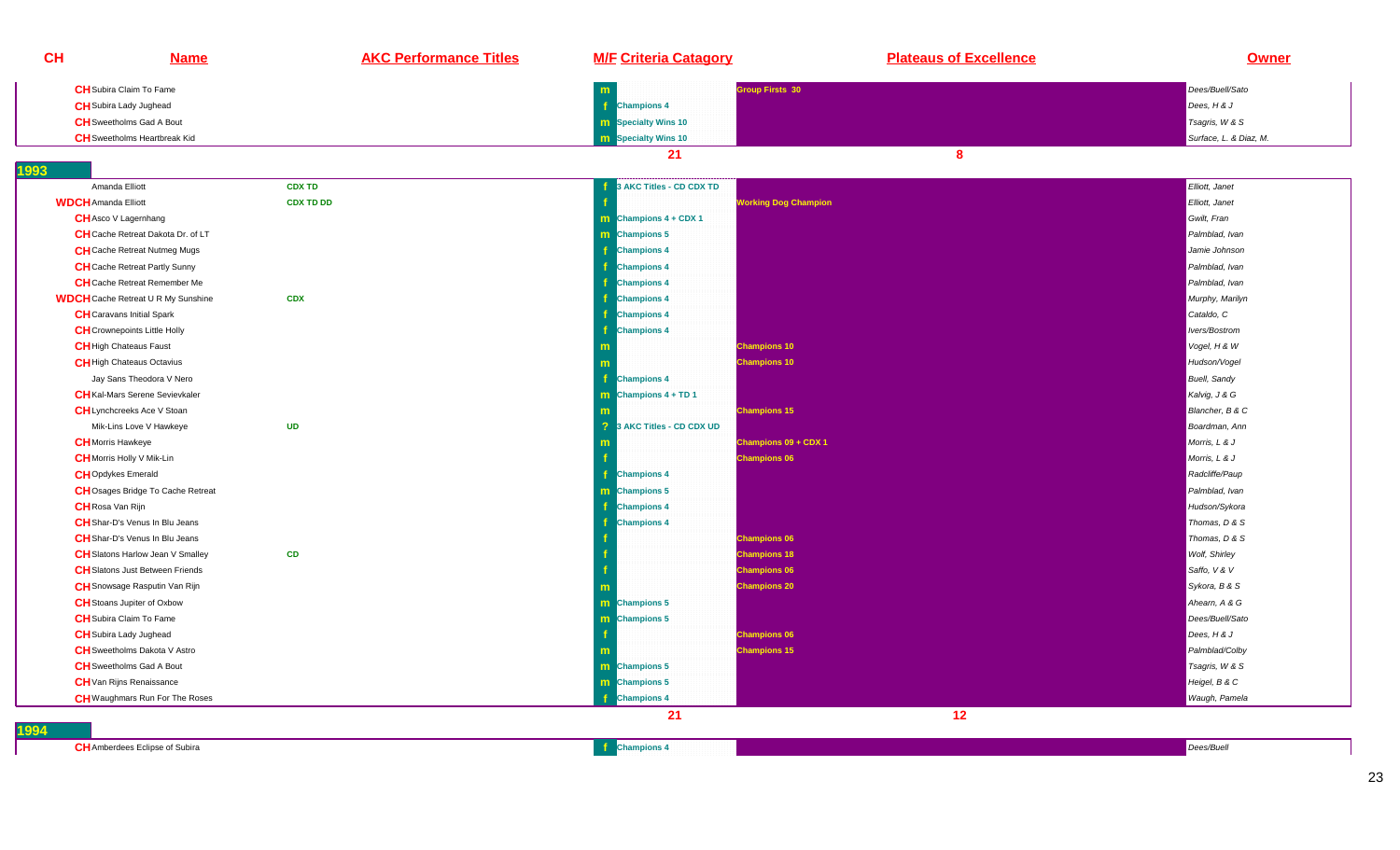| CH                               | <b>Name</b>                               | <b>AKC Performance Titles</b> | <b>M/F Criteria Catagory</b>               | <b>Plateaus of Excellence</b> | <b>Owner</b>           |
|----------------------------------|-------------------------------------------|-------------------------------|--------------------------------------------|-------------------------------|------------------------|
|                                  | <b>CH</b> Subira Claim To Fame            |                               | m                                          | Group Firsts 30               | Dees/Buell/Sato        |
| <b>CH</b> Subira Lady Jughead    |                                           |                               | <b>Champions 4</b>                         |                               | Dees, $H \& J$         |
|                                  | <b>CH</b> Sweetholms Gad A Bout           |                               | <b>m</b> Specialty Wins 10                 |                               | Tsagris, W & S         |
|                                  | <b>CH</b> Sweetholms Heartbreak Kid       |                               | <b>m</b> Specialty Wins 10                 |                               | Surface, L. & Diaz, M. |
|                                  |                                           |                               | 21                                         | 8                             |                        |
| 1993                             |                                           |                               |                                            |                               |                        |
| Amanda Elliott                   |                                           | <b>CDX TD</b>                 | 3 AKC Titles - CD CDX TD                   |                               | Elliott, Janet         |
| <b>WDCH</b> Amanda Elliott       |                                           | <b>CDX TD DD</b>              |                                            | <b>Working Dog Champion</b>   | Elliott, Janet         |
| <b>CH</b> Asco V Lagernhang      |                                           |                               | <b>m</b> Champions $4 + CDX 1$             |                               | Gwilt, Fran            |
|                                  | CH Cache Retreat Dakota Dr. of LT         |                               | m Champions 5                              |                               | Palmblad, Ivan         |
|                                  | <b>CH</b> Cache Retreat Nutmeg Mugs       |                               | <b>Champions 4</b>                         |                               | Jamie Johnson          |
|                                  | <b>CH</b> Cache Retreat Partly Sunny      |                               | <b>Champions 4</b>                         |                               | Palmblad, Ivan         |
|                                  | <b>CH</b> Cache Retreat Remember Me       |                               | <b>Champions 4</b>                         |                               | Palmblad, Ivan         |
|                                  | <b>WDCH</b> Cache Retreat U R My Sunshine | <b>CDX</b>                    | <sup>1</sup> Champions 4                   |                               | Murphy, Marilyn        |
|                                  | <b>CH</b> Caravans Initial Spark          |                               | <b>Champions 4</b>                         |                               | Cataldo, C             |
|                                  | <b>CH</b> Crownepoints Little Holly       |                               | <b>Champions 4</b>                         |                               | Ivers/Bostrom          |
| <b>CH</b> High Chateaus Faust    |                                           |                               |                                            | <b>Champions 10</b>           | Vogel, H & W           |
|                                  | <b>CH</b> High Chateaus Octavius          |                               | m                                          | <b>Champions 10</b>           | Hudson/Vogel           |
|                                  | Jay Sans Theodora V Nero                  |                               | <b>f</b> Champions 4                       |                               | <b>Buell</b> , Sandy   |
|                                  | <b>CH</b> Kal-Mars Serene Sevievkaler     |                               | $\boxed{\mathbf{m}}$ Champions 4 + TD 1    |                               | Kalvig, J & G          |
|                                  | <b>CH</b> Lynchcreeks Ace V Stoan         |                               |                                            | <b>Champions 15</b>           | Blancher, B & C        |
|                                  | Mik-Lins Love V Hawkeye                   | <b>UD</b>                     | $\overline{2}$<br>3 AKC Titles - CD CDX UD |                               | Boardman, Ann          |
| <b>CH</b> Morris Hawkeye         |                                           |                               |                                            | Champions 09 + CDX 1          | Morris, L & J          |
| <b>CH</b> Morris Holly V Mik-Lin |                                           |                               |                                            | <b>Champions 06</b>           | Morris, L & J          |
| <b>CH</b> Opdykes Emerald        |                                           |                               | <b>f</b> Champions 4                       |                               | Radcliffe/Paup         |
|                                  | <b>CH</b> Osages Bridge To Cache Retreat  |                               | <b>m</b> Champions 5                       |                               | Palmblad, Ivan         |
| <b>CH</b> Rosa Van Rijn          |                                           |                               | <b>Champions 4</b>                         |                               | Hudson/Sykora          |
|                                  | <b>CH</b> Shar-D's Venus In Blu Jeans     |                               | <b>Champions 4</b>                         |                               | Thomas, D & S          |
|                                  | CH Shar-D's Venus In Blu Jeans            |                               |                                            | <b>Champions 06</b>           | Thomas, D & S          |
|                                  | <b>CH</b> Slatons Harlow Jean V Smalley   | CD                            |                                            | <b>Champions 18</b>           | <b>Wolf</b> , Shirley  |
|                                  | <b>CH</b> Slatons Just Between Friends    |                               |                                            | <b>Champions 06</b>           | Saffo, V & V           |
|                                  | CH Snowsage Rasputin Van Rijn             |                               |                                            | <b>Champions 20</b>           | Sykora, B & S          |
|                                  | <b>CH</b> Stoans Jupiter of Oxbow         |                               | <b>m</b> Champions 5                       |                               | Ahearn, A & G          |
|                                  | <b>CH</b> Subira Claim To Fame            |                               | <b>m</b> Champions 5                       |                               | Dees/Buell/Sato        |
| <b>CH</b> Subira Lady Jughead    |                                           |                               |                                            | <b>Champions 06</b>           | Dees, $H \& J$         |
|                                  | <b>CH</b> Sweetholms Dakota V Astro       |                               |                                            | <b>Champions 15</b>           | Palmblad/Colby         |
|                                  | <b>CH</b> Sweetholms Gad A Bout           |                               | m Champions 5                              |                               | Tsagris, W & S         |
|                                  | <b>CH</b> Van Rijns Renaissance           |                               | <b>m</b> Champions 5                       |                               | Heigel, B & C          |
|                                  | <b>CH</b> Waughmars Run For The Roses     |                               | <b>Champions 4</b>                         |                               | Waugh, Pamela          |
|                                  |                                           |                               | 21                                         | 12                            |                        |
| 1994                             |                                           |                               |                                            |                               |                        |

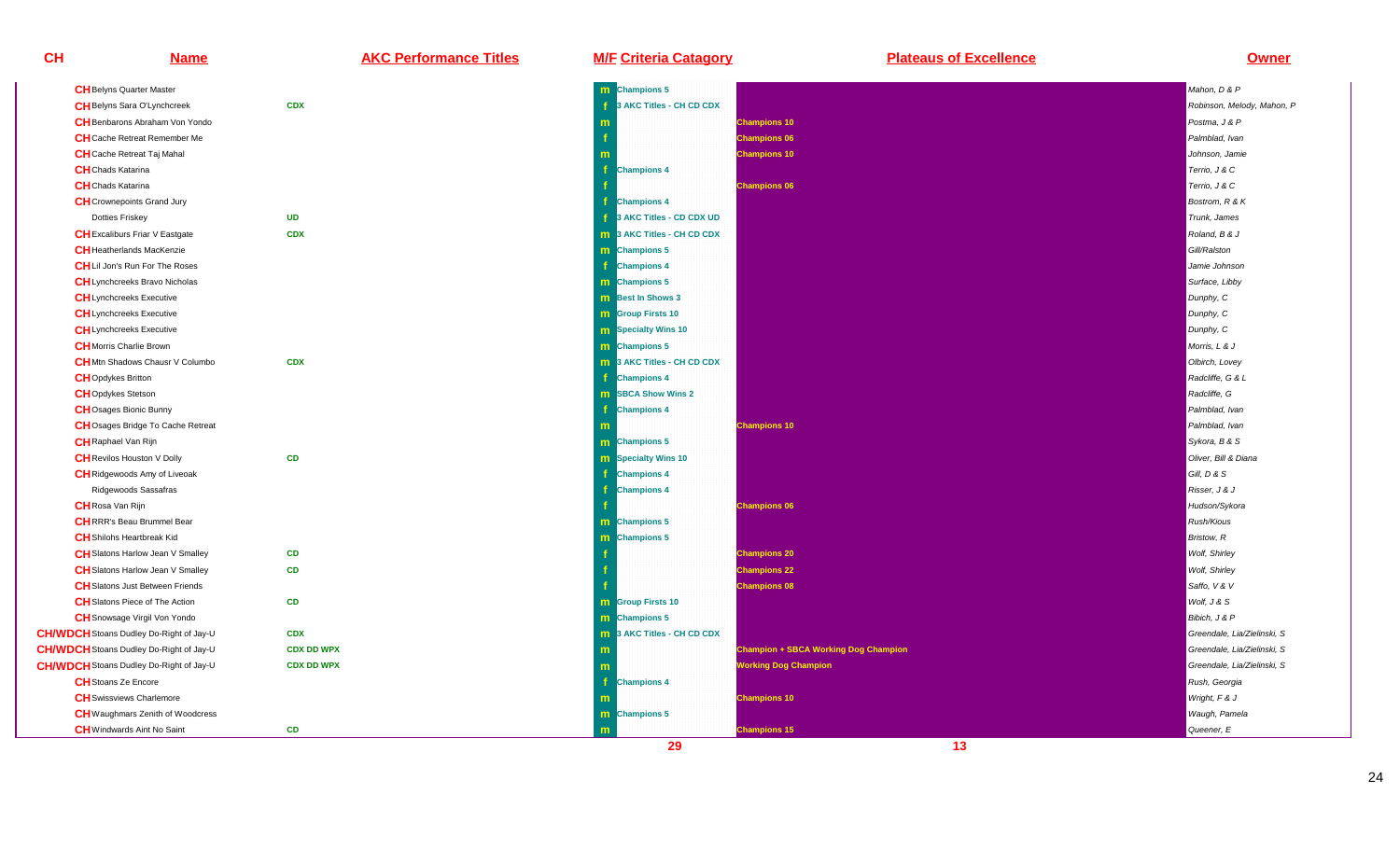| <b>CH</b> Belyns Quarter Master                |                   | m |
|------------------------------------------------|-------------------|---|
| <b>CH</b> Belyns Sara O'Lynchcreek             | <b>CDX</b>        | f |
| <b>CH</b> Benbarons Abraham Von Yondo          |                   | m |
| <b>CH</b> Cache Retreat Remember Me            |                   | f |
| <b>CH</b> Cache Retreat Taj Mahal              |                   | m |
| <b>CH</b> Chads Katarina                       |                   | f |
| <b>CH</b> Chads Katarina                       |                   | f |
| <b>CH</b> Crownepoints Grand Jury              |                   | f |
| <b>Dotties Friskey</b>                         | <b>UD</b>         | f |
| <b>CH</b> Excaliburs Friar V Eastgate          | <b>CDX</b>        | m |
| <b>CH</b> Heatherlands MacKenzie               |                   | m |
| <b>CH</b> Lil Jon's Run For The Roses          |                   | f |
| <b>CH</b> Lynchcreeks Bravo Nicholas           |                   | m |
| <b>CH</b> Lynchcreeks Executive                |                   | m |
| <b>CH</b> Lynchcreeks Executive                |                   | m |
| <b>CH</b> Lynchcreeks Executive                |                   | m |
| <b>CH</b> Morris Charlie Brown                 |                   | m |
| <b>CH</b> Mtn Shadows Chausr V Columbo         | <b>CDX</b>        | m |
| <b>CH</b> Opdykes Britton                      |                   | f |
| <b>CH</b> Opdykes Stetson                      |                   | m |
| <b>CH</b> Osages Bionic Bunny                  |                   | f |
| CHOsages Bridge To Cache Retreat               |                   | m |
| <b>CH</b> Raphael Van Rijn                     |                   | m |
| <b>CH</b> Revilos Houston V Dolly              | <b>CD</b>         | m |
| <b>CH</b> Ridgewoods Amy of Liveoak            |                   | f |
| Ridgewoods Sassafras                           |                   | f |
| <b>CH</b> Rosa Van Rijn                        |                   | f |
| <b>CH</b> RRR's Beau Brummel Bear              |                   | m |
| <b>CH</b> Shilohs Heartbreak Kid               |                   | m |
| <b>CH</b> Slatons Harlow Jean V Smalley        | <b>CD</b>         | f |
| <b>CH</b> Slatons Harlow Jean V Smalley        | <b>CD</b>         | f |
| <b>CH</b> Slatons Just Between Friends         |                   | f |
| <b>CH</b> Slatons Piece of The Action          | <b>CD</b>         | m |
| <b>CH</b> Snowsage Virgil Von Yondo            |                   | m |
| <b>CH/WDCH</b> Stoans Dudley Do-Right of Jay-U | <b>CDX</b>        | m |
| <b>CH/WDCH</b> Stoans Dudley Do-Right of Jay-U | <b>CDX DD WPX</b> | m |
| <b>CH/WDCH</b> Stoans Dudley Do-Right of Jay-U | <b>CDX DD WPX</b> | m |
| <b>CH</b> Stoans Ze Encore                     |                   | f |
| <b>CH</b> Swissviews Charlemore                |                   | m |
| <b>CH</b> Waughmars Zenith of Woodcress        |                   | m |
| <b>CH</b> Windwards Aint No Saint              | <b>CD</b>         | m |

**Name AKC Performance Titles M/F Criteria Catagory Plateaus of Excellence Owner**

|                  | m Champions 5                     |                                             | Mahon, D & P                |
|------------------|-----------------------------------|---------------------------------------------|-----------------------------|
| DX               | 3 AKC Titles - CH CD CDX<br>f.    |                                             | Robinson, Melody, Mahon, P  |
|                  |                                   | <b>Champions 10</b>                         | Postma, J & P               |
|                  |                                   | <b>Champions 06</b>                         | Palmblad, Ivan              |
|                  |                                   | <b>Champions 10</b>                         | Johnson, Jamie              |
|                  | <b>Champions 4</b><br>f           |                                             | Terrio, J & C               |
|                  |                                   | <b>Champions 06</b>                         | Terrio, J & C               |
|                  | <b>Champions 4</b><br>f.          |                                             | Bostrom, R & K              |
| D                | 3 AKC Titles - CD CDX UD<br>f.    |                                             | Trunk, James                |
| DX               | <b>m</b> 3 AKC Titles - CH CD CDX |                                             | Roland, B & J               |
|                  | <b>Champions 5</b><br>m           |                                             | Gill/Ralston                |
|                  | <b>Champions 4</b><br>f.          |                                             | Jamie Johnson               |
|                  | m Champions 5                     |                                             | Surface, Libby              |
|                  | <b>m</b> Best In Shows 3          |                                             | Dunphy, C                   |
|                  | <b>m</b> Group Firsts 10          |                                             | Dunphy, C                   |
|                  | <b>m</b> Specialty Wins 10        |                                             | Dunphy, C                   |
|                  | m Champions 5                     |                                             | Morris, L & J               |
| DX               | 13 AKC Titles - CH CD CDX         |                                             | Olbirch, Lovey              |
|                  | f<br><b>Champions 4</b>           |                                             | Radcliffe, G & L            |
|                  | <b>SBCA Show Wins 2</b><br>m      |                                             | Radcliffe, G                |
|                  | <b>Champions 4</b><br>Ŧ           |                                             | Palmblad, Ivan              |
|                  | $\mathsf{m}$                      | <b>Champions 10</b>                         | Palmblad, Ivan              |
|                  | m Champions 5                     |                                             | Sykora, B & S               |
| D                | <b>m</b> Specialty Wins 10        |                                             | Oliver, Bill & Diana        |
|                  | <b>Champions 4</b>                |                                             | Gill, D & S                 |
|                  | <b>Champions 4</b>                |                                             | Risser, J & J               |
|                  |                                   | <b>Champions 06</b>                         | Hudson/Sykora               |
|                  | <b>Champions 5</b><br>m.          |                                             | <b>Rush/Kious</b>           |
|                  | <b>Champions 5</b><br>m           |                                             | <b>Bristow, R</b>           |
| D                |                                   | <b>Champions 20</b>                         | <b>Wolf</b> , Shirley       |
| D                |                                   | <b>Champions 22</b>                         | <b>Wolf</b> , Shirley       |
|                  |                                   | <b>Champions 08</b>                         | Saffo, V & V                |
| D                | <b>m</b> Group Firsts 10          |                                             | Wolf, J & S                 |
|                  | m Champions 5                     |                                             | Bibich, J & P               |
| DX               | <b>m</b> 3 AKC Titles - CH CD CDX |                                             | Greendale, Lia/Zielinski, S |
| <b>DX DD WPX</b> | m                                 | <b>Champion + SBCA Working Dog Champion</b> | Greendale, Lia/Zielinski, S |
| DX DD WPX        | m                                 | <b>Working Dog Champion</b>                 | Greendale, Lia/Zielinski, S |
|                  | f.<br><b>Champions 4</b>          |                                             | Rush, Georgia               |
|                  |                                   | <b>Champions 10</b>                         | Wright, F & J               |
|                  | m Champions 5                     |                                             | Waugh, Pamela               |
| D                | m                                 | <b>Champions 15</b>                         | Queener, E                  |
|                  | 29                                | 13                                          |                             |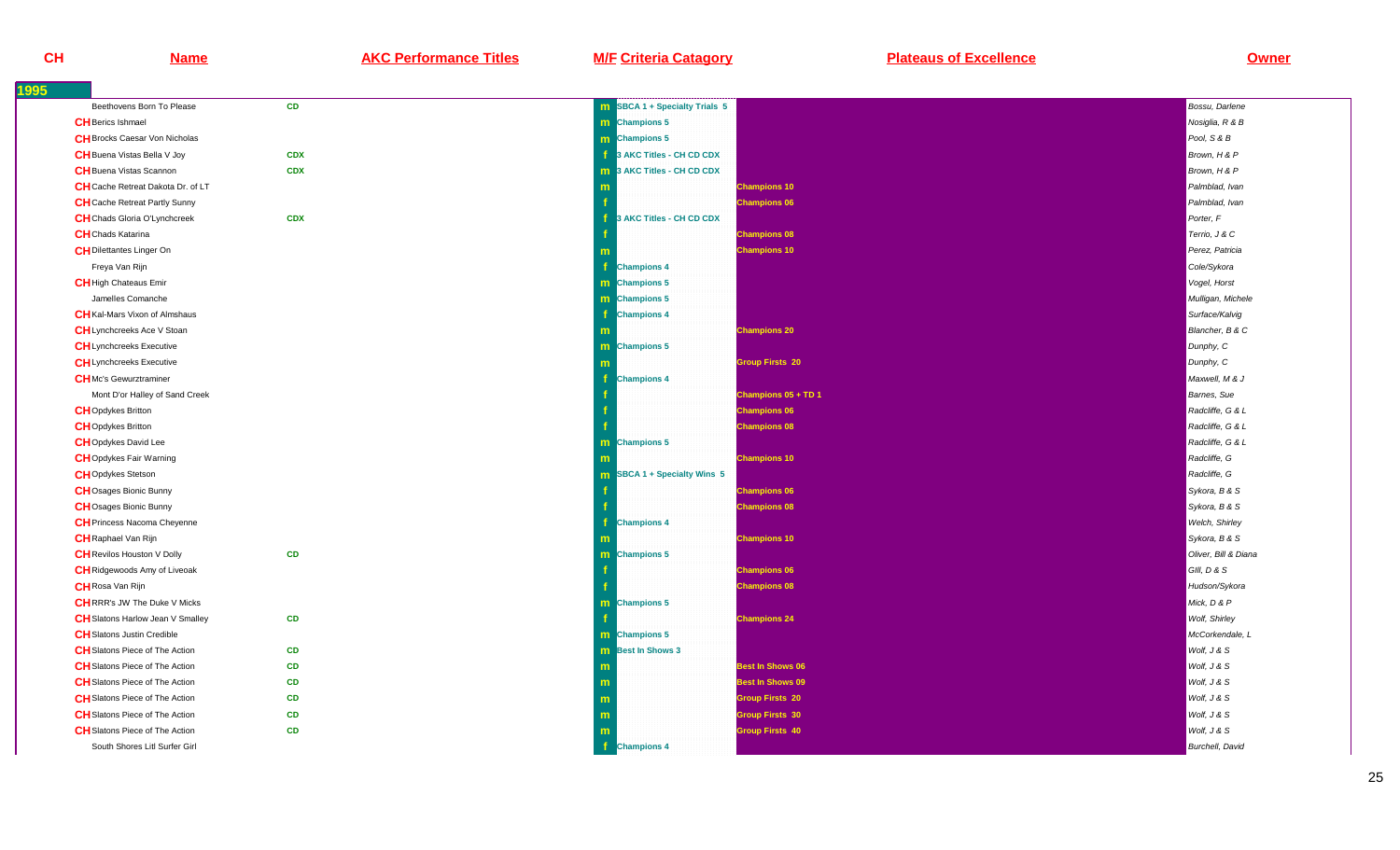**Name AKC Performance Titles M/F Criteria Catagory Plateaus of Excellence Owner**

| 1995                                     |            |                                      |                      |
|------------------------------------------|------------|--------------------------------------|----------------------|
| Beethovens Born To Please                | <b>CD</b>  | <b>m</b> SBCA 1 + Specialty Trials 5 | Bossu, Darlene       |
| <b>CH</b> Berics Ishmael                 |            | m Champions 5                        | Nosiglia, R & B      |
| <b>CH</b> Brocks Caesar Von Nicholas     |            | m Champions 5                        | Pool, S & B          |
| <b>CH</b> Buena Vistas Bella V Joy       | <b>CDX</b> | 3 AKC Titles - CH CD CDX             | Brown, H & P         |
| <b>CH</b> Buena Vistas Scannon           | <b>CDX</b> | <b>m</b> 3 AKC Titles - CH CD CDX    | Brown, H & P         |
| <b>CH</b> Cache Retreat Dakota Dr. of LT |            | <b>Champions 10</b>                  | Palmblad, Ivan       |
| <b>CH</b> Cache Retreat Partly Sunny     |            | <b>Champions 06</b>                  | Palmblad, Ivan       |
| <b>CH</b> Chads Gloria O'Lynchcreek      | <b>CDX</b> | 3 AKC Titles - CH CD CDX             | Porter, F            |
| <b>CH</b> Chads Katarina                 |            | <b>Champions 08</b>                  | Terrio, J & C        |
| <b>CH</b> Dilettantes Linger On          |            | <b>Champions 10</b>                  | Perez, Patricia      |
| Freya Van Rijn                           |            | <b>Champions 4</b>                   | Cole/Sykora          |
| <b>CH</b> High Chateaus Emir             |            | m Champions 5                        | Vogel, Horst         |
| Jamelles Comanche                        |            | <b>m</b> Champions 5                 | Mulligan, Michele    |
| <b>CH</b> Kal-Mars Vixon of Almshaus     |            | <b>Champions 4</b>                   | Surface/Kalvig       |
| <b>CH</b> Lynchcreeks Ace V Stoan        |            | <b>Champions 20</b>                  | Blancher, B & C      |
| <b>CH</b> Lynchcreeks Executive          |            | <b>m</b> Champions 5                 | Dunphy, C            |
| <b>CH</b> Lynchcreeks Executive          |            | <b>Group Firsts 20</b>               | Dunphy, C            |
| <b>CH</b> Mc's Gewurztraminer            |            | <b>Champions 4</b>                   | Maxwell, M & J       |
| Mont D'or Halley of Sand Creek           |            | Champions 05 + TD 1                  | Barnes, Sue          |
| <b>CH</b> Opdykes Britton                |            | <b>Champions 06</b>                  | Radcliffe, G & L     |
| <b>CH</b> Opdykes Britton                |            | <b>Champions 08</b>                  | Radcliffe, G & L     |
| <b>CH</b> Opdykes David Lee              |            | m Champions 5                        | Radcliffe, G & L     |
| <b>CHO</b> pdykes Fair Warning           |            | <b>Champions 10</b>                  | Radcliffe, G         |
| <b>CH</b> Opdykes Stetson                |            | <b>m</b> SBCA 1 + Specialty Wins 5   | Radcliffe, G         |
| <b>CH</b> Osages Bionic Bunny            |            | <b>Champions 06</b>                  | Sykora, B & S        |
| <b>CH</b> Osages Bionic Bunny            |            | <b>Champions 08</b>                  | Sykora, B & S        |
| <b>CH</b> Princess Nacoma Cheyenne       |            | <b>Champions 4</b>                   | Welch, Shirley       |
| <b>CH</b> Raphael Van Rijn               |            | <b>Champions 10</b>                  | Sykora, B & S        |
| <b>CH</b> Revilos Houston V Dolly        | CD         | <b>m</b> Champions 5                 | Oliver, Bill & Diana |
| <b>CH</b> Ridgewoods Amy of Liveoak      |            | <b>Champions 06</b>                  | GIII, D & S          |
| <b>CH</b> Rosa Van Rijn                  |            | <b>Champions 08</b>                  | Hudson/Sykora        |
| <b>CH</b> RRR's JW The Duke V Micks      |            | m Champions 5                        | Mick, D & P          |
| <b>CH</b> Slatons Harlow Jean V Smalley  | CD         | <b>Champions 24</b>                  | Wolf, Shirley        |
| <b>CH</b> Slatons Justin Credible        |            | m Champions 5                        | McCorkendale, L      |
| <b>CH</b> Slatons Piece of The Action    | CD         | <b>m</b> Best In Shows 3             | Wolf, J & S          |
| <b>CH</b> Slatons Piece of The Action    | CD         | <b>Best In Shows 06</b>              | Wolf, J & S          |
| <b>CH</b> Slatons Piece of The Action    | <b>CD</b>  | <b>Best In Shows 09</b><br>m         | Wolf, J & S          |
| <b>CH</b> Slatons Piece of The Action    | CD         | <b>Group Firsts 20</b><br>m          | Wolf, J & S          |
| <b>CH</b> Slatons Piece of The Action    | CD         | <b>Group Firsts 30</b><br>m          | Wolf, J & S          |
| <b>CH</b> Slatons Piece of The Action    | <b>CD</b>  | <b>Group Firsts 40</b>               | Wolf, J & S          |
| South Shores Litl Surfer Girl            |            | Æ<br><b>Champions 4</b>              | Burchell, David      |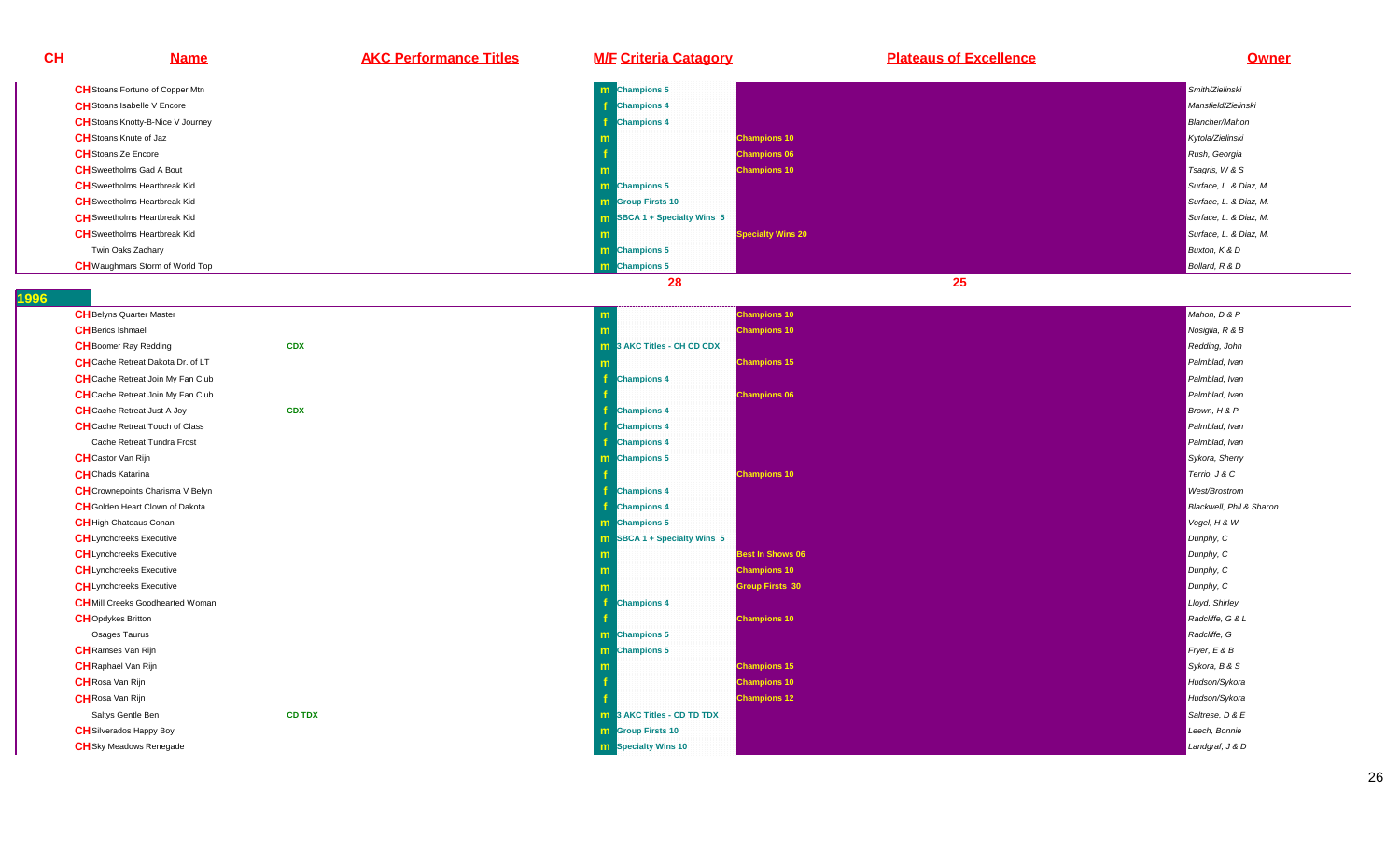| CН | <b>Name</b>                              | <b>AKC Performance Titles</b> | <b>M/F Criteria Catagory</b>   | <b>Plateaus of Excellence</b> | Owner                    |
|----|------------------------------------------|-------------------------------|--------------------------------|-------------------------------|--------------------------|
|    | CH Stoans Fortuno of Copper Mtn          |                               | <b>Champions 5</b><br>m.       |                               | Smith/Zielinski          |
|    | CH Stoans Isabelle V Encore              |                               | <b>Champions 4</b>             |                               | Mansfield/Zielinski      |
|    | <b>CH</b> Stoans Knotty-B-Nice V Journey |                               | <b>Champions 4</b>             |                               | <b>Blancher/Mahon</b>    |
|    | <b>CH</b> Stoans Knute of Jaz            |                               |                                | <b>Champions 10</b>           | Kytola/Zielinski         |
|    | <b>CH</b> Stoans Ze Encore               |                               |                                | <b>Champions 06</b>           | Rush, Georgia            |
|    | <b>CH</b> Sweetholms Gad A Bout          |                               |                                | <b>Champions 10</b>           | Tsagris, W & S           |
|    | <b>CH</b> Sweetholms Heartbreak Kid      |                               | <b>m</b> Champions 5           |                               | Surface, L. & Diaz, M.   |
|    | <b>CH</b> Sweetholms Heartbreak Kid      |                               | <b>m</b> Group Firsts 10       |                               | Surface, L. & Diaz, M.   |
|    | <b>CH</b> Sweetholms Heartbreak Kid      |                               | SBCA 1 + Specialty Wins 5      |                               | Surface, L. & Diaz, M.   |
|    | <b>CH</b> Sweetholms Heartbreak Kid      |                               |                                | <b>Specialty Wins 20</b>      | Surface, L. & Diaz, M.   |
|    | Twin Oaks Zachary                        |                               | <b>m</b> Champions 5           |                               | Buxton, K & D            |
|    | <b>CH</b> Waughmars Storm of World Top   |                               | <b>Champions 5</b><br>m.       |                               | Bollard, R & D           |
|    |                                          |                               | 28                             | 25                            |                          |
|    | <b>CH</b> Belyns Quarter Master          |                               | m                              | <b>Champions 10</b>           | Mahon, D & P             |
|    | <b>CH</b> Berics Ishmael                 |                               |                                | <b>Champions 10</b>           | Nosiglia, R & B          |
|    | <b>CH</b> Boomer Ray Redding             | <b>CDX</b>                    | 3 AKC Titles - CH CD CDX<br>m  |                               | Redding, John            |
|    | CH Cache Retreat Dakota Dr. of LT        |                               |                                | <b>Champions 15</b>           | Palmblad, Ivan           |
|    | CH Cache Retreat Join My Fan Club        |                               | <b>Champions 4</b>             |                               | Palmblad, Ivan           |
|    | <b>CH</b> Cache Retreat Join My Fan Club |                               |                                | <b>Champions 06</b>           | Palmblad, Ivan           |
|    | <b>CH</b> Cache Retreat Just A Joy       | <b>CDX</b>                    | <b>Champions 4</b>             |                               | Brown, H & P             |
|    | <b>CH</b> Cache Retreat Touch of Class   |                               | <b>Champions 4</b>             |                               | Palmblad, Ivan           |
|    | Cache Retreat Tundra Frost               |                               | <b>Champions 4</b>             |                               | Palmblad, Ivan           |
|    | <b>CH</b> Castor Van Rijn                |                               | <b>m</b> Champions 5           |                               | Sykora, Sherry           |
|    | <b>CH</b> Chads Katarina                 |                               |                                | <b>Champions 10</b>           | Terrio, J & C            |
|    | <b>CH</b> Crownepoints Charisma V Belyn  |                               | <b>Champions 4</b>             |                               | West/Brostrom            |
|    | CH Golden Heart Clown of Dakota          |                               | <b>Champions 4</b>             |                               | Blackwell, Phil & Sharon |
|    | <b>CH</b> High Chateaus Conan            |                               | m Champions 5                  |                               | Vogel, H & W             |
|    | <b>CH</b> Lynchcreeks Executive          |                               | SBCA 1 + Specialty Wins 5<br>m |                               | Dunphy, C                |
|    | <b>CH</b> Lynchcreeks Executive          |                               |                                | <b>Best In Shows 06</b>       | Dunphy, C                |
|    | <b>CH</b> Lynchcreeks Executive          |                               |                                | <b>Champions 10</b>           | Dunphy, C                |
|    | <b>CH</b> Lynchcreeks Executive          |                               |                                | <b>Group Firsts 30</b>        | Dunphy, C                |
|    | <b>CH</b> Mill Creeks Goodhearted Woman  |                               | <b>Champions 4</b>             |                               | Lloyd, Shirley           |
|    | <b>CH</b> Opdykes Britton                |                               |                                | <b>Champions 10</b>           | Radcliffe, G & L         |
|    | Osages Taurus                            |                               | m Champions 5                  |                               | Radcliffe, G             |
|    | <b>CH</b> Ramses Van Rijn                |                               | <b>m</b> Champions 5           |                               | Fryer, E & B             |
|    | <b>CH</b> Raphael Van Rijn               |                               |                                | <b>Champions 15</b>           | Sykora, B & S            |
|    | <b>CH</b> Rosa Van Rijn                  |                               |                                | <b>Champions 10</b>           | Hudson/Sykora            |
|    | <b>CH</b> Rosa Van Rijn                  |                               |                                | <b>Champions 12</b>           | Hudson/Sykora            |
|    | Saltys Gentle Ben                        | <b>CD TDX</b>                 | 3 AKC Titles - CD TD TDX<br>m  |                               | Saltrese, D & E          |
|    | <b>CH</b> Silverados Happy Boy           |                               | <b>m</b> Group Firsts 10       |                               | Leech, Bonnie            |
|    | <b>CH</b> Sky Meadows Renegade           |                               | <b>m</b> Specialty Wins 10     |                               | Landgraf, J & D          |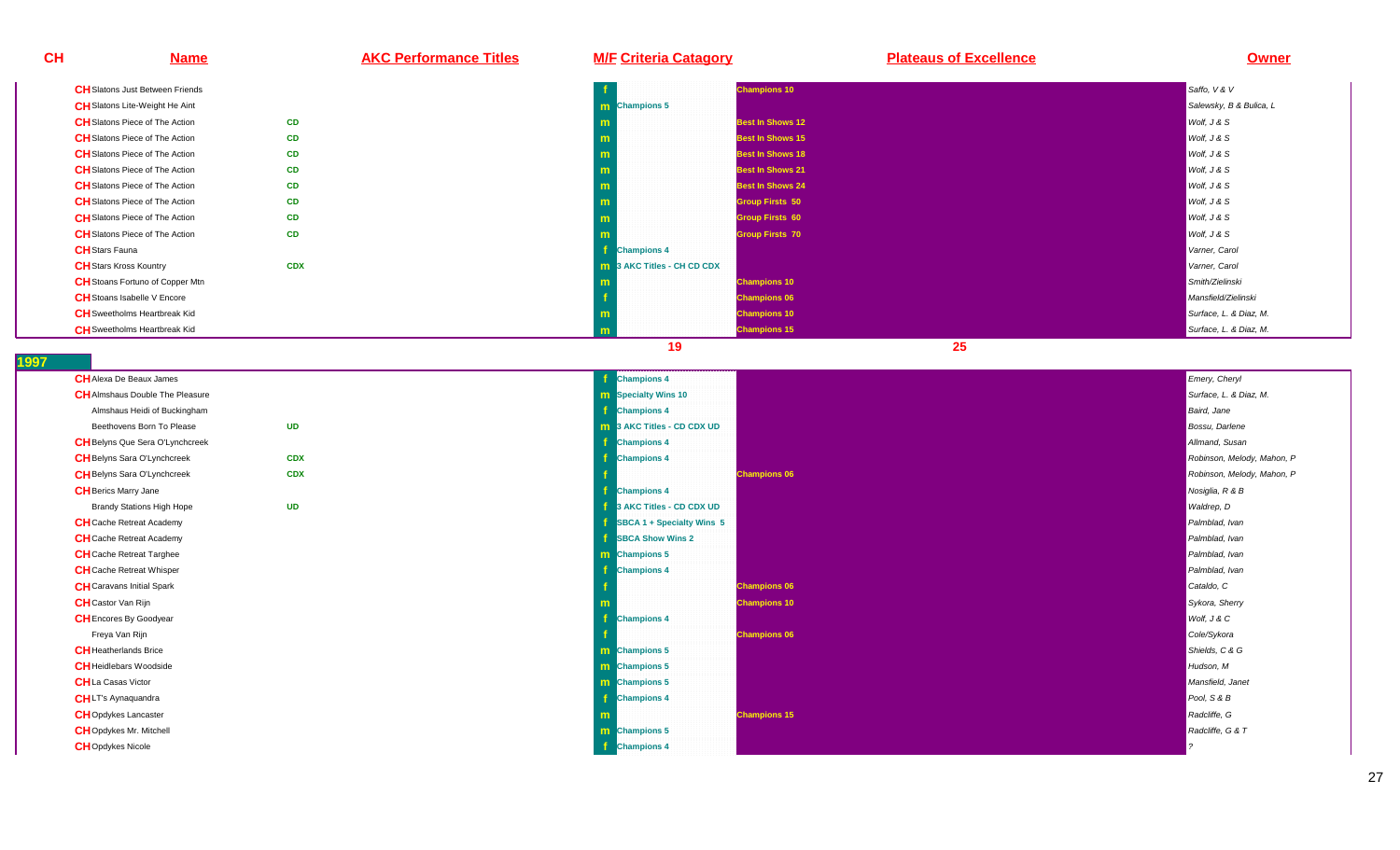**CH Name AKC Performance Titles M/F Criteria Catagory Plateaus of Excellence Owner CH**Slatons Just Between Friends**f** the contract of the contract of the contract of the contract of the contract of the contract of the contract of the contract of the contract of the contract of the contract of the contract of the contract of the contra **Champions 10** Saffo, V & VSalewsky, B & Bulica, L **CH**Slatons Lite-Weight He Aint **mChampions 5** Salewsky, B & Bulica, L Champions 5 Salewsky, B & Bulica, L Champions 5 Salewsky, B & Bulica, L Champions 5 Salewsky, B & Bulica, L **CH** Slatons Piece of The Action n **CD m Best In Shows 12** Wolf, J & S<br>**Best In Shows 12** Wolf, J & S Wolf, J & S Wolf, J & S Wolf, J & S Wolf, J & S Wolf, J & S Wolf, J & S Wolf, J & S **CH**Slatons Piece of The Action **CDm Best In Shows 15** Wolf, J & State In Shows 15 Wolf, J & State In Shows 15 Wolf, J & State In Shows 16 Wolf, J & S<br>The state in the state in the state in the state in the state in the state in the state in the state in the **CH** Slatons Piece of The Action **CD b m Best In Shows 18** Wolf, J & S<br>**Best In Shows 18** Wolf, J & S Wolf, J & S Wolf, J & S Wolf, J & S Wolf, J & S Wolf, J & S Wolf, J & S Wolf, J & S **CH** Slatons Piece of The Action n **CD <sup>m</sup>Best In Shows 21** Wolf, J & S<br>**Best In Shows 21** Wolf, J & S Wolf, J & S Wolf, J & S Wolf, J & S Wolf, J & S Wolf, J & S Wolf, J & S Wolf, J & S **CH**Slatons Piece of The Actionn **CD m Best In Shows 24** Wolf, J & S<br> **Best In Shows 24** Wolf, J & S **CH**Slatons Piece of The Actionn **CD m Group Firsts 50** Wolf, J & S **CH**Slatons Piece of The Action**CD b m Coup Firsts 60** Wolf, J & S Wolf, J & S Wolf, J & S Wolf, J & S Wolf, J & S Wolf, J & S Wolf, J & S Wolf, J & S **CH**Slatons Piece of The Actionn **CD m Community** Scriber of the Community Scriber of the Community Scriber of the Community Scriber of the Wolf, J & S<br>The Community Scriber of the Community Scriber of the Community Scriber of the Community Scriber of the Comm **CH**Stars Fauna **<sup>f</sup> Champions 4** Varner, Carol **CH**Stars Kross Kountry **CDXx m 3 AKC Titles - CH CD CDX** Varner, Carol **CH**Stoans Fortuno of Copper Mtn**m Champions 10** Smith/Zielinski **CH**Stoans Isabelle V Encore **<sup>f</sup> Champions 06** Mansfield/Zielinski **CH**Sweetholms Heartbreak Kid**d** and the contract of the contract of the contract of the contract of the contract of the contract of the contract of the contract of the contract of the contract of the contract of the contract of the contract of the co **Champions 10** Surface, L. & Diaz, M. Schwarz and Surface, L. & Diaz, M. Schwarz and Surface, L. & Diaz, M. Schwarz and Surface, L. & Diaz, M. Schwarz and Surface, L. & Diaz, M. Schwarz and Surface, L. & Diaz, M. Schwarz a **CH**Sweetholms Heartbreak Kid **<sup>m</sup>Champions 15** Surface, L. & Diaz, M. Surface, L. & Diaz, M. Surface, L. & Diaz, M. Surface, L. & Diaz, M. Surface, L. & Diaz, M. Surface, L. & Diaz, M. Surface, L. & Diaz, M. Surface, L. & Diaz, M. Surface, L. & Diaz, M.

**19 25** 

| <b>CH</b> Alexa De Beaux James         |            | <b>Champions 4</b>                | Emery, Cheryl              |
|----------------------------------------|------------|-----------------------------------|----------------------------|
| <b>CH</b> Almshaus Double The Pleasure |            | <b>m</b> Specialty Wins 10        | Surface, L. & Diaz, M.     |
| Almshaus Heidi of Buckingham           |            | <b>Champions 4</b>                | Baird, Jane                |
| Beethovens Born To Please              | <b>UD</b>  | <b>m</b> 3 AKC Titles - CD CDX UD | Bossu, Darlene             |
| <b>CH</b> Belyns Que Sera O'Lynchcreek |            | <b>Champions 4</b>                | Allmand, Susan             |
| <b>CH</b> Belyns Sara O'Lynchcreek     | <b>CDX</b> | <b>Champions 4</b>                | Robinson, Melody, Mahon, P |
| <b>CH</b> Belyns Sara O'Lynchcreek     | <b>CDX</b> | <b>Champions 06</b>               | Robinson, Melody, Mahon, P |
| <b>CH</b> Berics Marry Jane            |            | <b>Champions 4</b>                | Nosiglia, R & B            |
| <b>Brandy Stations High Hope</b>       | <b>UD</b>  | <b>1</b> 3 AKC Titles - CD CDX UD | Waldrep, D                 |
| <b>CH</b> Cache Retreat Academy        |            | SBCA 1 + Specialty Wins 5         | Palmblad, Ivan             |
| <b>CH</b> Cache Retreat Academy        |            | <b>SBCA Show Wins 2</b>           | Palmblad, Ivan             |
| <b>CH</b> Cache Retreat Targhee        |            | <b>m</b> Champions 5              | Palmblad, Ivan             |
| <b>CH</b> Cache Retreat Whisper        |            | <b>Champions 4</b>                | Palmblad, Ivan             |
| <b>CH</b> Caravans Initial Spark       |            | <b>Champions 06</b>               | Cataldo, C                 |
| <b>CH</b> Castor Van Rijn              |            | <b>Champions 10</b>               | Sykora, Sherry             |
| <b>CH</b> Encores By Goodyear          |            | <b>Champions 4</b>                | Wolf, J & C                |
| Freya Van Rijn                         |            | <b>Champions 06</b>               | Cole/Sykora                |
| <b>CH</b> Heatherlands Brice           |            | <b>Im</b> Champions 5             | Shields, C & G             |
| <b>CH</b> Heidlebars Woodside          |            | <b>m</b> Champions 5              | Hudson, M                  |
| <b>CH</b> La Casas Victor              |            | m Champions 5                     | Mansfield, Janet           |
| <b>CHLT's Aynaquandra</b>              |            | <b>Champions 4</b>                | Pool, S & B                |
| <b>CH</b> Opdykes Lancaster            |            | <b>Champions 15</b><br>m          | Radcliffe, G               |
| <b>CH</b> Opdykes Mr. Mitchell         |            | m Champions 5                     | Radcliffe, G & T           |
| <b>CH</b> Opdykes Nicole               |            | <b>Champions 4</b>                |                            |
|                                        |            |                                   |                            |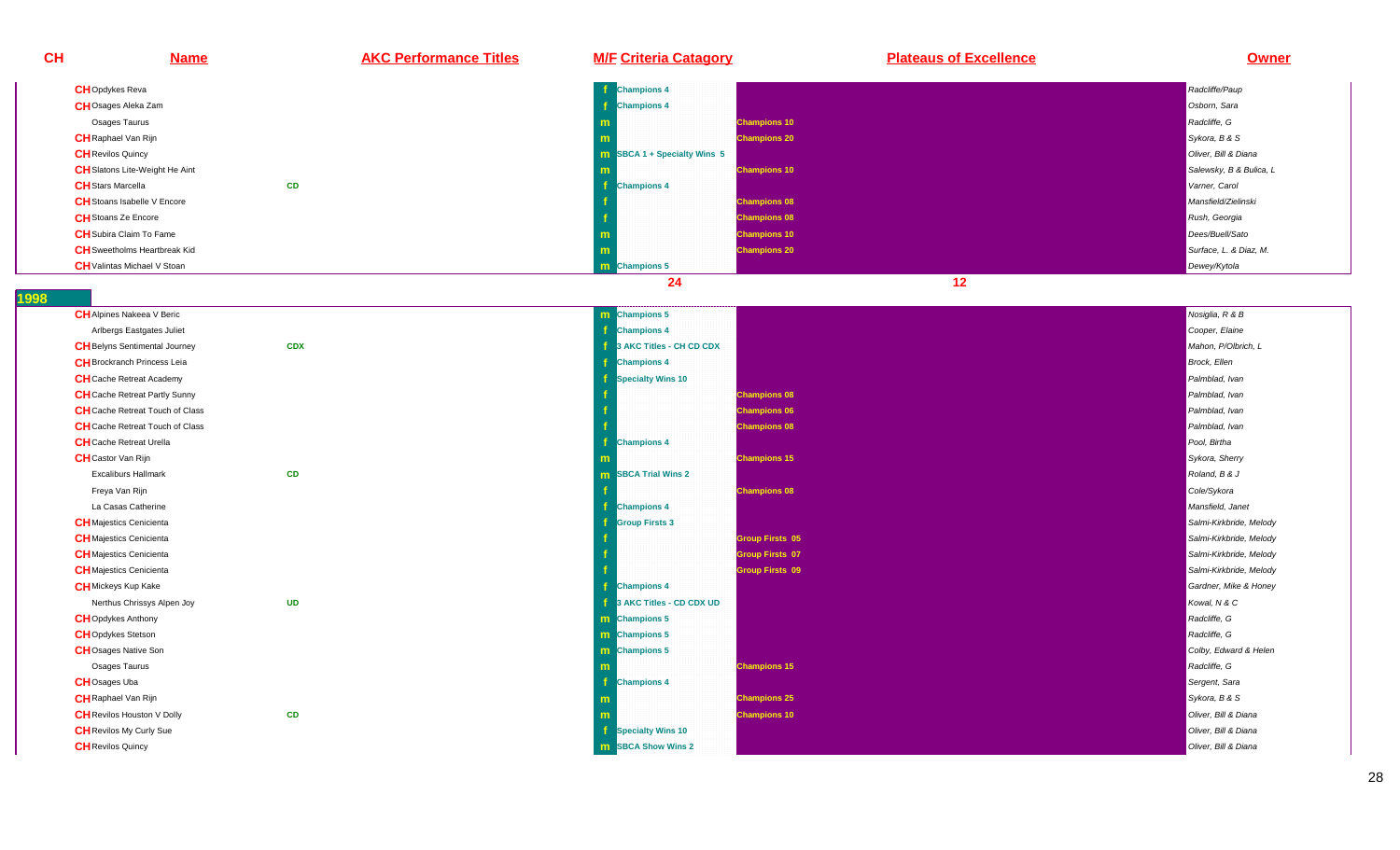| CH | <b>Name</b>                                  | <b>AKC Performance Titles</b> | <b>M/F Criteria Catagory</b>                   | <b>Plateaus of Excellence</b> | <b>Owner</b>                          |
|----|----------------------------------------------|-------------------------------|------------------------------------------------|-------------------------------|---------------------------------------|
|    | <b>CH</b> Opdykes Reva                       |                               | <b>Champions 4</b>                             |                               | Radcliffe/Paup                        |
|    | <b>CH</b> Osages Aleka Zam                   |                               | <b>Champions 4</b>                             |                               | Osborn, Sara                          |
|    | Osages Taurus                                |                               |                                                | <b>Champions 10</b>           | Radcliffe, G                          |
|    | <b>CH</b> Raphael Van Rijn                   |                               |                                                | <b>Champions 20</b>           | Sykora, B & S                         |
|    | <b>CH</b> Revilos Quincy                     |                               | <b>m</b> SBCA 1 + Specialty Wins 5             |                               | Oliver, Bill & Diana                  |
|    | <b>CH</b> Slatons Lite-Weight He Aint        |                               |                                                | <b>Champions 10</b>           | Salewsky, B & Bulica, L               |
|    | <b>CH</b> Stars Marcella                     | CD                            | <b>Champions 4</b>                             |                               | Varner, Carol                         |
|    | <b>CH</b> Stoans Isabelle V Encore           |                               |                                                | <b>Champions 08</b>           | Mansfield/Zielinski                   |
|    | <b>CH</b> Stoans Ze Encore                   |                               |                                                | <b>Champions 08</b>           | Rush, Georgia                         |
|    | <b>CH</b> Subira Claim To Fame               |                               | m                                              | <b>Champions 10</b>           | Dees/Buell/Sato                       |
|    | <b>CH</b> Sweetholms Heartbreak Kid          |                               | m                                              | <b>Champions 20</b>           | Surface, L. & Diaz, M.                |
|    | <b>CH</b> Valintas Michael V Stoan           |                               | m Champions 5                                  |                               | Dewey/Kytola                          |
|    |                                              |                               | 24                                             | 12                            |                                       |
|    |                                              |                               |                                                |                               |                                       |
|    | <b>CH</b> Alpines Nakeea V Beric             |                               | m Champions 5                                  |                               | Nosiglia, R & B                       |
|    | Arlbergs Eastgates Juliet                    |                               | <b>Champions 4</b>                             |                               | Cooper, Elaine                        |
|    | <b>CH</b> Belyns Sentimental Journey         | <b>CDX</b>                    | 3 AKC Titles - CH CD CDX                       |                               | Mahon, P/Olbrich, L                   |
|    | <b>CH</b> Brockranch Princess Leia           |                               | <b>Champions 4</b>                             |                               | Brock, Ellen                          |
|    | <b>CH</b> Cache Retreat Academy              |                               | <b>Specialty Wins 10</b>                       |                               | Palmblad, Ivan                        |
|    | <b>CH</b> Cache Retreat Partly Sunny         |                               |                                                | <b>Champions 08</b>           | Palmblad, Ivan                        |
|    | <b>CH</b> Cache Retreat Touch of Class       |                               |                                                | <b>Champions 06</b>           | Palmblad, Ivan                        |
|    | <b>CH</b> Cache Retreat Touch of Class       |                               |                                                | <b>Champions 08</b>           | Palmblad, Ivan                        |
|    | <b>CH</b> Cache Retreat Urella               |                               | <b>Champions 4</b>                             |                               | Pool, Birtha                          |
|    | <b>CH</b> Castor Van Rijn                    |                               |                                                | <b>Champions 15</b>           | Sykora, Sherry                        |
|    | <b>Excaliburs Hallmark</b>                   | CD                            | <b>m</b> SBCA Trial Wins 2                     |                               | Roland, B & J                         |
|    | Freya Van Rijn                               |                               |                                                | <b>Champions 08</b>           | Cole/Sykora                           |
|    | La Casas Catherine                           |                               | <b>Champions 4</b>                             |                               | Mansfield, Janet                      |
|    | <b>CH</b> Majestics Cenicienta               |                               | <b>Group Firsts 3</b>                          |                               | Salmi-Kirkbride, Melody               |
|    | <b>CH</b> Majestics Cenicienta               |                               |                                                | <b>Group Firsts 05</b>        | Salmi-Kirkbride, Melody               |
|    | <b>CH</b> Majestics Cenicienta               |                               |                                                | <b>Group Firsts 07</b>        | Salmi-Kirkbride, Melody               |
|    | <b>CH</b> Majestics Cenicienta               |                               |                                                | Group Firsts 09               | Salmi-Kirkbride, Melody               |
|    | <b>CH</b> Mickeys Kup Kake                   |                               | <b>Champions 4</b><br>3 AKC Titles - CD CDX UD |                               | Gardner, Mike & Honey<br>Kowal, N & C |
|    | Nerthus Chrissys Alpen Joy                   | <b>UD</b>                     |                                                |                               | Radcliffe, G                          |
|    | <b>CH</b> Opdykes Anthony                    |                               | m Champions 5<br>m Champions 5                 |                               | Radcliffe, G                          |
|    | <b>CH</b> Opdykes Stetson                    |                               | m Champions 5                                  |                               |                                       |
|    | <b>CH</b> Osages Native Son<br>Osages Taurus |                               |                                                | <b>Champions 15</b>           | Colby, Edward & Helen<br>Radcliffe, G |
|    | <b>CH</b> Osages Uba                         |                               | m<br><b>Champions 4</b>                        |                               | Sergent, Sara                         |
|    | <b>CH</b> Raphael Van Rijn                   |                               |                                                | <b>Champions 25</b>           | Sykora, B & S                         |
|    | <b>CH</b> Revilos Houston V Dolly            | CD                            |                                                |                               | Oliver, Bill & Diana                  |
|    | <b>CH</b> Revilos My Curly Sue               |                               | <b>Specialty Wins 10</b>                       | <b>Champions 10</b>           | Oliver, Bill & Diana                  |
|    |                                              |                               | <b>m</b> SBCA Show Wins 2                      |                               | Oliver, Bill & Diana                  |
|    | <b>CH</b> Revilos Quincy                     |                               |                                                |                               |                                       |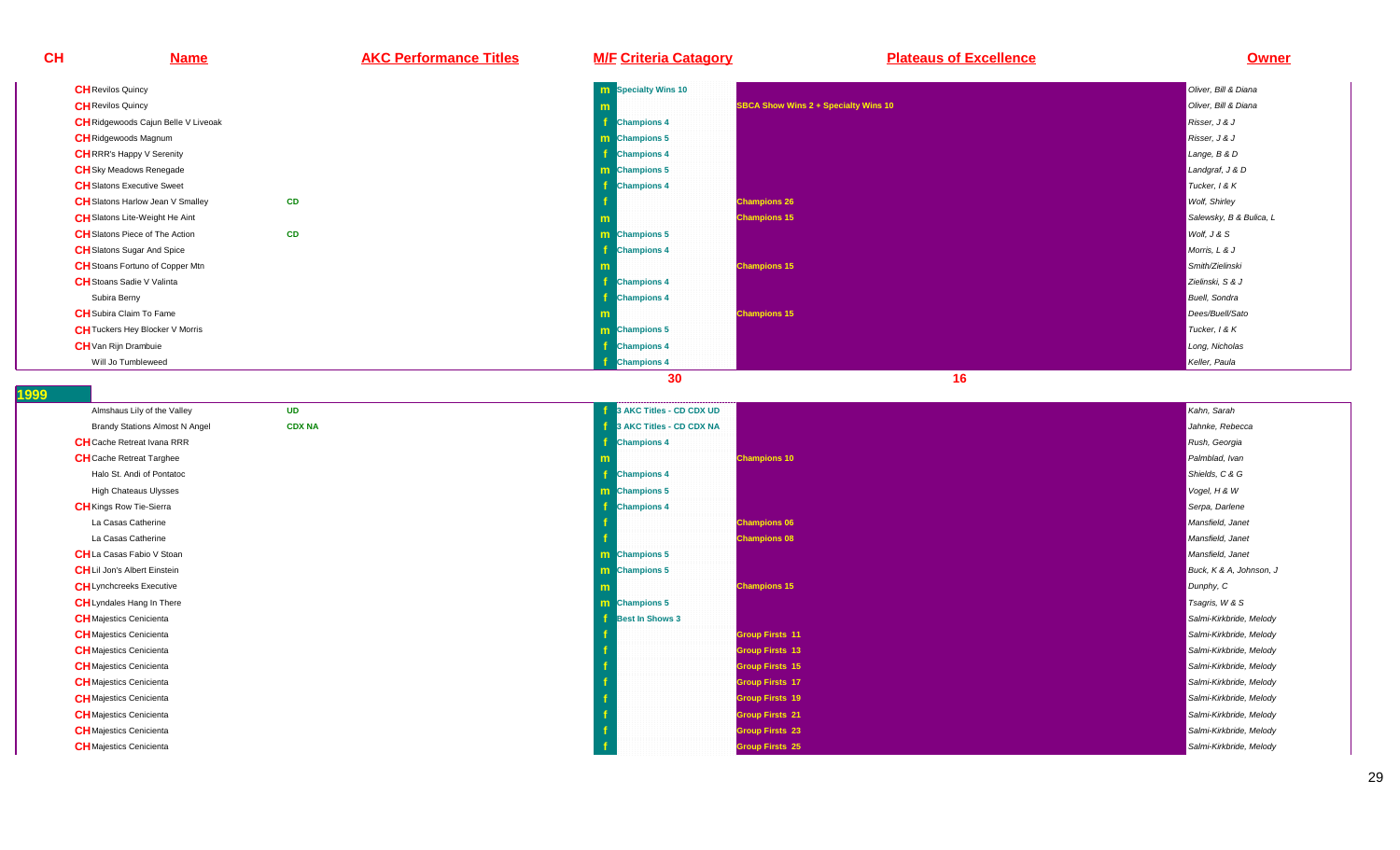**CH Name AKC Performance Titles M/F Criteria Catagory Plateaus of Excellence Owner CH**Revilos Quincy **<sup>m</sup>n** Specialty Wins 10 Oliver, Bill & Diana **Collection Collection Collection Collection** Collection Collection Collection Collection Collection Collection Collection Collection Collection Collection Collection Collection C **CH**Revilos Quincy **<sup>m</sup>SBCA Show Wins 2 + Specialty Wins 10** Oliver, Bill & Diana Chiver, Bill & Diana Chiver, Bill & Diana Chiver, Bill & Diana Chiver, Bill & Diana Chiver, Bill & Diana Chiver, Bill & Diana Chiver, Bill & Diana Chiver, Bill & **CH**Ridgewoods Cajun Belle V Liveoak **f Champions 4** Risser, J & J **CH**Ridgewoods Magnum**m Champions 5** Risser, J & J **CH**RRR's Happy V Serenity **f Champions 4** Lange, B & DLandgraf, J & D **CH**Sky Meadows Renegadee and the second contract of the second contract of the second contract of the second contract of the second contract of the second contract of the second contract of the second contract of the second contract of the secon **Champions 5** Landgraf, J & D **CH**Slatons Executive Sweet **f Champions 4** Tucker, I & K**Wolf**, Shirley **CH** Slatons Harlow Jean V Smalley **CD <sup>f</sup> Champions 26** Wolf, Shirley **CH**Slatons Lite-Weight He Aint **mChampions 15** Salewsky, B & Bulica, L & Bulica, L & Bulica, L & Bulica, L & Bulica, L & Bulica, L & Bulica, L & Bulica, L & Bulica, L & Bulica, L & Bulica, L & Bulica, L & Bulica, L & Bulica, L & Bulica, L & Bulica, L & B **CH** Slatons Piece of The Action **CDm Champions 5** Wolf, J & S **CH**Slatons Sugar And Spice **<sup>f</sup> Champions 4** Morris, L & J **CH**Stoans Fortuno of Copper Mtn**m Champions 15** Smith/Zielinski **CH**Stoans Sadie V Valinta**f** and the contract of the contract of the contract of the contract of the contract of the contract of the contract of the contract of the contract of the contract of the contract of the contract of the contract of the co **Champions 4** Zielinski, S & J Subira Berny **f Champions 4** Buell, Sondra **CH**Subira Claim To Fame**m** and the contract of the contract of the contract of the contract of the contract of the contract of the contract of the contract of the contract of the contract of the contract of the contract of the contract of the co **Champions 15 Dees/Buell/Sato**<br>Professional Champions 15 Dees/Buell/Sato **CH**Tuckers Hey Blocker V Morriss and the second contract of the second contract of the second contract of the second contract of the second contract of the second contract of the second contract of the second contract of the second contract of the secon **Champions 5 Tucker, I & K**<br>Tucker, I & K **CH**Van Rijn Drambuie **<sup>f</sup>Champions 4** Long, Nicholas

**1999** 

Will Jo Tumbleweed

**d** 

| Almshaus Lily of the Valley           | <b>UD</b>     | 3 AKC Titles - CD CDX UD | Kahn, Sarah             |
|---------------------------------------|---------------|--------------------------|-------------------------|
| <b>Brandy Stations Almost N Angel</b> | <b>CDX NA</b> | 3 AKC Titles - CD CDX NA | Jahnke, Rebecca         |
| <b>CH</b> Cache Retreat Ivana RRR     |               | <b>Champions 4</b>       | Rush, Georgia           |
| <b>CH</b> Cache Retreat Targhee       |               | <b>Champions 10</b>      | Palmblad, Ivan          |
| Halo St. Andi of Pontatoc             |               | <b>Champions 4</b>       | Shields, C & G          |
| <b>High Chateaus Ulysses</b>          |               | <b>m</b> Champions 5     | Vogel, H & W            |
| <b>CH</b> Kings Row Tie-Sierra        |               | <b>Champions 4</b>       | Serpa, Darlene          |
| La Casas Catherine                    |               | <b>Champions 06</b>      | Mansfield, Janet        |
| La Casas Catherine                    |               | <b>Champions 08</b>      | Mansfield, Janet        |
| <b>CH</b> La Casas Fabio V Stoan      |               | <b>m</b> Champions 5     | Mansfield, Janet        |
| <b>CH</b> Lil Jon's Albert Einstein   |               | m Champions 5            | Buck, K & A, Johnson, J |
| <b>CH</b> Lynchcreeks Executive       |               | <b>Champions 15</b>      | Dunphy, C               |
| <b>CH</b> Lyndales Hang In There      |               | <b>m</b> Champions 5     | Tsagris, W & S          |
| <b>CH</b> Majestics Cenicienta        |               | <b>Best In Shows 3</b>   | Salmi-Kirkbride, Melody |
| <b>CH</b> Majestics Cenicienta        |               | <b>Group Firsts 11</b>   | Salmi-Kirkbride, Melody |
| <b>CH</b> Majestics Cenicienta        |               | <b>Group Firsts 13</b>   | Salmi-Kirkbride, Melody |
| <b>CH</b> Majestics Cenicienta        |               | <b>Group Firsts 15</b>   | Salmi-Kirkbride, Melody |
| <b>CH</b> Majestics Cenicienta        |               | <b>Group Firsts 17</b>   | Salmi-Kirkbride, Melody |
| <b>CH</b> Majestics Cenicienta        |               | <b>Group Firsts 19</b>   | Salmi-Kirkbride, Melody |
| <b>CH</b> Majestics Cenicienta        |               | <b>Group Firsts 21</b>   | Salmi-Kirkbride, Melody |
| <b>CH</b> Majestics Cenicienta        |               | <b>Group Firsts 23</b>   | Salmi-Kirkbride, Melody |
| <b>CH</b> Majestics Cenicienta        |               | <b>Group Firsts 25</b>   | Salmi-Kirkbride, Melody |

**f** Champions 4 Keller, Paula Champions 4 Keller, Paula Champions 4 Keller, Paula Champions 4 Keller, Paula Champions 4 Keller, Paula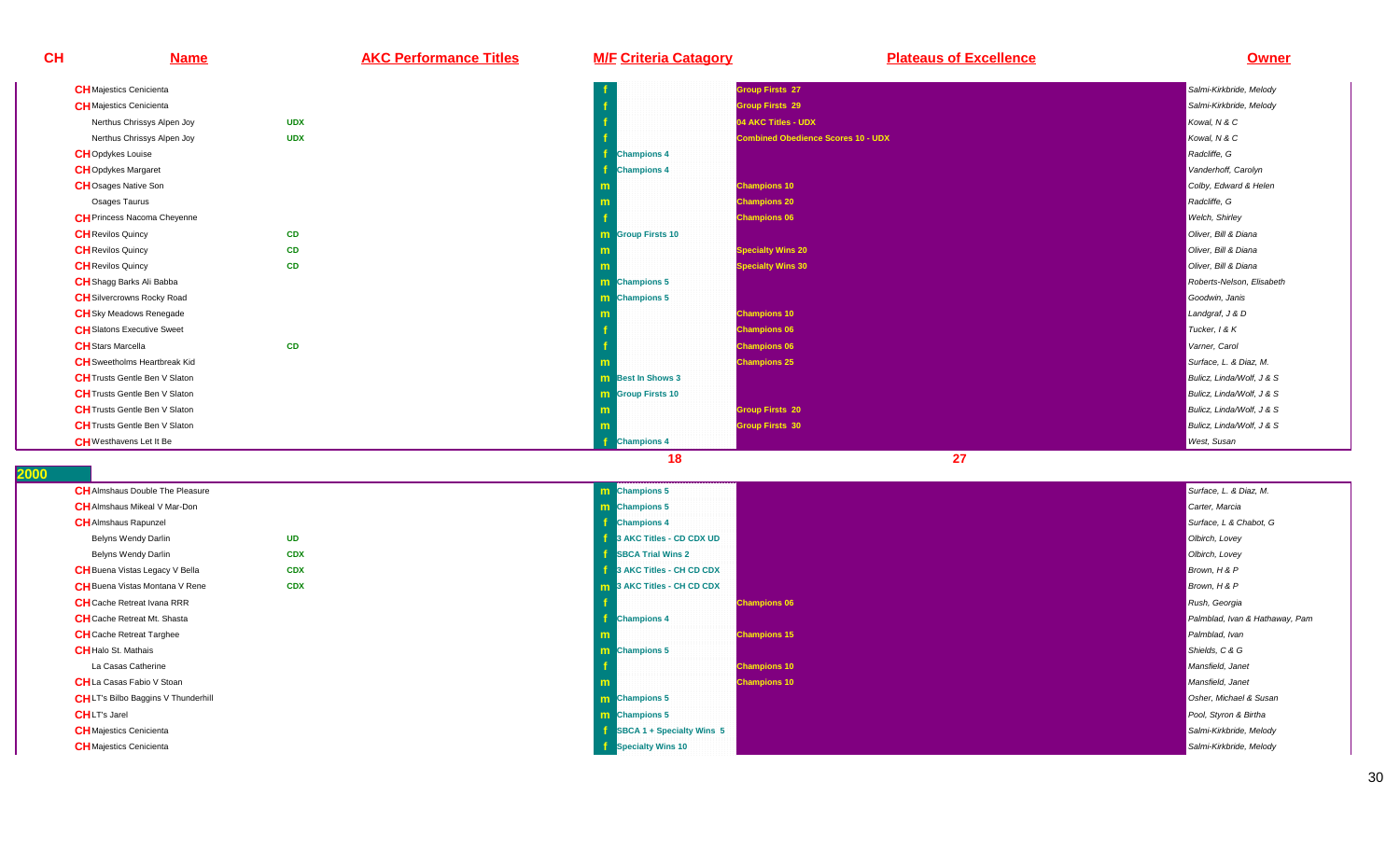| <b>CH</b> | <b>Name</b>                              | <b>AKC Performance Titles</b> | <b>M/F Criteria Catagory</b> | <b>Plateaus of Excellence</b>             | <b>Owner</b>              |
|-----------|------------------------------------------|-------------------------------|------------------------------|-------------------------------------------|---------------------------|
|           | <b>CH</b> Majestics Cenicienta           |                               |                              | <b>Group Firsts 27</b>                    | Salmi-Kirkbride, Melody   |
|           | <b>CH</b> Majestics Cenicienta           |                               |                              | <b>Group Firsts 29</b>                    | Salmi-Kirkbride, Melody   |
|           | <b>UDX</b><br>Nerthus Chrissys Alpen Joy |                               |                              | 04 AKC Titles - UDX                       | Kowal, N & C              |
|           | <b>UDX</b><br>Nerthus Chrissys Alpen Joy |                               |                              | <b>Combined Obedience Scores 10 - UDX</b> | Kowal, N & C              |
|           | <b>CH</b> Opdykes Louise                 |                               | <b>Champions 4</b>           |                                           | Radcliffe, G              |
|           | <b>CH</b> Opdykes Margaret               |                               | <b>Champions 4</b>           |                                           | Vanderhoff, Carolyn       |
|           | <b>CH</b> Osages Native Son              |                               |                              | <b>Champions 10</b>                       | Colby, Edward & Helen     |
|           | Osages Taurus                            |                               |                              | <b>Champions 20</b>                       | Radcliffe, G              |
|           | <b>CH</b> Princess Nacoma Cheyenne       |                               |                              | <b>Champions 06</b>                       | Welch, Shirley            |
|           | <b>CD</b><br><b>CH</b> Revilos Quincy    |                               | <b>m</b> Group Firsts 10     |                                           | Oliver, Bill & Diana      |
|           | <b>CD</b><br><b>CH</b> Revilos Quincy    |                               |                              | <b>Specialty Wins 20</b>                  | Oliver, Bill & Diana      |
|           | CD<br><b>CH</b> Revilos Quincy           |                               | m                            | <b>Specialty Wins 30</b>                  | Oliver, Bill & Diana      |
|           | <b>CH</b> Shagg Barks Ali Babba          |                               | m Champions 5                |                                           | Roberts-Nelson, Elisabeth |
|           | <b>CH</b> Silvercrowns Rocky Road        |                               | <b>m</b> Champions 5         |                                           | Goodwin, Janis            |
|           | <b>CH</b> Sky Meadows Renegade           |                               |                              | <b>Champions 10</b>                       | Landgraf, J & D           |
|           | <b>CH</b> Slatons Executive Sweet        |                               |                              | <b>Champions 06</b>                       | Tucker, 1 & K             |
|           | CD<br><b>CH</b> Stars Marcella           |                               |                              | <b>Champions 06</b>                       | Varner, Carol             |
|           | <b>CH</b> Sweetholms Heartbreak Kid      |                               |                              | <b>Champions 25</b>                       | Surface, L. & Diaz, M.    |
|           | <b>CH</b> Trusts Gentle Ben V Slaton     |                               | <b>m</b> Best In Shows 3     |                                           | Bulicz, Linda/Wolf, J & S |
|           | <b>CH</b> Trusts Gentle Ben V Slaton     |                               | <b>m</b> Group Firsts 10     |                                           | Bulicz, Linda/Wolf, J & S |
|           | <b>CH</b> Trusts Gentle Ben V Slaton     |                               |                              | <b>Group Firsts 20</b>                    | Bulicz. Linda/Wolf. J & S |
|           | <b>CH</b> Trusts Gentle Ben V Slaton     |                               | m                            | <b>Group Firsts 30</b>                    | Bulicz, Linda/Wolf, J & S |
|           | <b>CH</b> Westhavens Let It Be           |                               | <b>Champions 4</b>           |                                           | <b>West, Susan</b>        |
|           |                                          |                               | 18                           | 27                                        |                           |

| <b>CH</b> Almshaus Double The Pleasure    |            | <b>m</b> Champions 5              |                     | Surface, L. & L |
|-------------------------------------------|------------|-----------------------------------|---------------------|-----------------|
| <b>CH</b> Almshaus Mikeal V Mar-Don       |            | <b>m</b> Champions 5              |                     | Carter, Marcia  |
| <b>CH</b> Almshaus Rapunzel               |            | <b>Champions 4</b>                |                     | Surface, L & C  |
| Belyns Wendy Darlin                       | <b>UD</b>  | 3 AKC Titles - CD CDX UD          |                     | Olbirch, Lovey  |
| Belyns Wendy Darlin                       | <b>CDX</b> | <b>SBCA Trial Wins 2</b>          |                     | Olbirch, Lovey  |
| <b>CH</b> Buena Vistas Legacy V Bella     | <b>CDX</b> | 3 AKC Titles - CH CD CDX          |                     | Brown, H & P    |
| <b>CH</b> Buena Vistas Montana V Rene     | <b>CDX</b> | <b>m</b> 3 AKC Titles - CH CD CDX |                     | Brown, H & P    |
| <b>CH</b> Cache Retreat Ivana RRR         |            |                                   | <b>Champions 06</b> | Rush, Georgia   |
| <b>CH</b> Cache Retreat Mt. Shasta        |            | <b>Champions 4</b>                |                     | Palmblad, Ivar  |
| <b>CH</b> Cache Retreat Targhee           |            |                                   | <b>Champions 15</b> | Palmblad, Ivar  |
| <b>CH</b> Halo St. Mathais                |            | <b>m</b> Champions 5              |                     | Shields, C & G  |
| La Casas Catherine                        |            |                                   | <b>Champions 10</b> | Mansfield, Jan  |
| <b>CH</b> La Casas Fabio V Stoan          |            |                                   | <b>Champions 10</b> | Mansfield, Jan  |
| <b>CHLT's Bilbo Baggins V Thunderhill</b> |            | <b>m</b> Champions 5              |                     | Osher, Michae   |
| <b>CHLT's Jarel</b>                       |            | <b>m</b> Champions 5              |                     | Pool, Styron &  |
| <b>CH</b> Majestics Cenicienta            |            | SBCA 1 + Specialty Wins 5         |                     | Salmi-Kirkbride |
| <b>CH</b> Majestics Cenicienta            |            | Specialty Wins 10                 |                     | Salmi-Kirkbride |
|                                           |            |                                   |                     |                 |

**Champions 15** Palmblad, Ivan Champions 15 Palmblad, Ivan Palmblad, Ivan Palmblad, Ivan Palmblad, Ivan Palmblad, Iva<br>Palmblad, Ivan Palmblad, Ivan Palmblad, Ivan Palmblad, Ivan Palmblad, Ivan Palmblad, Ivan Palmblad, Ivan **Champions 5** Shields, C & G **Champions 10** Mansfield, Janet **Champions 10** Mansfield, Janet Champions 10 Mansfield, Janet Champions and Schwarz (Mansfield, Janet Champions 1<br>The contract of the contract of the contract of the contract of the contract of the contract of the contract **Champions 5** Osher, Michael & Susan Susan Susan Susan Susan Susan Susan Susan Susan Susan Susan Susan Susan Su<br>Dia ang panganggal sa mga banda ay ang pangalang sa mga bangay na mga bangay na mga bangay na mga bangay na mg **Champions 5** Pool, Styron & Birtha **SBCA 1 + Specialty Wins 5** Salmi-Kirkbride, Melody **Salmi-Kirkbride, Melody** Salmi-Kirkbride, Melody **Specialty Wins 10** Salmi-Kirkbride, Melody **Salmi-Kirkbride, Melody** Salmi-Kirkbride, Melody Salmi-Kirkbride, Melody

**Champions 4** Surface, L & Chabot, G & Chabot, G & Chabot, G & Chabot, G & Chabot, G & Chabot, G & Chabot, G & Chabot, G

**Champions 4 Palmblad, Ivan & Hathaway, Pampions 4 Palmblad, Ivan & Hathaway, Pampions 4 Palmblad, Ivan & Hathaway, Pam**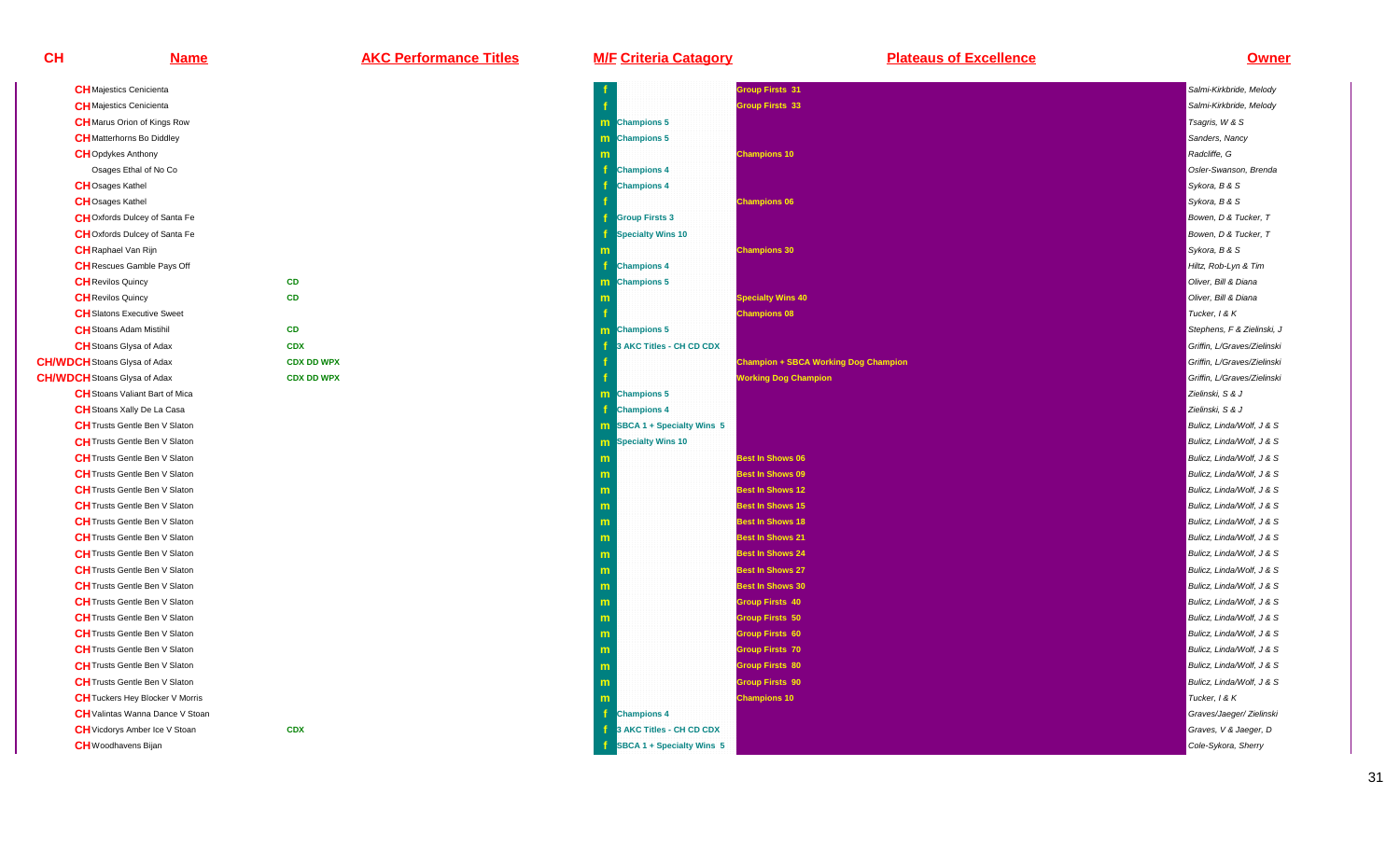**CH/WDCH**Stoans Glysa of Adax

**CH/WDCH**Stoans Glysa of Adax

| <b>C</b> Performance Titles |  |  |  |  |  |  |  |  |
|-----------------------------|--|--|--|--|--|--|--|--|
|                             |  |  |  |  |  |  |  |  |

| <b>Name</b>                            | <b>AKC Performance Titles</b> | <b>M/F Criteria Catagory</b>       | <b>Plateaus of Excellence</b>               | <b>Owner</b>                |
|----------------------------------------|-------------------------------|------------------------------------|---------------------------------------------|-----------------------------|
| <b>CH</b> Majestics Cenicienta         |                               |                                    | Group Firsts 31                             | Salmi-Kirkbride, Melody     |
| <b>CH</b> Majestics Cenicienta         |                               |                                    | <b>Group Firsts 33</b>                      | Salmi-Kirkbride, Melody     |
| <b>CH</b> Marus Orion of Kings Row     |                               | m Champions 5                      |                                             | Tsagris, W & S              |
| <b>CH</b> Matterhorns Bo Diddley       |                               | <b>m</b> Champions 5               |                                             | Sanders, Nancy              |
| <b>CH</b> Opdykes Anthony              |                               |                                    | <b>Champions 10</b>                         | Radcliffe, G                |
| Osages Ethal of No Co                  |                               | <b>Champions 4</b>                 |                                             | Osler-Swanson, Brenda       |
| <b>CH</b> Osages Kathel                |                               | <b>Champions 4</b>                 |                                             | Sykora, B & S               |
| <b>CH</b> Osages Kathel                |                               |                                    | <b>Champions 06</b>                         | Sykora, B & S               |
| <b>CH</b> Oxfords Dulcey of Santa Fe   |                               | <b>Group Firsts 3</b>              |                                             | Bowen, D & Tucker, T        |
| CHOxfords Dulcey of Santa Fe           |                               | <b>Specialty Wins 10</b>           |                                             | Bowen, D & Tucker, T        |
| <b>CH</b> Raphael Van Rijn             |                               |                                    | <b>Champions 30</b>                         | Sykora, B & S               |
| <b>CH</b> Rescues Gamble Pays Off      |                               | <b>Champions 4</b>                 |                                             | Hiltz, Rob-Lyn & Tim        |
| <b>CH</b> Revilos Quincy               | CD                            | <b>Champions 5</b><br>m            |                                             | Oliver, Bill & Diana        |
| <b>CH</b> Revilos Quincy               | CD                            |                                    | <b>Specialty Wins 40</b>                    | Oliver, Bill & Diana        |
| <b>CH</b> Slatons Executive Sweet      |                               |                                    | <b>Champions 08</b>                         | Tucker, 1 & K               |
| <b>CH</b> Stoans Adam Mistihil         | CD                            | m Champions 5                      |                                             | Stephens, F & Zielinski, J  |
| <b>CH</b> Stoans Glysa of Adax         | <b>CDX</b>                    | 3 AKC Titles - CH CD CDX           |                                             | Griffin, L/Graves/Zielinski |
| <b>WDCH</b> Stoans Glysa of Adax       | <b>CDX DD WPX</b>             |                                    | <b>Champion + SBCA Working Dog Champion</b> | Griffin, L/Graves/Zielinski |
| <b>WDCH</b> Stoans Glysa of Adax       | <b>CDX DD WPX</b>             |                                    | <b>Working Dog Champion</b>                 | Griffin, L/Graves/Zielinski |
| <b>CH</b> Stoans Valiant Bart of Mica  |                               | <b>m</b> Champions 5               |                                             | Zielinski, S & J            |
| <b>CH</b> Stoans Xally De La Casa      |                               | <b>Champions 4</b>                 |                                             | Zielinski, S & J            |
| <b>CH</b> Trusts Gentle Ben V Slaton   |                               | <b>m</b> SBCA 1 + Specialty Wins 5 |                                             | Bulicz, Linda/Wolf, J & S   |
| <b>CH</b> Trusts Gentle Ben V Slaton   |                               | <b>m</b> Specialty Wins 10         |                                             | Bulicz, Linda/Wolf, J & S   |
| <b>CH</b> Trusts Gentle Ben V Slaton   |                               |                                    | <b>Best In Shows 06</b>                     | Bulicz, Linda/Wolf, J & S   |
| <b>CH</b> Trusts Gentle Ben V Slaton   |                               | m                                  | <b>Best In Shows 09</b>                     | Bulicz, Linda/Wolf, J & S   |
| <b>CH</b> Trusts Gentle Ben V Slaton   |                               | m                                  | <b>Best In Shows 12</b>                     | Bulicz, Linda/Wolf, J & S   |
| <b>CH</b> Trusts Gentle Ben V Slaton   |                               |                                    | <b>Best In Shows 15</b>                     | Bulicz, Linda/Wolf, J & S   |
| <b>CH</b> Trusts Gentle Ben V Slaton   |                               | m                                  | <b>Best In Shows 18</b>                     | Bulicz, Linda/Wolf, J & S   |
| <b>CH</b> Trusts Gentle Ben V Slaton   |                               |                                    | <b>Best In Shows 21</b>                     | Bulicz, Linda/Wolf, J & S   |
| <b>CH</b> Trusts Gentle Ben V Slaton   |                               |                                    | <b>Best In Shows 24</b>                     | Bulicz, Linda/Wolf, J & S   |
| <b>CH</b> Trusts Gentle Ben V Slaton   |                               | m                                  | <b>Best In Shows 27</b>                     | Bulicz, Linda/Wolf, J & S   |
| <b>CH</b> Trusts Gentle Ben V Slaton   |                               | m                                  | <b>Best In Shows 30</b>                     | Bulicz, Linda/Wolf, J & S   |
| <b>CH</b> Trusts Gentle Ben V Slaton   |                               |                                    | <b>Group Firsts 40</b>                      | Bulicz, Linda/Wolf, J & S   |
| <b>CH</b> Trusts Gentle Ben V Slaton   |                               |                                    | <b>Group Firsts 50</b>                      | Bulicz, Linda/Wolf, J & S   |
| <b>CH</b> Trusts Gentle Ben V Slaton   |                               | m                                  | Group Firsts 60                             | Bulicz, Linda/Wolf, J & S   |
| <b>CH</b> Trusts Gentle Ben V Slaton   |                               |                                    | <b>Group Firsts 70</b>                      | Bulicz, Linda/Wolf, J & S   |
| <b>CH</b> Trusts Gentle Ben V Slaton   |                               |                                    | <b>Group Firsts 80</b>                      | Bulicz, Linda/Wolf, J & S   |
| <b>CH</b> Trusts Gentle Ben V Slaton   |                               | m                                  | <b>Group Firsts 90</b>                      | Bulicz, Linda/Wolf, J & S   |
| <b>CH</b> Tuckers Hey Blocker V Morris |                               |                                    | <b>Champions 10</b>                         | Tucker, 1 & K               |
| CH Valintas Wanna Dance V Stoan        |                               | <b>Champions 4</b>                 |                                             | Graves/Jaeger/ Zielinski    |
| <b>CH</b> Vicdorys Amber Ice V Stoan   | <b>CDX</b>                    | 3 AKC Titles - CH CD CDX           |                                             | Graves, V & Jaeger, D       |
| <b>CH</b> Woodhavens Bijan             |                               | SBCA 1 + Specialty Wins 5          |                                             | Cole-Sykora, Sherry         |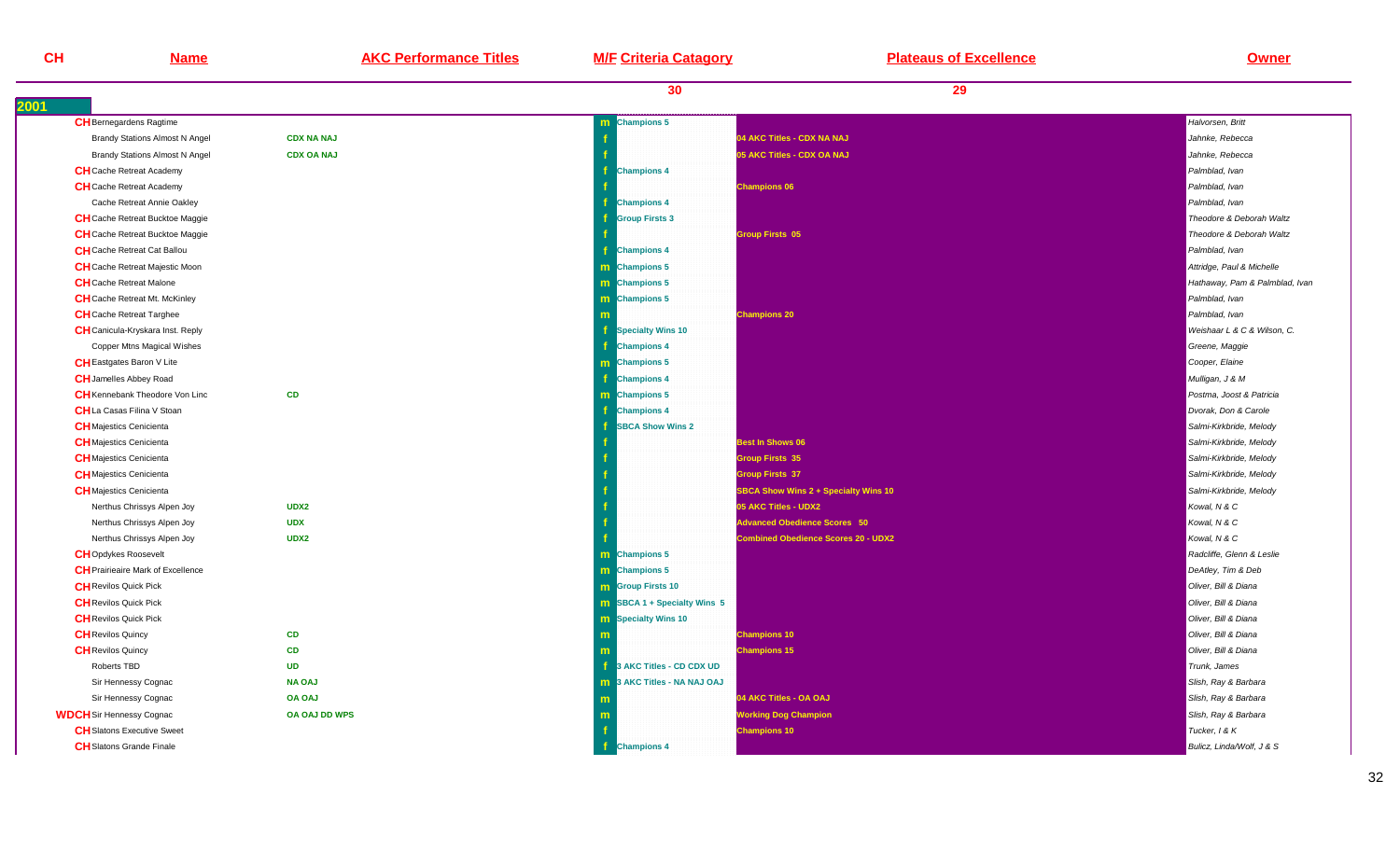| <b>CH</b>                       | <b>Name</b>                              | <b>AKC Performance Titles</b> | <b>M/F Criteria Catagory</b>       | <b>Plateaus of Excellence</b>              | <b>Owner</b>                   |
|---------------------------------|------------------------------------------|-------------------------------|------------------------------------|--------------------------------------------|--------------------------------|
|                                 |                                          |                               | 30                                 | 29                                         |                                |
|                                 | <b>CH</b> Bernegardens Ragtime           |                               | m Champions 5                      |                                            | Halvorsen, Britt               |
|                                 | <b>Brandy Stations Almost N Angel</b>    | <b>CDX NA NAJ</b>             |                                    | 04 AKC Titles - CDX NA NAJ                 | Jahnke, Rebecca                |
|                                 | <b>Brandy Stations Almost N Angel</b>    | <b>CDX OA NAJ</b>             |                                    | 05 AKC Titles - CDX OA NAJ                 | Jahnke, Rebecca                |
|                                 | <b>CH</b> Cache Retreat Academy          |                               | <b>Champions 4</b>                 |                                            | Palmblad, Ivan                 |
|                                 | <b>CH</b> Cache Retreat Academy          |                               |                                    | <b>Champions 06</b>                        | Palmblad, Ivan                 |
|                                 | Cache Retreat Annie Oakley               |                               | <b>Champions 4</b>                 |                                            | Palmblad, Ivan                 |
|                                 | <b>CH</b> Cache Retreat Bucktoe Maggie   |                               | <b>Group Firsts 3</b>              |                                            | Theodore & Deborah Waltz       |
|                                 | CH Cache Retreat Bucktoe Maggie          |                               |                                    | <b>Group Firsts 05</b>                     | Theodore & Deborah Waltz       |
|                                 | <b>CH</b> Cache Retreat Cat Ballou       |                               | <b>Champions 4</b>                 |                                            | Palmblad, Ivan                 |
|                                 | <b>CH</b> Cache Retreat Majestic Moon    |                               | m Champions 5                      |                                            | Attridge, Paul & Michelle      |
|                                 | <b>CH</b> Cache Retreat Malone           |                               | m Champions 5                      |                                            | Hathaway, Pam & Palmblad, Ivan |
|                                 | <b>CH</b> Cache Retreat Mt. McKinley     |                               | m Champions 5                      |                                            | Palmblad, Ivan                 |
|                                 | <b>CH</b> Cache Retreat Targhee          |                               |                                    | <b>Champions 20</b>                        | Palmblad, Ivan                 |
|                                 | <b>CH</b> Canicula-Kryskara Inst. Reply  |                               | <b>Specialty Wins 10</b>           |                                            | Weishaar L & C & Wilson, C.    |
|                                 | Copper Mtns Magical Wishes               |                               | <b>Champions 4</b>                 |                                            | Greene, Maggie                 |
|                                 | <b>CH</b> Eastgates Baron V Lite         |                               | m Champions 5                      |                                            | Cooper, Elaine                 |
|                                 | <b>CH</b> Jamelles Abbey Road            |                               | <b>Champions 4</b>                 |                                            | Mulligan, J & M                |
|                                 | <b>CH</b> Kennebank Theodore Von Linc    | <b>CD</b>                     | m Champions 5                      |                                            | Postma, Joost & Patricia       |
|                                 | <b>CH</b> La Casas Filina V Stoan        |                               | <b>Champions 4</b>                 |                                            | Dvorak, Don & Carole           |
| <b>CH</b> Majestics Cenicienta  |                                          |                               | <b>SBCA Show Wins 2</b>            |                                            | Salmi-Kirkbride, Melody        |
| <b>CH</b> Majestics Cenicienta  |                                          |                               |                                    | <b>Best In Shows 06</b>                    | Salmi-Kirkbride, Melody        |
| <b>CH</b> Majestics Cenicienta  |                                          |                               |                                    | <b>Group Firsts 35</b>                     | Salmi-Kirkbride, Melody        |
| <b>CH</b> Majestics Cenicienta  |                                          |                               |                                    | <b>Group Firsts 37</b>                     | Salmi-Kirkbride, Melody        |
|                                 | <b>CH</b> Majestics Cenicienta           |                               |                                    | SBCA Show Wins 2 + Specialty Wins 10       | Salmi-Kirkbride, Melody        |
|                                 | Nerthus Chrissys Alpen Joy               | UDX2                          |                                    | 05 AKC Titles - UDX2                       | Kowal, N & C                   |
|                                 | Nerthus Chrissys Alpen Joy               | <b>UDX</b>                    |                                    | <b>Advanced Obedience Scores 50</b>        | Kowal, N & C                   |
|                                 | Nerthus Chrissys Alpen Joy               | UDX2                          |                                    | <b>Combined Obedience Scores 20 - UDX2</b> | Kowal, N & C                   |
| <b>CH</b> Opdykes Roosevelt     |                                          |                               | m Champions 5                      |                                            | Radcliffe, Glenn & Leslie      |
|                                 | <b>CH</b> Prairieaire Mark of Excellence |                               | m Champions 5                      |                                            | DeAtley, Tim & Deb             |
| <b>CH</b> Revilos Quick Pick    |                                          |                               | <b>m</b> Group Firsts 10           |                                            | Oliver, Bill & Diana           |
| <b>CH</b> Revilos Quick Pick    |                                          |                               | <b>m</b> SBCA 1 + Specialty Wins 5 |                                            | Oliver, Bill & Diana           |
| <b>CH</b> Revilos Quick Pick    |                                          |                               | <b>m</b> Specialty Wins 10         |                                            | Oliver, Bill & Diana           |
| <b>CH</b> Revilos Quincy        |                                          | <b>CD</b>                     |                                    | <b>Champions 10</b>                        | Oliver, Bill & Diana           |
| <b>CH</b> Revilos Quincy        |                                          | <b>CD</b>                     |                                    | <b>Champions 15</b>                        | Oliver, Bill & Diana           |
| Roberts TBD                     |                                          | <b>UD</b>                     | 3 AKC Titles - CD CDX UD           |                                            | Trunk, James                   |
|                                 | Sir Hennessy Cognac                      | <b>NA OAJ</b>                 | 3 AKC Titles - NA NAJ OAJ<br>m     |                                            | Slish, Ray & Barbara           |
|                                 | Sir Hennessy Cognac                      | <b>OA OAJ</b>                 | m                                  | 04 AKC Titles - OA OAJ                     | Slish, Ray & Barbara           |
| <b>WDCH</b> Sir Hennessy Cognac |                                          | OA OAJ DD WPS                 |                                    | <b>Norking Dog Champion</b>                | Slish, Ray & Barbara           |
|                                 | <b>CH</b> Slatons Executive Sweet        |                               |                                    | <b>Champions 10</b>                        | Tucker, 1 & K                  |
|                                 | <b>CH</b> Slatons Grande Finale          |                               | <b>Champions 4</b>                 |                                            | Bulicz. Linda/Wolf. J & S      |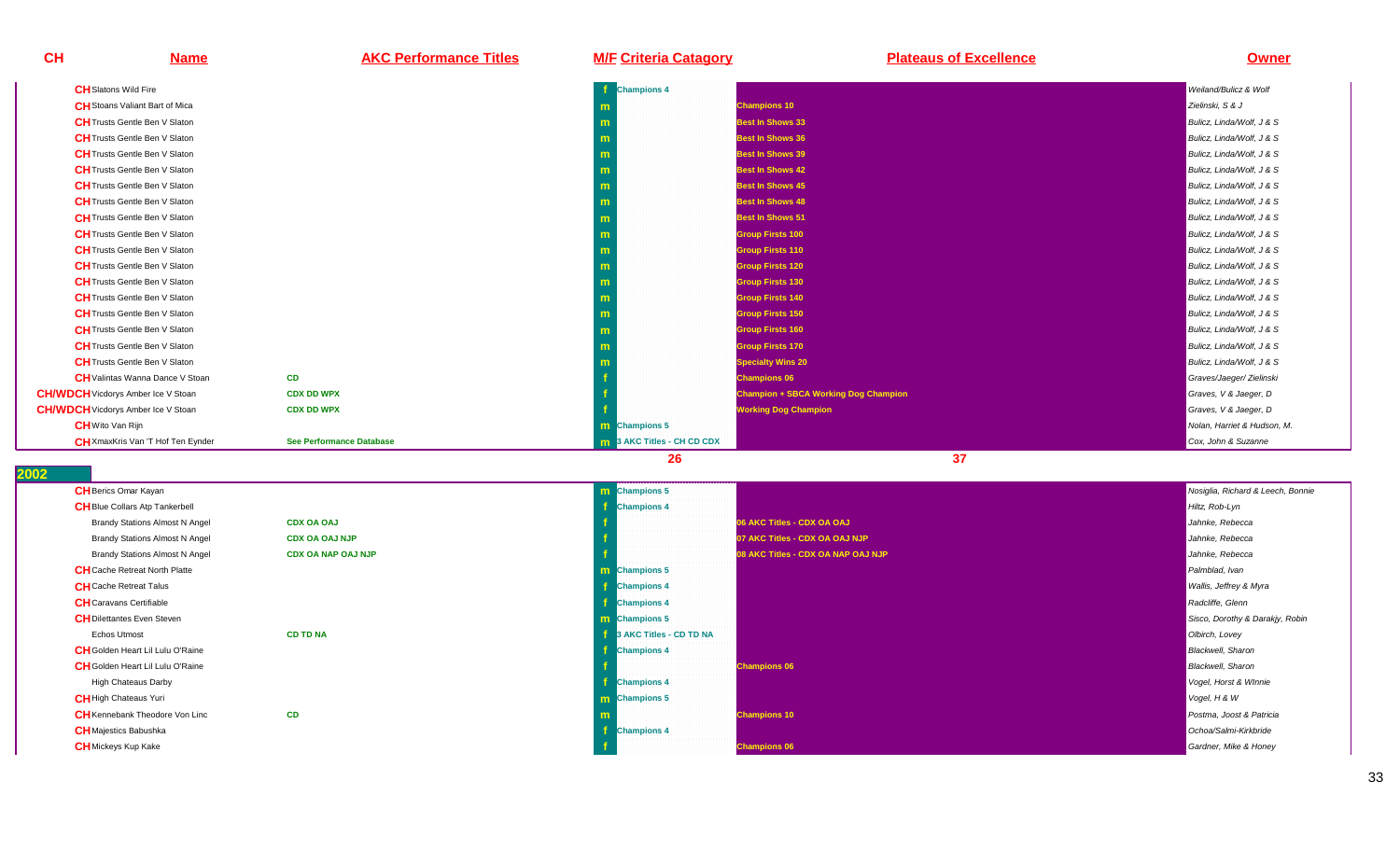| <b>CH</b> | <b>Name</b>                               | <b>AKC Performance Titles</b>   | <b>M/F Criteria Catagory</b>      | <b>Plateaus of Excellence</b>               | <b>Owner</b>                |
|-----------|-------------------------------------------|---------------------------------|-----------------------------------|---------------------------------------------|-----------------------------|
|           | <b>CH</b> Slatons Wild Fire               |                                 | <b>Champions 4</b>                |                                             | Weiland/Bulicz & Wolf       |
|           | <b>CH</b> Stoans Valiant Bart of Mica     |                                 |                                   | <b>Champions 10</b>                         | Zielinski, S & J            |
|           | <b>CH</b> Trusts Gentle Ben V Slaton      |                                 |                                   | <b>Best In Shows 33</b>                     | Bulicz, Linda/Wolf, J & S   |
|           | <b>CH</b> Trusts Gentle Ben V Slaton      |                                 |                                   | <b>Best In Shows 36</b>                     | Bulicz, Linda/Wolf, J & S   |
|           | <b>CH</b> Trusts Gentle Ben V Slaton      |                                 |                                   | <b>Best In Shows 39</b>                     | Bulicz, Linda/Wolf, J & S   |
|           | <b>CH</b> Trusts Gentle Ben V Slaton      |                                 |                                   | <b>Best In Shows 42</b>                     | Bulicz, Linda/Wolf, J & S   |
|           | <b>CH</b> Trusts Gentle Ben V Slaton      |                                 |                                   | <b>Best In Shows 45</b>                     | Bulicz, Linda/Wolf, J & S   |
|           | <b>CH</b> Trusts Gentle Ben V Slaton      |                                 |                                   | <b>Best In Shows 48</b>                     | Bulicz. Linda/Wolf. J & S   |
|           | <b>CH</b> Trusts Gentle Ben V Slaton      |                                 |                                   | <b>Best In Shows 51</b>                     | Bulicz. Linda/Wolf. J & S   |
|           | <b>CH</b> Trusts Gentle Ben V Slaton      |                                 |                                   | <b>Group Firsts 100</b>                     | Bulicz, Linda/Wolf, J & S   |
|           | <b>CH</b> Trusts Gentle Ben V Slaton      |                                 |                                   | <b>Group Firsts 110</b>                     | Bulicz, Linda/Wolf, J & S   |
|           | <b>CH</b> Trusts Gentle Ben V Slaton      |                                 |                                   | <b>Group Firsts 120</b>                     | Bulicz, Linda/Wolf, J & S   |
|           | <b>CH</b> Trusts Gentle Ben V Slaton      |                                 |                                   | <b>Group Firsts 130</b>                     | Bulicz, Linda/Wolf, J & S   |
|           | <b>CH</b> Trusts Gentle Ben V Slaton      |                                 |                                   | <b>Group Firsts 140</b>                     | Bulicz, Linda/Wolf, J & S   |
|           | <b>CH</b> Trusts Gentle Ben V Slaton      |                                 |                                   | <b>Group Firsts 150</b>                     | Bulicz, Linda/Wolf, J & S   |
|           | <b>CH</b> Trusts Gentle Ben V Slaton      |                                 |                                   | <b>Group Firsts 160</b>                     | Bulicz, Linda/Wolf, J & S   |
|           | <b>CH</b> Trusts Gentle Ben V Slaton      |                                 |                                   | <b>Group Firsts 170</b>                     | Bulicz, Linda/Wolf, J & S   |
|           | <b>CH</b> Trusts Gentle Ben V Slaton      |                                 |                                   | <b>Specialty Wins 20</b>                    | Bulicz, Linda/Wolf, J & S   |
|           | <b>CH</b> Valintas Wanna Dance V Stoan    | CD                              |                                   | <b>Champions 06</b>                         | Graves/Jaeger/ Zielinski    |
|           | <b>CH/WDCH</b> Vicdorys Amber Ice V Stoan | <b>CDX DD WPX</b>               |                                   | <b>Champion + SBCA Working Dog Champion</b> | Graves, V & Jaeger, D       |
|           | <b>CH/WDCH</b> Vicdorys Amber Ice V Stoan | <b>CDX DD WPX</b>               |                                   | <b>Working Dog Champion</b>                 | Graves, V & Jaeger, D       |
|           | <b>CH</b> Wito Van Rijn                   |                                 | <b>m</b> Champions 5              |                                             | Nolan, Harriet & Hudson, M. |
|           | CH XmaxKris Van 'T Hof Ten Eynder         | <b>See Performance Database</b> | <b>m</b> 3 AKC Titles - CH CD CDX |                                             | Cox, John & Suzanne         |
|           |                                           |                                 | 26                                | 37                                          |                             |

| <b>CH</b> Berics Omar Kayan             |                           | <b>m</b> Champions 5    |                                   | Nosiglia, Richard & Leech, Bonnie |
|-----------------------------------------|---------------------------|-------------------------|-----------------------------------|-----------------------------------|
| <b>CH</b> Blue Collars Atp Tankerbell   |                           | <b>Champions 4</b>      |                                   | Hiltz, Rob-Lyn                    |
| <b>Brandy Stations Almost N Angel</b>   | <b>CDX OA OAJ</b>         |                         | 06 AKC Titles - CDX OA OAJ        | Jahnke, Rebecca                   |
| <b>Brandy Stations Almost N Angel</b>   | <b>CDX OA OAJ NJP</b>     |                         | 07 AKC Titles - CDX OA OAJ NJP    | Jahnke, Rebecca                   |
| <b>Brandy Stations Almost N Angel</b>   | <b>CDX OA NAP OAJ NJP</b> |                         | 8 AKC Titles - CDX OA NAP OAJ NJP | Jahnke, Rebecca                   |
| <b>CH</b> Cache Retreat North Platte    |                           | <b>m</b> Champions 5    |                                   | Palmblad, Ivan                    |
| <b>CH</b> Cache Retreat Talus           |                           | <b>Champions 4</b>      |                                   | Wallis, Jeffrey & Myra            |
| <b>CH</b> Caravans Certifiable          |                           | <b>Champions 4</b>      |                                   | Radcliffe, Glenn                  |
| <b>CH</b> Dilettantes Even Steven       |                           | <b>m</b> Champions 5    |                                   | Sisco, Dorothy & Darakjy, Robin   |
| Echos Utmost                            | <b>CD TD NA</b>           | 3 AKC Titles - CD TD NA |                                   | Olbirch, Lovey                    |
| <b>CH</b> Golden Heart Lil Lulu O'Raine |                           | <b>Champions 4</b>      |                                   | <b>Blackwell</b> , Sharon         |
| <b>CH</b> Golden Heart Lil Lulu O'Raine |                           |                         | <b>Champions 06</b>               | <b>Blackwell</b> , Sharon         |
| <b>High Chateaus Darby</b>              |                           | <b>Champions 4</b>      |                                   | Vogel, Horst & Winnie             |
| <b>CH</b> High Chateaus Yuri            |                           | <b>m</b> Champions 5    |                                   | Vogel, H & W                      |
| <b>CH</b> Kennebank Theodore Von Linc   | <b>CD</b>                 |                         | <b>Champions 10</b>               | Postma, Joost & Patricia          |
| <b>CH</b> Majestics Babushka            |                           | <b>Champions 4</b>      |                                   | Ochoa/Salmi-Kirkbride             |
| <b>CH</b> Mickeys Kup Kake              |                           |                         | <b>Champions 06</b>               | Gardner, Mike & Honey             |
|                                         |                           |                         |                                   |                                   |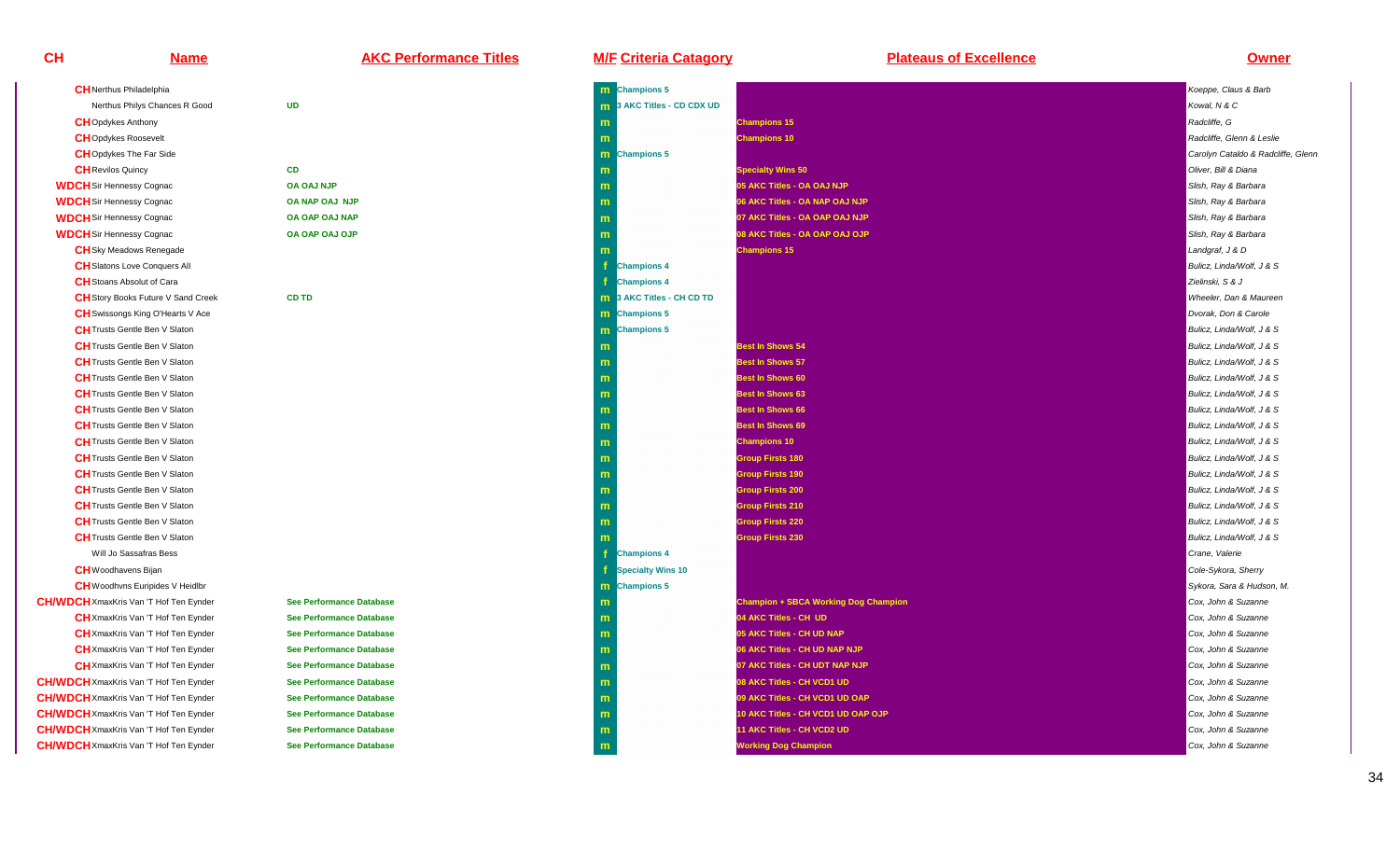| <b>CH</b> Nerthus Philadelphia                |                                 | m |
|-----------------------------------------------|---------------------------------|---|
| Nerthus Philys Chances R Good                 | <b>UD</b>                       | m |
| <b>CH</b> Opdykes Anthony                     |                                 | m |
| <b>CH</b> Opdykes Roosevelt                   |                                 | m |
| <b>CH</b> Opdykes The Far Side                |                                 | m |
| <b>CH</b> Revilos Quincy                      | <b>CD</b>                       | m |
| <b>WDCH</b> Sir Hennessy Cognac               | <b>OA OAJ NJP</b>               | m |
| <b>WDCH</b> Sir Hennessy Cognac               | OA NAP OAJ NJP                  | m |
| <b>WDCH</b> Sir Hennessy Cognac               | OA OAP OAJ NAP                  | m |
| <b>WDCH</b> Sir Hennessy Cognac               | OA OAP OAJ OJP                  | m |
| <b>CH</b> Sky Meadows Renegade                |                                 | m |
| <b>CH</b> Slatons Love Conquers All           |                                 | f |
| <b>CH</b> Stoans Absolut of Cara              |                                 | f |
| CH Story Books Future V Sand Creek            | <b>CD TD</b>                    | m |
| <b>CH</b> Swissongs King O'Hearts V Ace       |                                 | m |
| <b>CH</b> Trusts Gentle Ben V Slaton          |                                 | m |
| <b>CH</b> Trusts Gentle Ben V Slaton          |                                 | m |
| <b>CH</b> Trusts Gentle Ben V Slaton          |                                 | m |
| <b>CH</b> Trusts Gentle Ben V Slaton          |                                 | m |
| <b>CH</b> Trusts Gentle Ben V Slaton          |                                 | m |
| <b>CH</b> Trusts Gentle Ben V Slaton          |                                 | m |
| <b>CH</b> Trusts Gentle Ben V Slaton          |                                 | m |
| <b>CH</b> Trusts Gentle Ben V Slaton          |                                 | m |
| <b>CH</b> Trusts Gentle Ben V Slaton          |                                 | m |
| <b>CH</b> Trusts Gentle Ben V Slaton          |                                 | m |
| <b>CH</b> Trusts Gentle Ben V Slaton          |                                 | m |
| <b>CH</b> Trusts Gentle Ben V Slaton          |                                 | m |
| <b>CH</b> Trusts Gentle Ben V Slaton          |                                 | m |
| <b>CH</b> Trusts Gentle Ben V Slaton          |                                 | m |
| Will Jo Sassafras Bess                        |                                 | f |
| <b>CH</b> Woodhavens Bijan                    |                                 | f |
| CH Woodhvns Euripides V Heidlbr               |                                 | m |
| <b>CH/WDCH</b> XmaxKris Van 'T Hof Ten Eynder | <b>See Performance Database</b> | m |
| CH XmaxKris Van 'T Hof Ten Eynder             | <b>See Performance Database</b> | m |
| CH XmaxKris Van 'T Hof Ten Eynder             | <b>See Performance Database</b> | m |
| CH XmaxKris Van 'T Hof Ten Eynder             | <b>See Performance Database</b> | m |
| CH XmaxKris Van 'T Hof Ten Eynder             | <b>See Performance Database</b> | m |
| <b>CH/WDCH</b> XmaxKris Van 'T Hof Ten Eynder | <b>See Performance Database</b> | m |
| <b>CH/WDCH</b> XmaxKris Van 'T Hof Ten Eynder | <b>See Performance Database</b> | m |
| <b>CH/WDCH</b> XmaxKris Van 'T Hof Ten Eynder | <b>See Performance Database</b> | m |
| <b>CH/WDCH</b> XmaxKris Van 'T Hof Ten Eynder | <b>See Performance Database</b> | m |
| CH/WDCH XmaxKris Van 'T Hof Ten Eynder        | <b>See Performance Database</b> | m |
|                                               |                                 |   |

# **Name AKC Performance Titles M/F Criteria Catagory Plateaus of Excellence Owner**

| m Champions 5                     |                                             | Koeppe, Claus & Barb               |
|-----------------------------------|---------------------------------------------|------------------------------------|
| <b>m</b> 3 AKC Titles - CD CDX UD |                                             | Kowal, N & C                       |
| m                                 | <b>Champions 15</b>                         | Radcliffe, G                       |
| m                                 | <b>Champions 10</b>                         | Radcliffe, Glenn & Leslie          |
| <b>Champions 5</b><br>m           |                                             | Carolyn Cataldo & Radcliffe, Glenr |
| m                                 | <b>Specialty Wins 50</b>                    | Oliver, Bill & Diana               |
| m                                 | 05 AKC Titles - OA OAJ NJP                  | Slish, Ray & Barbara               |
| m                                 | 06 AKC Titles - OA NAP OAJ NJP              | Slish, Ray & Barbara               |
| m                                 | 07 AKC Titles - OA OAP OAJ NJP              | Slish, Ray & Barbara               |
| m                                 | 08 AKC Titles - OA OAP OAJ OJP              | Slish, Ray & Barbara               |
| m                                 | <b>Champions 15</b>                         | Landgraf, J & D                    |
| f<br><b>Champions 4</b>           |                                             | Bulicz, Linda/Wolf, J & S          |
| <b>Champions 4</b>                |                                             | Zielinski, S & J                   |
| 3 AKC Titles - CH CD TD           |                                             | Wheeler, Dan & Maureen             |
| <b>m</b> Champions 5              |                                             | Dvorak, Don & Carole               |
| <b>Champions 5</b><br>m           |                                             | Bulicz, Linda/Wolf, J & S          |
| m                                 | <b>Best In Shows 54</b>                     | Bulicz, Linda/Wolf, J & S          |
| m                                 | <b>Best In Shows 57</b>                     | Bulicz, Linda/Wolf, J & S          |
| m                                 | <b>Best In Shows 60</b>                     | Bulicz, Linda/Wolf, J & S          |
| m                                 | <b>Best In Shows 63</b>                     | Bulicz, Linda/Wolf, J & S          |
| m                                 | <b>Best In Shows 66</b>                     | Bulicz, Linda/Wolf, J & S          |
| m                                 | <b>Best In Shows 69</b>                     | Bulicz, Linda/Wolf, J & S          |
| m                                 | <b>Champions 10</b>                         | Bulicz, Linda/Wolf, J & S          |
| m                                 | <b>Group Firsts 180</b>                     | Bulicz, Linda/Wolf, J & S          |
| m                                 | <b>Group Firsts 190</b>                     | Bulicz, Linda/Wolf, J & S          |
| m                                 | <b>Group Firsts 200</b>                     | Bulicz, Linda/Wolf, J & S          |
| m                                 | <b>Group Firsts 210</b>                     | Bulicz, Linda/Wolf, J & S          |
| m                                 | <b>Group Firsts 220</b>                     | Bulicz, Linda/Wolf, J & S          |
| m                                 | <b>Group Firsts 230</b>                     | Bulicz, Linda/Wolf, J & S          |
| <b>Champions 4</b>                |                                             | Crane, Valerie                     |
| <b>Specialty Wins 10</b>          |                                             | Cole-Sykora, Sherry                |
| m Champions 5                     |                                             | Sykora, Sara & Hudson, M.          |
| m                                 | <b>Champion + SBCA Working Dog Champion</b> | Cox, John & Suzanne                |
| m                                 | 04 AKC Titles - CH UD                       | Cox, John & Suzanne                |
| m                                 | 05 AKC Titles - CH UD NAP                   | Cox, John & Suzanne                |
| m                                 | 06 AKC Titles - CH UD NAP NJP               | Cox. John & Suzanne                |
| m                                 | 07 AKC Titles - CH UDT NAP NJP              | Cox, John & Suzanne                |
| m                                 | 08 AKC Titles - CH VCD1 UD                  | Cox, John & Suzanne                |
| m                                 | 09 AKC Titles - CH VCD1 UD OAP              | Cox, John & Suzanne                |
| m                                 | 10 AKC Titles - CH VCD1 UD OAP OJP          | Cox, John & Suzanne                |
| m                                 | 11 AKC Titles - CH VCD2 UD                  | Cox, John & Suzanne                |
| m                                 | <b>Working Dog Champion</b>                 | Cox, John & Suzanne                |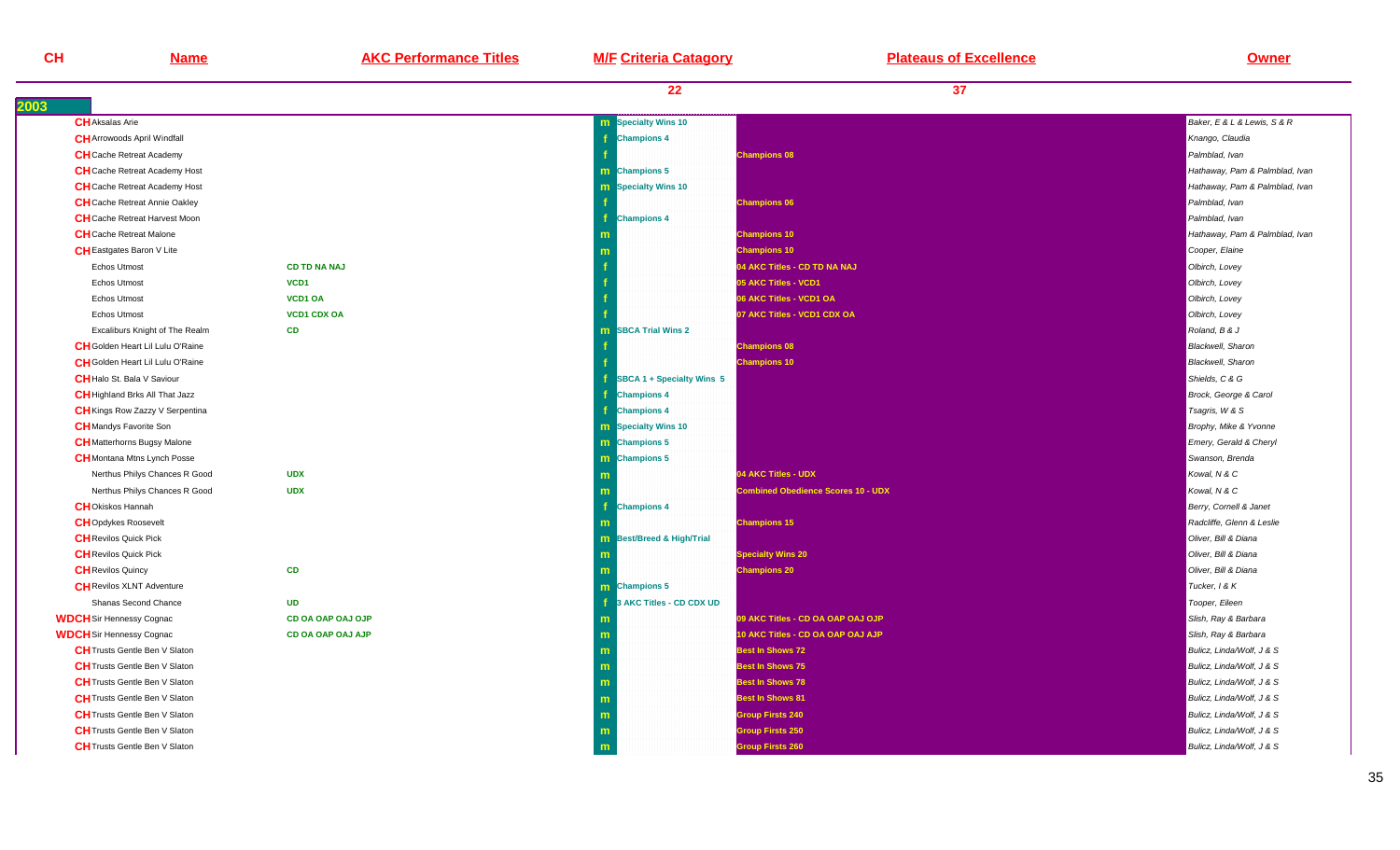| CH   | <b>Name</b>                             | <b>AKC Performance Titles</b> | <b>M/F Criteria Catagory</b> | <b>Plateaus of Excellence</b> | <b>Owner</b>                   |
|------|-----------------------------------------|-------------------------------|------------------------------|-------------------------------|--------------------------------|
|      |                                         |                               | 22                           | 37                            |                                |
| 2003 |                                         |                               |                              |                               |                                |
|      | <b>CH</b> Aksalas Arie                  |                               | <b>m</b> Specialty Wins 10   |                               | Baker, E & L & Lewis, S & R    |
|      | <b>CH</b> Arrowoods April Windfall      |                               | <b>Champions 4</b>           |                               | Knango, Claudia                |
|      | <b>CH</b> Cache Retreat Academy         |                               |                              | <b>Champions 08</b>           | Palmblad, Ivan                 |
|      | <b>CH</b> Cache Retreat Academy Host    |                               | <b>m</b> Champions 5         |                               | Hathaway, Pam & Palmblad, Ivar |
|      | <b>CH</b> Cache Retreat Academy Host    |                               | <b>m</b> Specialty Wins 10   |                               | Hathaway, Pam & Palmblad, Ivar |
|      | <b>CH</b> Cache Retreat Annie Oakley    |                               |                              | <b>Champions 06</b>           | Palmblad, Ivan                 |
|      | <b>CH</b> Cache Retreat Harvest Moon    |                               | <b>Champions 4</b>           |                               | Palmblad, Ivan                 |
|      | <b>CH</b> Cache Retreat Malone          |                               |                              | <b>Champions 10</b>           | Hathaway, Pam & Palmblad, Ivar |
|      | <b>CH</b> Eastgates Baron V Lite        |                               |                              | <b>Champions 10</b>           | Cooper, Elaine                 |
|      | Echos Utmost                            | <b>CD TD NA NAJ</b>           |                              | 04 AKC Titles - CD TD NA NAJ  | Olbirch, Lovey                 |
|      | <b>Echos Utmost</b>                     | VCD <sub>1</sub>              |                              | 05 AKC Titles - VCD1          | Olbirch, Lovey                 |
|      | <b>Echos Utmost</b>                     | VCD1 OA                       |                              | 06 AKC Titles - VCD1 OA       | Olbirch, Lovey                 |
|      | <b>Echos Utmost</b>                     | <b>VCD1 CDX OA</b>            |                              | 07 AKC Titles - VCD1 CDX OA   | Olbirch, Lovey                 |
|      | Excaliburs Knight of The Realm          | <b>CD</b>                     | <b>m</b> SBCA Trial Wins 2   |                               | Roland, B & J                  |
|      | <b>CH</b> Golden Heart Lil Lulu O'Raine |                               |                              | <b>Champions 08</b>           | <b>Blackwell</b> , Sharon      |
|      | <b>CH</b> Golden Heart Lil Lulu O'Raine |                               |                              | <b>Champions 10</b>           | <b>Blackwell</b> , Sharon      |
|      | <b>CH</b> Halo St. Bala V Saviour       |                               | SBCA 1 + Specialty Wins 5    |                               | Shields, C & G                 |
|      | <b>CH</b> Highland Brks All That Jazz   |                               | <b>Champions 4</b>           |                               | Brock, George & Carol          |
|      | <b>CH</b> Kings Row Zazzy V Serpentina  |                               | <b>Champions 4</b>           |                               | Tsagris, W & S                 |
|      |                                         |                               |                              |                               |                                |

| <b>CH</b> Kings Row Zazzy V Serpentina |                          |              |
|----------------------------------------|--------------------------|--------------|
| <b>CH</b> Mandys Favorite Son          |                          | m            |
| <b>CH</b> Matterhorns Bugsy Malone     |                          | m            |
| <b>CH</b> Montana Mtns Lynch Posse     |                          | m            |
| Nerthus Philys Chances R Good          | <b>UDX</b>               | m            |
| Nerthus Philys Chances R Good          | <b>UDX</b>               | m            |
| <b>CH</b> Okiskos Hannah               |                          | f            |
| <b>CH</b> Opdykes Roosevelt            |                          | m            |
| <b>CH</b> Revilos Quick Pick           |                          | m            |
| <b>CH</b> Revilos Quick Pick           |                          | m            |
| <b>CH</b> Revilos Quincy               | <b>CD</b>                | m            |
| <b>CH</b> Revilos XLNT Adventure       |                          | m            |
| Shanas Second Chance                   | <b>UD</b>                | f            |
| <b>WDCH</b> Sir Hennessy Cognac        | <b>CD OA OAP OAJ OJP</b> | m            |
| <b>WDCH</b> Sir Hennessy Cognac        | <b>CD OA OAP OAJ AJP</b> | $\mathsf{m}$ |
| <b>CH</b> Trusts Gentle Ben V Slaton   |                          | m            |
| <b>CH</b> Trusts Gentle Ben V Slaton   |                          | m            |
| <b>CH</b> Trusts Gentle Ben V Slaton   |                          | m            |
| <b>CH</b> Trusts Gentle Ben V Slaton   |                          | m            |

**m** 

**m** 

**m** 

**CH**Trusts Gentle Ben V Slaton

**CH**Trusts Gentle Ben V Slaton

**CH**Trusts Gentle Ben V Slaton

|                        | m                                | <b>Champions 10</b>                       | Hathaway, Pam & Palmblad, Ivan |
|------------------------|----------------------------------|-------------------------------------------|--------------------------------|
|                        | m                                | <b>Champions 10</b>                       | Cooper, Elaine                 |
| <b>D TD NA NAJ</b>     |                                  | 04 AKC Titles - CD TD NA NAJ              | Olbirch, Lovey                 |
| CD1                    |                                  | 05 AKC Titles - VCD1                      | Olbirch, Lovey                 |
| CD1 OA                 |                                  | 06 AKC Titles - VCD1 OA                   | Olbirch, Lovey                 |
| <b>CD1 CDX OA</b>      |                                  | 07 AKC Titles - VCD1 CDX OA               | Olbirch, Lovey                 |
| D                      | <b>SBCA Trial Wins 2</b><br>m    |                                           | Roland, B & J                  |
|                        |                                  | <b>Champions 08</b>                       | <b>Blackwell</b> , Sharon      |
|                        |                                  | <b>Champions 10</b>                       | <b>Blackwell</b> , Sharon      |
|                        | SBCA 1 + Specialty Wins 5        |                                           | Shields, C & G                 |
|                        | <b>Champions 4</b>               |                                           | Brock, George & Carol          |
|                        | <b>Champions 4</b>               |                                           | Tsagris, W & S                 |
|                        | <b>m</b> Specialty Wins 10       |                                           | Brophy, Mike & Yvonne          |
|                        | m Champions 5                    |                                           | Emery, Gerald & Cheryl         |
|                        | m Champions 5                    |                                           | Swanson, Brenda                |
| DX                     |                                  | 04 AKC Titles - UDX                       | Kowal, N & C                   |
| DX                     |                                  | <b>Combined Obedience Scores 10 - UDX</b> | Kowal, N & C                   |
|                        | <b>Champions 4</b>               |                                           | Berry, Cornell & Janet         |
|                        |                                  | <b>Champions 15</b>                       | Radcliffe, Glenn & Leslie      |
|                        | <b>m</b> Best/Breed & High/Trial |                                           | Oliver, Bill & Diana           |
|                        | m                                | <b>Specialty Wins 20</b>                  | Oliver, Bill & Diana           |
| D                      |                                  | <b>Champions 20</b>                       | Oliver, Bill & Diana           |
|                        | <b>m</b> Champions 5             |                                           | Tucker, 1 & K                  |
| D                      | 3 AKC Titles - CD CDX UD         |                                           | Tooper, Eileen                 |
| <b>DOA OAP OAJ OJP</b> | m                                | 09 AKC Titles - CD OA OAP OAJ OJP         | Slish, Ray & Barbara           |
| <b>DOA OAP OAJ AJP</b> | m                                | 10 AKC Titles - CD OA OAP OAJ AJP         | Slish, Ray & Barbara           |
|                        | m                                | <b>Best In Shows 72</b>                   | Bulicz, Linda/Wolf, J & S      |
|                        | m                                | <b>Best In Shows 75</b>                   | Bulicz, Linda/Wolf, J & S      |
|                        | m                                | <b>Best In Shows 78</b>                   | Bulicz, Linda/Wolf, J & S      |
|                        | m                                | <b>Best In Shows 81</b>                   | Bulicz, Linda/Wolf, J & S      |
|                        | m                                | <b>Group Firsts 240</b>                   | Bulicz, Linda/Wolf, J & S      |
|                        | m                                | <b>Group Firsts 250</b>                   | Bulicz, Linda/Wolf, J & S      |
|                        | m                                | <b>Group Firsts 260</b>                   | Bulicz, Linda/Wolf, J & S      |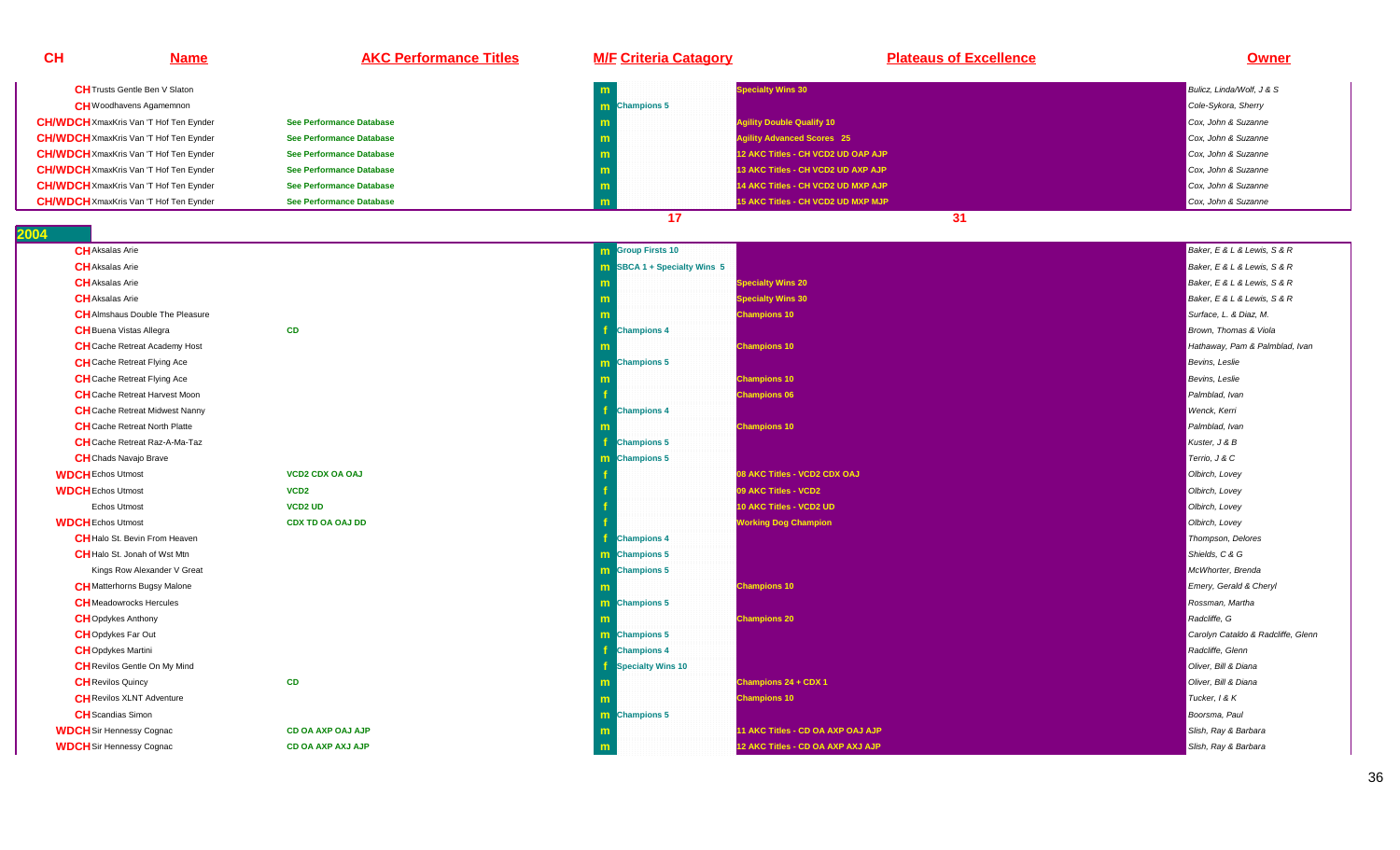| <b>CH</b>                                        | <b>Name</b>                                                                | <b>AKC Performance Titles</b>   | <b>M/F Criteria Catagory</b>         | <b>Plateaus of Excellence</b>      | Owner                                                      |
|--------------------------------------------------|----------------------------------------------------------------------------|---------------------------------|--------------------------------------|------------------------------------|------------------------------------------------------------|
|                                                  | <b>CH</b> Trusts Gentle Ben V Slaton                                       |                                 |                                      | <b>Specialty Wins 30</b>           | Bulicz, Linda/Wolf, J & S                                  |
|                                                  | <b>CH</b> Woodhavens Agamemnon                                             |                                 | m Champions 5                        |                                    | Cole-Sykora, Sherry                                        |
| <b>CH/WDCH</b> XmaxKris Van 'T Hof Ten Eynder    |                                                                            | See Performance Database        | m                                    | <b>Agility Double Qualify 10</b>   | Cox, John & Suzanne                                        |
| <b>CH/WDCH</b> XmaxKris Van 'T Hof Ten Eynder    |                                                                            | <b>See Performance Database</b> | m                                    | <b>Agility Advanced Scores 25</b>  | Cox, John & Suzanne                                        |
| <b>CH/WDCH</b> XmaxKris Van 'T Hof Ten Eynder    |                                                                            | <b>See Performance Database</b> | m                                    | 12 AKC Titles - CH VCD2 UD OAP AJP | Cox, John & Suzanne                                        |
| <b>CH/WDCH</b> XmaxKris Van 'T Hof Ten Eynder    |                                                                            | <b>See Performance Database</b> | m                                    | 13 AKC Titles - CH VCD2 UD AXP AJP | Cox, John & Suzanne                                        |
| <b>CH/WDCH</b> XmaxKris Van 'T Hof Ten Eynder    |                                                                            | <b>See Performance Database</b> | m                                    | 14 AKC Titles - CH VCD2 UD MXP AJP | Cox. John & Suzanne                                        |
| <b>CH/WDCH</b> XmaxKris Van 'T Hof Ten Eynder    |                                                                            | See Performance Database        | m                                    | 15 AKC Titles - CH VCD2 UD MXP MJP | Cox, John & Suzanne                                        |
|                                                  |                                                                            |                                 | 17                                   | 31                                 |                                                            |
| 004<br><b>CH</b> Aksalas Arie                    |                                                                            |                                 |                                      |                                    | Baker, E & L & Lewis, S & R                                |
|                                                  |                                                                            |                                 | <b>m</b> Group Firsts 10             |                                    |                                                            |
| <b>CH</b> Aksalas Arie                           |                                                                            |                                 | $\text{B}$ SBCA 1 + Specialty Wins 5 |                                    | Baker, E & L & Lewis, S & R<br>Baker, E & L & Lewis, S & R |
| <b>CH</b> Aksalas Arie<br><b>CH</b> Aksalas Arie |                                                                            |                                 |                                      | <b>Specialty Wins 20</b>           |                                                            |
|                                                  |                                                                            |                                 | m                                    | <b>Specialty Wins 30</b>           | Baker, E & L & Lewis, S & R                                |
|                                                  | <b>CH</b> Almshaus Double The Pleasure                                     |                                 | m                                    | <b>Champions 10</b>                | Surface, L. & Diaz, M.                                     |
| <b>CH</b> Buena Vistas Allegra                   |                                                                            | <b>CD</b>                       | <b>Champions 4</b>                   |                                    | Brown, Thomas & Viola                                      |
|                                                  | <b>CH</b> Cache Retreat Academy Host<br><b>CH</b> Cache Retreat Flying Ace |                                 | <b>m</b> Champions 5                 | <b>Champions 10</b>                | Hathaway, Pam & Palmblad, Ivan<br>Bevins, Leslie           |
|                                                  | <b>CH</b> Cache Retreat Flying Ace                                         |                                 |                                      | <b>Champions 10</b>                | Bevins, Leslie                                             |
|                                                  | <b>CH</b> Cache Retreat Harvest Moon                                       |                                 |                                      |                                    | Palmblad, Ivan                                             |
|                                                  | <b>CH</b> Cache Retreat Midwest Nanny                                      |                                 | Æ<br><b>Champions 4</b>              | <b>Champions 06</b>                | Wenck, Kerri                                               |
|                                                  | <b>CH</b> Cache Retreat North Platte                                       |                                 |                                      | <b>Champions 10</b>                | Palmblad, Ivan                                             |
|                                                  | CH Cache Retreat Raz-A-Ma-Taz                                              |                                 | <b>Champions 5</b>                   |                                    | Kuster, J & B                                              |
| <b>CH</b> Chads Navajo Brave                     |                                                                            |                                 | m Champions 5                        |                                    | Terrio, J & C                                              |
| <b>WDCH</b> Echos Utmost                         |                                                                            | <b>VCD2 CDX OA OAJ</b>          |                                      | 08 AKC Titles - VCD2 CDX OAJ       | Olbirch, Lovey                                             |
| <b>WDCH</b> Echos Utmost                         |                                                                            | VCD <sub>2</sub>                |                                      | 09 AKC Titles - VCD2               | Olbirch, Lovey                                             |
| Echos Utmost                                     |                                                                            | <b>VCD2 UD</b>                  |                                      | 10 AKC Titles - VCD2 UD            |                                                            |
|                                                  |                                                                            | <b>CDX TD OA OAJ DD</b>         |                                      |                                    | Olbirch, Lovey                                             |
| <b>WDCH</b> Echos Utmost                         | <b>CH</b> Halo St. Bevin From Heaven                                       |                                 | <b>Champions 4</b>                   | <b>Working Dog Champion</b>        | Olbirch, Lovey<br>Thompson, Delores                        |
|                                                  | <b>CH</b> Halo St. Jonah of Wst Mtn                                        |                                 | m Champions 5                        |                                    | Shields, C & G                                             |
|                                                  | Kings Row Alexander V Great                                                |                                 | <b>m</b> Champions 5                 |                                    | McWhorter, Brenda                                          |
|                                                  | <b>CH</b> Matterhorns Bugsy Malone                                         |                                 |                                      | <b>Champions 10</b>                | Emery, Gerald & Cheryl                                     |
|                                                  | <b>CH</b> Meadowrocks Hercules                                             |                                 | m Champions 5                        |                                    | Rossman, Martha                                            |
| <b>CH</b> Opdykes Anthony                        |                                                                            |                                 | m                                    | <b>Champions 20</b>                | Radcliffe, G                                               |
| <b>CH</b> Opdykes Far Out                        |                                                                            |                                 | m Champions 5                        |                                    | Carolyn Cataldo & Radcliffe, Glenn                         |
| <b>CH</b> Opdykes Martini                        |                                                                            |                                 | <b>Champions 4</b>                   |                                    | Radcliffe, Glenn                                           |
|                                                  | <b>CH</b> Revilos Gentle On My Mind                                        |                                 | Specialty Wins 10                    |                                    | Oliver, Bill & Diana                                       |
| <b>CH</b> Revilos Quincy                         |                                                                            | <b>CD</b>                       |                                      | Champions 24 + CDX 1               | Oliver, Bill & Diana                                       |
|                                                  | <b>CH</b> Revilos XLNT Adventure                                           |                                 |                                      | <b>Champions 10</b>                | Tucker, 1 & K                                              |
| <b>CH</b> Scandias Simon                         |                                                                            |                                 | m Champions 5                        |                                    | Boorsma, Paul                                              |
| <b>WDCH</b> Sir Hennessy Cognac                  |                                                                            | CD OA AXP OAJ AJP               |                                      | 11 AKC Titles - CD OA AXP OAJ AJP  | Slish, Ray & Barbara                                       |
| <b>WDCH</b> Sir Hennessy Cognac                  |                                                                            | <b>CD OA AXP AXJ AJP</b>        | m                                    | 12 AKC Titles - CD OA AXP AXJ AJP  | Slish, Ray & Barbara                                       |
|                                                  |                                                                            |                                 |                                      |                                    |                                                            |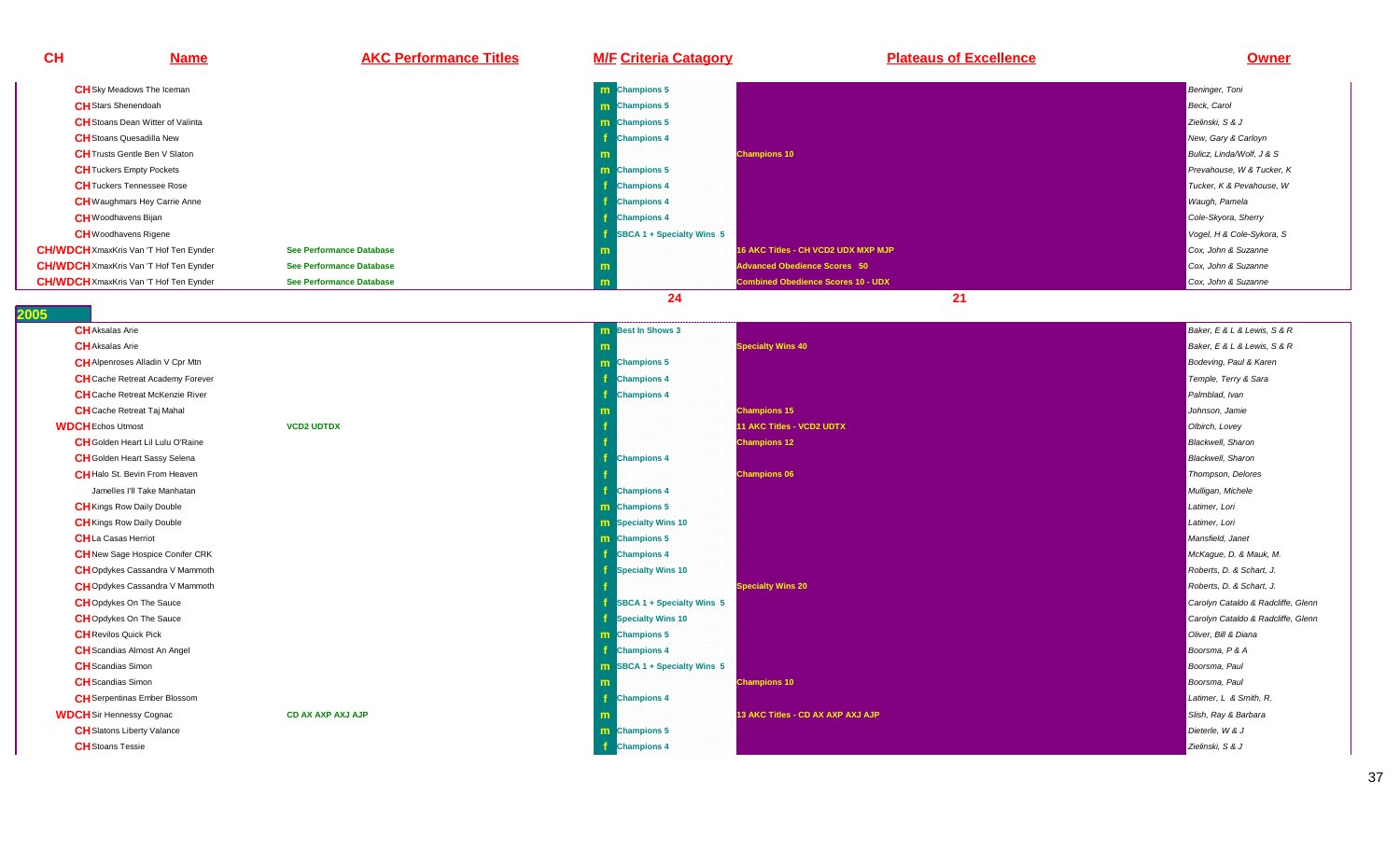| <b>CH</b> | <b>Name</b>                                   | <b>AKC Performance Titles</b> | <b>M/F Criteria Catagory</b> | <b>Plateaus of Excellence</b>             | <b>Owner</b>              |
|-----------|-----------------------------------------------|-------------------------------|------------------------------|-------------------------------------------|---------------------------|
|           | <b>CH</b> Sky Meadows The Iceman              |                               | <b>m</b> Champions 5         |                                           | <b>Beninger</b> , Toni    |
|           | <b>CH</b> Stars Shenendoah                    |                               | <b>m</b> Champions 5         |                                           | <b>Beck, Carol</b>        |
|           | <b>CH</b> Stoans Dean Witter of Valinta       |                               | <b>m</b> Champions 5         |                                           | Zielinski, S & J          |
|           | <b>CH</b> Stoans Quesadilla New               |                               | <b>Champions 4</b>           |                                           | New, Gary & Carloyn       |
|           | <b>CH</b> Trusts Gentle Ben V Slaton          |                               |                              | <b>Champions 10</b>                       | Bulicz, Linda/Wolf, J & S |
|           | <b>CH</b> Tuckers Empty Pockets               |                               | <b>m</b> Champions 5         |                                           | Prevahouse, W & Tucker, K |
|           | <b>CH</b> Tuckers Tennessee Rose              |                               | <b>Champions 4</b>           |                                           | Tucker, K & Pevahouse, W  |
|           | <b>CH</b> Waughmars Hey Carrie Anne           |                               | <b>Champions 4</b>           |                                           | Waugh, Pamela             |
|           | <b>CH</b> Woodhavens Bijan                    |                               | <b>Champions 4</b>           |                                           | Cole-Skyora, Sherry       |
|           | <b>CH</b> Woodhavens Rigene                   |                               | SBCA 1 + Specialty Wins 5    |                                           | Vogel, H & Cole-Sykora, S |
|           | <b>CH/WDCH</b> XmaxKris Van 'T Hof Ten Eynder | See Performance Database      |                              | 16 AKC Titles - CH VCD2 UDX MXP MJP       | Cox, John & Suzanne       |
|           | <b>CH/WDCH</b> XmaxKris Van 'T Hof Ten Eynder | See Performance Database      |                              | <b>Advanced Obedience Scores 50</b>       | Cox, John & Suzanne       |
|           | <b>CH/WDCH</b> XmaxKris Van 'T Hof Ten Eynder | See Performance Database      |                              | <b>Combined Obedience Scores 10 - UDX</b> | Cox, John & Suzanne       |
|           |                                               |                               | 24                           | 21                                        |                           |

| 2005                                    |                   |                                         |                                   |                                    |
|-----------------------------------------|-------------------|-----------------------------------------|-----------------------------------|------------------------------------|
| <b>CH</b> Aksalas Arie                  |                   | <b>m</b> Best In Shows 3                |                                   | Baker, E & L & Lewis, S & R        |
| <b>CH</b> Aksalas Arie                  |                   |                                         | <b>Specialty Wins 40</b>          | Baker, E & L & Lewis, S & R        |
| <b>CH</b> Alpenroses Alladin V Cpr Mtn  |                   | <b>m</b> Champions 5                    |                                   | Bodeving, Paul & Karen             |
| <b>CH</b> Cache Retreat Academy Forever |                   | <b>Champions 4</b>                      |                                   | Temple, Terry & Sara               |
| <b>CH</b> Cache Retreat McKenzie River  |                   | <b>Champions 4</b>                      |                                   | Palmblad, Ivan                     |
| <b>CH</b> Cache Retreat Taj Mahal       |                   |                                         | <b>Champions 15</b>               | Johnson, Jamie                     |
| <b>WDCH</b> Echos Utmost                | <b>VCD2 UDTDX</b> |                                         | <b>11 AKC Titles - VCD2 UDTX</b>  | Olbirch, Lovey                     |
| <b>CH</b> Golden Heart Lil Lulu O'Raine |                   |                                         | <b>Champions 12</b>               | <b>Blackwell</b> , Sharon          |
| <b>CH</b> Golden Heart Sassy Selena     |                   | <b>Champions 4</b>                      |                                   | <b>Blackwell</b> , Sharon          |
| <b>CH</b> Halo St. Bevin From Heaven    |                   |                                         | <b>Champions 06</b>               | Thompson, Delores                  |
| Jamelles I'll Take Manhatan             |                   | <b>Champions 4</b>                      |                                   | Mulligan, Michele                  |
| <b>CH</b> Kings Row Daily Double        |                   | m Champions 5                           |                                   | Latimer, Lori                      |
| <b>CH</b> Kings Row Daily Double        |                   | <b>m</b> Specialty Wins 10              |                                   | Latimer, Lori                      |
| <b>CH</b> La Casas Herriot              |                   | m Champions 5                           |                                   | Mansfield, Janet                   |
| <b>CH</b> New Sage Hospice Conifer CRK  |                   | <b>Champions 4</b>                      |                                   | McKague, D. & Mauk, M.             |
| <b>CH</b> Opdykes Cassandra V Mammoth   |                   | Specialty Wins 10                       |                                   | Roberts, D. & Schart, J.           |
| <b>CH</b> Opdykes Cassandra V Mammoth   |                   |                                         | <b>Specialty Wins 20</b>          | Roberts, D. & Schart, J.           |
| <b>CHOpdykes On The Sauce</b>           |                   | $\frac{1}{2}$ SBCA 1 + Specialty Wins 5 |                                   | Carolyn Cataldo & Radcliffe, Glenn |
| <b>CH</b> Opdykes On The Sauce          |                   | <b>f</b> Specialty Wins 10              |                                   | Carolyn Cataldo & Radcliffe, Glenn |
| <b>CH</b> Revilos Quick Pick            |                   | m Champions 5                           |                                   | Oliver. Bill & Diana               |
| <b>CH</b> Scandias Almost An Angel      |                   | <b>Champions 4</b>                      |                                   | Boorsma, P & A                     |
| <b>CH</b> Scandias Simon                |                   | <b>m</b> SBCA 1 + Specialty Wins 5      |                                   | Boorsma, Paul                      |
| <b>CH</b> Scandias Simon                |                   | m                                       | <b>Champions 10</b>               | Boorsma, Paul                      |
| <b>CH</b> Serpentinas Ember Blossom     |                   | <b>Champions 4</b>                      |                                   | Latimer, L & Smith, R.             |
| <b>WDCH</b> Sir Hennessy Cognac         | CD AX AXP AXJ AJP |                                         | 13 AKC Titles - CD AX AXP AXJ AJP | Slish, Ray & Barbara               |
| <b>CH</b> Slatons Liberty Valance       |                   | m Champions 5                           |                                   | Dieterle, W & J                    |
| <b>CH</b> Stoans Tessie                 |                   | -f<br><b>Champions 4</b>                |                                   | Zielinski, S & J                   |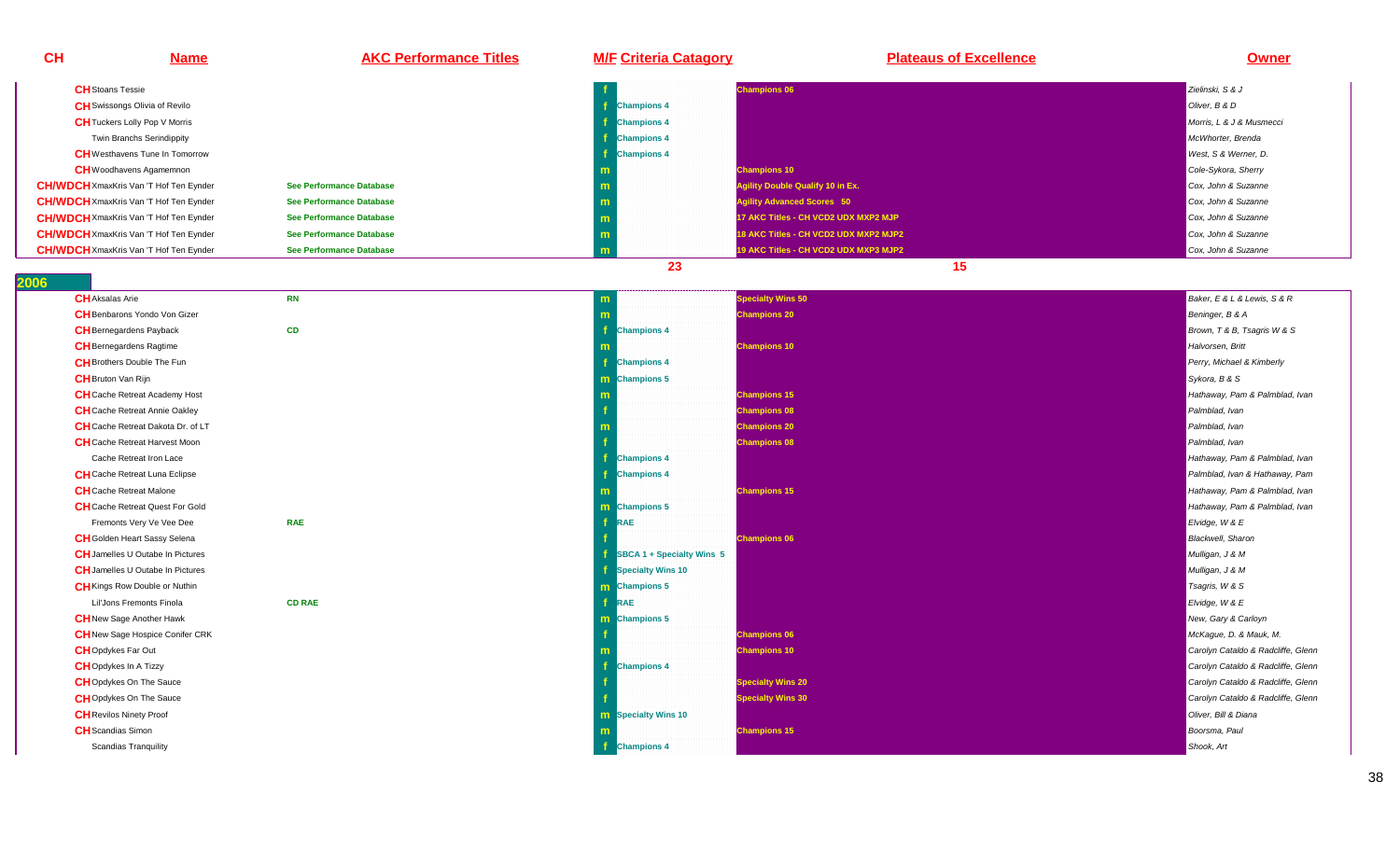| CH                     | <b>Name</b>                                   | <b>AKC Performance Titles</b>   | <b>M/F Criteria Catagory</b> | <b>Plateaus of Excellence</b>           | <b>Owner</b>                       |
|------------------------|-----------------------------------------------|---------------------------------|------------------------------|-----------------------------------------|------------------------------------|
|                        | <b>CH</b> Stoans Tessie                       |                                 |                              | <b>Champions 06</b>                     | Zielinski, S & J                   |
|                        | <b>CH</b> Swissongs Olivia of Revilo          |                                 | <b>Champions 4</b>           |                                         | Oliver, B & D                      |
|                        | <b>CH</b> Tuckers Lolly Pop V Morris          |                                 | <b>Champions 4</b>           |                                         | Morris, L & J & Musmecci           |
|                        | Twin Branchs Serindippity                     |                                 | <b>Champions 4</b>           |                                         | McWhorter, Brenda                  |
|                        | <b>CH</b> Westhavens Tune In Tomorrow         |                                 | <b>Champions 4</b>           |                                         | West, S & Werner, D.               |
|                        | <b>CH</b> Woodhavens Agamemnon                |                                 |                              | <b>Champions 10</b>                     | Cole-Sykora, Sherry                |
|                        | <b>CH/WDCH</b> XmaxKris Van 'T Hof Ten Eynder | <b>See Performance Database</b> | m                            | <b>Agility Double Qualify 10 in Ex.</b> | Cox, John & Suzanne                |
|                        | <b>CH/WDCH</b> XmaxKris Van 'T Hof Ten Eynder | <b>See Performance Database</b> | m                            | <b>Agility Advanced Scores 50</b>       | Cox, John & Suzanne                |
|                        | <b>CH/WDCH</b> XmaxKris Van 'T Hof Ten Eynder | <b>See Performance Database</b> | m                            | 17 AKC Titles - CH VCD2 UDX MXP2 MJP    | Cox, John & Suzanne                |
|                        | <b>CH/WDCH</b> XmaxKris Van 'T Hof Ten Eynder | <b>See Performance Database</b> | m                            | 18 AKC Titles - CH VCD2 UDX MXP2 MJP2   | Cox, John & Suzanne                |
|                        | <b>CH/WDCH</b> XmaxKris Van 'T Hof Ten Eynder | <b>See Performance Database</b> | m                            | 19 AKC Titles - CH VCD2 UDX MXP3 MJP2   | Cox, John & Suzanne                |
|                        |                                               |                                 | 23                           | 15                                      |                                    |
| $\overline{06}$        |                                               |                                 |                              |                                         |                                    |
| <b>CH</b> Aksalas Arie |                                               | <b>RN</b>                       | m                            | <b>Specialty Wins 50</b>                | Baker, E & L & Lewis, S & R        |
|                        | <b>CH</b> Benbarons Yondo Von Gizer           |                                 |                              | <b>Champions 20</b>                     | Beninger, B & A                    |
|                        | <b>CH</b> Bernegardens Payback                | CD                              | <b>Champions 4</b>           |                                         | Brown, T & B, Tsagris W & S        |
|                        | <b>CH</b> Bernegardens Ragtime                |                                 |                              | <b>Champions 10</b>                     | Halvorsen, Britt                   |
|                        | <b>CH</b> Brothers Double The Fun             |                                 | <b>Champions 4</b>           |                                         | Perry, Michael & Kimberly          |
|                        | <b>CH</b> Bruton Van Rijn                     |                                 | m Champions 5                |                                         | Sykora, B & S                      |
|                        | <b>CH</b> Cache Retreat Academy Host          |                                 |                              | <b>Champions 15</b>                     | Hathaway, Pam & Palmblad, Ivan     |
|                        | <b>CH</b> Cache Retreat Annie Oakley          |                                 |                              | <b>Champions 08</b>                     | Palmblad, Ivan                     |
|                        | <b>CH</b> Cache Retreat Dakota Dr. of LT      |                                 |                              | <b>Champions 20</b>                     | Palmblad, Ivan                     |
|                        | <b>CH</b> Cache Retreat Harvest Moon          |                                 |                              | <b>Champions 08</b>                     | Palmblad, Ivan                     |
|                        | Cache Retreat Iron Lace                       |                                 | <b>Champions 4</b>           |                                         | Hathaway, Pam & Palmblad, Ivan     |
|                        | <b>CH</b> Cache Retreat Luna Eclipse          |                                 | <b>Champions 4</b>           |                                         | Palmblad, Ivan & Hathaway, Pam     |
|                        | <b>CH</b> Cache Retreat Malone                |                                 |                              | <b>Champions 15</b>                     | Hathaway, Pam & Palmblad, Ivan     |
|                        | <b>CH</b> Cache Retreat Quest For Gold        |                                 | m Champions 5                |                                         | Hathaway, Pam & Palmblad, Ivan     |
|                        | Fremonts Very Ve Vee Dee                      | <b>RAE</b>                      | <b>RAE</b>                   |                                         | Elvidge, W & E                     |
|                        | <b>CH</b> Golden Heart Sassy Selena           |                                 |                              | <b>Champions 06</b>                     | <b>Blackwell</b> , Sharon          |
|                        | <b>CH</b> Jamelles U Outabe In Pictures       |                                 | SBCA 1 + Specialty Wins 5    |                                         | Mulligan, J & M                    |
|                        | <b>CH</b> Jamelles U Outabe In Pictures       |                                 | Specialty Wins 10            |                                         | Mulligan, J & M                    |
|                        | <b>CH</b> Kings Row Double or Nuthin          |                                 | m Champions 5                |                                         | Tsagris, W & S                     |
|                        | Lil'Jons Fremonts Finola                      | <b>CD RAE</b>                   | <b>RAE</b>                   |                                         | Elvidge, W & E                     |
|                        | <b>CH</b> New Sage Another Hawk               |                                 | m Champions 5                |                                         | New, Gary & Carloyn                |
|                        | <b>CH</b> New Sage Hospice Conifer CRK        |                                 |                              | <b>Champions 06</b>                     | McKague, D. & Mauk, M.             |
|                        | <b>CH</b> Opdykes Far Out                     |                                 |                              | <b>Champions 10</b>                     | Carolyn Cataldo & Radcliffe, Glenn |
|                        | <b>CH</b> Opdykes In A Tizzy                  |                                 | <b>Champions 4</b>           |                                         | Carolyn Cataldo & Radcliffe, Glenn |
|                        | <b>CHOpdykes On The Sauce</b>                 |                                 |                              | <b>Specialty Wins 20</b>                | Carolyn Cataldo & Radcliffe, Glenn |
|                        | <b>CH</b> Opdykes On The Sauce                |                                 |                              | <b>Specialty Wins 30</b>                | Carolyn Cataldo & Radcliffe, Glenn |
|                        | <b>CH</b> Revilos Ninety Proof                |                                 | <b>m</b> Specialty Wins 10   |                                         | Oliver, Bill & Diana               |
|                        | <b>CH</b> Scandias Simon                      |                                 |                              | <b>Champions 15</b>                     | Boorsma, Paul                      |
|                        | <b>Scandias Tranquility</b>                   |                                 | <b>f</b> Champions 4         |                                         | Shook, Art                         |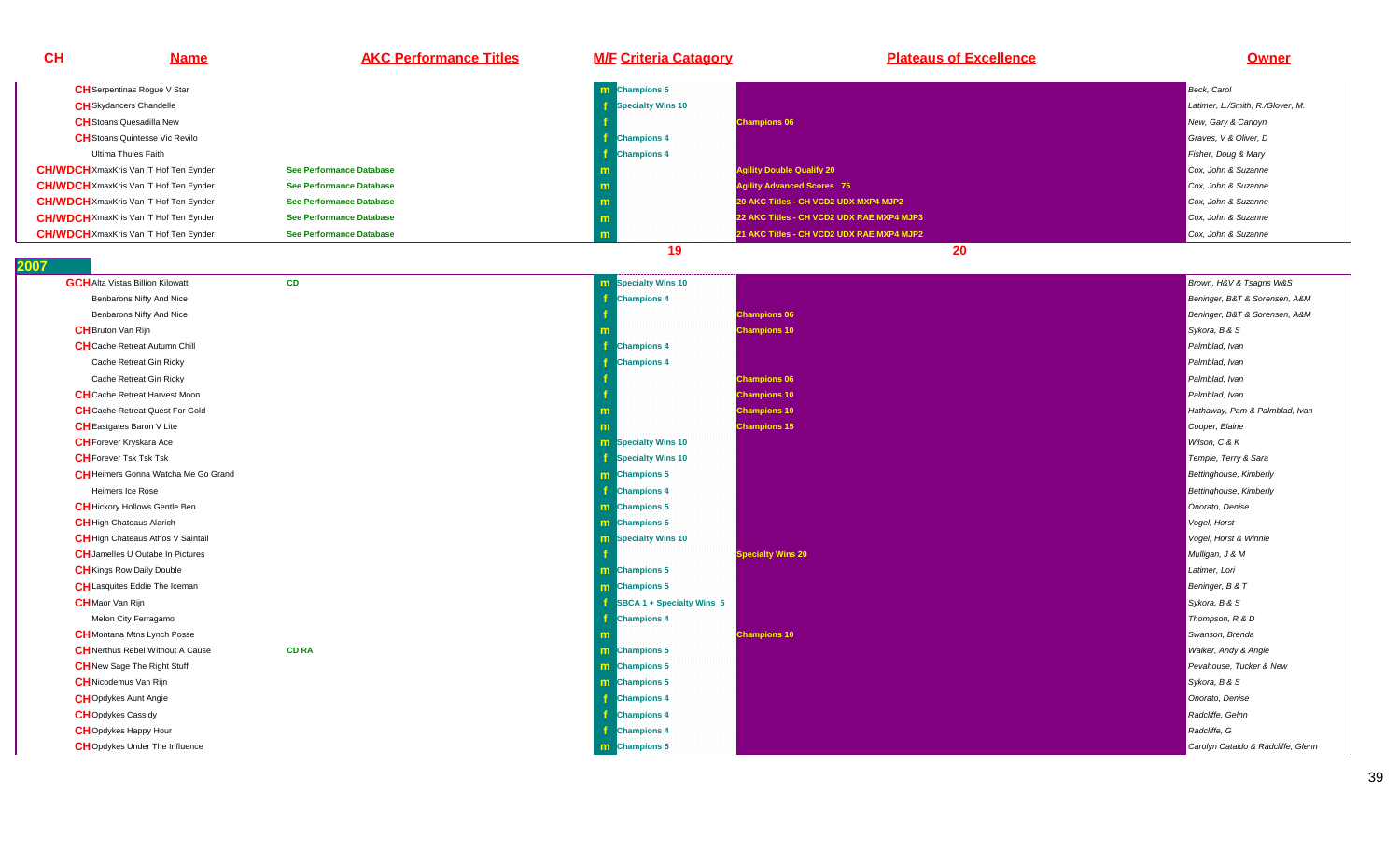| <b>CH</b>               | <b>Name</b>                                   | <b>AKC Performance Titles</b>   | <b>M/F Criteria Catagory</b>  | <b>Plateaus of Excellence</b>             | Owner                              |
|-------------------------|-----------------------------------------------|---------------------------------|-------------------------------|-------------------------------------------|------------------------------------|
|                         | <b>CH</b> Serpentinas Rogue V Star            |                                 | <b>m</b> Champions 5          |                                           | Beck, Carol                        |
|                         | <b>CH</b> Skydancers Chandelle                |                                 | 4<br><b>Specialty Wins 10</b> |                                           | Latimer, L./Smith, R./Glover, M.   |
|                         | <b>CH</b> Stoans Quesadilla New               |                                 |                               | <b>Champions 06</b>                       | New, Gary & Carloyn                |
|                         | <b>CH</b> Stoans Quintesse Vic Revilo         |                                 | f.<br><b>Champions 4</b>      |                                           | Graves, V & Oliver, D              |
|                         | Ultima Thules Faith                           |                                 | <b>Champions 4</b>            |                                           | Fisher, Doug & Mary                |
|                         | <b>CH/WDCH</b> XmaxKris Van 'T Hof Ten Eynder | <b>See Performance Database</b> |                               | <b>Agility Double Qualify 20</b>          | Cox, John & Suzanne                |
|                         | <b>CH/WDCH</b> XmaxKris Van 'T Hof Ten Eynder | <b>See Performance Database</b> | m                             | <b>Agility Advanced Scores 75</b>         | Cox, John & Suzanne                |
|                         | <b>CH/WDCH</b> XmaxKris Van 'T Hof Ten Eynder | See Performance Database        | m                             | 20 AKC Titles - CH VCD2 UDX MXP4 MJP2     | Cox, John & Suzanne                |
|                         | <b>CH/WDCH</b> XmaxKris Van 'T Hof Ten Eynder | <b>See Performance Database</b> | m                             | 22 AKC Titles - CH VCD2 UDX RAE MXP4 MJP3 | Cox, John & Suzanne                |
|                         | <b>CH/WDCH</b> XmaxKris Van 'T Hof Ten Eynder | <b>See Performance Database</b> | m                             | 21 AKC Titles - CH VCD2 UDX RAE MXP4 MJP2 | Cox, John & Suzanne                |
|                         |                                               |                                 | 19                            | 20                                        |                                    |
| 007                     |                                               | <b>CD</b>                       |                               |                                           |                                    |
|                         | <b>GCH</b> Alta Vistas Billion Kilowatt       |                                 | <b>Specialty Wins 10</b><br>m |                                           | Brown, H&V & Tsagris W&S           |
|                         | Benbarons Nifty And Nice                      |                                 | <b>Champions 4</b>            |                                           | Beninger, B&T & Sorensen, A&M      |
|                         | Benbarons Nifty And Nice                      |                                 |                               | <b>Champions 06</b>                       | Beninger, B&T & Sorensen, A&M      |
|                         | <b>CH</b> Bruton Van Rijn                     |                                 |                               | <b>Champions 10</b>                       | Sykora, B & S                      |
|                         | <b>CH</b> Cache Retreat Autumn Chill          |                                 | <b>Champions 4</b>            |                                           | Palmblad, Ivan                     |
|                         | Cache Retreat Gin Ricky                       |                                 | <b>Champions 4</b>            |                                           | Palmblad, Ivan                     |
|                         | Cache Retreat Gin Ricky                       |                                 |                               | <b>Champions 06</b>                       | Palmblad, Ivan                     |
|                         | <b>CH</b> Cache Retreat Harvest Moon          |                                 |                               | <b>Champions 10</b>                       | Palmblad, Ivan                     |
|                         | <b>CH</b> Cache Retreat Quest For Gold        |                                 | m                             | <b>Champions 10</b>                       | Hathaway, Pam & Palmblad, Ivan     |
|                         | <b>CH</b> Eastgates Baron V Lite              |                                 |                               | <b>Champions 15</b>                       | Cooper, Elaine                     |
|                         | <b>CH</b> Forever Kryskara Ace                |                                 | <b>m</b> Specialty Wins 10    |                                           | Wilson, C & K                      |
|                         | <b>CH</b> Forever Tsk Tsk Tsk                 |                                 | Specialty Wins 10             |                                           | Temple, Terry & Sara               |
|                         | <b>CH</b> Heimers Gonna Watcha Me Go Grand    |                                 | <b>m</b> Champions 5          |                                           | <b>Bettinghouse, Kimberly</b>      |
|                         | Heimers Ice Rose                              |                                 | Æ<br><b>Champions 4</b>       |                                           | <b>Bettinghouse, Kimberly</b>      |
|                         | <b>CH</b> Hickory Hollows Gentle Ben          |                                 | <b>m</b> Champions 5          |                                           | Onorato, Denise                    |
|                         | <b>CH</b> High Chateaus Alarich               |                                 | m Champions 5                 |                                           | Vogel, Horst                       |
|                         | CH High Chateaus Athos V Saintail             |                                 | <b>m</b> Specialty Wins 10    |                                           | Vogel, Horst & Winnie              |
|                         | <b>CH</b> Jamelles U Outabe In Pictures       |                                 |                               | <b>Specialty Wins 20</b>                  | Mulligan, J & M                    |
|                         | <b>CH</b> Kings Row Daily Double              |                                 | m Champions 5                 |                                           | Latimer, Lori                      |
|                         | <b>CH</b> Lasquites Eddie The Iceman          |                                 | m Champions 5                 |                                           | Beninger, B & T                    |
| <b>CH</b> Maor Van Rijn |                                               |                                 | SBCA 1 + Specialty Wins 5     |                                           | Sykora, B & S                      |
|                         | Melon City Ferragamo                          |                                 | <b>Champions 4</b>            |                                           | Thompson, R & D                    |
|                         | <b>CH</b> Montana Mtns Lynch Posse            |                                 |                               | <b>Champions 10</b>                       | Swanson, Brenda                    |
|                         | <b>CH</b> Nerthus Rebel Without A Cause       | <b>CD RA</b>                    | <b>m</b> Champions 5          |                                           | Walker, Andy & Angie               |
|                         | <b>CH</b> New Sage The Right Stuff            |                                 | <b>m</b> Champions 5          |                                           | Pevahouse, Tucker & New            |
|                         | <b>CH</b> Nicodemus Van Rijn                  |                                 | m Champions 5                 |                                           | Sykora, B & S                      |
|                         | <b>CH</b> Opdykes Aunt Angie                  |                                 | <b>Champions 4</b>            |                                           | Onorato, Denise                    |
|                         | <b>CH</b> Opdykes Cassidy                     |                                 | <b>Champions 4</b>            |                                           | Radcliffe, Gelnn                   |
|                         | <b>CH</b> Opdykes Happy Hour                  |                                 | <b>Champions 4</b>            |                                           | Radcliffe, G                       |
|                         | <b>CH</b> Opdykes Under The Influence         |                                 | m Champions 5                 |                                           | Carolyn Cataldo & Radcliffe, Glenn |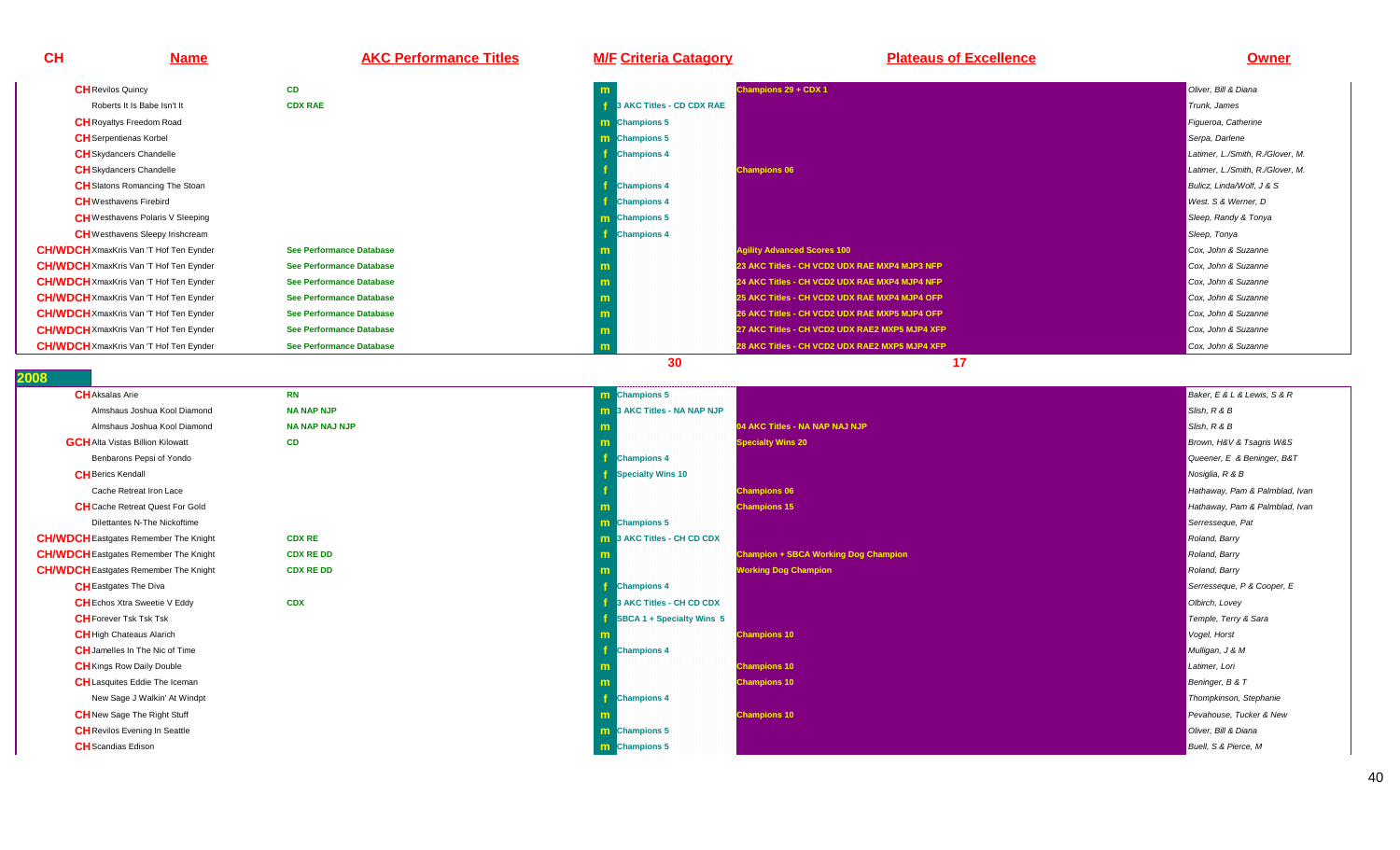# **Name AKC Performance Titles M/F Criteria Catagory Plateaus of Excellence Owner**

| <b>CH</b> Revilos Quincy                      | <b>CD</b>                       | m                         | Champions 29 + CDX 1                           | Oliver, Bill & Diana             |
|-----------------------------------------------|---------------------------------|---------------------------|------------------------------------------------|----------------------------------|
| Roberts It Is Babe Isn't It                   | <b>CDX RAE</b>                  | 3 AKC Titles - CD CDX RAE |                                                | Trunk, James                     |
| <b>CH</b> Royaltys Freedom Road               |                                 | <b>Champions 5</b><br>m   |                                                | Figueroa, Catherine              |
| <b>CH</b> Serpentienas Korbel                 |                                 | <b>Champions 5</b><br>m.  |                                                | Serpa, Darlene                   |
| <b>CH</b> Skydancers Chandelle                |                                 | <b>Champions 4</b>        |                                                | Latimer, L./Smith, R./Glover, M. |
| <b>CH</b> Skydancers Chandelle                |                                 |                           | <b>Champions 06</b>                            | Latimer, L./Smith, R./Glover, M. |
| <b>CH</b> Slatons Romancing The Stoan         |                                 | <b>Champions 4</b>        |                                                | Bulicz, Linda/Wolf, J & S        |
| <b>CH</b> Westhavens Firebird                 |                                 | <b>Champions 4</b>        |                                                | West. S & Werner, D              |
| <b>CH</b> Westhavens Polaris V Sleeping       |                                 | Champions 5<br>m.         |                                                | Sleep, Randy & Tonya             |
| <b>CH</b> Westhavens Sleepy Irishcream        |                                 | <b>Champions 4</b>        |                                                | Sleep, Tonya                     |
| <b>CH/WDCH</b> XmaxKris Van 'T Hof Ten Eynder | <b>See Performance Database</b> |                           | <b>Agility Advanced Scores 100</b>             | Cox, John & Suzanne              |
| <b>CH/WDCH</b> XmaxKris Van 'T Hof Ten Eynder | <b>See Performance Database</b> |                           | 23 AKC Titles - CH VCD2 UDX RAE MXP4 MJP3 NFP  | Cox, John & Suzanne              |
| <b>CH/WDCH</b> XmaxKris Van 'T Hof Ten Eynder | <b>See Performance Database</b> |                           | 24 AKC Titles - CH VCD2 UDX RAE MXP4 MJP4 NFP  | Cox, John & Suzanne              |
| <b>CH/WDCH</b> XmaxKris Van 'T Hof Ten Eynder | <b>See Performance Database</b> |                           | 25 AKC Titles - CH VCD2 UDX RAE MXP4 MJP4 OFP  | Cox, John & Suzanne              |
| <b>CH/WDCH</b> XmaxKris Van 'T Hof Ten Eynder | See Performance Database        |                           | 26 AKC Titles - CH VCD2 UDX RAE MXP5 MJP4 OFP  | Cox, John & Suzanne              |
| <b>CH/WDCH</b> XmaxKris Van 'T Hof Ten Eynder | See Performance Database        |                           | 27 AKC Titles - CH VCD2 UDX RAE2 MXP5 MJP4 XFP | Cox, John & Suzanne              |
| <b>CH/WDCH</b> XmaxKris Van 'T Hof Ten Eynder | <b>See Performance Database</b> |                           | 28 AKC Titles - CH VCD2 UDX RAE2 MXP5 MJP4 XFP | Cox, John & Suzanne              |
|                                               |                                 | 30                        |                                                |                                  |

### **2008**

**CH**

| <b>RN</b>             | m  |
|-----------------------|----|
| <b>NA NAP NJP</b>     | m  |
| <b>NA NAP NAJ NJP</b> | m  |
| <b>CD</b>             | m  |
|                       | f, |
|                       | f  |
|                       | f  |
|                       | m  |
|                       | m  |
| <b>CDX RE</b>         | m  |
| <b>CDX RE DD</b>      | m  |
| <b>CDX RE DD</b>      | m  |
|                       | f  |
| <b>CDX</b>            | f  |
|                       | f  |
|                       | m  |
|                       | f  |
|                       | m  |
|                       | m  |
|                       | f  |
|                       | m  |
|                       | m  |
|                       | m  |
|                       |    |

| m Champions 5<br>Baker, E & L & Lewis, S & R<br><b>NAP NJP</b><br><b>m</b> 3 AKC Titles - NA NAP NJP<br>Slish, R & B<br><b>NAP NAJ NJP</b><br>Slish, R & B<br>04 AKC Titles - NA NAP NAJ NJP<br>m<br><b>Specialty Wins 20</b><br>Brown, H&V & Tsagris W&S<br>m<br>Queener, E & Beninger, B&T<br><b>Champions 4</b><br>Specialty Wins 10<br>Nosiglia, R & B<br><b>Champions 06</b><br>Hathaway, Pam & Palmblad, Ivan<br><b>Champions 15</b><br>-m<br><b>m</b> Champions 5<br>Serresseque, Pat<br>X RE<br><b>m</b> 3 AKC Titles - CH CD CDX<br>Roland, Barry<br>X RE DD<br><b>Champion + SBCA Working Dog Champion</b><br>Roland, Barry<br>m<br>X RE DD<br><b>Working Dog Champion</b><br>Roland, Barry<br>m<br><b>Champions 4</b><br>Serresseque, P & Cooper, E<br>X<br>3 AKC Titles - CH CD CDX<br>Olbirch, Lovey<br><b>SBCA 1 + Specialty Wins 5</b><br>Temple, Terry & Sara<br><b>Champions 10</b><br>Vogel, Horst<br>m<br><b>Champions 4</b><br>Mulligan, J & M<br><b>Champions 10</b><br>Latimer, Lori<br>m<br><b>Champions 10</b><br>Beninger, B & T<br>m<br><b>Champions 4</b><br>Thompkinson, Stephanie<br>-1<br><b>Champions 10</b><br>Pevahouse, Tucker & New<br>m<br><b>m</b> Champions 5<br>Oliver, Bill & Diana<br><b>m</b> Champions 5<br>Buell, S & Pierce, M |  |                                |
|-----------------------------------------------------------------------------------------------------------------------------------------------------------------------------------------------------------------------------------------------------------------------------------------------------------------------------------------------------------------------------------------------------------------------------------------------------------------------------------------------------------------------------------------------------------------------------------------------------------------------------------------------------------------------------------------------------------------------------------------------------------------------------------------------------------------------------------------------------------------------------------------------------------------------------------------------------------------------------------------------------------------------------------------------------------------------------------------------------------------------------------------------------------------------------------------------------------------------------------------------------------------------------|--|--------------------------------|
|                                                                                                                                                                                                                                                                                                                                                                                                                                                                                                                                                                                                                                                                                                                                                                                                                                                                                                                                                                                                                                                                                                                                                                                                                                                                             |  |                                |
|                                                                                                                                                                                                                                                                                                                                                                                                                                                                                                                                                                                                                                                                                                                                                                                                                                                                                                                                                                                                                                                                                                                                                                                                                                                                             |  |                                |
|                                                                                                                                                                                                                                                                                                                                                                                                                                                                                                                                                                                                                                                                                                                                                                                                                                                                                                                                                                                                                                                                                                                                                                                                                                                                             |  |                                |
|                                                                                                                                                                                                                                                                                                                                                                                                                                                                                                                                                                                                                                                                                                                                                                                                                                                                                                                                                                                                                                                                                                                                                                                                                                                                             |  |                                |
|                                                                                                                                                                                                                                                                                                                                                                                                                                                                                                                                                                                                                                                                                                                                                                                                                                                                                                                                                                                                                                                                                                                                                                                                                                                                             |  |                                |
|                                                                                                                                                                                                                                                                                                                                                                                                                                                                                                                                                                                                                                                                                                                                                                                                                                                                                                                                                                                                                                                                                                                                                                                                                                                                             |  |                                |
|                                                                                                                                                                                                                                                                                                                                                                                                                                                                                                                                                                                                                                                                                                                                                                                                                                                                                                                                                                                                                                                                                                                                                                                                                                                                             |  |                                |
|                                                                                                                                                                                                                                                                                                                                                                                                                                                                                                                                                                                                                                                                                                                                                                                                                                                                                                                                                                                                                                                                                                                                                                                                                                                                             |  | Hathaway, Pam & Palmblad, Ivan |
|                                                                                                                                                                                                                                                                                                                                                                                                                                                                                                                                                                                                                                                                                                                                                                                                                                                                                                                                                                                                                                                                                                                                                                                                                                                                             |  |                                |
|                                                                                                                                                                                                                                                                                                                                                                                                                                                                                                                                                                                                                                                                                                                                                                                                                                                                                                                                                                                                                                                                                                                                                                                                                                                                             |  |                                |
|                                                                                                                                                                                                                                                                                                                                                                                                                                                                                                                                                                                                                                                                                                                                                                                                                                                                                                                                                                                                                                                                                                                                                                                                                                                                             |  |                                |
|                                                                                                                                                                                                                                                                                                                                                                                                                                                                                                                                                                                                                                                                                                                                                                                                                                                                                                                                                                                                                                                                                                                                                                                                                                                                             |  |                                |
|                                                                                                                                                                                                                                                                                                                                                                                                                                                                                                                                                                                                                                                                                                                                                                                                                                                                                                                                                                                                                                                                                                                                                                                                                                                                             |  |                                |
|                                                                                                                                                                                                                                                                                                                                                                                                                                                                                                                                                                                                                                                                                                                                                                                                                                                                                                                                                                                                                                                                                                                                                                                                                                                                             |  |                                |
|                                                                                                                                                                                                                                                                                                                                                                                                                                                                                                                                                                                                                                                                                                                                                                                                                                                                                                                                                                                                                                                                                                                                                                                                                                                                             |  |                                |
|                                                                                                                                                                                                                                                                                                                                                                                                                                                                                                                                                                                                                                                                                                                                                                                                                                                                                                                                                                                                                                                                                                                                                                                                                                                                             |  |                                |
|                                                                                                                                                                                                                                                                                                                                                                                                                                                                                                                                                                                                                                                                                                                                                                                                                                                                                                                                                                                                                                                                                                                                                                                                                                                                             |  |                                |
|                                                                                                                                                                                                                                                                                                                                                                                                                                                                                                                                                                                                                                                                                                                                                                                                                                                                                                                                                                                                                                                                                                                                                                                                                                                                             |  |                                |
|                                                                                                                                                                                                                                                                                                                                                                                                                                                                                                                                                                                                                                                                                                                                                                                                                                                                                                                                                                                                                                                                                                                                                                                                                                                                             |  |                                |
|                                                                                                                                                                                                                                                                                                                                                                                                                                                                                                                                                                                                                                                                                                                                                                                                                                                                                                                                                                                                                                                                                                                                                                                                                                                                             |  |                                |
|                                                                                                                                                                                                                                                                                                                                                                                                                                                                                                                                                                                                                                                                                                                                                                                                                                                                                                                                                                                                                                                                                                                                                                                                                                                                             |  |                                |
|                                                                                                                                                                                                                                                                                                                                                                                                                                                                                                                                                                                                                                                                                                                                                                                                                                                                                                                                                                                                                                                                                                                                                                                                                                                                             |  |                                |
|                                                                                                                                                                                                                                                                                                                                                                                                                                                                                                                                                                                                                                                                                                                                                                                                                                                                                                                                                                                                                                                                                                                                                                                                                                                                             |  |                                |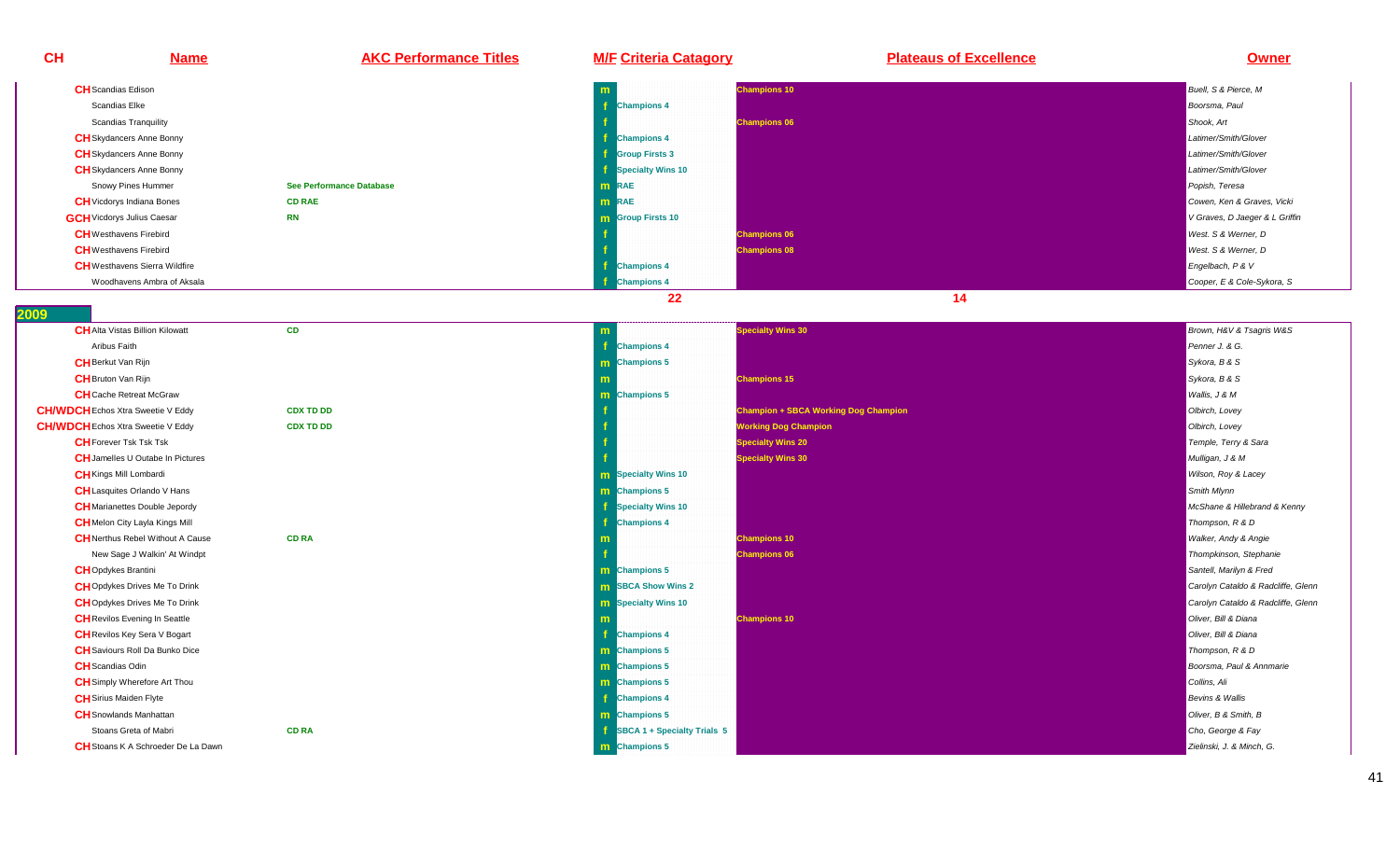**CH Name AKC Performance Titles M/F Criteria Catagory Plateaus of Excellence Owner CH**Scandias Edison**m Champions 10** Buell, S & Pierce, M<br>Production of the contract of the contract of the contract of the contract of the contract of the contract of the contract of the contract of the contract of the contract of the contract Scandias Elke **<sup>f</sup>f** Champions 4 Boorsma, Paul Leo Boorsma, Paul Leo Boorsma, Paul Leo Boorsma, Paul Leo Boorsma, Paul Leo Boorsma, Paul Scandias Tranquility **f Champions 06** Shook, Art **CH**Skydancers Anne Bonny**f** the contract of the contract of the contract of the contract of the contract of the contract of the contract of the contract of the contract of the contract of the contract of the contract of the contract of the contra **Champions 4** Latimer/Smith/Glover **CH**Skydancers Anne Bonny **f Group Firsts 3** Latimer/Smith/Glover **CH**Skydancers Anne Bonny**f** the contract of the contract of the contract of the contract of the contract of the contract of the contract of the contract of the contract of the contract of the contract of the contract of the contract of the contra **Specialty Wins 10** Latimer/Smith/Glover Snowy Pines Hummer **See Performance Database <sup>m</sup> RAE** Popish, Teresa **CH**Vicdorys Indiana Bones **CD RAE <sup>m</sup>RAE Cowen, Ken & Graves, Vicki**<br>External comparative contract the comparative contract of the comparative contract of the comparative contract of **GCH**Vicdorys Julius Caesar **RNm Group Firsts 10** V Graves, D Jaeger & L Griffin **CH**Westhavens Firebird **<sup>f</sup> Champions 06** West. S & Werner, DWest. S & Werner, D **CH**Westhavens Firebird**f** the contract of the contract of the contract of the contract of the contract of the contract of the contract of the contract of the contract of the contract of the contract of the contract of the contract of the contra **Champions 08** West. S & Werner, D**CH**Westhavens Sierra Wildfire**e** the contract of the contract of the contract of the contract of the contract of the contract of the contract of the contract of the contract of the contract of the contract of the contract of the contract of the contra **Champions 4** Engelbach, P & V **Champions 4** Cooper, E & Cole-Sykora, SWoodhavens Ambra of Aksala **<sup>f</sup>22** 14

| <b>CH</b> Alta Vistas Billion Kilowatt    | <b>CD</b>        | m                           | <b>Specialty Wins 30</b>                    | Brown, H&V & Tsagris W&S           |
|-------------------------------------------|------------------|-----------------------------|---------------------------------------------|------------------------------------|
| Aribus Faith                              |                  | <b>Champions 4</b>          |                                             | Penner J. & G.                     |
| <b>CH</b> Berkut Van Rijn                 |                  | m Champions 5               |                                             | Sykora, B & S                      |
| <b>CH</b> Bruton Van Rijn                 |                  |                             | <b>Champions 15</b>                         | Sykora, B & S                      |
| <b>CH</b> Cache Retreat McGraw            |                  | <b>m</b> Champions 5        |                                             | Wallis, J & M                      |
| <b>CH/WDCH</b> Echos Xtra Sweetie V Eddy  | <b>CDX TD DD</b> |                             | <b>Champion + SBCA Working Dog Champion</b> | Olbirch, Lovey                     |
| <b>CH/WDCH</b> Echos Xtra Sweetie V Eddy  | <b>CDX TD DD</b> |                             | <b>Working Dog Champion</b>                 | Olbirch, Lovey                     |
| <b>CH</b> Forever Tsk Tsk Tsk             |                  |                             | <b>Specialty Wins 20</b>                    | Temple, Terry & Sara               |
| <b>CH</b> Jamelles U Outabe In Pictures   |                  |                             | <b>Specialty Wins 30</b>                    | Mulligan, J & M                    |
| <b>CH</b> Kings Mill Lombardi             |                  | <b>m</b> Specialty Wins 10  |                                             | Wilson, Roy & Lacey                |
| <b>CH</b> Lasquites Orlando V Hans        |                  | <b>m</b> Champions 5        |                                             | Smith Mlynn                        |
| <b>CH</b> Marianettes Double Jepordy      |                  | <b>Specialty Wins 10</b>    |                                             | McShane & Hillebrand & Kenny       |
| <b>CH</b> Melon City Layla Kings Mill     |                  | <b>Champions 4</b>          |                                             | Thompson, R & D                    |
| <b>CH</b> Nerthus Rebel Without A Cause   | <b>CD RA</b>     |                             | <b>Champions 10</b>                         | <b>Walker, Andy &amp; Angie</b>    |
| New Sage J Walkin' At Windpt              |                  |                             | <b>Champions 06</b>                         | Thompkinson, Stephanie             |
| <b>CH</b> Opdykes Brantini                |                  | <b>m</b> Champions 5        |                                             | Santell, Marilyn & Fred            |
| <b>CH</b> Opdykes Drives Me To Drink      |                  | <b>m</b> SBCA Show Wins 2   |                                             | Carolyn Cataldo & Radcliffe, Glenn |
| <b>CH</b> Opdykes Drives Me To Drink      |                  | <b>m</b> Specialty Wins 10  |                                             | Carolyn Cataldo & Radcliffe, Glenn |
| <b>CH</b> Revilos Evening In Seattle      |                  |                             | <b>Champions 10</b>                         | Oliver, Bill & Diana               |
| <b>CH</b> Revilos Key Sera V Bogart       |                  | <b>Champions 4</b>          |                                             | Oliver, Bill & Diana               |
| <b>CH</b> Saviours Roll Da Bunko Dice     |                  | m Champions 5               |                                             | Thompson, R & D                    |
| <b>CH</b> Scandias Odin                   |                  | m Champions 5               |                                             | Boorsma, Paul & Annmarie           |
| <b>CH</b> Simply Wherefore Art Thou       |                  | <b>m</b> Champions 5        |                                             | Collins, Ali                       |
| <b>CH</b> Sirius Maiden Flyte             |                  | <b>Champions 4</b>          |                                             | Bevins & Wallis                    |
| <b>CH</b> Snowlands Manhattan             |                  | <b>m</b> Champions 5        |                                             | Oliver, B & Smith, B               |
| Stoans Greta of Mabri                     | <b>CD RA</b>     | SBCA 1 + Specialty Trials 5 |                                             | Cho, George & Fay                  |
| <b>CH</b> Stoans K A Schroeder De La Dawn |                  | <b>m</b> Champions 5        |                                             | Zielinski, J. & Minch, G.          |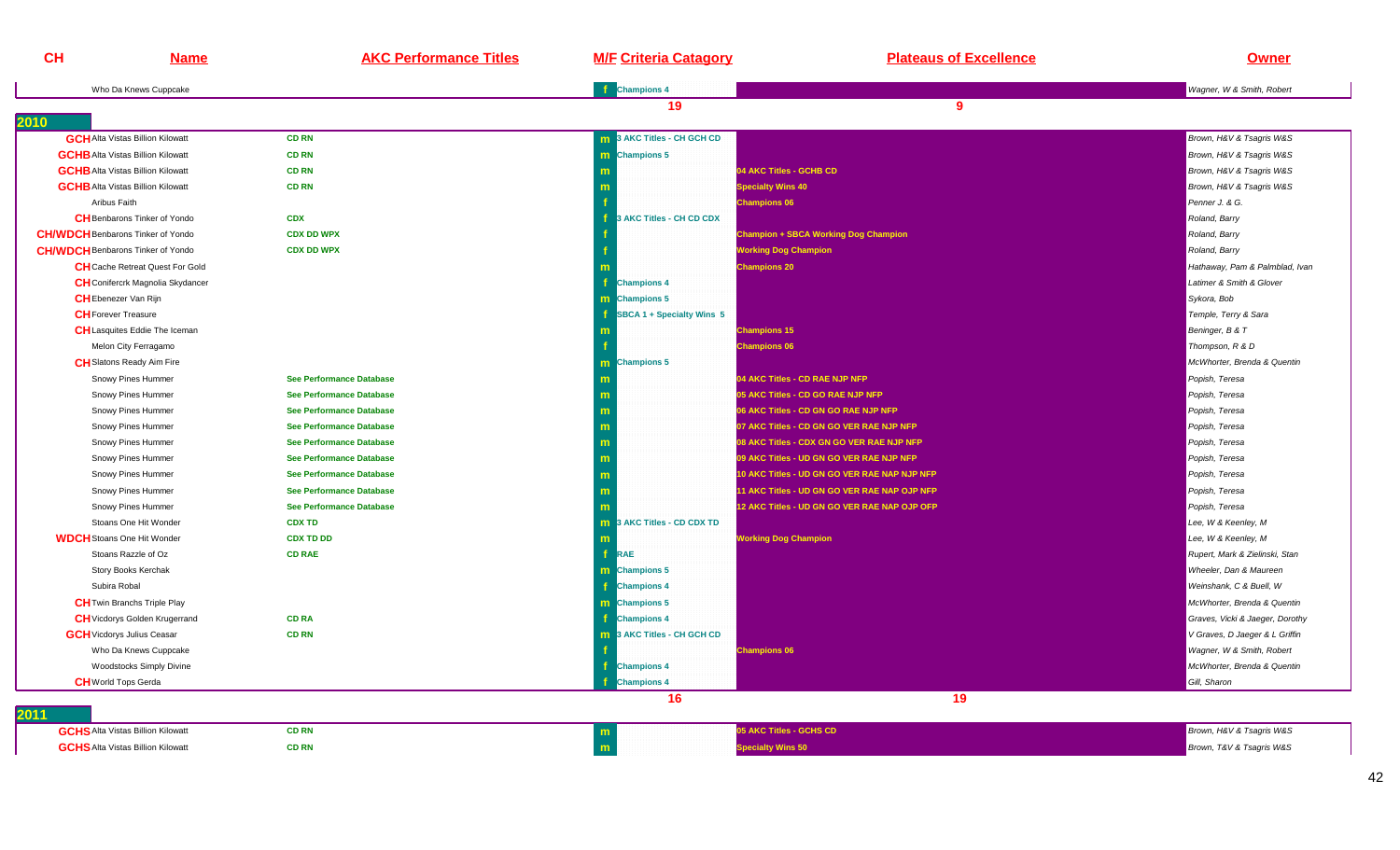| Who Da Knews Cuppcake<br>2010<br><b>GCH</b> Alta Vistas Billion Kilowatt<br><b>GCHB</b> Alta Vistas Billion Kilowatt | <b>CD RN</b>                    | <b>f</b> Champions 4<br>19 | 9                                            | Wagner, W & Smith, Robert       |
|----------------------------------------------------------------------------------------------------------------------|---------------------------------|----------------------------|----------------------------------------------|---------------------------------|
|                                                                                                                      |                                 |                            |                                              |                                 |
|                                                                                                                      |                                 |                            |                                              |                                 |
|                                                                                                                      |                                 | 3 AKC Titles - CH GCH CD   |                                              | Brown, H&V & Tsagris W&S        |
|                                                                                                                      | <b>CD RN</b>                    | m Champions 5              |                                              | Brown, H&V & Tsagris W&S        |
| <b>GCHB</b> Alta Vistas Billion Kilowatt                                                                             | <b>CD RN</b>                    |                            | 04 AKC Titles - GCHB CD                      | Brown, H&V & Tsagris W&S        |
| <b>GCHB</b> Alta Vistas Billion Kilowatt                                                                             | <b>CD RN</b>                    |                            | <b>Specialty Wins 40</b>                     | Brown, H&V & Tsagris W&S        |
| Aribus Faith                                                                                                         |                                 |                            | <b>Champions 06</b>                          | Penner J. & G.                  |
| <b>CH</b> Benbarons Tinker of Yondo                                                                                  | <b>CDX</b>                      | 3 AKC Titles - CH CD CDX   |                                              | Roland, Barry                   |
| <b>CH/WDCH</b> Benbarons Tinker of Yondo                                                                             | <b>CDX DD WPX</b>               |                            | <b>Champion + SBCA Working Dog Champion</b>  | Roland, Barry                   |
| <b>CH/WDCH</b> Benbarons Tinker of Yondo                                                                             | <b>CDX DD WPX</b>               |                            | <b>Working Dog Champion</b>                  | Roland, Barry                   |
| <b>CH</b> Cache Retreat Quest For Gold                                                                               |                                 |                            | <b>Champions 20</b>                          | Hathaway, Pam & Palmblad, Ivan  |
| <b>CH</b> Conifercrk Magnolia Skydancer                                                                              |                                 | <b>Champions 4</b>         |                                              | Latimer & Smith & Glover        |
| <b>CH</b> Ebenezer Van Rijn                                                                                          |                                 | m Champions 5              |                                              | Sykora, Bob                     |
| <b>CH</b> Forever Treasure                                                                                           |                                 | SBCA 1 + Specialty Wins 5  |                                              | Temple, Terry & Sara            |
| <b>CH</b> Lasquites Eddie The Iceman                                                                                 |                                 |                            | <b>Champions 15</b>                          | Beninger, B & T                 |
| Melon City Ferragamo                                                                                                 |                                 |                            | <b>Champions 06</b>                          | Thompson, R & D                 |
| <b>CH</b> Slatons Ready Aim Fire                                                                                     |                                 | m Champions 5              |                                              | McWhorter, Brenda & Quentin     |
| Snowy Pines Hummer                                                                                                   | <b>See Performance Database</b> | m                          | 04 AKC Titles - CD RAE NJP NFP               | Popish, Teresa                  |
| Snowy Pines Hummer                                                                                                   | See Performance Database        |                            | 05 AKC Titles - CD GO RAE NJP NFP            | Popish, Teresa                  |
| Snowy Pines Hummer                                                                                                   | <b>See Performance Database</b> | m                          | 06 AKC Titles - CD GN GO RAE NJP NFP         | Popish, Teresa                  |
| Snowy Pines Hummer                                                                                                   | <b>See Performance Database</b> | m                          | 07 AKC Titles - CD GN GO VER RAE NJP NFP     | Popish, Teresa                  |
| Snowy Pines Hummer                                                                                                   | <b>See Performance Database</b> | m                          | 08 AKC Titles - CDX GN GO VER RAE NJP NFP    | Popish, Teresa                  |
| Snowy Pines Hummer                                                                                                   | See Performance Database        | m                          | 09 AKC Titles - UD GN GO VER RAE NJP NFP     | Popish, Teresa                  |
| Snowy Pines Hummer                                                                                                   | <b>See Performance Database</b> | m                          | 10 AKC Titles - UD GN GO VER RAE NAP NJP NFP | Popish, Teresa                  |
| Snowy Pines Hummer                                                                                                   | See Performance Database        | m                          | 11 AKC Titles - UD GN GO VER RAE NAP OJP NFP | Popish, Teresa                  |
| Snowy Pines Hummer                                                                                                   | See Performance Database        |                            | 12 AKC Titles - UD GN GO VER RAE NAP OJP OFP | Popish, Teresa                  |
| Stoans One Hit Wonder                                                                                                | <b>CDX TD</b>                   | 3 AKC Titles - CD CDX TD   |                                              | Lee, W & Keenley, M             |
| <b>WDCH</b> Stoans One Hit Wonder                                                                                    | <b>CDX TD DD</b>                | m                          | <b>Working Dog Champion</b>                  | Lee, W & Keenley, M             |
| Stoans Razzle of Oz                                                                                                  | <b>CD RAE</b>                   | f.<br>RAE                  |                                              | Rupert, Mark & Zielinski, Stan  |
| Story Books Kerchak                                                                                                  |                                 | m Champions 5              |                                              | Wheeler, Dan & Maureen          |
| Subira Robal                                                                                                         |                                 | <b>f</b> Champions 4       |                                              | Weinshank, C & Buell, W         |
| <b>CH</b> Twin Branchs Triple Play                                                                                   |                                 | m Champions 5              |                                              | McWhorter, Brenda & Quentin     |
| <b>CH</b> Vicdorys Golden Krugerrand                                                                                 | <b>CD RA</b>                    | <b>Champions 4</b>         |                                              | Graves, Vicki & Jaeger, Dorothy |
| <b>GCH</b> Vicdorys Julius Ceasar                                                                                    | <b>CD RN</b>                    | 3 AKC Titles - CH GCH CD   |                                              | V Graves, D Jaeger & L Griffin  |
| Who Da Knews Cuppcake                                                                                                |                                 |                            | <b>Champions 06</b>                          | Wagner, W & Smith, Robert       |
| <b>Woodstocks Simply Divine</b>                                                                                      |                                 | <b>Champions 4</b>         |                                              | McWhorter, Brenda & Quentin     |
| <b>CH</b> World Tops Gerda                                                                                           |                                 | <b>Champions 4</b>         |                                              | Gill, Sharon                    |
|                                                                                                                      |                                 | 16                         | 19                                           |                                 |
| 2011<br><b>GCHS</b> Alta Vistas Billion Kilowatt                                                                     | <b>CD RN</b>                    | m                          | 05 AKC Titles - GCHS CD                      | Brown, H&V & Tsagris W&S        |
| <b>GCHS</b> Alta Vistas Billion Kilowatt                                                                             | <b>CD RN</b>                    | m                          | pecialty Wins 50                             | Brown, T&V & Tsagris W&S        |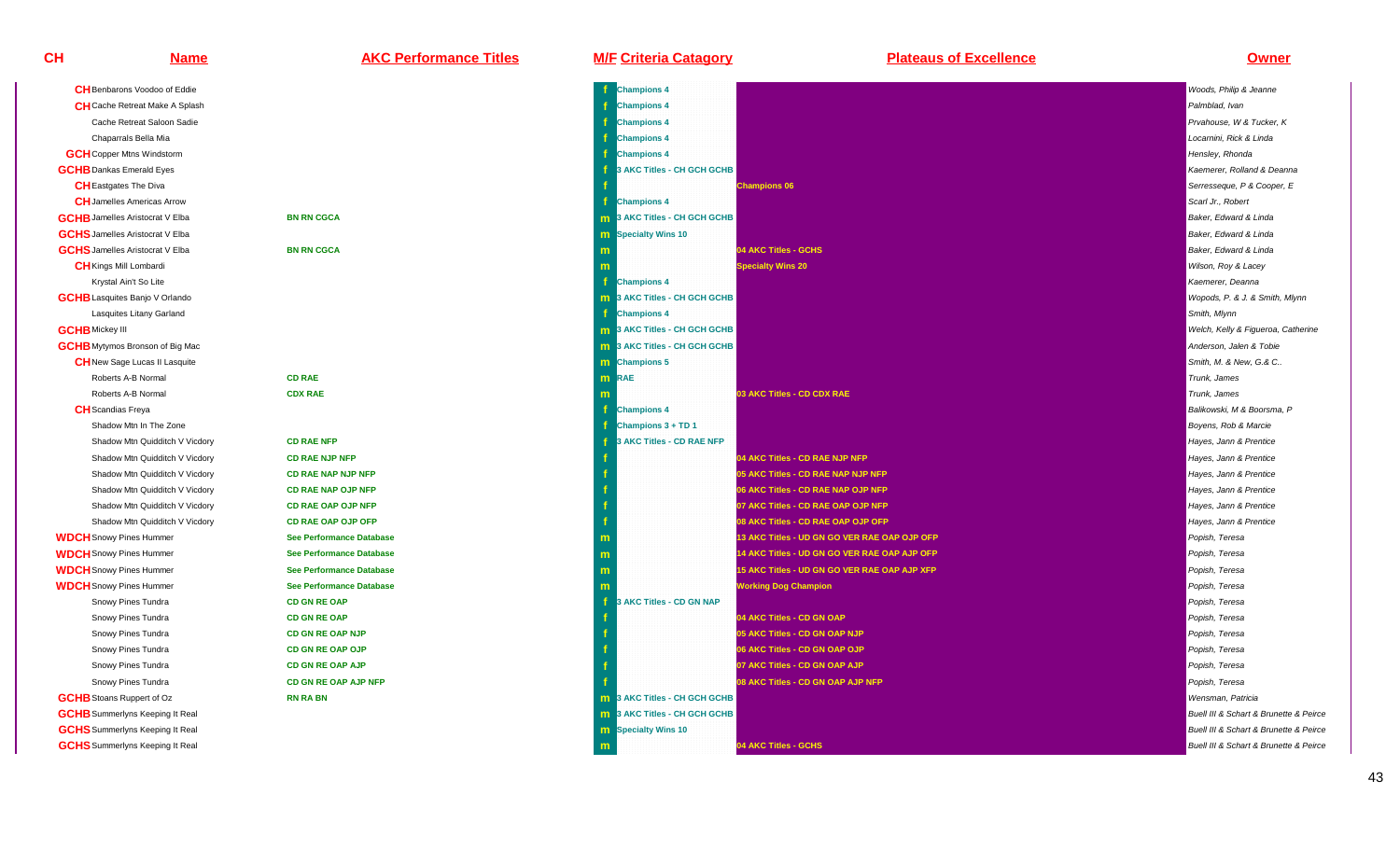| <b>CH</b> Benbarons Voodoo of Eddie    |                                 | <b>Champions 4</b>            |
|----------------------------------------|---------------------------------|-------------------------------|
| <b>CH</b> Cache Retreat Make A Splash  |                                 | <b>Champions 4</b><br>f       |
| Cache Retreat Saloon Sadie             |                                 | <b>Champions 4</b>            |
| Chaparrals Bella Mia                   |                                 | <b>Champions 4</b><br>f       |
| <b>GCH</b> Copper Mtns Windstorm       |                                 | <b>Champions 4</b><br>f       |
| <b>GCHB</b> Dankas Emerald Eyes        |                                 | 3 AKC Titles - CH             |
| <b>CH</b> Eastgates The Diva           |                                 |                               |
| <b>CH</b> Jamelles Americas Arrow      |                                 | <b>Champions 4</b><br>f.      |
| <b>GCHB</b> Jamelles Aristocrat V Elba | <b>BN RN CGCA</b>               | <b>m</b> 3 AKC Titles - CH    |
| <b>GCHS</b> Jamelles Aristocrat V Elba |                                 | <b>m</b> Specialty Wins 10    |
| <b>GCHS</b> Jamelles Aristocrat V Elba | <b>BN RN CGCA</b>               | m                             |
| <b>CH</b> Kings Mill Lombardi          |                                 | m                             |
| Krystal Ain't So Lite                  |                                 | <b>Champions 4</b><br>f       |
| <b>GCHB</b> Lasquites Banjo V Orlando  |                                 | 3 AKC Titles - CH<br>m.       |
| Lasquites Litany Garland               |                                 | <b>Champions 4</b><br>f       |
| <b>GCHB</b> Mickey III                 |                                 | <b>m</b> 3 AKC Titles - CH    |
| <b>GCHB</b> Mytymos Bronson of Big Mac |                                 | 3 AKC Titles - CH<br>m        |
| <b>CH</b> New Sage Lucas II Lasquite   |                                 | <b>Champions 5</b><br>m.      |
| Roberts A-B Normal                     | <b>CD RAE</b>                   | <b>RAE</b><br>m               |
| Roberts A-B Normal                     | <b>CDX RAE</b>                  | $\mathsf{m}$                  |
| <b>CH</b> Scandias Freya               |                                 | f<br><b>Champions 4</b>       |
| Shadow Mtn In The Zone                 |                                 | Champions 3 + TD              |
| Shadow Mtn Quidditch V Vicdory         | <b>CD RAE NFP</b>               | 3 AKC Titles - CD             |
| Shadow Mtn Quidditch V Vicdory         | <b>CD RAE NJP NFP</b>           | ۴                             |
| Shadow Mtn Quidditch V Vicdory         | <b>CD RAE NAP NJP NFP</b>       | f                             |
| Shadow Mtn Quidditch V Vicdory         | <b>CD RAE NAP OJP NFP</b>       |                               |
| Shadow Mtn Quidditch V Vicdory         | <b>CD RAE OAP OJP NFP</b>       |                               |
| Shadow Mtn Quidditch V Vicdory         | <b>CD RAE OAP OJP OFP</b>       | f                             |
| <b>WDCH</b> Snowy Pines Hummer         | <b>See Performance Database</b> | m                             |
| <b>WDCH</b> Snowy Pines Hummer         | <b>See Performance Database</b> | m                             |
| <b>WDCH</b> Snowy Pines Hummer         | <b>See Performance Database</b> | m                             |
| <b>WDCH</b> Snowy Pines Hummer         | <b>See Performance Database</b> | $\mathsf{m}$                  |
| Snowy Pines Tundra                     | <b>CD GN RE OAP</b>             | f<br>3 AKC Titles - CD        |
| Snowy Pines Tundra                     | <b>CD GN RE OAP</b>             |                               |
| Snowy Pines Tundra                     | <b>CD GN RE OAP NJP</b>         | f                             |
| Snowy Pines Tundra                     | <b>CD GN RE OAP OJP</b>         |                               |
| Snowy Pines Tundra                     | <b>CD GN RE OAP AJP</b>         |                               |
| Snowy Pines Tundra                     | <b>CD GN RE OAP AJP NFP</b>     |                               |
| <b>GCHB</b> Stoans Ruppert of Oz       | <b>RN RA BN</b>                 | 3 AKC Titles - CH<br>m        |
| <b>GCHB</b> Summerlyns Keeping It Real |                                 | 3 AKC Titles - CH<br>m.       |
| <b>GCHS</b> Summerlyns Keeping It Real |                                 | <b>Specialty Wins 10</b><br>m |
| <b>GCHS</b> Summerlyns Keeping It Real |                                 | m                             |

| <u>Name</u>                            | <b>AKC Performance Titles</b>   | <b>M/F Criteria Catagory</b>        | <b>Plateaus of Excellence</b>                | <u>Owner</u>                           |
|----------------------------------------|---------------------------------|-------------------------------------|----------------------------------------------|----------------------------------------|
| CH Benbarons Voodoo of Eddie           |                                 | <b>Champions 4</b>                  |                                              | Woods, Philip & Jeanne                 |
| <b>CH</b> Cache Retreat Make A Splash  |                                 | <b>Champions 4</b>                  |                                              | Palmblad, Ivan                         |
| Cache Retreat Saloon Sadie             |                                 | <b>Champions 4</b>                  |                                              | Prvahouse, W & Tucker, K               |
| Chaparrals Bella Mia                   |                                 | <b>Champions 4</b>                  |                                              | Locarnini, Rick & Linda                |
| <b>GCH</b> Copper Mtns Windstorm       |                                 | <b>Champions 4</b>                  |                                              | Hensley, Rhonda                        |
| <b>GCHB</b> Dankas Emerald Eyes        |                                 | 3 AKC Titles - CH GCH GCHB          |                                              | Kaemerer, Rolland & Deanna             |
| <b>CH</b> Eastgates The Diva           |                                 |                                     | <b>Champions 06</b>                          | Serresseque, P & Cooper, E             |
| <b>CH</b> Jamelles Americas Arrow      |                                 | <b>Champions 4</b>                  |                                              | Scarl Jr., Robert                      |
| <b>GCHB</b> Jamelles Aristocrat V Elba | <b>BN RN CGCA</b>               | <b>m</b> 3 AKC Titles - CH GCH GCHB |                                              | Baker, Edward & Linda                  |
| <b>GCHS</b> Jamelles Aristocrat V Elba |                                 | <b>m</b> Specialty Wins 10          |                                              | Baker, Edward & Linda                  |
| <b>GCHS</b> Jamelles Aristocrat V Elba | <b>BN RN CGCA</b>               |                                     | 04 AKC Titles - GCHS                         | Baker, Edward & Linda                  |
| <b>CH</b> Kings Mill Lombardi          |                                 |                                     | <b>Specialty Wins 20</b>                     | Wilson, Roy & Lacey                    |
| Krystal Ain't So Lite                  |                                 | <b>Champions 4</b>                  |                                              | Kaemerer, Deanna                       |
| <b>GCHB</b> Lasquites Banjo V Orlando  |                                 | 3 AKC Titles - CH GCH GCHB          |                                              | Wopods, P. & J. & Smith, Mlynn         |
| Lasquites Litany Garland               |                                 | <b>Champions 4</b>                  |                                              | Smith, Mlynn                           |
| <b>GCHB</b> Mickey III                 |                                 | <b>m</b> 3 AKC Titles - CH GCH GCHB |                                              | Welch, Kelly & Figueroa, Catherine     |
| <b>GCHB</b> Mytymos Bronson of Big Mac |                                 | <b>m</b> 3 AKC Titles - CH GCH GCHB |                                              | Anderson, Jalen & Tobie                |
| <b>CH</b> New Sage Lucas II Lasquite   |                                 | m Champions 5                       |                                              | Smith, M. & New, G.& C.,               |
| Roberts A-B Normal                     | <b>CD RAE</b>                   | <b>m</b> RAE                        |                                              | Trunk, James                           |
| Roberts A-B Normal                     | <b>CDX RAE</b>                  |                                     | 03 AKC Titles - CD CDX RAE                   | Trunk, James                           |
| <b>CH</b> Scandias Freya               |                                 | <b>Champions 4</b>                  |                                              | Balikowski, M & Boorsma, P             |
| Shadow Mtn In The Zone                 |                                 | Champions 3 + TD 1                  |                                              | Boyens, Rob & Marcie                   |
| Shadow Mtn Quidditch V Vicdory         | <b>CD RAE NFP</b>               | 3 AKC Titles - CD RAE NFP           |                                              | Hayes, Jann & Prentice                 |
| Shadow Mtn Quidditch V Vicdory         | <b>CD RAE NJP NFP</b>           |                                     | 04 AKC Titles - CD RAE NJP NFP               | Hayes, Jann & Prentice                 |
| Shadow Mtn Quidditch V Vicdory         | <b>CD RAE NAP NJP NFP</b>       |                                     | 05 AKC Titles - CD RAE NAP NJP NFP           | Hayes, Jann & Prentice                 |
| Shadow Mtn Quidditch V Vicdory         | <b>CD RAE NAP OJP NFP</b>       |                                     | 06 AKC Titles - CD RAE NAP OJP NFP           | Hayes, Jann & Prentice                 |
| Shadow Mtn Quidditch V Vicdory         | <b>CD RAE OAP OJP NFP</b>       |                                     | 07 AKC Titles - CD RAE OAP OJP NFP           | Hayes, Jann & Prentice                 |
| Shadow Mtn Quidditch V Vicdory         | <b>CD RAE OAP OJP OFP</b>       |                                     | 08 AKC Titles - CD RAE OAP OJP OFP           | Hayes, Jann & Prentice                 |
| <b>WDCH</b> Snowy Pines Hummer         | <b>See Performance Database</b> |                                     | 13 AKC Titles - UD GN GO VER RAE OAP OJP OFP | Popish, Teresa                         |
| <b>WDCH</b> Snowy Pines Hummer         | <b>See Performance Database</b> | m                                   | 14 AKC Titles - UD GN GO VER RAE OAP AJP OFP | Popish, Teresa                         |
| <b>WDCH</b> Snowy Pines Hummer         | <b>See Performance Database</b> |                                     | 15 AKC Titles - UD GN GO VER RAE OAP AJP XFP | Popish, Teresa                         |
| <b>WDCH</b> Snowy Pines Hummer         | <b>See Performance Database</b> |                                     | <b>Working Dog Champion</b>                  | Popish, Teresa                         |
| Snowy Pines Tundra                     | <b>CD GN RE OAP</b>             | 3 AKC Titles - CD GN NAP            |                                              | Popish, Teresa                         |
| Snowy Pines Tundra                     | <b>CD GN RE OAP</b>             |                                     | 04 AKC Titles - CD GN OAP                    | Popish, Teresa                         |
| Snowy Pines Tundra                     | <b>CD GN RE OAP NJP</b>         |                                     | 05 AKC Titles - CD GN OAP NJP                | Popish, Teresa                         |
| Snowy Pines Tundra                     | CD GN RE OAP OJP                |                                     | 06 AKC Titles - CD GN OAP OJP                | Popish, Teresa                         |
| Snowy Pines Tundra                     | <b>CD GN RE OAP AJP</b>         |                                     | 07 AKC Titles - CD GN OAP AJP                | Popish, Teresa                         |
| Snowy Pines Tundra                     | CD GN RE OAP AJP NFP            |                                     | 08 AKC Titles - CD GN OAP AJP NFP            | Popish, Teresa                         |
| <b>GCHB</b> Stoans Ruppert of Oz       | <b>RN RA BN</b>                 | <b>m</b> 3 AKC Titles - CH GCH GCHB |                                              | Wensman, Patricia                      |
| <b>GCHB</b> Summerlyns Keeping It Real |                                 | <b>m</b> 3 AKC Titles - CH GCH GCHB |                                              | Buell III & Schart & Brunette & Peirce |
| <b>GCHS</b> Summerlyns Keeping It Real |                                 | <b>m</b> Specialty Wins 10          |                                              | Buell III & Schart & Brunette & Peirce |
| <b>GCHS</b> Summerlyns Keeping It Real |                                 |                                     | 04 AKC Titles - GCHS                         | Buell III & Schart & Brunette & Peirce |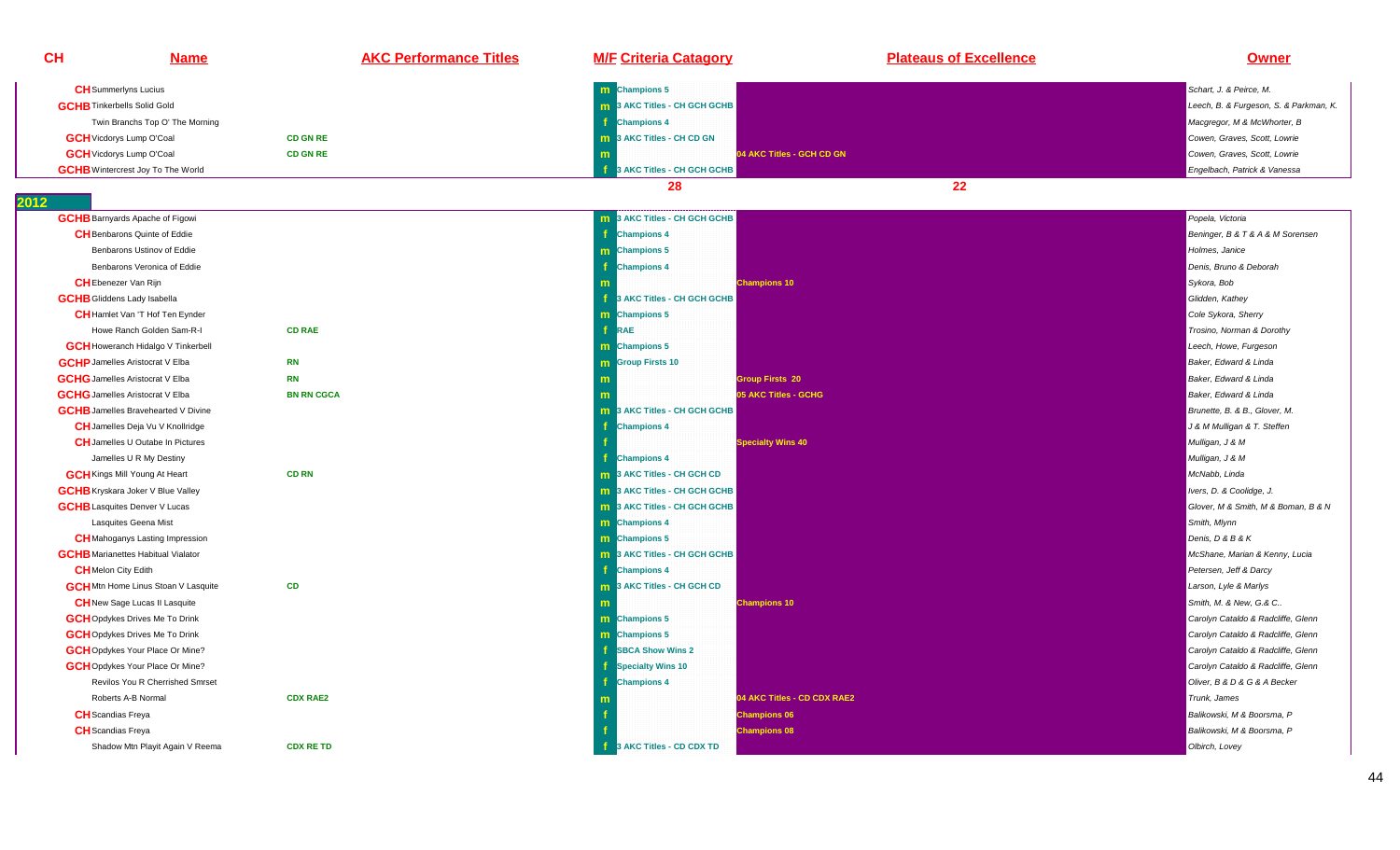| <b>CH</b>                          | <b>Name</b>                                | <b>AKC Performance Titles</b> | <b>M/F Criteria Catagory</b>        | <b>Plateaus of Excellence</b> | Owner                                  |
|------------------------------------|--------------------------------------------|-------------------------------|-------------------------------------|-------------------------------|----------------------------------------|
|                                    | <b>CH</b> Summerlyns Lucius                |                               | <b>m</b> Champions 5                |                               | Schart, J. & Peirce, M.                |
| <b>GCHB</b> Tinkerbells Solid Gold |                                            |                               | 3 AKC Titles - CH GCH GCHB          |                               | Leech, B. & Furgeson, S. & Parkman, K. |
|                                    | Twin Branchs Top O' The Morning            |                               | <b>Champions 4</b>                  |                               | Macgregor, M & McWhorter, B            |
|                                    | <b>GCH</b> Vicdorys Lump O'Coal            | <b>CD GN RE</b>               | 3 AKC Titles - CH CD GN             |                               | Cowen, Graves, Scott, Lowrie           |
|                                    | <b>GCH</b> Vicdorys Lump O'Coal            | <b>CD GN RE</b>               | 04 AKC Titles - GCH CD GN           |                               | Cowen, Graves, Scott, Lowrie           |
|                                    | <b>GCHB</b> Wintercrest Joy To The World   |                               | 3 AKC Titles - CH GCH GCHB          |                               | Engelbach, Patrick & Vanessa           |
|                                    |                                            |                               | 28                                  | $22 \overline{ }$             |                                        |
|                                    | <b>GCHB</b> Barnyards Apache of Figowi     |                               | <b>m</b> 3 AKC Titles - CH GCH GCHB |                               | Popela, Victoria                       |
|                                    | <b>CH</b> Benbarons Quinte of Eddie        |                               | <b>Champions 4</b>                  |                               | Beninger, B & T & A & M Sorensen       |
|                                    | Benbarons Ustinov of Eddie                 |                               | <b>m</b> Champions 5                |                               | Holmes, Janice                         |
|                                    | Benbarons Veronica of Eddie                |                               | <b>Champions 4</b>                  |                               | Denis, Bruno & Deborah                 |
|                                    | <b>CH</b> Ebenezer Van Rijn                |                               | <b>Champions 10</b>                 |                               | Sykora, Bob                            |
| <b>GCHB</b> Gliddens Lady Isabella |                                            |                               | 3 AKC Titles - CH GCH GCHB          |                               | Glidden, Kathey                        |
|                                    | <b>CH</b> Hamlet Van 'T Hof Ten Eynder     |                               | <b>m</b> Champions 5                |                               | Cole Sykora, Sherry                    |
|                                    | Howe Ranch Golden Sam-R-I                  | <b>CD RAE</b>                 | RAE                                 |                               | Trosino, Norman & Dorothy              |
|                                    | <b>GCH</b> Howeranch Hidalgo V Tinkerbell  |                               | m Champions 5                       |                               | Leech, Howe, Furgeson                  |
|                                    | <b>GCHP</b> Jamelles Aristocrat V Elba     | <b>RN</b>                     | <b>m</b> Group Firsts 10            |                               | Baker, Edward & Linda                  |
|                                    | <b>GCHG</b> Jamelles Aristocrat V Elba     | <b>RN</b>                     | <b>Group Firsts 20</b>              |                               | Baker, Edward & Linda                  |
|                                    | <b>GCHG</b> Jamelles Aristocrat V Elba     | <b>BN RN CGCA</b>             | <b>05 AKC Titles - GCHG</b>         |                               | Baker, Edward & Linda                  |
|                                    | <b>GCHB</b> Jamelles Bravehearted V Divine |                               | <b>m</b> 3 AKC Titles - CH GCH GCHB |                               | Brunette, B. & B., Glover, M.          |
|                                    | <b>CH</b> Jamelles Deja Vu V Knollridge    |                               | <b>Champions 4</b>                  |                               | J & M Mulligan & T. Steffen            |
|                                    | <b>CH</b> Jamelles U Outabe In Pictures    |                               | <b>Specialty Wins 40</b>            |                               | Mulligan, J & M                        |
|                                    | Jamelles U R My Destiny                    |                               | <b>Champions 4</b>                  |                               | Mulligan, J & M                        |
|                                    | <b>GCH</b> Kings Mill Young At Heart       | <b>CD RN</b>                  | <b>m</b> 3 AKC Titles - CH GCH CD   |                               | McNabb, Linda                          |
|                                    | <b>GCHB</b> Kryskara Joker V Blue Valley   |                               | 3 AKC Titles - CH GCH GCHB          |                               | Ivers, D. & Coolidge, J.               |
|                                    | <b>GCHB</b> Lasquites Denver V Lucas       |                               | <b>m</b> 3 AKC Titles - CH GCH GCHB |                               | Glover, M & Smith, M & Boman, B & N    |
|                                    | Lasquites Geena Mist                       |                               | <b>m</b> Champions 4                |                               | Smith, Mlynn                           |
|                                    | <b>CH</b> Mahoganys Lasting Impression     |                               | <b>m</b> Champions 5                |                               | Denis, D & B & K                       |
|                                    | <b>GCHB</b> Marianettes Habitual Vialator  |                               | <b>m</b> 3 AKC Titles - CH GCH GCHB |                               | McShane, Marian & Kenny, Lucia         |
| <b>CH</b> Melon City Edith         |                                            |                               | <b>Champions 4</b>                  |                               | Petersen, Jeff & Darcy                 |
|                                    | <b>GCH</b> Mtn Home Linus Stoan V Lasquite | CD                            | 3 AKC Titles - CH GCH CD            |                               | Larson, Lyle & Marlys                  |
|                                    | <b>CH</b> New Sage Lucas II Lasquite       |                               | <b>Champions 10</b>                 |                               | Smith, M. & New, G.& C                 |
|                                    | <b>GCH</b> Opdykes Drives Me To Drink      |                               | <b>m</b> Champions 5                |                               | Carolyn Cataldo & Radcliffe, Glenn     |
|                                    | <b>GCH</b> Opdykes Drives Me To Drink      |                               | <b>m</b> Champions 5                |                               | Carolyn Cataldo & Radcliffe, Glenn     |
|                                    | <b>GCH</b> Opdykes Your Place Or Mine?     |                               | <b>SBCA Show Wins 2</b>             |                               | Carolyn Cataldo & Radcliffe, Glenn     |
|                                    | <b>GCH</b> Opdykes Your Place Or Mine?     |                               | <b>Specialty Wins 10</b>            |                               | Carolyn Cataldo & Radcliffe, Glenn     |
|                                    | Revilos You R Cherrished Smrset            |                               | <b>Champions 4</b>                  |                               | Oliver, B & D & G & A Becker           |
|                                    | Roberts A-B Normal                         | <b>CDX RAE2</b>               |                                     | 04 AKC Titles - CD CDX RAE2   | Trunk, James                           |
| <b>CH</b> Scandias Freya           |                                            |                               | <b>Champions 06</b>                 |                               | Balikowski, M & Boorsma, P             |
| <b>CH</b> Scandias Freya           |                                            |                               | <b>Champions 08</b>                 |                               | Balikowski, M & Boorsma, P             |
|                                    | Shadow Mtn Playit Again V Reema            | <b>CDX RE TD</b>              | 3 AKC Titles - CD CDX TD            |                               | Olbirch, Lovey                         |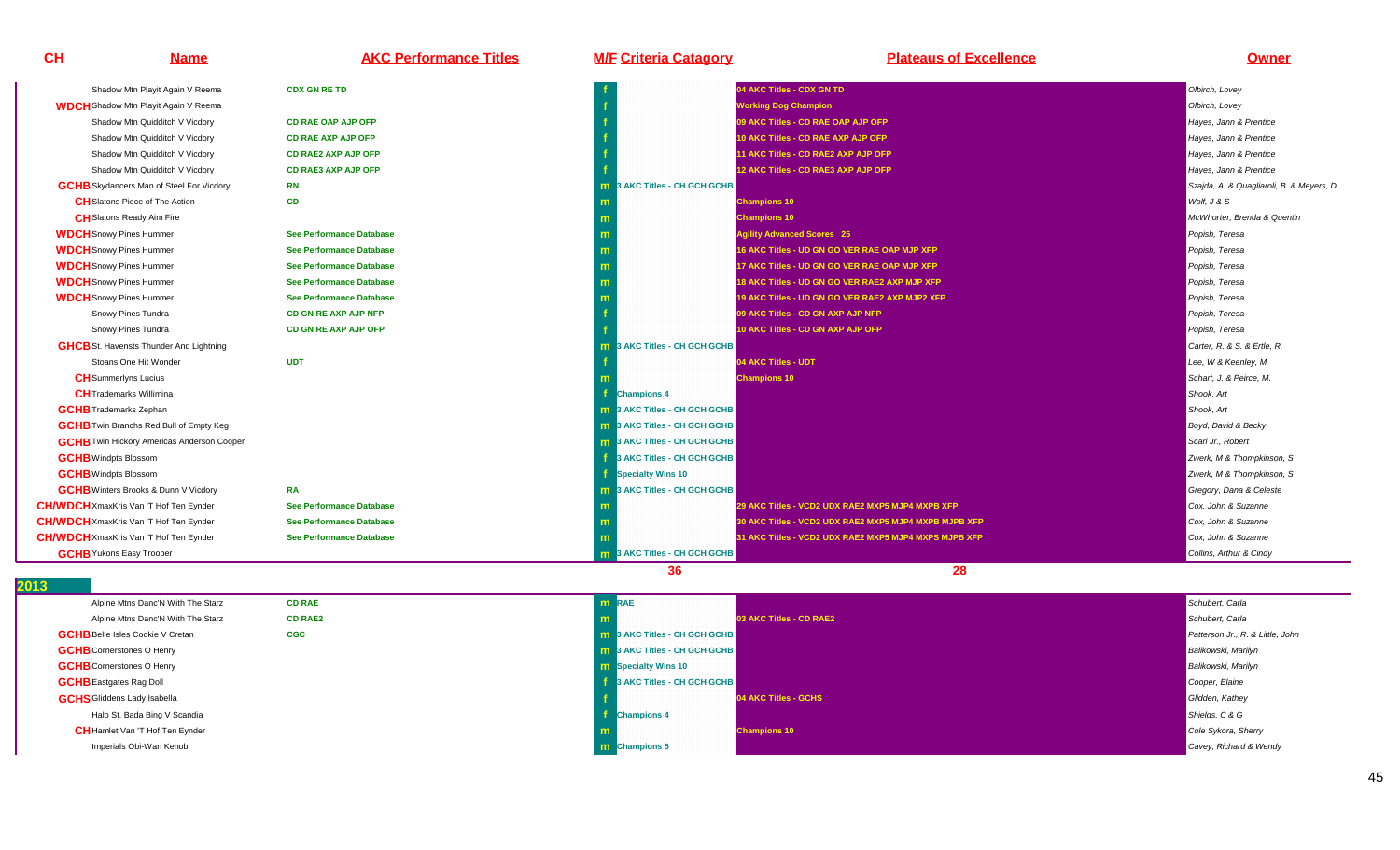| CH                                            | <b>Name</b>                                       | <b>AKC Performance Titles</b>   | <b>M/F Criteria Catagory</b>        | <b>Plateaus of Excellence</b>                         | <b>Owner</b>                             |
|-----------------------------------------------|---------------------------------------------------|---------------------------------|-------------------------------------|-------------------------------------------------------|------------------------------------------|
|                                               | Shadow Mtn Playit Again V Reema                   | <b>CDX GN RE TD</b>             |                                     | 04 AKC Titles - CDX GN TD                             | Olbirch, Lovey                           |
|                                               | <b>WDCH</b> Shadow Mtn Playit Again V Reema       |                                 |                                     | <b>Working Dog Champion</b>                           | Olbirch, Lovey                           |
|                                               | Shadow Mtn Quidditch V Vicdory                    | <b>CD RAE OAP AJP OFP</b>       |                                     | 09 AKC Titles - CD RAE OAP AJP OFP                    | Hayes, Jann & Prentice                   |
|                                               | Shadow Mtn Quidditch V Vicdory                    | <b>CD RAE AXP AJP OFP</b>       |                                     | 10 AKC Titles - CD RAE AXP AJP OFP                    | Hayes, Jann & Prentice                   |
|                                               | Shadow Mtn Quidditch V Vicdory                    | <b>CD RAE2 AXP AJP OFP</b>      |                                     | 11 AKC Titles - CD RAE2 AXP AJP OFP                   | Hayes, Jann & Prentice                   |
|                                               | Shadow Mtn Quidditch V Vicdory                    | <b>CD RAE3 AXP AJP OFP</b>      |                                     | 12 AKC Titles - CD RAE3 AXP AJP OFP                   | Hayes, Jann & Prentice                   |
|                                               | <b>GCHB</b> Skydancers Man of Steel For Vicdory   | <b>RN</b>                       | 3 AKC Titles - CH GCH GCHB<br>m     |                                                       | Szajda, A. & Quagliaroli, B. & Meyers, D |
|                                               | <b>CH</b> Slatons Piece of The Action             | <b>CD</b>                       |                                     | <b>Champions 10</b>                                   | Wolf, J & S                              |
| <b>CH</b> Slatons Ready Aim Fire              |                                                   |                                 |                                     | <b>Champions 10</b>                                   | McWhorter, Brenda & Quentin              |
| <b>WDCH</b> Snowy Pines Hummer                |                                                   | <b>See Performance Database</b> |                                     | <b>Agility Advanced Scores 25</b>                     | Popish, Teresa                           |
| <b>WDCH</b> Snowy Pines Hummer                |                                                   | <b>See Performance Database</b> |                                     | 16 AKC Titles - UD GN GO VER RAE OAP MJP XFP          | Popish, Teresa                           |
| <b>WDCH</b> Snowy Pines Hummer                |                                                   | See Performance Database        |                                     | 17 AKC Titles - UD GN GO VER RAE OAP MJP XFP          | Popish, Teresa                           |
| <b>WDCH</b> Snowy Pines Hummer                |                                                   | <b>See Performance Database</b> |                                     | 18 AKC Titles - UD GN GO VER RAE2 AXP MJP XFP         | Popish, Teresa                           |
| <b>WDCH</b> Snowy Pines Hummer                |                                                   | <b>See Performance Database</b> |                                     | 19 AKC Titles - UD GN GO VER RAE2 AXP MJP2 XFP        | Popish, Teresa                           |
| Snowy Pines Tundra                            |                                                   | <b>CD GN RE AXP AJP NFP</b>     |                                     | 09 AKC Titles - CD GN AXP AJP NFP                     | Popish, Teresa                           |
| Snowy Pines Tundra                            |                                                   | CD GN RE AXP AJP OFP            |                                     | 10 AKC Titles - CD GN AXP AJP OFP                     | Popish, Teresa                           |
|                                               | <b>GHCB</b> St. Havensts Thunder And Lightning    |                                 | 3 AKC Titles - CH GCH GCHB<br>m     |                                                       | Carter, R. & S. & Ertle, R.              |
|                                               | Stoans One Hit Wonder                             | <b>UDT</b>                      |                                     | 04 AKC Titles - UDT                                   | Lee, W & Keenley, M                      |
| <b>CH</b> Summerlyns Lucius                   |                                                   |                                 |                                     | <b>Champions 10</b>                                   | Schart, J. & Peirce, M.                  |
| <b>CH</b> Trademarks Willimina                |                                                   |                                 | <b>Champions 4</b>                  |                                                       | Shook, Art                               |
| <b>GCHB</b> Trademarks Zephan                 |                                                   |                                 | <b>m</b> 3 AKC Titles - CH GCH GCHB |                                                       | Shook, Art                               |
|                                               | <b>GCHB</b> Twin Branchs Red Bull of Empty Keg    |                                 | <b>m</b> 3 AKC Titles - CH GCH GCHB |                                                       | Boyd, David & Becky                      |
|                                               | <b>GCHB</b> Twin Hickory Americas Anderson Cooper |                                 | <b>m</b> 3 AKC Titles - CH GCH GCHB |                                                       | Scarl Jr., Robert                        |
| <b>GCHB</b> Windpts Blossom                   |                                                   |                                 | 3 AKC Titles - CH GCH GCHB          |                                                       | Zwerk, M & Thompkinson, S                |
| <b>GCHB</b> Windpts Blossom                   |                                                   |                                 | <b>Specialty Wins 10</b>            |                                                       | Zwerk, M & Thompkinson, S                |
|                                               | <b>GCHB</b> Winters Brooks & Dunn V Vicdory       | <b>RA</b>                       | <b>m</b> 3 AKC Titles - CH GCH GCHB |                                                       | Gregory, Dana & Celeste                  |
| <b>CH/WDCH</b> XmaxKris Van 'T Hof Ten Eynder |                                                   | <b>See Performance Database</b> |                                     | 29 AKC Titles - VCD2 UDX RAE2 MXP5 MJP4 MXPB XFP      | Cox, John & Suzanne                      |
| <b>CH/WDCH</b> XmaxKris Van 'T Hof Ten Eynder |                                                   | <b>See Performance Database</b> |                                     | 30 AKC Titles - VCD2 UDX RAE2 MXP5 MJP4 MXPB MJPB XFP | Cox, John & Suzanne                      |
| <b>CH/WDCH</b> XmaxKris Van 'T Hof Ten Eynder |                                                   | <b>See Performance Database</b> |                                     | 31 AKC Titles - VCD2 UDX RAE2 MXP5 MJP4 MXPS MJPB XFP | Cox, John & Suzanne                      |
| <b>GCHB</b> Yukons Easy Trooper               |                                                   |                                 | <b>m</b> 3 AKC Titles - CH GCH GCHB |                                                       | Collins, Arthur & Cindy                  |
|                                               |                                                   |                                 |                                     |                                                       |                                          |

| ַ שו                                    |                |                                     |                                  |
|-----------------------------------------|----------------|-------------------------------------|----------------------------------|
| Alpine Mtns Danc'N With The Starz       | <b>CD RAE</b>  | <b>m</b> RAE                        | Schubert, Carla                  |
| Alpine Mtns Danc'N With The Starz       | <b>CD RAE2</b> | 03 AKC Titles - CD RAE2             | Schubert, Carla                  |
| <b>GCHB</b> Belle Isles Cookie V Cretan | <b>CGC</b>     | <b>m</b> 3 AKC Titles - CH GCH GCHB | Patterson Jr., R. & Little, John |
| <b>GCHB</b> Cornerstones O Henry        |                | <b>m</b> 3 AKC Titles - CH GCH GCHB | <b>Balikowski</b> , Marilyn      |
| <b>GCHB</b> Cornerstones O Henry        |                | <b>m</b> Specialty Wins 10          | <b>Balikowski, Marilyn</b>       |
| <b>GCHB</b> Eastgates Rag Doll          |                | 3 AKC Titles - CH GCH GCHB          | Cooper, Elaine                   |
| <b>GCHS</b> Gliddens Lady Isabella      |                | 04 AKC Titles - GCHS                | Glidden, Kathey                  |
| Halo St. Bada Bing V Scandia            |                | <b>Champions 4</b>                  | Shields, C & G                   |
| <b>CH</b> Hamlet Van 'T Hof Ten Eynder  |                | <b>Champions 10</b>                 | Cole Sykora, Sherry              |
| Imperials Obi-Wan Kenobi                |                | <b>m</b> Champions 5                | Cavey, Richard & Wendy           |
|                                         |                |                                     |                                  |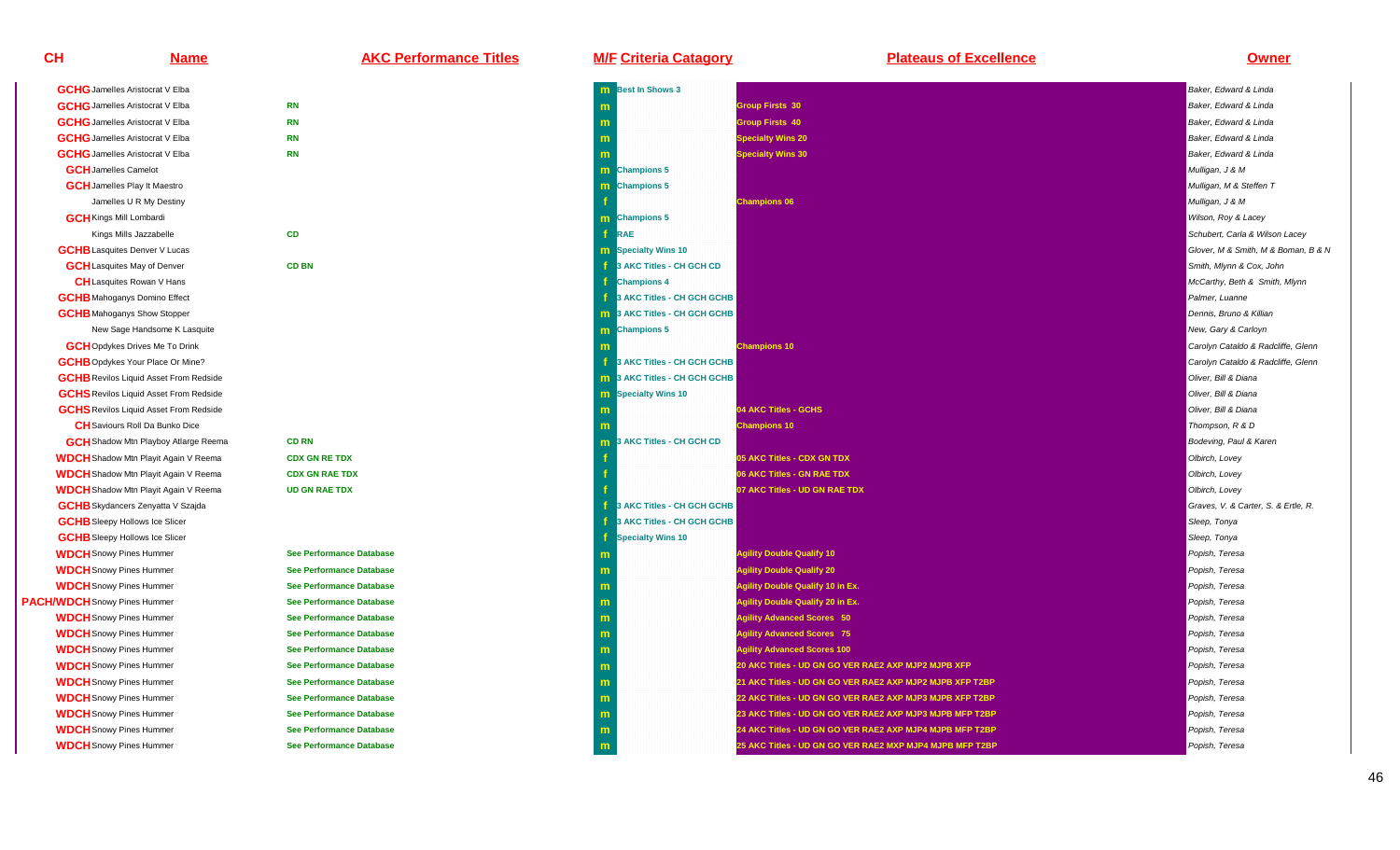**GCHG** Jamelles Aristocrat V Elba **GCHG** Jamelles Aristocrat V Elba **GCHG** Jamelles Aristocrat V Elba **GCHG** Jamelles Aristocrat V Elba **GCHG** Jamelles Aristocrat V Elba **GCH**Jamelles Camelot**GCH** Jamelles Play It Maestro Jamelles U R My Destiny**GCH**Kings Mill LombardiKings Mills Jazzabelle**GCHB** Lasquites Denver V Lucas **GCH**Lasquites May of Denver**CH**Lasquites Rowan V Hans**GCHB** Mahoganys Domino Effect **GCHB** Mahoganys Show Stopper New Sage Handsome K Lasquite**GCH**Opdykes Drives Me To Drink**GCHB** Opdykes Your Place Or Mine? **GCHB** Revilos Liquid Asset From Redside **CH**Saviours Roll Da Bunko Dice**GCH** Shadow Mtn Playboy Atlarge Reema **WDCH**Shadow Mtn Playit Again V Reema**WDCH**Shadow Mtn Playit Again V Reema**WDCH**Shadow Mtn Playit Again V Reema**GCHB** Skydancers Zenyatta V Szajda **GCHB** Sleepy Hollows Ice Slicer **GCHB** Sleepy Hollows Ice Slicer **WDCH**Snowy Pines Hummer**WDCH**Snowy Pines Hummer**WDCH**Snowy Pines Hummer**PACH/WDCH**Snowy Pines Hummer**WDCH**Snowy Pines Hummer**WDCH**Snowy Pines Hummer**WDCH**Snowy Pines Hummer**WDCH**Snowy Pines Hummer**WDCH**Snowy Pines Hummer**WDCH**Snowy Pines Hummer**WDCH**Snowy Pines Hummer**WDCH**Snowy Pines Hummer

**CH**

| <b>GCHG</b> Jamelles Aristocrat V Elba        |                                 | m |
|-----------------------------------------------|---------------------------------|---|
| <b>GCHG</b> Jamelles Aristocrat V Elba        | <b>RN</b>                       | m |
| <b>GCHG</b> Jamelles Aristocrat V Elba        | <b>RN</b>                       | m |
| <b>GCHG</b> Jamelles Aristocrat V Elba        | <b>RN</b>                       | m |
| <b>GCHG</b> Jamelles Aristocrat V Elba        | <b>RN</b>                       | m |
| <b>GCH</b> Jamelles Camelot                   |                                 | m |
| <b>GCH</b> Jamelles Play It Maestro           |                                 | m |
| Jamelles U R My Destiny                       |                                 | f |
| <b>GCH</b> Kings Mill Lombardi                |                                 | m |
| Kings Mills Jazzabelle                        | <b>CD</b>                       | f |
| <b>GCHB</b> Lasquites Denver V Lucas          |                                 | m |
| <b>GCH</b> Lasquites May of Denver            | <b>CD BN</b>                    | f |
| <b>CH</b> Lasquites Rowan V Hans              |                                 | f |
| <b>GCHB</b> Mahoganys Domino Effect           |                                 | f |
| <b>GCHB</b> Mahoganys Show Stopper            |                                 | m |
| New Sage Handsome K Lasquite                  |                                 | m |
| <b>GCH</b> Opdykes Drives Me To Drink         |                                 | m |
| <b>GCHB</b> Opdykes Your Place Or Mine?       |                                 | f |
| <b>GCHB</b> Revilos Liquid Asset From Redside |                                 | m |
| <b>GCHS</b> Revilos Liquid Asset From Redside |                                 | m |
| <b>GCHS</b> Revilos Liquid Asset From Redside |                                 | m |
| <b>CH</b> Saviours Roll Da Bunko Dice         |                                 | m |
| <b>GCH</b> Shadow Mtn Playboy Atlarge Reema   | <b>CD RN</b>                    | m |
| <b>NDCH</b> Shadow Mtn Playit Again V Reema   | <b>CDX GN RE TDX</b>            | f |
| <b>NDCH</b> Shadow Mtn Playit Again V Reema   | <b>CDX GN RAE TDX</b>           | f |
| <b>NDCH</b> Shadow Mtn Playit Again V Reema   | <b>UD GN RAE TDX</b>            | f |
| <b>GCHB</b> Skydancers Zenyatta V Szajda      |                                 | f |
| <b>GCHB</b> Sleepy Hollows Ice Slicer         |                                 | f |
| <b>GCHB</b> Sleepy Hollows Ice Slicer         |                                 | f |
| <b>NDCH</b> Snowy Pines Hummer                | <b>See Performance Database</b> | m |
| <b>NDCH</b> Snowy Pines Hummer                | <b>See Performance Database</b> | m |
| <b>NDCH</b> Snowy Pines Hummer                | <b>See Performance Database</b> | m |
| <b>NDCH</b> Snowy Pines Hummer                | <b>See Performance Database</b> | m |
| <b>NDCH</b> Snowy Pines Hummer                | <b>See Performance Database</b> | m |
| <b>NDCH</b> Snowy Pines Hummer                | <b>See Performance Database</b> | m |
| <b>NDCH</b> Snowy Pines Hummer                | <b>See Performance Database</b> | m |
| <b>NDCH</b> Snowy Pines Hummer                | <b>See Performance Database</b> | m |
| <b>NDCH</b> Snowy Pines Hummer                | <b>See Performance Database</b> | m |
| <b>NDCH</b> Snowy Pines Hummer                | <b>See Performance Database</b> | m |

| <u>Name</u>                                   | <b>AKC Performance Titles</b>   | <b>M/F Criteria Catagory</b>    | <b>Plateaus of Excellence</b>                            | <b>Owner</b>                        |
|-----------------------------------------------|---------------------------------|---------------------------------|----------------------------------------------------------|-------------------------------------|
| <b>GCHG</b> Jamelles Aristocrat V Elba        |                                 | <b>m</b> Best In Shows 3        |                                                          | Baker, Edward & Linda               |
| <b>GCHG</b> Jamelles Aristocrat V Elba        | <b>RN</b>                       |                                 | <b>Group Firsts 30</b>                                   | Baker, Edward & Linda               |
| <b>GCHG</b> Jamelles Aristocrat V Elba        | <b>RN</b>                       |                                 | <b>Group Firsts 40</b>                                   | Baker, Edward & Linda               |
| <b>GCHG</b> Jamelles Aristocrat V Elba        | <b>RN</b>                       |                                 | <b>Specialty Wins 20</b>                                 | Baker, Edward & Linda               |
| <b>GCHG</b> Jamelles Aristocrat V Elba        | <b>RN</b>                       |                                 | <b>Specialty Wins 30</b>                                 | Baker, Edward & Linda               |
| <b>GCH</b> Jamelles Camelot                   |                                 | m Champions 5                   |                                                          | Mulligan, J & M                     |
| <b>GCH</b> Jamelles Play It Maestro           |                                 | <b>Champions 5</b>              |                                                          | Mulligan, M & Steffen T             |
| Jamelles U R My Destiny                       |                                 |                                 | <b>Champions 06</b>                                      | Mulligan, J & M                     |
| <b>GCH</b> Kings Mill Lombardi                |                                 | m Champions 5                   |                                                          | Wilson, Roy & Lacey                 |
| Kings Mills Jazzabelle                        | <b>CD</b>                       | <b>RAE</b>                      |                                                          | Schubert, Carla & Wilson Lacey      |
| <b>GCHB</b> Lasquites Denver V Lucas          |                                 | Specialty Wins 10               |                                                          | Glover, M & Smith, M & Boman, B & N |
| <b>GCH</b> Lasquites May of Denver            | <b>CD BN</b>                    | 3 AKC Titles - CH GCH CD        |                                                          | Smith, Mlynn & Cox, John            |
| <b>CH</b> Lasquites Rowan V Hans              |                                 | <b>Champions 4</b>              |                                                          | McCarthy, Beth & Smith, Mlynn       |
| <b>GCHB</b> Mahoganys Domino Effect           |                                 | 3 AKC Titles - CH GCH GCHB      |                                                          | Palmer, Luanne                      |
| <b>GCHB</b> Mahoganys Show Stopper            |                                 | 3 AKC Titles - CH GCH GCHB<br>m |                                                          | Dennis, Bruno & Killian             |
| New Sage Handsome K Lasquite                  |                                 | <b>Champions 5</b><br>m.        |                                                          | New, Gary & Carloyn                 |
| <b>GCH</b> Opdykes Drives Me To Drink         |                                 |                                 | <b>Champions 10</b>                                      | Carolyn Cataldo & Radcliffe, Glenn  |
| <b>GCHB</b> Opdykes Your Place Or Mine?       |                                 | 3 AKC Titles - CH GCH GCHB      |                                                          | Carolyn Cataldo & Radcliffe, Glenn  |
| <b>GCHB</b> Revilos Liquid Asset From Redside |                                 | 3 AKC Titles - CH GCH GCHB      |                                                          | Oliver, Bill & Diana                |
| <b>GCHS</b> Revilos Liquid Asset From Redside |                                 | <b>m</b> Specialty Wins 10      |                                                          | Oliver, Bill & Diana                |
| <b>GCHS</b> Revilos Liquid Asset From Redside |                                 |                                 | 04 AKC Titles - GCHS                                     | Oliver, Bill & Diana                |
| <b>CH</b> Saviours Roll Da Bunko Dice         |                                 |                                 | <b>Champions 10</b>                                      | Thompson, R & D                     |
| <b>GCH</b> Shadow Mtn Playboy Atlarge Reema   | <b>CD RN</b>                    | 3 AKC Titles - CH GCH CD<br>m   |                                                          | Bodeving, Paul & Karen              |
| <b>WDCH</b> Shadow Mtn Playit Again V Reema   | <b>CDX GN RE TDX</b>            |                                 | 05 AKC Titles - CDX GN TDX                               | Olbirch, Lovey                      |
| <b>WDCH</b> Shadow Mtn Playit Again V Reema   | <b>CDX GN RAE TDX</b>           |                                 | 06 AKC Titles - GN RAE TDX                               | Olbirch, Lovey                      |
| <b>WDCH</b> Shadow Mtn Playit Again V Reema   | <b>UD GN RAE TDX</b>            |                                 | 07 AKC Titles - UD GN RAE TDX                            | Olbirch, Lovey                      |
| <b>GCHB</b> Skydancers Zenyatta V Szajda      |                                 | 3 AKC Titles - CH GCH GCHB      |                                                          | Graves, V. & Carter, S. & Ertle, R. |
| <b>GCHB</b> Sleepy Hollows Ice Slicer         |                                 | 3 AKC Titles - CH GCH GCHB      |                                                          | Sleep, Tonya                        |
| <b>GCHB</b> Sleepy Hollows Ice Slicer         |                                 | <b>Specialty Wins 10</b>        |                                                          | Sleep, Tonya                        |
| <b>WDCH</b> Snowy Pines Hummer                | <b>See Performance Database</b> |                                 | <b>Agility Double Qualify 10</b>                         | Popish, Teresa                      |
| <b>WDCH</b> Snowy Pines Hummer                | <b>See Performance Database</b> |                                 | <b>Agility Double Qualify 20</b>                         | Popish, Teresa                      |
| <b>WDCH</b> Snowy Pines Hummer                | See Performance Database        | m                               | <b>Agility Double Qualify 10 in Ex.</b>                  | Popish, Teresa                      |
| <b>WDCH</b> Snowy Pines Hummer                | <b>See Performance Database</b> | m                               | <b>Agility Double Qualify 20 in Ex.</b>                  | Popish, Teresa                      |
| <b>WDCH</b> Snowy Pines Hummer                | <b>See Performance Database</b> | m                               | <b>Agility Advanced Scores 50</b>                        | Popish, Teresa                      |
| <b>WDCH</b> Snowy Pines Hummer                | <b>See Performance Database</b> | m                               | <b>Agility Advanced Scores 75</b>                        | Popish, Teresa                      |
| <b>WDCH</b> Snowy Pines Hummer                | <b>See Performance Database</b> | m                               | <b>Agility Advanced Scores 100</b>                       | Popish, Teresa                      |
| <b>WDCH</b> Snowy Pines Hummer                | <b>See Performance Database</b> | m                               | 20 AKC Titles - UD GN GO VER RAE2 AXP MJP2 MJPB XFP      | Popish, Teresa                      |
| <b>WDCH</b> Snowy Pines Hummer                | <b>See Performance Database</b> | m                               | 21 AKC Titles - UD GN GO VER RAE2 AXP MJP2 MJPB XFP T2BP | Popish, Teresa                      |
| <b>WDCH</b> Snowy Pines Hummer                | <b>See Performance Database</b> | m                               | 22 AKC Titles - UD GN GO VER RAE2 AXP MJP3 MJPB XFP T2BP | Popish, Teresa                      |
| <b>WDCH</b> Snowy Pines Hummer                | <b>See Performance Database</b> | m                               | 23 AKC Titles - UD GN GO VER RAE2 AXP MJP3 MJPB MFP T2BP | Popish, Teresa                      |
| <b>WDCH</b> Snowy Pines Hummer                | <b>See Performance Database</b> | m                               | 24 AKC Titles - UD GN GO VER RAE2 AXP MJP4 MJPB MFP T2BP | Popish, Teresa                      |
| <b>WDCH</b> Snowy Pines Hummer                | <b>See Performance Database</b> | m                               | 25 AKC Titles - UD GN GO VER RAE2 MXP MJP4 MJPB MFP T2BP | Popish, Teresa                      |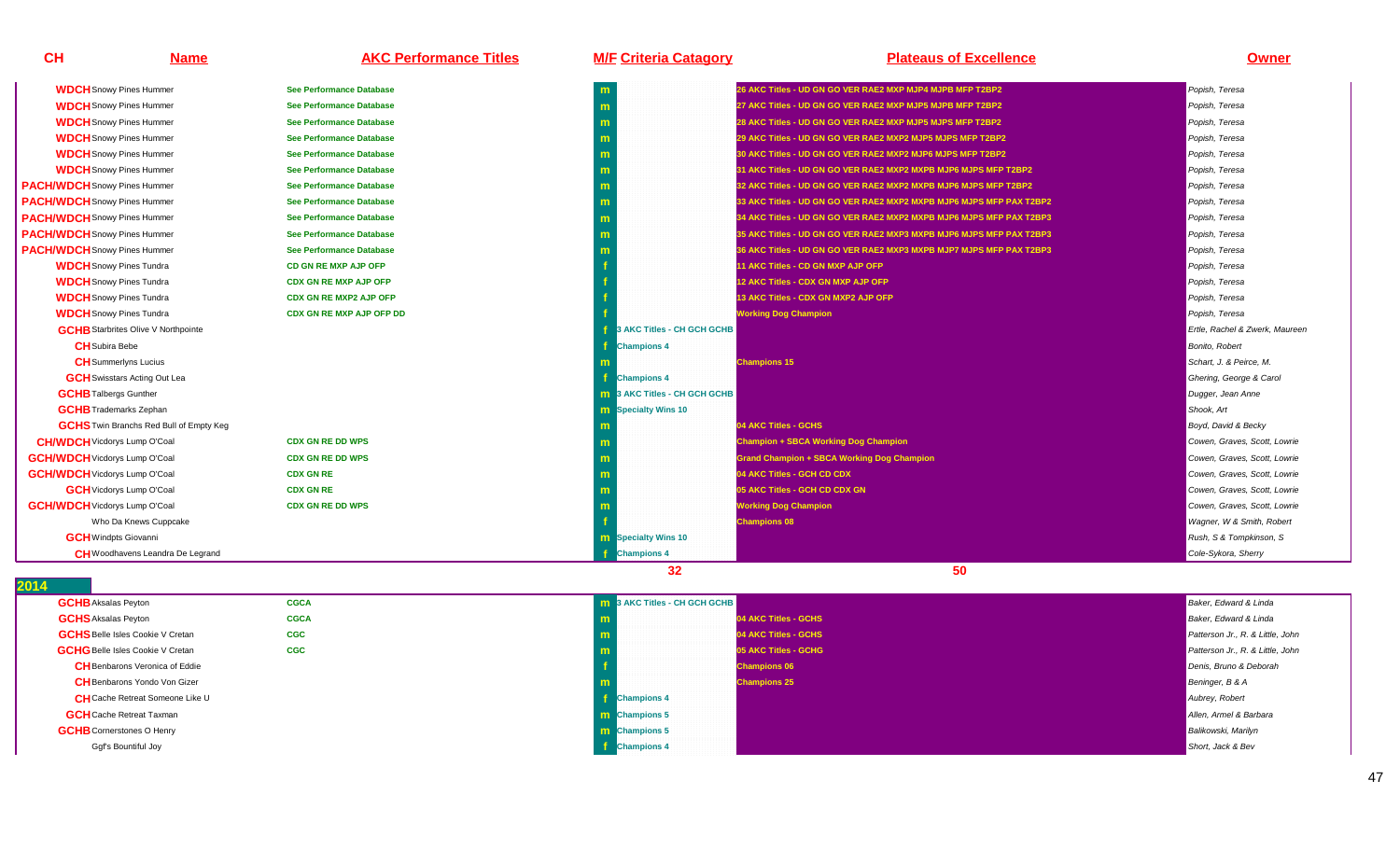| CH                                   | <b>Name</b>                                    | <b>AKC Performance Titles</b>   | <b>M/F Criteria Catagory</b>        | <b>Plateaus of Excellence</b>                                       | <b>Owner</b>                   |
|--------------------------------------|------------------------------------------------|---------------------------------|-------------------------------------|---------------------------------------------------------------------|--------------------------------|
| <b>WDCH</b> Snowy Pines Hummer       |                                                | <b>See Performance Database</b> | m                                   | 26 AKC Titles - UD GN GO VER RAE2 MXP MJP4 MJPB MFP T2BP2           | Popish, Teresa                 |
| <b>WDCH</b> Snowy Pines Hummer       |                                                | <b>See Performance Database</b> | m                                   | 27 AKC Titles - UD GN GO VER RAE2 MXP MJP5 MJPB MFP T2BP2           | Popish, Teresa                 |
| <b>WDCH</b> Snowy Pines Hummer       |                                                | <b>See Performance Database</b> | m                                   | 28 AKC Titles - UD GN GO VER RAE2 MXP MJP5 MJPS MFP T2BP2           | Popish, Teresa                 |
| <b>WDCH</b> Snowy Pines Hummer       |                                                | <b>See Performance Database</b> | m                                   | 29 AKC Titles - UD GN GO VER RAE2 MXP2 MJP5 MJPS MFP T2BP2          | Popish, Teresa                 |
| <b>WDCH</b> Snowy Pines Hummer       |                                                | <b>See Performance Database</b> | m                                   | 0 AKC Titles - UD GN GO VER RAE2 MXP2 MJP6 MJPS MFP T2BP2           | Popish, Teresa                 |
| <b>WDCH</b> Snowy Pines Hummer       |                                                | <b>See Performance Database</b> | m                                   | 31 AKC Titles - UD GN GO VER RAE2 MXP2 MXPB MJP6 MJPS MFP T2BP2     | Popish, Teresa                 |
| <b>PACH/WDCH</b> Snowy Pines Hummer  |                                                | See Performance Database        | m                                   | 32 AKC Titles - UD GN GO VER RAE2 MXP2 MXPB MJP6 MJPS MFP T2BP2     | Popish, Teresa                 |
| <b>PACH/WDCH</b> Snowy Pines Hummer  |                                                | <b>See Performance Database</b> | m                                   | 33 AKC Titles - UD GN GO VER RAE2 MXP2 MXPB MJP6 MJPS MFP PAX T2BP2 | Popish, Teresa                 |
| <b>PACH/WDCH</b> Snowy Pines Hummer  |                                                | <b>See Performance Database</b> | m                                   | 34 AKC Titles - UD GN GO VER RAE2 MXP2 MXPB MJP6 MJPS MFP PAX T2BP3 | Popish, Teresa                 |
| <b>PACH/WDCH</b> Snowy Pines Hummer  |                                                | <b>See Performance Database</b> | m                                   | 35 AKC Titles - UD GN GO VER RAE2 MXP3 MXPB MJP6 MJPS MFP PAX T2BP3 | Popish, Teresa                 |
| <b>PACH/WDCH</b> Snowy Pines Hummer  |                                                | <b>See Performance Database</b> | m                                   | 36 AKC Titles - UD GN GO VER RAE2 MXP3 MXPB MJP7 MJPS MFP PAX T2BP3 | Popish, Teresa                 |
| <b>WDCH</b> Snowy Pines Tundra       |                                                | CD GN RE MXP AJP OFP            |                                     | 11 AKC Titles - CD GN MXP AJP OFP                                   | Popish, Teresa                 |
| <b>WDCH</b> Snowy Pines Tundra       |                                                | <b>CDX GN RE MXP AJP OFP</b>    |                                     | 12 AKC Titles - CDX GN MXP AJP OFP                                  | Popish, Teresa                 |
| <b>WDCH</b> Snowy Pines Tundra       |                                                | <b>CDX GN RE MXP2 AJP OFP</b>   |                                     | 13 AKC Titles - CDX GN MXP2 AJP OFP                                 | Popish, Teresa                 |
| <b>WDCH</b> Snowy Pines Tundra       |                                                | <b>CDX GN RE MXP AJP OFP DD</b> |                                     | <b>Working Dog Champion</b>                                         | Popish, Teresa                 |
|                                      | <b>GCHB</b> Starbrites Olive V Northpointe     |                                 | 3 AKC Titles - CH GCH GCHB          |                                                                     | Ertle, Rachel & Zwerk, Maureer |
| <b>CH</b> Subira Bebe                |                                                |                                 | <b>Champions 4</b>                  |                                                                     | <b>Bonito, Robert</b>          |
| <b>CH</b> Summerlyns Lucius          |                                                |                                 |                                     | <b>Champions 15</b>                                                 | Schart, J. & Peirce, M.        |
|                                      | <b>GCH</b> Swisstars Acting Out Lea            |                                 | <b>Champions 4</b>                  |                                                                     | Ghering, George & Carol        |
| <b>GCHB</b> Talbergs Gunther         |                                                |                                 | <b>m</b> 3 AKC Titles - CH GCH GCHB |                                                                     | Dugger, Jean Anne              |
| <b>GCHB</b> Trademarks Zephan        |                                                |                                 | <b>m</b> Specialty Wins 10          |                                                                     | Shook, Art                     |
|                                      | <b>GCHS</b> Twin Branchs Red Bull of Empty Keq |                                 |                                     | 04 AKC Titles - GCHS                                                | Boyd, David & Becky            |
| <b>CH/WDCH</b> Vicdorys Lump O'Coal  |                                                | <b>CDX GN RE DD WPS</b>         | m                                   | <b>Champion + SBCA Working Dog Champion</b>                         | Cowen, Graves, Scott, Lowrie   |
| <b>GCH/WDCH</b> Vicdorys Lump O'Coal |                                                | <b>CDX GN RE DD WPS</b>         | m                                   | <b>Grand Champion + SBCA Working Dog Champion</b>                   | Cowen, Graves, Scott, Lowrie   |
| <b>GCH/WDCH</b> Vicdorys Lump O'Coal |                                                | <b>CDX GN RE</b>                |                                     | 04 AKC Titles - GCH CD CDX                                          | Cowen, Graves, Scott, Lowrie   |
| <b>GCH</b> Vicdorys Lump O'Coal      |                                                | <b>CDX GN RE</b>                | m                                   | <b>05 AKC Titles - GCH CD CDX GN</b>                                | Cowen, Graves, Scott, Lowrie   |
| <b>GCH/WDCH</b> Vicdorys Lump O'Coal |                                                | <b>CDX GN RE DD WPS</b>         |                                     | <b>Working Dog Champion</b>                                         | Cowen, Graves, Scott, Lowrie   |
|                                      | Who Da Knews Cuppcake                          |                                 |                                     | <b>Champions 08</b>                                                 | Wagner, W & Smith, Robert      |
| <b>GCH</b> Windpts Giovanni          |                                                |                                 | <b>m</b> Specialty Wins 10          |                                                                     | Rush, S & Tompkinson, S        |
|                                      | <b>CH</b> Woodhavens Leandra De Legrand        |                                 | <b>Champions 4</b>                  |                                                                     | Cole-Sykora, Sherry            |

| , ,                                     |             |                                     |                                  |
|-----------------------------------------|-------------|-------------------------------------|----------------------------------|
| <b>GCHB</b> Aksalas Peyton              | <b>CGCA</b> | <b>m</b> 3 AKC Titles - CH GCH GCHB | Baker, Edward & Linda            |
| <b>GCHS</b> Aksalas Peyton              | <b>CGCA</b> | 04 AKC Titles - GCHS                | Baker, Edward & Linda            |
| <b>GCHS</b> Belle Isles Cookie V Cretan | <b>CGC</b>  | 04 AKC Titles - GCHS                | Patterson Jr., R. & Little, John |
| <b>GCHG</b> Belle Isles Cookie V Cretan | <b>CGC</b>  | 05 AKC Titles - GCHG                | Patterson Jr., R. & Little, John |
| <b>CH</b> Benbarons Veronica of Eddie   |             | <b>Champions 06</b>                 | Denis, Bruno & Deborah           |
| <b>CH</b> Benbarons Yondo Von Gizer     |             | <b>Champions 25</b>                 | Beninger, B & A                  |
| <b>CH</b> Cache Retreat Someone Like U  |             | <b>Champions 4</b>                  | Aubrey, Robert                   |
| <b>GCH</b> Cache Retreat Taxman         |             | <b>m</b> Champions 5                | Allen, Armel & Barbara           |
| <b>GCHB</b> Cornerstones O Henry        |             | <b>m</b> Champions 5                | <b>Balikowski</b> , Marilyn      |
| Ggf's Bountiful Joy                     |             | <b>f</b> Champions 4                | Short, Jack & Bev                |
|                                         |             |                                     |                                  |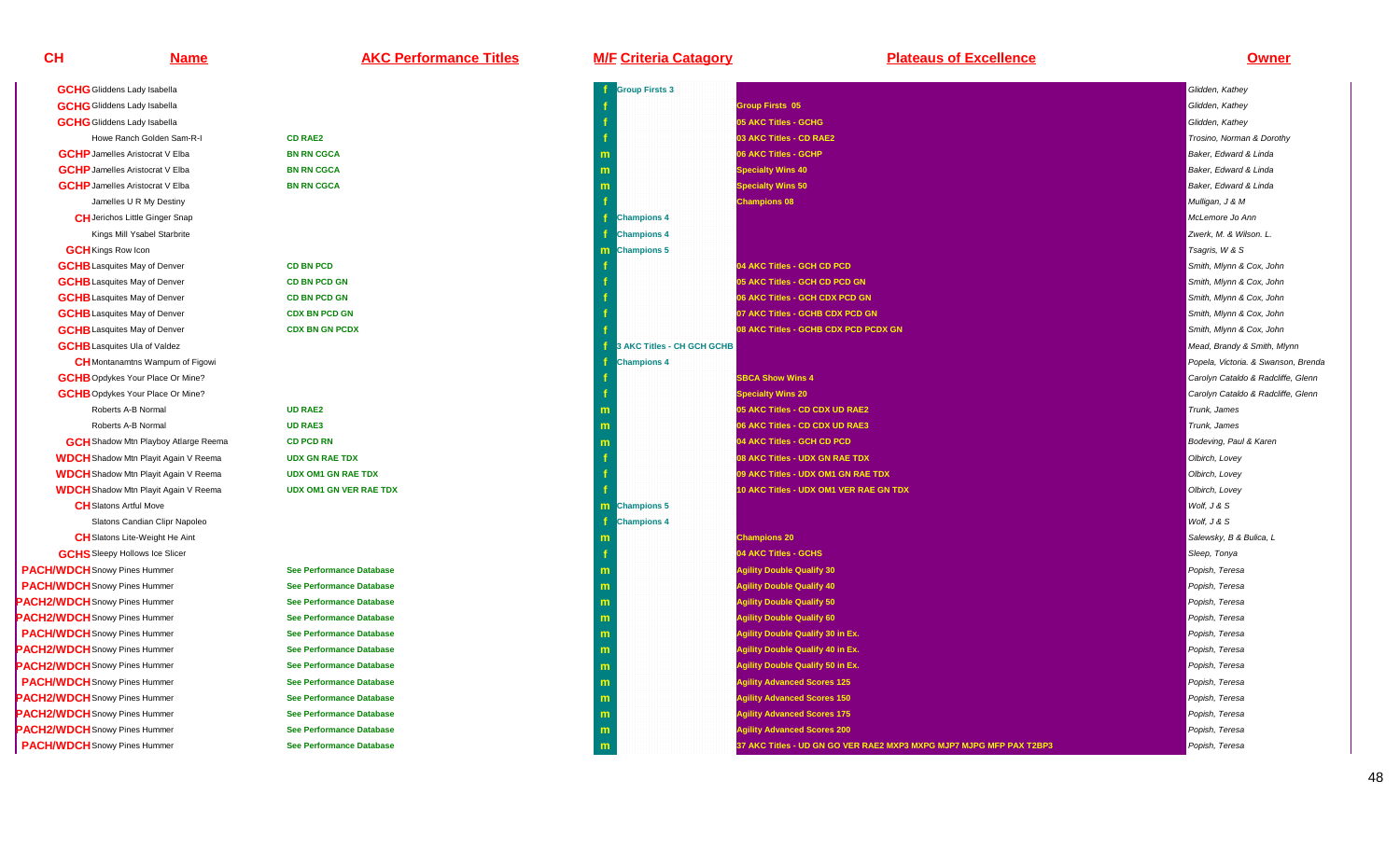| <u>Name</u>                                 | <b>AKC Performance Titles</b>   | <b>M/F Criteria Catagory</b> | <b>Plateaus of Excellence</b>                                       | <u>Owner</u>                        |
|---------------------------------------------|---------------------------------|------------------------------|---------------------------------------------------------------------|-------------------------------------|
| <b>GCHG</b> Gliddens Lady Isabella          |                                 | <b>Group Firsts 3</b>        |                                                                     | Glidden, Kathey                     |
| <b>GCHG</b> Gliddens Lady Isabella          |                                 |                              | <b>Group Firsts 05</b>                                              | Glidden, Kathey                     |
| <b>GCHG</b> Gliddens Lady Isabella          |                                 |                              | 05 AKC Titles - GCHG                                                | Glidden, Kathey                     |
| Howe Ranch Golden Sam-R-I                   | <b>CD RAE2</b>                  |                              | 03 AKC Titles - CD RAE2                                             | Trosino, Norman & Dorothy           |
| <b>GCHP</b> Jamelles Aristocrat V Elba      | <b>BN RN CGCA</b>               |                              | 06 AKC Titles - GCHP                                                | Baker, Edward & Linda               |
| <b>GCHP</b> Jamelles Aristocrat V Elba      | <b>BN RN CGCA</b>               |                              | <b>Specialty Wins 40</b>                                            | Baker, Edward & Linda               |
| <b>GCHP</b> Jamelles Aristocrat V Elba      | <b>BN RN CGCA</b>               |                              | <b>Specialty Wins 50</b>                                            | Baker, Edward & Linda               |
| Jamelles U R My Destiny                     |                                 |                              | <b>Champions 08</b>                                                 | Mulligan, J & M                     |
| <b>CH</b> Jerichos Little Ginger Snap       |                                 | <b>Champions 4</b>           |                                                                     | McLemore Jo Ann                     |
| Kings Mill Ysabel Starbrite                 |                                 | <b>Champions 4</b>           |                                                                     | Zwerk, M. & Wilson. L.              |
| <b>GCH</b> Kings Row Icon                   |                                 | <b>m</b> Champions 5         |                                                                     | Tsagris, W & S                      |
| <b>GCHB</b> Lasquites May of Denver         | <b>CD BN PCD</b>                |                              | 04 AKC Titles - GCH CD PCD                                          | Smith, Mlynn & Cox, John            |
| <b>GCHB</b> Lasquites May of Denver         | <b>CD BN PCD GN</b>             |                              | 05 AKC Titles - GCH CD PCD GN                                       | Smith, Mlynn & Cox, John            |
| <b>GCHB</b> Lasquites May of Denver         | <b>CD BN PCD GN</b>             |                              | 06 AKC Titles - GCH CDX PCD GN                                      | Smith, Mlynn & Cox, John            |
| <b>GCHB</b> Lasquites May of Denver         | <b>CDX BN PCD GN</b>            |                              | 07 AKC Titles - GCHB CDX PCD GN                                     | Smith, Mlynn & Cox, John            |
| <b>GCHB</b> Lasquites May of Denver         | <b>CDX BN GN PCDX</b>           |                              | 08 AKC Titles - GCHB CDX PCD PCDX GN                                | Smith, Mlynn & Cox, John            |
| <b>GCHB</b> Lasquites Ula of Valdez         |                                 | 3 AKC Titles - CH GCH GCHB   |                                                                     | Mead, Brandy & Smith, Mlynn         |
| <b>CH</b> Montanamtns Wampum of Figowi      |                                 | <b>Champions 4</b>           |                                                                     | Popela, Victoria. & Swanson, Brenda |
| <b>GCHB</b> Opdykes Your Place Or Mine?     |                                 |                              | <b>SBCA Show Wins 4</b>                                             | Carolyn Cataldo & Radcliffe, Glenn  |
| <b>GCHB</b> Opdykes Your Place Or Mine?     |                                 |                              | <b>Specialty Wins 20</b>                                            | Carolyn Cataldo & Radcliffe, Glenn  |
| Roberts A-B Normal                          | <b>UD RAE2</b>                  |                              | 05 AKC Titles - CD CDX UD RAE2                                      | Trunk, James                        |
| Roberts A-B Normal                          | <b>UD RAE3</b>                  |                              | 06 AKC Titles - CD CDX UD RAE3                                      | Trunk, James                        |
| <b>GCH</b> Shadow Mtn Playboy Atlarge Reema | <b>CD PCD RN</b>                |                              | 04 AKC Titles - GCH CD PCD                                          | Bodeving, Paul & Karen              |
| <b>WDCH</b> Shadow Mtn Playit Again V Reema | <b>UDX GN RAE TDX</b>           |                              | 08 AKC Titles - UDX GN RAE TDX                                      | Olbirch, Lovey                      |
| <b>WDCH</b> Shadow Mtn Playit Again V Reema | <b>UDX OM1 GN RAE TDX</b>       |                              | 09 AKC Titles - UDX OM1 GN RAE TDX                                  | Olbirch, Lovey                      |
| <b>WDCH</b> Shadow Mtn Playit Again V Reema | <b>UDX OM1 GN VER RAE TDX</b>   |                              | 10 AKC Titles - UDX OM1 VER RAE GN TDX                              | Olbirch, Lovey                      |
| <b>CH</b> Slatons Artful Move               |                                 | m Champions 5                |                                                                     | Wolf, J & S                         |
| Slatons Candian Clipr Napoleo               |                                 | <b>Champions 4</b>           |                                                                     | Wolf, J & S                         |
| <b>CH</b> Slatons Lite-Weight He Aint       |                                 |                              | <b>Champions 20</b>                                                 | Salewsky, B & Bulica, L             |
| <b>GCHS</b> Sleepy Hollows Ice Slicer       |                                 |                              | 04 AKC Titles - GCHS                                                | Sleep, Tonya                        |
| <b>WDCH</b> Snowy Pines Hummer              | <b>See Performance Database</b> |                              | <b>Agility Double Qualify 30</b>                                    | Popish, Teresa                      |
| <b>WDCH</b> Snowy Pines Hummer              | <b>See Performance Database</b> |                              | <b>Agility Double Qualify 40</b>                                    | Popish, Teresa                      |
| <b>WDCH</b> Snowy Pines Hummer              | <b>See Performance Database</b> | m                            | <b>Agility Double Qualify 50</b>                                    | Popish, Teresa                      |
| <b>WDCH</b> Snowy Pines Hummer              | <b>See Performance Database</b> | m                            | <b>Agility Double Qualify 60</b>                                    | Popish, Teresa                      |
| <b>WDCH</b> Snowy Pines Hummer              | <b>See Performance Database</b> | m                            | <b>Agility Double Qualify 30 in Ex.</b>                             | Popish, Teresa                      |
| <b>WDCH</b> Snowy Pines Hummer              | <b>See Performance Database</b> | m                            | <b>Agility Double Qualify 40 in Ex.</b>                             | Popish, Teresa                      |
| <b>WDCH</b> Snowy Pines Hummer              | <b>See Performance Database</b> | m                            | <b>Agility Double Qualify 50 in Ex.</b>                             | Popish, Teresa                      |
| <b>WDCH</b> Snowy Pines Hummer              | <b>See Performance Database</b> | m.                           | <b>Agility Advanced Scores 125</b>                                  | Popish, Teresa                      |
| <b>WDCH</b> Snowy Pines Hummer              | <b>See Performance Database</b> | m                            | <b>Agility Advanced Scores 150</b>                                  | Popish, Teresa                      |
| <b>WDCH</b> Snowy Pines Hummer              | <b>See Performance Database</b> | m                            | <b>Agility Advanced Scores 175</b>                                  | Popish, Teresa                      |
| <b>WDCH</b> Snowy Pines Hummer              | <b>See Performance Database</b> |                              | <b>Agility Advanced Scores 200</b>                                  | Popish, Teresa                      |
| <b>WDCH</b> Snowy Pines Hummer              | <b>See Performance Database</b> | m                            | 37 AKC Titles - UD GN GO VER RAE2 MXP3 MXPG MJP7 MJPG MFP PAX T2BP3 | Popish, Teresa                      |

**GCHG** Gliddens Lady Isabella **GCHG** Gliddens Lady Isabella **GCHG** Gliddens Lady Isabella Howe Ranch Golden Sam-R-I**GCHP** Jamelles Aristocrat V Elba **GCHP** Jamelles Aristocrat V Elba **GCHP** Jamelles Aristocrat V Elba Jamelles U R My Destiny**CH**Jerichos Little Ginger SnapKings Mill Ysabel Starbrite**GCH** Kings Row Icon **GCHB** Lasquites May of Denver **GCHB**Lasquites May of Denver**GCHB** Lasquites May of Denver **GCHB** Lasquites May of Denver

Slatons Candian Clipr Napoleo**CH** Slatons Lite-Weight He Aint **GCHS** Sleepy Hollows Ice Slicer **PACH/WDCH**Snowy Pines Hummer**PACH/WDCH**Snowy Pines Hummer**PACH2/WDCH**Snowy Pines Hummer**PACH2/WDCH**Snowy Pines Hummer**PACH/WDCH**Snowy Pines Hummer**PACH2/WDCH**Snowy Pines Hummer**PACH2/WDCH**Snowy Pines Hummer**PACH/WDCH**Snowy Pines Hummer**PACH2/WDCH**Snowy Pines Hummer**PACH2/WDCH**Snowy Pines Hummer**PACH2/WDCH**Snowy Pines Hummer**PACH/WDCH**Snowy Pines Hummer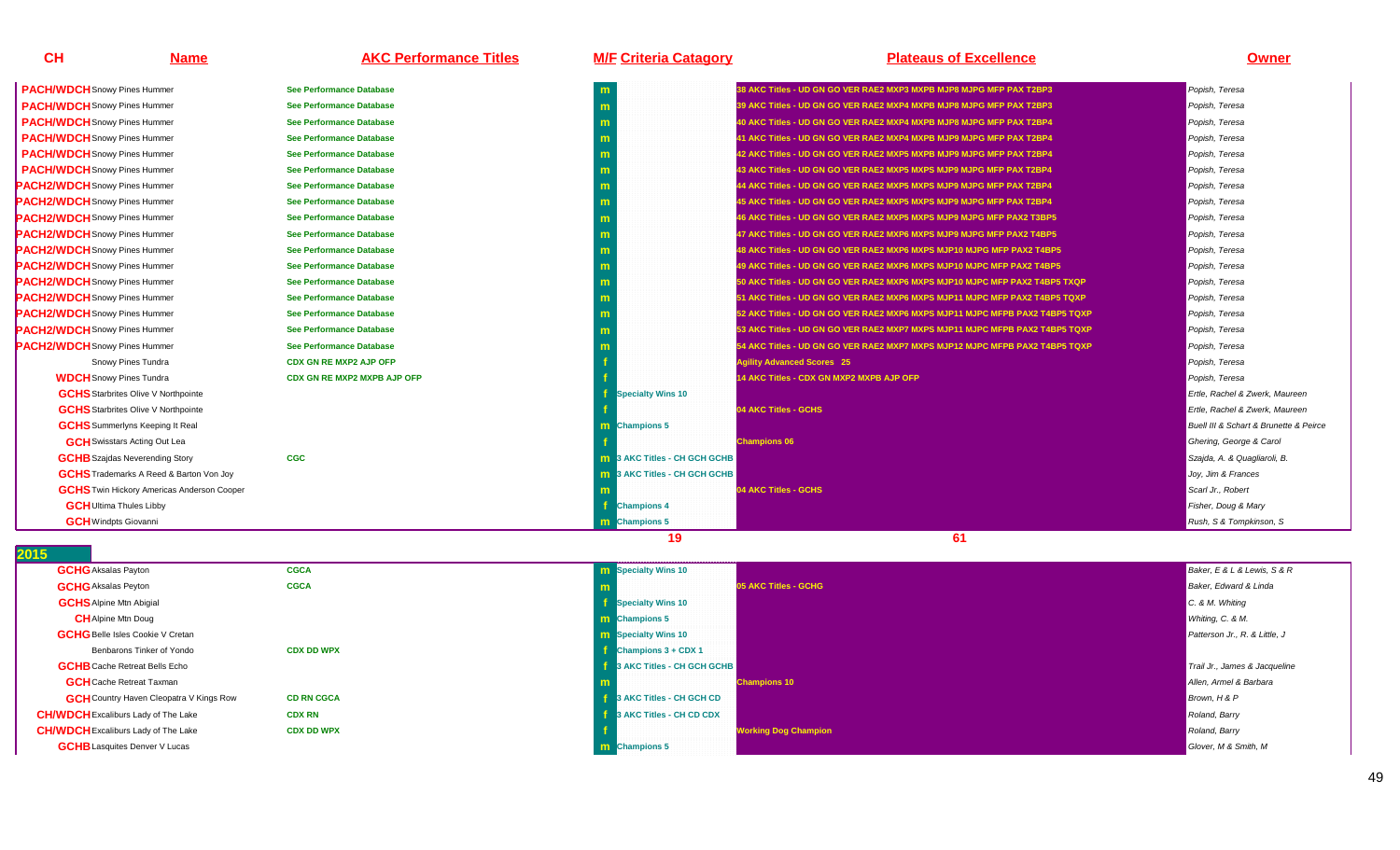| <b>CH</b>                            | <b>Name</b> | <b>AKC Performance Titles</b>   | <b>M/F Criteria Catagory</b> | <b>Plateaus of Excellence</b>                                                       | <b>Owner</b>   |
|--------------------------------------|-------------|---------------------------------|------------------------------|-------------------------------------------------------------------------------------|----------------|
| <b>PACH/WDCH</b> Snowy Pines Hummer  |             | <b>See Performance Database</b> | m                            | 38 AKC Titles - UD GN GO VER RAE2 MXP3 MXPB MJP8 MJPG MFP PAX T2BP3                 | Popish, Teresa |
| <b>PACH/WDCH</b> Snowy Pines Hummer  |             | <b>See Performance Database</b> |                              | 39 AKC Titles - UD GN GO VER RAE2 MXP4 MXPB MJP8 MJPG MFP PAX T2BP3                 | Popish, Teresa |
| <b>PACH/WDCH</b> Snowy Pines Hummer  |             | <b>See Performance Database</b> |                              | 40 AKC Titles - UD GN GO VER RAE2 MXP4 MXPB MJP8 MJPG MFP PAX T2BP4                 | Popish, Teresa |
| <b>PACH/WDCH</b> Snowy Pines Hummer  |             | <b>See Performance Database</b> |                              | 41 AKC Titles - UD GN GO VER RAE2 MXP4 MXPB MJP9 MJPG MFP PAX T2BP4                 | Popish, Teresa |
| <b>PACH/WDCH</b> Snowy Pines Hummer  |             | <b>See Performance Database</b> |                              | 42 AKC Titles - UD GN GO VER RAE2 MXP5 MXPB MJP9 MJPG MFP PAX T2BP4                 | Popish, Teresa |
| <b>PACH/WDCH</b> Snowy Pines Hummer  |             | <b>See Performance Database</b> |                              | 43 AKC Titles - UD GN GO VER RAE2 MXP5 MXPS MJP9 MJPG MFP PAX T2BP4                 | Popish, Teresa |
| <b>PACH2/WDCH</b> Snowy Pines Hummer |             | <b>See Performance Database</b> |                              | 44 AKC Titles - UD GN GO VER RAE2 MXP5 MXPS MJP9 MJPG MFP PAX T2BP4                 | Popish, Teresa |
| <b>PACH2/WDCH</b> Snowy Pines Hummer |             | <b>See Performance Database</b> |                              | 45 AKC Titles - UD GN GO VER RAE2 MXP5 MXPS MJP9 MJPG MFP PAX T2BP4                 | Popish, Teresa |
| <b>PACH2/WDCH</b> Snowy Pines Hummer |             | <b>See Performance Database</b> |                              | 46 AKC Titles - UD GN GO VER RAE2 MXP5 MXPS MJP9 MJPG MFP PAX2 T3BP5                | Popish, Teresa |
| <b>PACH2/WDCH</b> Snowy Pines Hummer |             | <b>See Performance Database</b> |                              | 47 AKC Titles - UD GN GO VER RAE2 MXP6 MXPS MJP9 MJPG MFP PAX2 T4BP5                | Popish, Teresa |
| <b>PACH2/WDCH</b> Snowy Pines Hummer |             | <b>See Performance Database</b> |                              | 48 AKC Titles - UD GN GO VER RAE2 MXP6 MXPS MJP10 MJPG MFP PAX2 T4BP5               | Popish, Teresa |
| <b>PACH2/WDCH</b> Snowy Pines Hummer |             | <b>See Performance Database</b> |                              | 19 AKC Titles - UD GN GO VER RAE2 MXP6 MXPS MJP10 MJPC MFP PAX2 T4BP5               | Popish, Teresa |
| <b>PACH2/WDCH</b> Snowy Pines Hummer |             | <b>See Performance Database</b> |                              | 0 AKC Titles - UD GN GO VER RAE2 MXP6 MXPS MJP10 MJPC MFP PAX2 T4BP5 TXQP           | Popish, Teresa |
| <b>PACH2/WDCH</b> Snowy Pines Hummer |             | <b>See Performance Database</b> |                              | 1 AKC Titles - UD GN GO VER RAE2 MXP6 MXPS MJP11 MJPC MFP PAX2 T4BP5 TOXP           | Popish, Teresa |
| <b>PACH2/WDCH</b> Snowy Pines Hummer |             | <b>See Performance Database</b> |                              | 52 AKC Titles - UD GN GO VER RAE2 MXP6 MXPS MJP11 MJPC MF <u>PB PAX2 T4BP5 TQXP</u> | Popish, Teresa |
|                                      |             |                                 |                              |                                                                                     |                |

**See Performance Database**

**See Performance Database**

**CDX GN RE MXP2 AJP OFP**

**CGC**

**CDX GN RE MXP2 MXPB AJP OFP**

**<sup>f</sup>**

**<sup>f</sup>**

**m**

**m** 

**m**

**c m** 

**f** and the contract of the contract of the contract of the contract of the contract of the contract of the contract of the contract of the contract of the contract of the contract of the contract of the contract of the co

**f**

**m**

|               | m                                   | 38 AKC Titles - UD GN GO VER RAE2 MXP3 MXPB MJP8 MJPG MFP PAX T2BP3         | Popish, Teresa                         |
|---------------|-------------------------------------|-----------------------------------------------------------------------------|----------------------------------------|
|               | m                                   | 39 AKC Titles - UD GN GO VER RAE2 MXP4 MXPB MJP8 MJPG MFP PAX T2BP3         | Popish, Teresa                         |
|               | m                                   | 40 AKC Titles - UD GN GO VER RAE2 MXP4 MXPB MJP8 MJPG MFP PAX T2BP4         | Popish, Teresa                         |
|               | m                                   | 41 AKC Titles - UD GN GO VER RAE2 MXP4 MXPB MJP9 MJPG MFP PAX T2BP4         | Popish, Teresa                         |
|               | m                                   | 42 AKC Titles - UD GN GO VER RAE2 MXP5 MXPB MJP9 MJPG MFP PAX T2BP4         | Popish, Teresa                         |
|               | m                                   | 43 AKC Titles - UD GN GO VER RAE2 MXP5 MXPS MJP9 MJPG MFP PAX T2BP4         | Popish, Teresa                         |
|               | m                                   | 44 AKC Titles - UD GN GO VER RAE2 MXP5 MXPS MJP9 MJPG MFP PAX T2BP4         | Popish, Teresa                         |
|               | m                                   | 45 AKC Titles - UD GN GO VER RAE2 MXP5 MXPS MJP9 MJPG MFP PAX T2BP4         | Popish, Teresa                         |
|               | m                                   | 46 AKC Titles - UD GN GO VER RAE2 MXP5 MXPS MJP9 MJPG MFP PAX2 T3BP5        | Popish, Teresa                         |
|               | m                                   | 47 AKC Titles - UD GN GO VER RAE2 MXP6 MXPS MJP9 MJPG MFP PAX2 T4BP5        | Popish, Teresa                         |
|               | m                                   | 48 AKC Titles - UD GN GO VER RAE2 MXP6 MXPS MJP10 MJPG MFP PAX2 T4BP5       | Popish, Teresa                         |
|               | m                                   | 49 AKC Titles - UD GN GO VER RAE2 MXP6 MXPS MJP10 MJPC MFP PAX2 T4BP5       | Popish, Teresa                         |
|               | m                                   | 50 AKC Titles - UD GN GO VER RAE2 MXP6 MXPS MJP10 MJPC MFP PAX2 T4BP5 TXQP  | Popish, Teresa                         |
|               | m                                   | 51 AKC Titles - UD GN GO VER RAE2 MXP6 MXPS MJP11 MJPC MFP PAX2 T4BP5 TQXP  | Popish, Teresa                         |
|               | m                                   | 52 AKC Titles - UD GN GO VER RAE2 MXP6 MXPS MJP11 MJPC MFPB PAX2 T4BP5 TQXP | Popish, Teresa                         |
|               | m                                   | 53 AKC Titles - UD GN GO VER RAE2 MXP7 MXPS MJP11 MJPC MFPB PAX2 T4BP5 TQXP | Popish, Teresa                         |
|               |                                     | 54 AKC Titles - UD GN GO VER RAE2 MXP7 MXPS MJP12 MJPC MFPB PAX2 T4BP5 TQXP | Popish, Teresa                         |
|               |                                     | <b>Agility Advanced Scores 25</b>                                           | Popish, Teresa                         |
| <b>JP OFP</b> |                                     | 14 AKC Titles - CDX GN MXP2 MXPB AJP OFP                                    | Popish, Teresa                         |
|               | <b>Specialty Wins 10</b>            |                                                                             | Ertle, Rachel & Zwerk, Maureen         |
|               |                                     | 04 AKC Titles - GCHS                                                        | Ertle, Rachel & Zwerk, Maureen         |
|               | <b>m</b> Champions 5                |                                                                             | Buell III & Schart & Brunette & Peirce |
|               |                                     | <b>Champions 06</b>                                                         | Ghering, George & Carol                |
|               | 3 AKC Titles - CH GCH GCHB          |                                                                             | Szajda, A. & Quagliaroli, B.           |
|               | <b>m</b> 3 AKC Titles - CH GCH GCHB |                                                                             | Joy, Jim & Frances                     |
|               | m                                   | 04 AKC Titles - GCHS                                                        | Scarl Jr., Robert                      |
|               | <b>Champions 4</b>                  |                                                                             | Fisher, Doug & Mary                    |
|               | <b>Champions 5</b>                  |                                                                             | Rush, S & Tompkinson, S                |
|               |                                     |                                                                             |                                        |

### **2015**

| <b>GCHG</b> Aksalas Payton                     | <b>CGCA</b>       | <b>m</b> Specialty Wins 10    | Baker, E & L & Lewis, S & R   |
|------------------------------------------------|-------------------|-------------------------------|-------------------------------|
| <b>GCHG</b> Aksalas Peyton                     | <b>CGCA</b>       | 05 AKC Titles - GCHG          | Baker, Edward & Linda         |
| <b>GCHS</b> Alpine Mtn Abigial                 |                   | <b>Specialty Wins 10</b>      | C. 8 M. Whiting               |
| <b>CH</b> Alpine Mtn Doug                      |                   | <b>m</b> Champions 5          | Whiting, C. & M.              |
| <b>GCHG</b> Belle Isles Cookie V Cretan        |                   | <b>m</b> Specialty Wins 10    | Patterson Jr., R. & Little, J |
| Benbarons Tinker of Yondo                      | <b>CDX DD WPX</b> | $\bullet$ Champions 3 + CDX 1 |                               |
| <b>GCHB</b> Cache Retreat Bells Echo           |                   | 3 AKC Titles - CH GCH GCHB    | Trail Jr., James & Jacqueline |
| <b>GCH</b> Cache Retreat Taxman                |                   | <b>Champions 10</b>           | Allen, Armel & Barbara        |
| <b>GCH</b> Country Haven Cleopatra V Kings Row | <b>CD RN CGCA</b> | 3 AKC Titles - CH GCH CD      | Brown, H & P                  |
| <b>CH/WDCH</b> Excaliburs Lady of The Lake     | <b>CDX RN</b>     | 3 AKC Titles - CH CD CDX      | Roland, Barry                 |
| <b>CH/WDCH</b> Excaliburs Lady of The Lake     | <b>CDX DD WPX</b> | <b>Working Dog Champion</b>   | Roland, Barry                 |
| <b>GCHB</b> Lasquites Denver V Lucas           |                   | <b>n</b> Champions 5          | Glover, M & Smith, M          |
|                                                |                   |                               |                               |

**19 61** 

**PACH2/WDCH**Snowy Pines Hummer

**PACH2/WDCH**Snowy Pines Hummer

Snowy Pines Tundra

**GCHS** Starbrites Olive V Northpointe

**GCHS** Starbrites Olive V Northpointe

**GCHS**Summerlyns Keeping It Real

**GCH** Swisstars Acting Out Lea

**GCHB** Szajdas Neverending Story

**GCH** Ultima Thules Libby

**GCH**Windpts Giovanni

**GCHS**Trademarks A Reed & Barton Von Joy

**GCHS**Twin Hickory Americas Anderson Cooper

**WDCH**Snowy Pines Tundra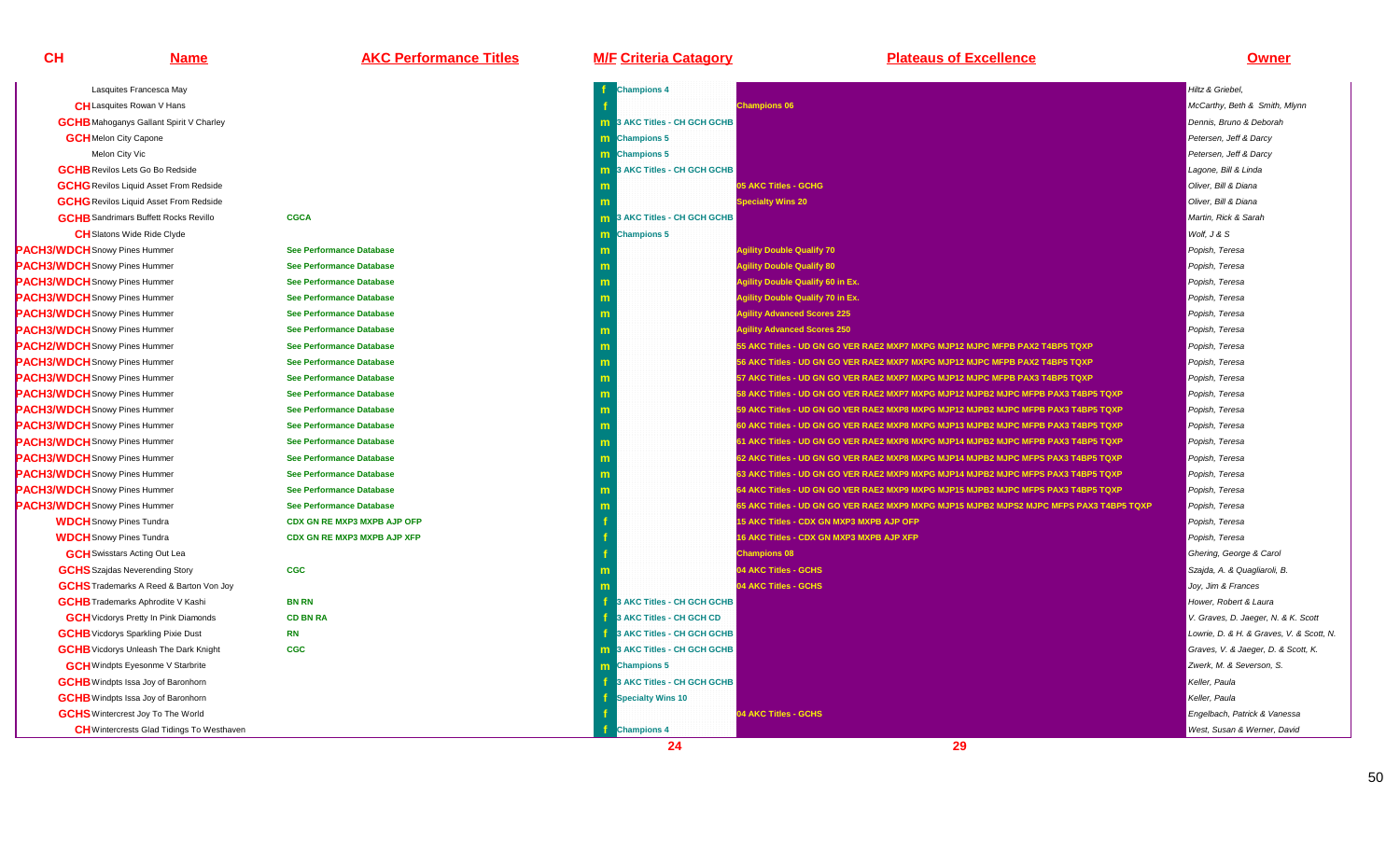# **Name AKC Performance Titles M/F Criteria Catagory Plateaus of Excellence Owner**

| Lasquites Francesca May                          |                                    | <b>Champions 4</b>                  |                                                                                         | Hiltz & Griebel.                         |
|--------------------------------------------------|------------------------------------|-------------------------------------|-----------------------------------------------------------------------------------------|------------------------------------------|
| <b>CH</b> Lasquites Rowan V Hans                 |                                    |                                     | <b>Champions 06</b>                                                                     | McCarthy, Beth & Smith, Mlynn            |
| <b>GCHB</b> Mahoganys Gallant Spirit V Charley   |                                    | <b>m</b> 3 AKC Titles - CH GCH GCHB |                                                                                         | Dennis, Bruno & Deborah                  |
| <b>GCH</b> Melon City Capone                     |                                    | <b>m</b> Champions 5                |                                                                                         | Petersen, Jeff & Darcy                   |
| Melon City Vic                                   |                                    | <b>m</b> Champions 5                |                                                                                         | Petersen, Jeff & Darcy                   |
| <b>GCHB</b> Revilos Lets Go Bo Redside           |                                    | 3 AKC Titles - CH GCH GCHB<br>m.    |                                                                                         | Lagone, Bill & Linda                     |
| <b>GCHG</b> Revilos Liquid Asset From Redside    |                                    |                                     | 05 AKC Titles - GCHG                                                                    | Oliver, Bill & Diana                     |
| <b>GCHG</b> Revilos Liquid Asset From Redside    |                                    |                                     | <b>Specialty Wins 20</b>                                                                | Oliver, Bill & Diana                     |
| <b>GCHB</b> Sandrimars Buffett Rocks Revillo     | <b>CGCA</b>                        | 3 AKC Titles - CH GCH GCHB<br>m.    |                                                                                         | Martin, Rick & Sarah                     |
| <b>CH</b> Slatons Wide Ride Clyde                |                                    | Champions 5<br>m.                   |                                                                                         | Wolf, J & S                              |
| <b>PACH3/WDCH</b> Snowy Pines Hummer             | <b>See Performance Database</b>    | m                                   | <b>Agility Double Qualify 70</b>                                                        | Popish, Teresa                           |
| <b>PACH3/WDCH</b> Snowy Pines Hummer             | <b>See Performance Database</b>    | m                                   | <b>Agility Double Qualify 80</b>                                                        | Popish, Teresa                           |
| PACH3/WDCH Snowy Pines Hummer                    | <b>See Performance Database</b>    | m                                   | <b>Agility Double Qualify 60 in Ex.</b>                                                 | Popish, Teresa                           |
| <b>PACH3/WDCH</b> Snowy Pines Hummer             | <b>See Performance Database</b>    | m                                   | <b>Agility Double Qualify 70 in Ex.</b>                                                 | Popish, Teresa                           |
| PACH3/WDCH Snowy Pines Hummer                    | <b>See Performance Database</b>    | m                                   | <b>Agility Advanced Scores 225</b>                                                      | Popish, Teresa                           |
| <b>PACH3/WDCH</b> Snowy Pines Hummer             | See Performance Database           | m                                   | <b>Agility Advanced Scores 250</b>                                                      | Popish, Teresa                           |
| <b>PACH2/WDCH</b> Snowy Pines Hummer             | <b>See Performance Database</b>    | m                                   | 55 AKC Titles - UD GN GO VER RAE2 MXP7 MXPG MJP12 MJPC MFPB PAX2 T4BP5 TQXP             | Popish, Teresa                           |
| PACH3/WDCH Snowy Pines Hummer                    | <b>See Performance Database</b>    | m                                   | 56 AKC Titles - UD GN GO VER RAE2 MXP7 MXPG MJP12 MJPC MFPB PAX2 T4BP5 TQXP             | Popish, Teresa                           |
| <b>PACH3/WDCH</b> Snowy Pines Hummer             | See Performance Database           | m                                   | 57 AKC Titles - UD GN GO VER RAE2 MXP7 MXPG MJP12 MJPC MFPB PAX3 T4BP5 TQXP             | Popish, Teresa                           |
| <b>PACH3/WDCH</b> Snowy Pines Hummer             | <b>See Performance Database</b>    | m                                   | 58 AKC Titles - UD GN GO VER RAE2 MXP7 MXPG MJP12 MJPB2 MJPC MFPB PAX3 T4BP5 TQXP       | Popish, Teresa                           |
| <b>PACH3/WDCH</b> Snowy Pines Hummer             | <b>See Performance Database</b>    | m.                                  | 59 AKC Titles - UD GN GO VER RAE2 MXP8 MXPG MJP12 MJPB2 MJPC MFPB PAX3 T4BP5 TQXP       | Popish, Teresa                           |
| <b>PACH3/WDCH</b> Snowy Pines Hummer             | <b>See Performance Database</b>    | m                                   | 60 AKC Titles - UD GN GO VER RAE2 MXP8 MXPG MJP13 MJPB2 MJPC MFPB PAX3 T4BP5 TQXP       | Popish, Teresa                           |
| <b>PACH3/WDCH</b> Snowy Pines Hummer             | <b>See Performance Database</b>    | m                                   | 61 AKC Titles - UD GN GO VER RAE2 MXP8 MXPG MJP14 MJPB2 MJPC MFPB PAX3 T4BP5 TQXP       | Popish, Teresa                           |
| <b>PACH3/WDCH</b> Snowy Pines Hummer             | <b>See Performance Database</b>    | m.                                  | 62 AKC Titles - UD GN GO VER RAE2 MXP8 MXPG MJP14 MJPB2 MJPC MFPS PAX3 T4BP5 TQXP       | Popish, Teresa                           |
| <b>PACH3/WDCH</b> Snowy Pines Hummer             | <b>See Performance Database</b>    | m.                                  | 63 AKC Titles - UD GN GO VER RAE2 MXP9 MXPG MJP14 MJPB2 MJPC MFPS PAX3 T4BP5 TQXP       | Popish, Teresa                           |
| <b>PACH3/WDCH</b> Snowy Pines Hummer             | <b>See Performance Database</b>    | m                                   | 64 AKC Titles - UD GN GO VER RAE2 MXP9 MXPG MJP15 MJPB2 MJPC MFPS PAX3 T4BP5 TQXP       | Popish, Teresa                           |
| <b>PACH3/WDCH</b> Snowy Pines Hummer             | <b>See Performance Database</b>    | m                                   | 65 AKC Titles - UD GN GO VER RAE2 MXP9 MXPG MJP15 MJPB2 MJPS2 MJPC MFPS PAX3 T4BP5 TQXP | Popish, Teresa                           |
| <b>WDCH</b> Snowy Pines Tundra                   | <b>CDX GN RE MXP3 MXPB AJP OFP</b> |                                     | 15 AKC Titles - CDX GN MXP3 MXPB AJP OFP                                                | Popish, Teresa                           |
| <b>WDCH</b> Snowy Pines Tundra                   | <b>CDX GN RE MXP3 MXPB AJP XFP</b> |                                     | <b>16 AKC Titles - CDX GN MXP3 MXPB AJP XFP</b>                                         | Popish, Teresa                           |
| <b>GCH</b> Swisstars Acting Out Lea              |                                    |                                     | <b>Champions 08</b>                                                                     | Ghering, George & Carol                  |
| <b>GCHS</b> Szajdas Neverending Story            | <b>CGC</b>                         |                                     | 04 AKC Titles - GCHS                                                                    | Szajda, A. & Quagliaroli, B.             |
| <b>GCHS</b> Trademarks A Reed & Barton Von Joy   |                                    |                                     | 04 AKC Titles - GCHS                                                                    | Joy, Jim & Frances                       |
| <b>GCHB</b> Trademarks Aphrodite V Kashi         | <b>BN RN</b>                       | 3 AKC Titles - CH GCH GCHB          |                                                                                         | Hower, Robert & Laura                    |
| <b>GCH</b> Vicdorys Pretty In Pink Diamonds      | <b>CD BN RA</b>                    | 3 AKC Titles - CH GCH CD            |                                                                                         | V. Graves, D. Jaeger, N. & K. Scott      |
| <b>GCHB</b> Vicdorys Sparkling Pixie Dust        | <b>RN</b>                          | 3 AKC Titles - CH GCH GCHB          |                                                                                         | Lowrie, D. & H. & Graves, V. & Scott, N. |
| <b>GCHB</b> Vicdorys Unleash The Dark Knight     | <b>CGC</b>                         | <b>m</b> 3 AKC Titles - CH GCH GCHB |                                                                                         | Graves, V. & Jaeger, D. & Scott, K.      |
| <b>GCH</b> Windpts Eyesonme V Starbrite          |                                    | m Champions 5                       |                                                                                         | Zwerk, M. & Severson, S.                 |
| <b>GCHB</b> Windpts Issa Joy of Baronhorn        |                                    | 3 AKC Titles - CH GCH GCHB          |                                                                                         | Keller, Paula                            |
| <b>GCHB</b> Windpts Issa Joy of Baronhorn        |                                    | <b>Specialty Wins 10</b>            |                                                                                         | Keller, Paula                            |
| <b>GCHS</b> Wintercrest Joy To The World         |                                    |                                     | 04 AKC Titles - GCHS                                                                    | Engelbach, Patrick & Vanessa             |
| <b>CH</b> Wintercrests Glad Tidings To Westhaven |                                    | <b>Champions 4</b>                  |                                                                                         | West, Susan & Werner, David              |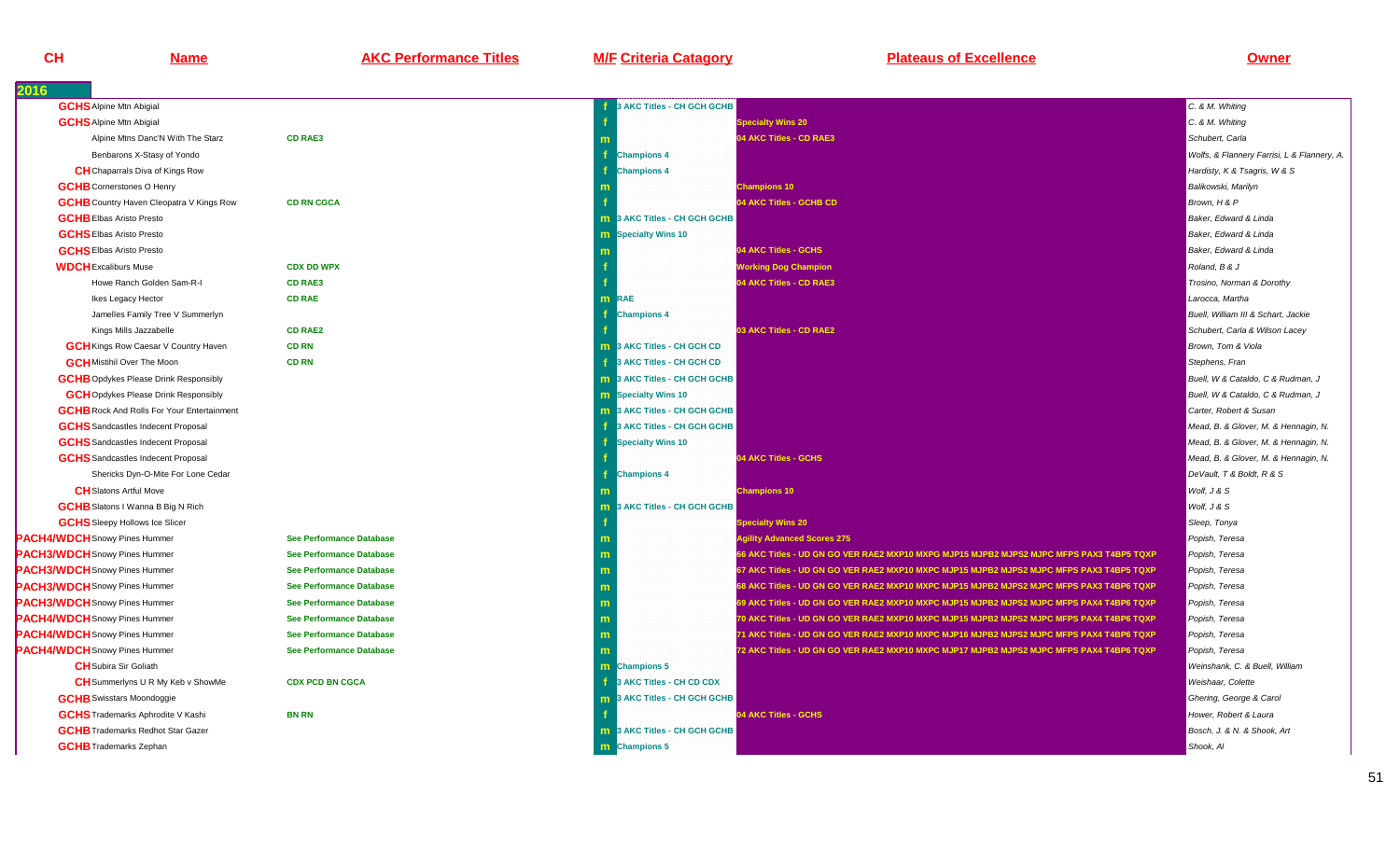**Name AKC Performance Titles M/F Criteria Catagory Plateaus of Excellence Owner**

| 2016                                              |                                 |                                     |                                                                                          |                                             |
|---------------------------------------------------|---------------------------------|-------------------------------------|------------------------------------------------------------------------------------------|---------------------------------------------|
| <b>GCHS</b> Alpine Mtn Abigial                    |                                 | <b>AKC Titles - CH GCH GCHB</b>     |                                                                                          | C. & M. Whiting                             |
| <b>GCHS</b> Alpine Mtn Abigial                    |                                 |                                     | <b>Specialty Wins 20</b>                                                                 | C. & M. Whiting                             |
| Alpine Mtns Danc'N With The Starz                 | <b>CD RAE3</b>                  |                                     | 04 AKC Titles - CD RAE3                                                                  | Schubert, Carla                             |
| Benbarons X-Stasy of Yondo                        |                                 | <b>Champions 4</b>                  |                                                                                          | Wolfs, & Flannery Farrisi, L & Flannery, A. |
| <b>CH</b> Chaparrals Diva of Kings Row            |                                 | <b>Champions 4</b>                  |                                                                                          | Hardisty, K & Tsagris, W & S                |
| <b>GCHB</b> Cornerstones O Henry                  |                                 |                                     | <b>Champions 10</b>                                                                      | Balikowski, Marilyn                         |
| <b>GCHB</b> Country Haven Cleopatra V Kings Row   | <b>CD RN CGCA</b>               |                                     | 04 AKC Titles - GCHB CD                                                                  | Brown, H & P                                |
| <b>GCHB</b> Elbas Aristo Presto                   |                                 | <b>m</b> 3 AKC Titles - CH GCH GCHB |                                                                                          | Baker, Edward & Linda                       |
| <b>GCHS</b> Elbas Aristo Presto                   |                                 | <b>m</b> Specialty Wins 10          |                                                                                          | Baker, Edward & Linda                       |
| <b>GCHS</b> Elbas Aristo Presto                   |                                 |                                     | 04 AKC Titles - GCHS                                                                     | Baker, Edward & Linda                       |
| <b>WDCH</b> Excaliburs Muse                       | <b>CDX DD WPX</b>               |                                     | <b>Working Dog Champion</b>                                                              | Roland, B & J                               |
| Howe Ranch Golden Sam-R-I                         | <b>CD RAE3</b>                  |                                     | 04 AKC Titles - CD RAE3                                                                  | Trosino, Norman & Dorothy                   |
| Ikes Legacy Hector                                | <b>CD RAE</b>                   | <b>m</b> RAE                        |                                                                                          | Larocca, Martha                             |
| Jamelles Family Tree V Summerlyn                  |                                 | <b>Champions 4</b>                  |                                                                                          | Buell, William III & Schart, Jackie         |
| Kings Mills Jazzabelle                            | <b>CD RAE2</b>                  |                                     | 03 AKC Titles - CD RAE2                                                                  | Schubert, Carla & Wilson Lacey              |
| <b>GCH</b> Kings Row Caesar V Country Haven       | <b>CD RN</b>                    | <b>m</b> 3 AKC Titles - CH GCH CD   |                                                                                          | Brown, Tom & Viola                          |
| <b>GCH</b> Mistihil Over The Moon                 | <b>CD RN</b>                    | 3 AKC Titles - CH GCH CD            |                                                                                          | Stephens, Fran                              |
| <b>GCHB</b> Opdykes Please Drink Responsibly      |                                 | <b>m</b> 3 AKC Titles - CH GCH GCHB |                                                                                          | Buell, W & Cataldo, C & Rudman, J           |
| <b>GCH</b> Opdykes Please Drink Responsibly       |                                 | <b>m</b> Specialty Wins 10          |                                                                                          | Buell, W & Cataldo, C & Rudman, J           |
| <b>GCHB</b> Rock And Rolls For Your Entertainment |                                 | <b>m</b> 3 AKC Titles - CH GCH GCHB |                                                                                          | Carter, Robert & Susan                      |
| <b>GCHS</b> Sandcastles Indecent Proposal         |                                 | 3 AKC Titles - CH GCH GCHB          |                                                                                          | Mead, B. & Glover, M. & Hennagin, N.        |
| <b>GCHS</b> Sandcastles Indecent Proposal         |                                 | <b>Specialty Wins 10</b>            |                                                                                          | Mead, B. & Glover, M. & Hennagin, N.        |
| <b>GCHS</b> Sandcastles Indecent Proposal         |                                 |                                     | 04 AKC Titles - GCHS                                                                     | Mead, B. & Glover, M. & Hennagin, N.        |
| Shericks Dyn-O-Mite For Lone Cedar                |                                 | <b>Champions 4</b>                  |                                                                                          | DeVault, T & Boldt, R & S                   |
| <b>CH</b> Slatons Artful Move                     |                                 |                                     | <b>Champions 10</b>                                                                      | Wolf, J & S                                 |
| <b>GCHB</b> Slatons I Wanna B Big N Rich          |                                 | <b>m</b> 3 AKC Titles - CH GCH GCHB |                                                                                          | Wolf, J & S                                 |
| <b>GCHS</b> Sleepy Hollows Ice Slicer             |                                 |                                     | <b>Specialty Wins 20</b>                                                                 | Sleep, Tonya                                |
| <b>PACH4/WDCH</b> Snowy Pines Hummer              | <b>See Performance Database</b> | m                                   | <b>Agility Advanced Scores 275</b>                                                       | Popish, Teresa                              |
| <b>PACH3/WDCH</b> Snowy Pines Hummer              | <b>See Performance Database</b> | m                                   | 66 AKC Titles - UD GN GO VER RAE2 MXP10 MXPG MJP15 MJPB2 MJPS2 MJPC MFPS PAX3 T4BP5 TQXP | Popish, Teresa                              |
| <b>PACH3/WDCH</b> Snowy Pines Hummer              | <b>See Performance Database</b> | m                                   | 67 AKC Titles - UD GN GO VER RAE2 MXP10 MXPC MJP15 MJPB2 MJPS2 MJPC MFPS PAX3 T4BP5 TQXP | Popish, Teresa                              |
| <b>PACH3/WDCH</b> Snowy Pines Hummer              | <b>See Performance Database</b> | m                                   | 68 AKC Titles - UD GN GO VER RAE2 MXP10 MXPC MJP15 MJPB2 MJPS2 MJPC MFPS PAX3 T4BP6 TQXP | Popish, Teresa                              |
| <b>PACH3/WDCH</b> Snowy Pines Hummer              | <b>See Performance Database</b> | m                                   | 69 AKC Titles - UD GN GO VER RAE2 MXP10 MXPC MJP15 MJPB2 MJPS2 MJPC MFPS PAX4 T4BP6 TQXP | Popish, Teresa                              |
| <b>PACH4/WDCH</b> Snowy Pines Hummer              | <b>See Performance Database</b> | m                                   | 70 AKC Titles - UD GN GO VER RAE2 MXP10 MXPC MJP15 MJPB2 MJPS2 MJPC MFPS PAX4 T4BP6 TQXP | Popish, Teresa                              |
| <b>PACH4/WDCH</b> Snowy Pines Hummer              | See Performance Database        | m                                   | 71 AKC Titles - UD GN GO VER RAE2 MXP10 MXPC MJP16 MJPB2 MJPS2 MJPC MFPS PAX4 T4BP6 TQXP | Popish, Teresa                              |
| <b>PACH4/WDCH</b> Snowy Pines Hummer              | <b>See Performance Database</b> |                                     | 72 AKC Titles - UD GN GO VER RAE2 MXP10 MXPC MJP17 MJPB2 MJPS2 MJPC MFPS PAX4 T4BP6 TQXP | Popish, Teresa                              |
| <b>CH</b> Subira Sir Goliath                      |                                 | <b>m</b> Champions 5                |                                                                                          | Weinshank, C. & Buell, William              |
| <b>CH</b> Summerlyns U R My Keb v ShowMe          | <b>CDX PCD BN CGCA</b>          | 3 AKC Titles - CH CD CDX            |                                                                                          | Weishaar, Colette                           |
| <b>GCHB</b> Swisstars Moondoggie                  |                                 | 3 AKC Titles - CH GCH GCHB<br>m.    |                                                                                          | Ghering, George & Carol                     |
| <b>GCHS</b> Trademarks Aphrodite V Kashi          | <b>BN RN</b>                    |                                     | 04 AKC Titles - GCHS                                                                     | Hower, Robert & Laura                       |
| <b>GCHB</b> Trademarks Redhot Star Gazer          |                                 | <b>m</b> 3 AKC Titles - CH GCH GCHB |                                                                                          | Bosch, J. & N. & Shook. Art                 |
| <b>GCHB</b> Trademarks Zephan                     |                                 | m Champions 5                       |                                                                                          | Shook, Al                                   |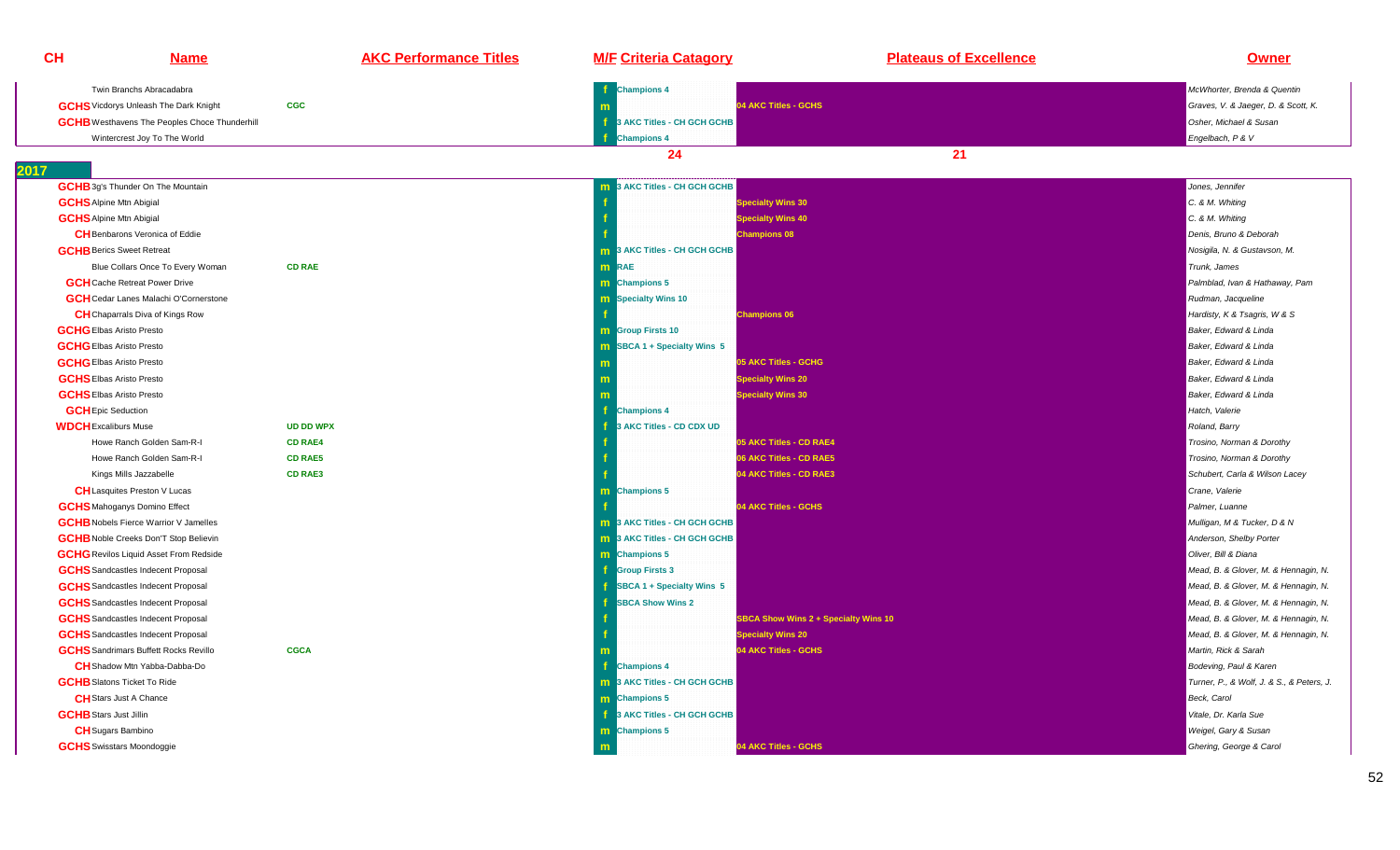| <b>CH</b>                     | <b>Name</b>                                          | <b>AKC Performance Titles</b> | <b>M/F Criteria Catagory</b>           | <b>Plateaus of Excellence</b>               | <b>Owner</b>                              |
|-------------------------------|------------------------------------------------------|-------------------------------|----------------------------------------|---------------------------------------------|-------------------------------------------|
|                               | Twin Branchs Abracadabra                             |                               | if.<br><b>Champions 4</b>              |                                             | McWhorter, Brenda & Quentin               |
|                               | <b>GCHS</b> Vicdorys Unleash The Dark Knight         | <b>CGC</b>                    |                                        | 04 AKC Titles - GCHS                        | Graves, V. & Jaeger, D. & Scott, K.       |
|                               | <b>GCHB</b> Westhavens The Peoples Choce Thunderhill |                               | ÷f.<br>3 AKC Titles - CH GCH GCHB      |                                             | Osher, Michael & Susan                    |
|                               | Wintercrest Joy To The World                         |                               | <b>Champions 4</b>                     |                                             | Engelbach, P & V                          |
|                               |                                                      |                               | 24                                     | 21                                          |                                           |
| 2017                          |                                                      |                               |                                        |                                             |                                           |
|                               | <b>GCHB</b> 3g's Thunder On The Mountain             |                               | 3 AKC Titles - CH GCH GCHB<br>m        |                                             | Jones, Jennifer                           |
|                               | <b>GCHS</b> Alpine Mtn Abigial                       |                               |                                        | <b>Specialty Wins 30</b>                    | C. & M. Whiting                           |
|                               | <b>GCHS</b> Alpine Mtn Abigial                       |                               |                                        | Specialty Wins 40                           | C. & M. Whiting                           |
|                               | <b>CH</b> Benbarons Veronica of Eddie                |                               |                                        | <b>Champions 08</b>                         | Denis, Bruno & Deborah                    |
|                               | <b>GCHB</b> Berics Sweet Retreat                     |                               | <b>m</b> 3 AKC Titles - CH GCH GCHB    |                                             | Nosigila, N. & Gustavson, M.              |
|                               | Blue Collars Once To Every Woman                     | <b>CD RAE</b>                 | <b>m</b> RAE                           |                                             | Trunk, James                              |
|                               | <b>GCH</b> Cache Retreat Power Drive                 |                               | <b>m</b> Champions 5                   |                                             | Palmblad, Ivan & Hathaway, Pam            |
|                               | <b>GCH</b> Cedar Lanes Malachi O'Cornerstone         |                               | <b>m</b> Specialty Wins 10             |                                             | Rudman, Jacqueline                        |
|                               | <b>CH</b> Chaparrals Diva of Kings Row               |                               |                                        | <b>Champions 06</b>                         | Hardisty, K & Tsagris, W & S              |
|                               | <b>GCHG</b> Elbas Aristo Presto                      |                               | <b>m</b> Group Firsts 10               |                                             | Baker, Edward & Linda                     |
|                               | <b>GCHG</b> Elbas Aristo Presto                      |                               | $\textsf{m}$ SBCA 1 + Specialty Wins 5 |                                             | Baker, Edward & Linda                     |
|                               | <b>GCHG</b> Elbas Aristo Presto                      |                               |                                        | 05 AKC Titles - GCHG                        | Baker, Edward & Linda                     |
|                               | <b>GCHS</b> Elbas Aristo Presto                      |                               |                                        | <b>Specialty Wins 20</b>                    | Baker, Edward & Linda                     |
|                               | <b>GCHS</b> Elbas Aristo Presto                      |                               |                                        | <b>Specialty Wins 30</b>                    | Baker, Edward & Linda                     |
|                               | <b>GCH</b> Epic Seduction                            |                               | Ŧ<br><b>Champions 4</b>                |                                             | Hatch. Valerie                            |
| <b>WDCH</b> Excaliburs Muse   |                                                      | <b>UD DD WPX</b>              | 3 AKC Titles - CD CDX UD               |                                             | Roland, Barry                             |
|                               | Howe Ranch Golden Sam-R-I                            | <b>CD RAE4</b>                |                                        | 05 AKC Titles - CD RAE4                     | Trosino, Norman & Dorothy                 |
|                               | Howe Ranch Golden Sam-R-I                            | <b>CD RAE5</b>                |                                        | 06 AKC Titles - CD RAE5                     | Trosino, Norman & Dorothy                 |
|                               | Kings Mills Jazzabelle                               | <b>CD RAE3</b>                |                                        | 04 AKC Titles - CD RAE3                     | Schubert, Carla & Wilson Lacey            |
|                               | <b>CH</b> Lasquites Preston V Lucas                  |                               | <b>Champions 5</b><br>m.               |                                             | Crane, Valerie                            |
|                               | <b>GCHS</b> Mahoganys Domino Effect                  |                               |                                        | 04 AKC Titles - GCHS                        | Palmer, Luanne                            |
|                               | <b>GCHB</b> Nobels Fierce Warrior V Jamelles         |                               | <b>m</b> 3 AKC Titles - CH GCH GCHB    |                                             | Mulligan, M & Tucker, D & N               |
|                               | <b>GCHB</b> Noble Creeks Don'T Stop Believin         |                               | 3 AKC Titles - CH GCH GCHB<br>m.       |                                             | Anderson, Shelby Porter                   |
|                               | <b>GCHG</b> Revilos Liquid Asset From Redside        |                               | m Champions 5                          |                                             | Oliver, Bill & Diana                      |
|                               | <b>GCHS</b> Sandcastles Indecent Proposal            |                               | <b>f</b> Group Firsts 3                |                                             | Mead, B. & Glover, M. & Hennagin, N.      |
|                               | <b>GCHS</b> Sandcastles Indecent Proposal            |                               | SBCA 1 + Specialty Wins 5              |                                             | Mead, B. & Glover, M. & Hennagin, N.      |
|                               | <b>GCHS</b> Sandcastles Indecent Proposal            |                               | <b>SBCA Show Wins 2</b>                |                                             | Mead, B. & Glover, M. & Hennagin, N.      |
|                               | <b>GCHS</b> Sandcastles Indecent Proposal            |                               |                                        | <b>SBCA Show Wins 2 + Specialty Wins 10</b> | Mead, B. & Glover, M. & Hennagin, N.      |
|                               | <b>GCHS</b> Sandcastles Indecent Proposal            |                               |                                        | <b>Specialty Wins 20</b>                    | Mead, B. & Glover, M. & Hennagin, N.      |
|                               | <b>GCHS</b> Sandrimars Buffett Rocks Revillo         | <b>CGCA</b>                   |                                        | 04 AKC Titles - GCHS                        | Martin, Rick & Sarah                      |
|                               | <b>CH</b> Shadow Mtn Yabba-Dabba-Do                  |                               | Champions 4                            |                                             | Bodeving, Paul & Karen                    |
|                               | <b>GCHB</b> Slatons Ticket To Ride                   |                               | <b>m</b> 3 AKC Titles - CH GCH GCHB    |                                             | Turner, P., & Wolf, J. & S., & Peters, J. |
|                               | <b>CH</b> Stars Just A Chance                        |                               | m Champions 5                          |                                             | Beck, Carol                               |
| <b>GCHB</b> Stars Just Jillin |                                                      |                               | 3 AKC Titles - CH GCH GCHB             |                                             | Vitale, Dr. Karla Sue                     |
|                               | <b>CH</b> Sugars Bambino                             |                               | m Champions 5                          |                                             | Weigel, Gary & Susan                      |
|                               | <b>GCHS</b> Swisstars Moondoggie                     |                               | m                                      | 04 AKC Titles - GCHS                        | Ghering, George & Carol                   |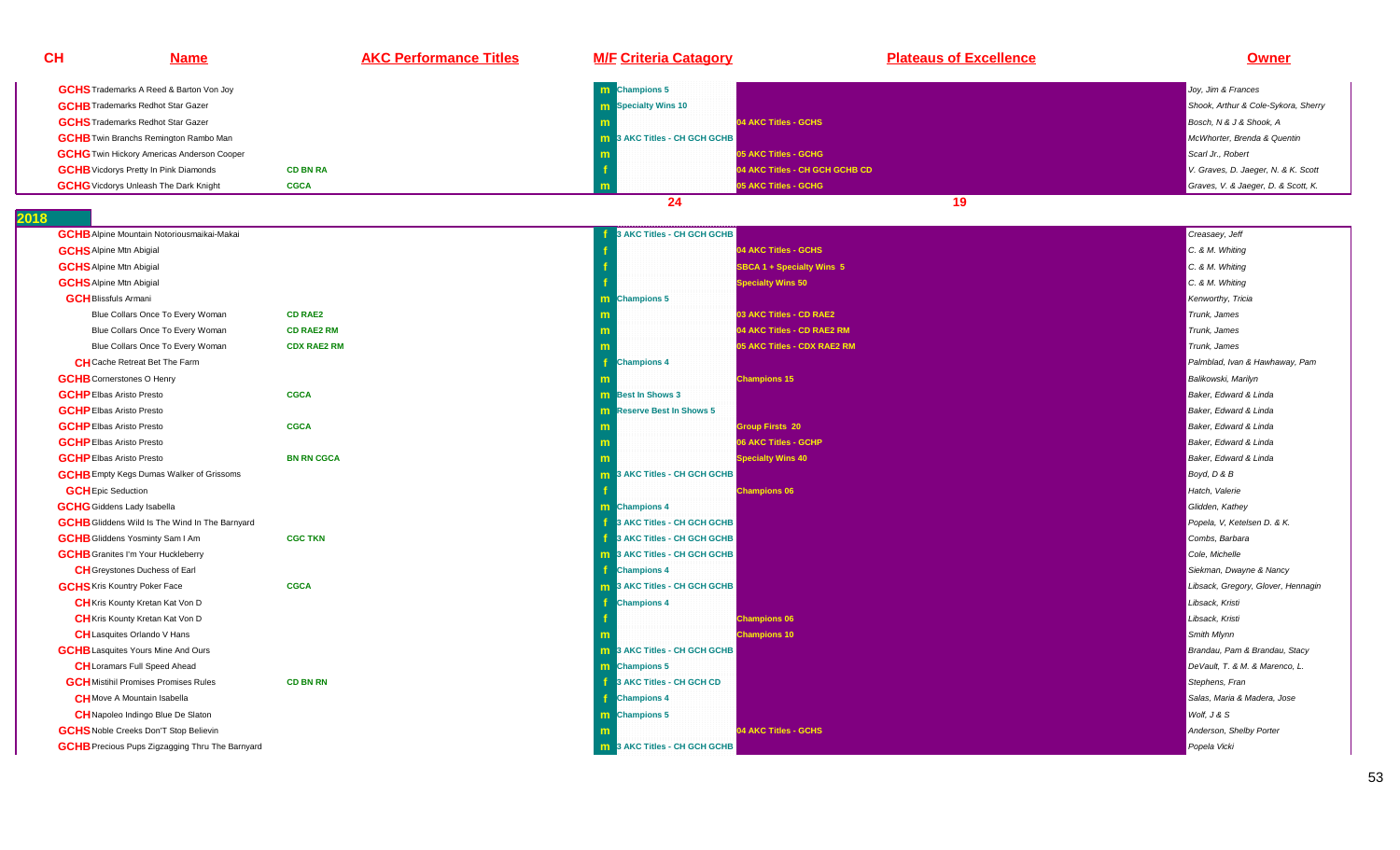| <b>CH</b>                 | <b>Name</b>                                            | <b>AKC Performance Titles</b> | <b>M/F Criteria Catagory</b>        | <b>Plateaus of Excellence</b>  | <b>Owner</b>                        |
|---------------------------|--------------------------------------------------------|-------------------------------|-------------------------------------|--------------------------------|-------------------------------------|
|                           | <b>GCHS</b> Trademarks A Reed & Barton Von Joy         |                               | m Champions 5                       |                                | Joy, Jim & Frances                  |
|                           | <b>GCHB</b> Trademarks Redhot Star Gazer               |                               | <b>m</b> Specialty Wins 10          |                                | Shook, Arthur & Cole-Sykora, Sherry |
|                           | <b>GCHS</b> Trademarks Redhot Star Gazer               |                               |                                     | 04 AKC Titles - GCHS           | Bosch, N & J & Shook, A             |
|                           | <b>GCHB</b> Twin Branchs Remington Rambo Man           |                               | 3 AKC Titles - CH GCH GCHB<br>m.    |                                | McWhorter, Brenda & Quentin         |
|                           | <b>GCHG</b> Twin Hickory Americas Anderson Cooper      |                               |                                     | 05 AKC Titles - GCHG           | Scarl Jr., Robert                   |
|                           | <b>GCHB</b> Vicdorys Pretty In Pink Diamonds           | <b>CD BN RA</b>               |                                     | 04 AKC Titles - CH GCH GCHB CD | V. Graves, D. Jaeger, N. & K. Scott |
|                           | <b>GCHG</b> Vicdorys Unleash The Dark Knight           | <b>CGCA</b>                   | m                                   | 05 AKC Titles - GCHG           | Graves, V. & Jaeger, D. & Scott, K. |
|                           |                                                        |                               | 24                                  | 19                             |                                     |
| 18                        |                                                        |                               |                                     |                                |                                     |
|                           | <b>GCHB</b> Alpine Mountain Notoriousmaikai-Makai      |                               | 3 AKC Titles - CH GCH GCHB          |                                | Creasaey, Jeff                      |
|                           | <b>GCHS</b> Alpine Mtn Abigial                         |                               |                                     | 04 AKC Titles - GCHS           | C. & M. Whiting                     |
|                           | <b>GCHS</b> Alpine Mtn Abigial                         |                               |                                     | SBCA 1 + Specialty Wins 5      | C. & M. Whiting                     |
|                           | <b>GCHS</b> Alpine Mtn Abigial                         |                               |                                     | <b>Specialty Wins 50</b>       | C. & M. Whiting                     |
|                           | <b>GCH</b> Blissfuls Armani                            |                               | m Champions 5                       |                                | Kenworthy, Tricia                   |
|                           | Blue Collars Once To Every Woman                       | <b>CD RAE2</b>                |                                     | 03 AKC Titles - CD RAE2        | Trunk, James                        |
|                           | Blue Collars Once To Every Woman                       | <b>CD RAE2 RM</b>             |                                     | 04 AKC Titles - CD RAE2 RM     | Trunk, James                        |
|                           | Blue Collars Once To Every Woman                       | <b>CDX RAE2 RM</b>            |                                     | 05 AKC Titles - CDX RAE2 RM    | Trunk, James                        |
|                           | <b>CH</b> Cache Retreat Bet The Farm                   |                               | <b>Champions 4</b>                  |                                | Palmblad, Ivan & Hawhaway, Pam      |
|                           | <b>GCHB</b> Cornerstones O Henry                       |                               |                                     | <b>Champions 15</b>            | Balikowski, Marilyn                 |
|                           | <b>GCHP</b> Elbas Aristo Presto                        | <b>CGCA</b>                   | <b>m</b> Best In Shows 3            |                                | Baker, Edward & Linda               |
|                           | <b>GCHP</b> Elbas Aristo Presto                        |                               | <b>m</b> Reserve Best In Shows 5    |                                | Baker, Edward & Linda               |
|                           | <b>GCHP</b> Elbas Aristo Presto                        | <b>CGCA</b>                   |                                     | <b>Group Firsts 20</b>         | Baker, Edward & Linda               |
|                           | <b>GCHP</b> Elbas Aristo Presto                        |                               | m                                   | 06 AKC Titles - GCHP           | Baker, Edward & Linda               |
|                           | <b>GCHP</b> Elbas Aristo Presto                        | <b>BN RN CGCA</b>             |                                     | <b>Specialty Wins 40</b>       | Baker, Edward & Linda               |
|                           | <b>GCHB</b> Empty Kegs Dumas Walker of Grissoms        |                               | 3 AKC Titles - CH GCH GCHB<br>m.    |                                | Boyd, D & B                         |
| <b>GCH</b> Epic Seduction |                                                        |                               |                                     | <b>Champions 06</b>            | Hatch, Valerie                      |
|                           | <b>GCHG</b> Giddens Lady Isabella                      |                               | <b>m</b> Champions 4                |                                | Glidden, Kathey                     |
|                           | <b>GCHB</b> Gliddens Wild Is The Wind In The Barnyard  |                               | 3 AKC Titles - CH GCH GCHB          |                                | Popela, V, Ketelsen D. & K.         |
|                           | <b>GCHB</b> Gliddens Yosminty Sam I Am                 | <b>CGC TKN</b>                | 3 AKC Titles - CH GCH GCHB          |                                | Combs, Barbara                      |
|                           | <b>GCHB</b> Granites I'm Your Huckleberry              |                               | 3 AKC Titles - CH GCH GCHB          |                                | Cole, Michelle                      |
|                           | <b>CH</b> Greystones Duchess of Earl                   |                               | <b>Champions 4</b>                  |                                | Siekman, Dwayne & Nancy             |
|                           | <b>GCHS</b> Kris Kountry Poker Face                    | <b>CGCA</b>                   | <b>m</b> 3 AKC Titles - CH GCH GCHB |                                | Libsack, Gregory, Glover, Hennagin  |
|                           | CH Kris Kounty Kretan Kat Von D                        |                               | <b>Champions 4</b>                  |                                | Libsack, Kristi                     |
|                           | <b>CH</b> Kris Kounty Kretan Kat Von D                 |                               |                                     | <b>Champions 06</b>            | Libsack, Kristi                     |
|                           | <b>CH</b> Lasquites Orlando V Hans                     |                               |                                     | <b>Champions 10</b>            | Smith Mlynn                         |
|                           | <b>GCHB</b> Lasquites Yours Mine And Ours              |                               | <b>m</b> 3 AKC Titles - CH GCH GCHB |                                | Brandau, Pam & Brandau, Stacy       |
|                           | <b>CH</b> Loramars Full Speed Ahead                    |                               | <b>m</b> Champions 5                |                                | DeVault, T. & M. & Marenco, L.      |
|                           | <b>GCH</b> Mistihil Promises Promises Rules            | <b>CD BN RN</b>               | 3 AKC Titles - CH GCH CD            |                                | Stephens, Fran                      |
|                           | <b>CH</b> Move A Mountain Isabella                     |                               | <b>Champions 4</b>                  |                                | Salas, Maria & Madera, Jose         |
|                           | CH Napoleo Indingo Blue De Slaton                      |                               | m Champions 5                       |                                | Wolf, J & S                         |
|                           | <b>GCHS</b> Noble Creeks Don'T Stop Believin           |                               |                                     | 04 AKC Titles - GCHS           | Anderson, Shelby Porter             |
|                           | <b>GCHB</b> Precious Pups Zigzagging Thru The Barnyard |                               | <b>m</b> 3 AKC Titles - CH GCH GCHB |                                | Popela Vicki                        |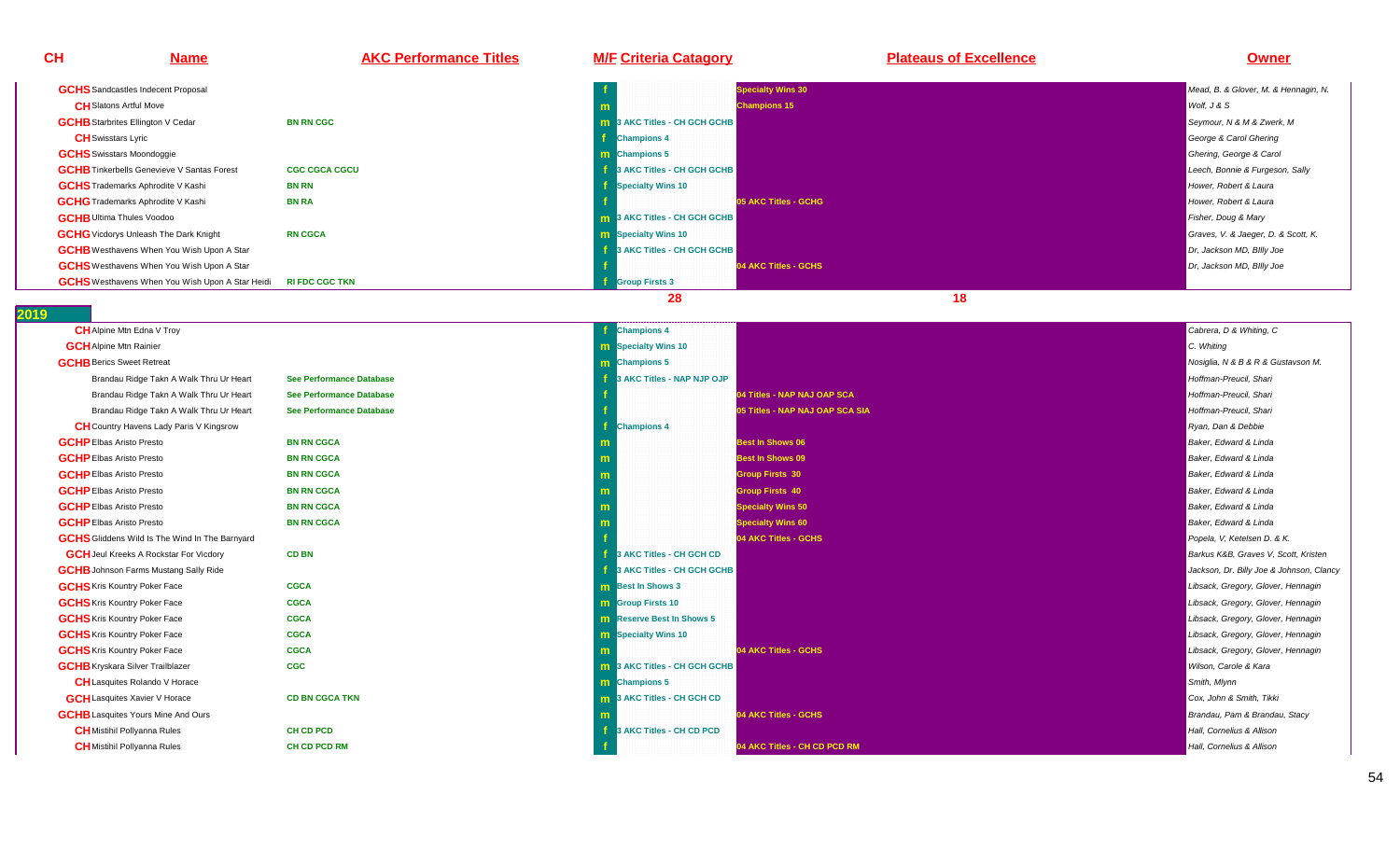**CH Name AKC Performance Titles M/F Criteria Catagory Plateaus of Excellence Owner GCHS** Sandcastles Indecent Proposal **fSpecialty Wins 30** Mead, B. & Glover, M. & Hennagin, N. **CH**Slatons Artful Move **<sup>m</sup>Champions 15** Wolf, J & Straight and The Champions 15 Wolf, J & Straight and The Champions 15 Wolf, J & Straight and The Champions 15 Wolf, J & Straight and The Champions 15 Wolf, J & Straight and The Champions 15 Wolf, J **GCHB** Starbrites Ellington V Cedar **BN RN CGCc m 10 ACC Titles - CH GCH GCHB** Seymour, N & M & Zwerk, M Seymour, N & M & Zwerk, M Seymour, N & M & Zwerk, M Seymour, N & M & Zwerk, M Seymour, N & M & Zwerk, M Seymour, N & M & Zwerk, M Seymour, N & M & Zwerk, M Seymour, N **CH**Swisstars Lyric **f Champions 4**George & Carol Ghering **GCHS**Swisstars Moondoggie**e** the contract of the contract of the contract of the contract of the contract of the contract of the contract of the contract of the contract of the contract of the contract of the contract of the contract of the contra **Champions 5** Ghering, George & Carol Champions 5 Ghering, George & Carol Champions 5 Ghering, George & Carol Champions 5 Ghering, George & Carol Champions 5 Ghering, George & Carol Champions 5 Ghering, George & Carol Cham **GCHB** Tinkerbells Genevieve V Santas Forest **CGC CGCA CGCUleech, Bonnie & Furgeson, Sally and CH GCH GCHB** Leech, Bonnie & Furgeson, Sally and Sally and Sally and Sally and Sally and Sally and Sally and Sally and Sally and Sally and Sally and Sally and Sally and Sally and Sally **GCHS**Trademarks Aphrodite V Kashi **BN RNh f Specialty Wins 10 Hower, Robert & Laura Constanting the Constantine Constanting of** *Hower, Robert & Laura* **GCHG**Trademarks Aphrodite V Kashi **BN RAf b o5 AKC Titles - GCHG**<br>**m 3 AKC Titles - CH GCH GCHB** Hower, Robert & Laura<br>Fisher, Doug & Mary **GCHB** Ultima Thules Voodoo **<sup>m</sup>19 AKC Titles - CH GCHB** Fisher, Doug & Mary<br>The contract of the contract of the contract of the contract of the contract of the contract of the contract of the contract of the contract of the contract of the contract of **GCHG** Vicdorys Unleash The Dark Knight **RN CGCA <sup>m</sup> Specialty Wins 10** Graves, V. & Jaeger, D. & Scott, K. **GCHB** Westhavens When You Wish Upon A Star **f 3 AKC Titles - CH GCH GCHB**Dr, Jackson MD, Billy Joe **GCHS**Westhavens When You Wish Upon A Star **f 04 AKC Titles - GCHS**Dr, Jackson MD, Billy Joe **GCHS**Westhavens When You Wish Upon A Star Heidi **RI FDC CGC TKN<sup>f</sup> Group Firsts 3**

**28 18** 

| <b>CH</b> Alpine Mtn Edna V Troy                      |                                 | <b>Champions 4</b>                  | Cabrera, D & Whiting, C                  |
|-------------------------------------------------------|---------------------------------|-------------------------------------|------------------------------------------|
| <b>GCH</b> Alpine Mtn Rainier                         |                                 | <b>m</b> Specialty Wins 10          | C. Whiting                               |
| <b>GCHB</b> Berics Sweet Retreat                      |                                 | m Champions 5                       | Nosiglia, N & B & R & Gustavson M.       |
| Brandau Ridge Takn A Walk Thru Ur Heart               | <b>See Performance Database</b> | 3 AKC Titles - NAP NJP OJP          | Hoffman-Preucil, Shari                   |
| Brandau Ridge Takn A Walk Thru Ur Heart               | <b>See Performance Database</b> | 04 Titles - NAP NAJ OAP SCA         | Hoffman-Preucil. Shari                   |
| Brandau Ridge Takn A Walk Thru Ur Heart               | <b>See Performance Database</b> | 05 Titles - NAP NAJ OAP SCA SIA     | Hoffman-Preucil. Shari                   |
| <b>CH</b> Country Havens Lady Paris V Kingsrow        |                                 | <b>Champions 4</b>                  | Ryan, Dan & Debbie                       |
| <b>GCHP</b> Elbas Aristo Presto                       | <b>BN RN CGCA</b>               | <b>Best In Shows 06</b>             | Baker, Edward & Linda                    |
| <b>GCHP</b> Elbas Aristo Presto                       | <b>BN RN CGCA</b>               | <b>Best In Shows 09</b><br>m        | Baker, Edward & Linda                    |
| <b>GCHP</b> Elbas Aristo Presto                       | <b>BN RN CGCA</b>               | <b>Group Firsts 30</b>              | Baker, Edward & Linda                    |
| <b>GCHP</b> Elbas Aristo Presto                       | <b>BN RN CGCA</b>               | <b>Group Firsts 40</b><br>m         | Baker, Edward & Linda                    |
| <b>GCHP</b> Elbas Aristo Presto                       | <b>BN RN CGCA</b>               | <b>Specialty Wins 50</b><br>m       | Baker, Edward & Linda                    |
| <b>GCHP</b> Elbas Aristo Presto                       | <b>BN RN CGCA</b>               | <b>Specialty Wins 60</b>            | Baker, Edward & Linda                    |
| <b>GCHS</b> Gliddens Wild Is The Wind In The Barnyard |                                 | 04 AKC Titles - GCHS                | Popela, V, Ketelsen D. & K.              |
| <b>GCH</b> Jeul Kreeks A Rockstar For Vicdory         | <b>CD BN</b>                    | 3 AKC Titles - CH GCH CD            | Barkus K&B, Graves V, Scott, Kristen     |
| <b>GCHB</b> Johnson Farms Mustang Sally Ride          |                                 | 3 AKC Titles - CH GCH GCHB          | Jackson, Dr. Billy Joe & Johnson, Clancy |
| <b>GCHS</b> Kris Kountry Poker Face                   | <b>CGCA</b>                     | <b>m</b> Best In Shows 3            | Libsack, Gregory, Glover, Hennagin       |
| <b>GCHS</b> Kris Kountry Poker Face                   | <b>CGCA</b>                     | <b>m</b> Group Firsts 10            | Libsack, Gregory, Glover, Hennagin       |
| <b>GCHS</b> Kris Kountry Poker Face                   | <b>CGCA</b>                     | <b>m</b> Reserve Best In Shows 5    | Libsack, Gregory, Glover, Hennagin       |
| <b>GCHS</b> Kris Kountry Poker Face                   | <b>CGCA</b>                     | <b>m</b> Specialty Wins 10          | Libsack, Gregory, Glover, Hennagin       |
| <b>GCHS</b> Kris Kountry Poker Face                   | <b>CGCA</b>                     | 04 AKC Titles - GCHS                | Libsack, Gregory, Glover, Hennagin       |
| <b>GCHB</b> Kryskara Silver Trailblazer               | <b>CGC</b>                      | <b>m</b> 3 AKC Titles - CH GCH GCHB | Wilson, Carole & Kara                    |
| <b>CH</b> Lasquites Rolando V Horace                  |                                 | <b>m</b> Champions 5                | Smith, Mlynn                             |
| <b>GCH</b> Lasquites Xavier V Horace                  | <b>CD BN CGCA TKN</b>           | <b>m</b> 3 AKC Titles - CH GCH CD   | Cox, John & Smith, Tikki                 |
| <b>GCHB</b> Lasquites Yours Mine And Ours             |                                 | 04 AKC Titles - GCHS                | Brandau, Pam & Brandau, Stacy            |
| <b>CH</b> Mistihil Pollyanna Rules                    | <b>CH CD PCD</b>                | 3 AKC Titles - CH CD PCD            | Hall. Cornelius & Allison                |
| <b>CH</b> Mistihil Pollyanna Rules                    | <b>CH CD PCD RM</b>             | 04 AKC Titles - CH CD PCD RM        | Hall, Cornelius & Allison                |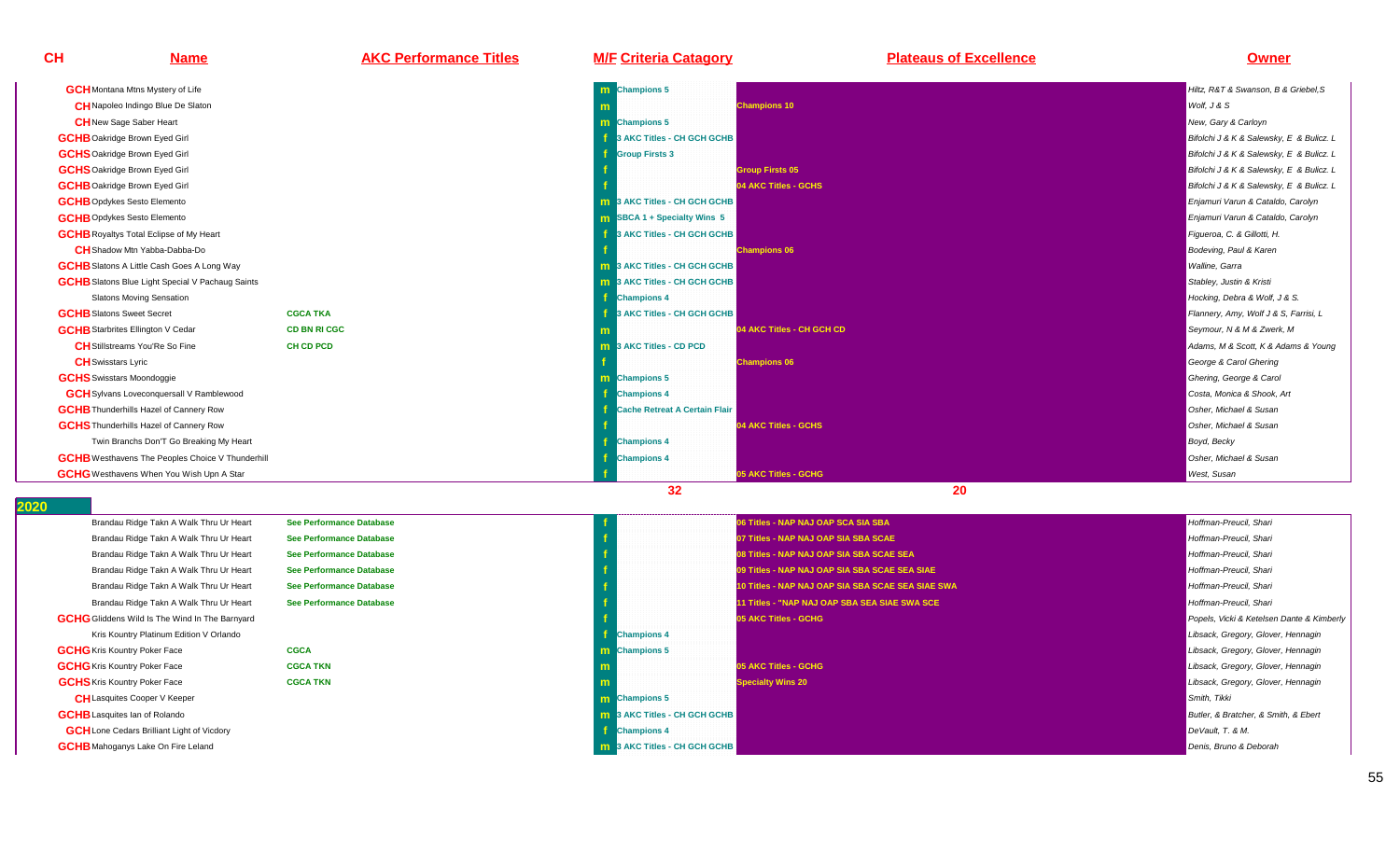# **Name AKC Performance Titles M/F Criteria Catagory Plateaus of Excellence Owner**

| <b>GCH</b> Montana Mtns Mystery of Life                 |                     | m Champions 5                       |                                  | Hiltz. R&T & Swanson. B & Griebel.S      |
|---------------------------------------------------------|---------------------|-------------------------------------|----------------------------------|------------------------------------------|
| <b>CH</b> Napoleo Indingo Blue De Slaton                |                     |                                     | <b>Champions 10</b>              | Wolf. J & S                              |
| <b>CH</b> New Sage Saber Heart                          |                     | <b>m</b> Champions 5                |                                  | New, Gary & Carloyn                      |
| <b>GCHB</b> Oakridge Brown Eyed Girl                    |                     | 3 AKC Titles - CH GCH GCHB          |                                  | Bifolchi J & K & Salewsky, E & Bulicz. L |
| <b>GCHS</b> Oakridge Brown Eyed Girl                    |                     | <b>Group Firsts 3</b>               |                                  | Bifolchi J & K & Salewsky, E & Bulicz. L |
| <b>GCHS</b> Oakridge Brown Eyed Girl                    |                     |                                     | <b>Group Firsts 05</b>           | Bifolchi J & K & Salewsky, E & Bulicz. L |
| <b>GCHB</b> Oakridge Brown Eyed Girl                    |                     |                                     | 04 AKC Titles - GCHS             | Bifolchi J & K & Salewsky, E & Bulicz. L |
| <b>GCHB</b> Opdykes Sesto Elemento                      |                     | <b>m</b> 3 AKC Titles - CH GCH GCHB |                                  | Enjamuri Varun & Cataldo, Carolyn        |
| <b>GCHB</b> Opdykes Sesto Elemento                      |                     | <b>m</b> SBCA 1 + Specialty Wins 5  |                                  | Enjamuri Varun & Cataldo, Carolyn        |
| <b>GCHB</b> Royaltys Total Eclipse of My Heart          |                     | 3 AKC Titles - CH GCH GCHB          |                                  | Figueroa, C. & Gillotti, H.              |
| <b>CH</b> Shadow Mtn Yabba-Dabba-Do                     |                     |                                     | <b>Champions 06</b>              | Bodeving, Paul & Karen                   |
| <b>GCHB</b> Slatons A Little Cash Goes A Long Way       |                     | <b>m</b> 3 AKC Titles - CH GCH GCHB |                                  | Walline, Garra                           |
| <b>GCHB</b> Slatons Blue Light Special V Pachaug Saints |                     | <b>m</b> 3 AKC Titles - CH GCH GCHB |                                  | Stabley, Justin & Kristi                 |
| <b>Slatons Moving Sensation</b>                         |                     | <b>Champions 4</b>                  |                                  | Hocking, Debra & Wolf, J & S.            |
| <b>GCHB</b> Slatons Sweet Secret                        | <b>CGCA TKA</b>     | 3 AKC Titles - CH GCH GCHB          |                                  | Flannery, Amy, Wolf J & S, Farrisi, L    |
| <b>GCHB</b> Starbrites Ellington V Cedar                | <b>CD BN RI CGC</b> |                                     | <b>04 AKC Titles - CH GCH CD</b> | Seymour, N & M & Zwerk, M                |
| <b>CH</b> Stillstreams You'Re So Fine                   | <b>CH CD PCD</b>    | <b>m</b> 3 AKC Titles - CD PCD      |                                  | Adams, M & Scott, K & Adams & Young      |
| <b>CH</b> Swisstars Lyric                               |                     |                                     | <b>Champions 06</b>              | George & Carol Ghering                   |
| <b>GCHS</b> Swisstars Moondoggie                        |                     | m Champions 5                       |                                  | Ghering, George & Carol                  |
| <b>GCH</b> Sylvans Loveconquersall V Ramblewood         |                     | <b>Champions 4</b>                  |                                  | Costa, Monica & Shook, Art               |
| <b>GCHB</b> Thunderhills Hazel of Cannery Row           |                     | Cache Retreat A Certain Flair       |                                  | Osher, Michael & Susan                   |
| <b>GCHS</b> Thunderhills Hazel of Cannery Row           |                     |                                     | 04 AKC Titles - GCHS             | Osher, Michael & Susan                   |
| Twin Branchs Don'T Go Breaking My Heart                 |                     | <b>Champions 4</b>                  |                                  | Boyd, Becky                              |
| <b>GCHB</b> Westhavens The Peoples Choice V Thunderhill |                     | <b>Champions 4</b>                  |                                  | Osher, Michael & Susan                   |
| <b>GCHG</b> Westhavens When You Wish Upn A Star         |                     |                                     | 05 AKC Titles - GCHG             | <b>West, Susan</b>                       |
|                                                         |                     | 32                                  | 20                               |                                          |

| Brandau Ridge Takn A Walk Thru Ur Heart               | <b>See Performance Database</b> |                                     | 06 Titles - NAP NAJ OAP SCA SIA SBA               | Hoffman-Preucil, Shari                    |
|-------------------------------------------------------|---------------------------------|-------------------------------------|---------------------------------------------------|-------------------------------------------|
| Brandau Ridge Takn A Walk Thru Ur Heart               | See Performance Database        |                                     | 07 Titles - NAP NAJ OAP SIA SBA SCAE              | Hoffman-Preucil, Shari                    |
| Brandau Ridge Takn A Walk Thru Ur Heart               | <b>See Performance Database</b> |                                     | 08 Titles - NAP NAJ OAP SIA SBA SCAE SEA          | Hoffman-Preucil, Shari                    |
| Brandau Ridge Takn A Walk Thru Ur Heart               | See Performance Database        |                                     | 09 Titles - NAP NAJ OAP SIA SBA SCAE SEA SIAE     | Hoffman-Preucil, Shari                    |
| Brandau Ridge Takn A Walk Thru Ur Heart               | See Performance Database        |                                     | 10 Titles - NAP NAJ OAP SIA SBA SCAE SEA SIAE SWA | Hoffman-Preucil, Shari                    |
| Brandau Ridge Takn A Walk Thru Ur Heart               | See Performance Database        |                                     | 11 Titles - "NAP NAJ OAP SBA SEA SIAE SWA SCE     | Hoffman-Preucil, Shari                    |
| <b>GCHG</b> Gliddens Wild Is The Wind In The Barnyard |                                 |                                     | 05 AKC Titles - GCHG                              | Popels, Vicki & Ketelsen Dante & Kimberly |
| Kris Kountry Platinum Edition V Orlando               |                                 | <b>Champions 4</b>                  |                                                   | Libsack, Gregory, Glover, Hennagin        |
| <b>GCHG</b> Kris Kountry Poker Face                   | <b>CGCA</b>                     | <b>m</b> Champions 5                |                                                   | Libsack, Gregory, Glover, Hennagin        |
| <b>GCHG</b> Kris Kountry Poker Face                   | <b>CGCA TKN</b>                 |                                     | 05 AKC Titles - GCHG                              | Libsack, Gregory, Glover, Hennagin        |
| <b>GCHS</b> Kris Kountry Poker Face                   | <b>CGCA TKN</b>                 |                                     | <b>Specialty Wins 20</b>                          | Libsack, Gregory, Glover, Hennagin        |
| <b>CH</b> Lasquites Cooper V Keeper                   |                                 | <b>m</b> Champions 5                |                                                   | Smith, Tikki                              |
| <b>GCHB</b> Lasquites Ian of Rolando                  |                                 | <b>m</b> 3 AKC Titles - CH GCH GCHB |                                                   | Butler, & Bratcher, & Smith, & Ebert      |
| <b>GCH</b> Lone Cedars Brilliant Light of Vicdory     |                                 | <b>Champions 4</b>                  |                                                   | DeVault, T. & M.                          |
| <b>GCHB</b> Mahoganys Lake On Fire Leland             |                                 | <b>m</b> 3 AKC Titles - CH GCH GCHB |                                                   | Denis, Bruno & Deborah                    |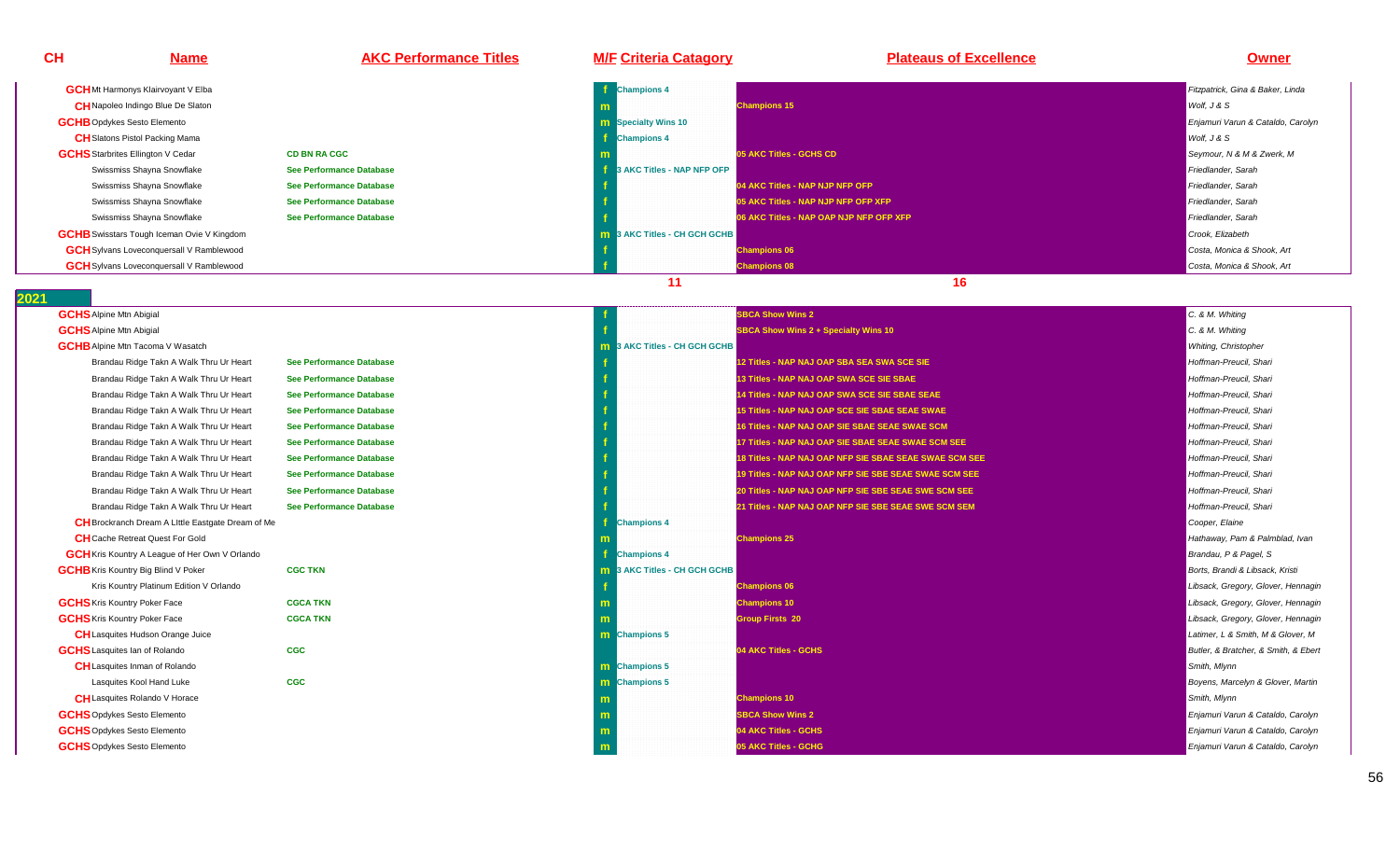| CН | <b>Name</b>                                       | <b>AKC Performance Titles</b>   | <b>M/F Criteria Catagory</b>        | <b>Plateaus of Excellence</b>           | Owner                             |
|----|---------------------------------------------------|---------------------------------|-------------------------------------|-----------------------------------------|-----------------------------------|
|    | <b>GCH</b> Mt Harmonys Klairvoyant V Elba         |                                 | <b>Champions 4</b>                  |                                         | Fitzpatrick, Gina & Baker, Linda  |
|    | <b>CH</b> Napoleo Indingo Blue De Slaton          |                                 |                                     | <b>Champions 15</b>                     | Wolf, J & S                       |
|    | <b>GCHB</b> Opdykes Sesto Elemento                |                                 | <b>n Specialty Wins 10</b>          |                                         | Enjamuri Varun & Cataldo, Carolyn |
|    | <b>CH</b> Slatons Pistol Packing Mama             |                                 | <b>Champions 4</b>                  |                                         | Wolf, J & S                       |
|    | <b>GCHS</b> Starbrites Ellington V Cedar          | <b>CD BN RA CGC</b>             |                                     | 05 AKC Titles - GCHS CD                 | Seymour, N & M & Zwerk, M         |
|    | Swissmiss Shayna Snowflake                        | <b>See Performance Database</b> | 3 AKC Titles - NAP NFP OFP          |                                         | Friedlander, Sarah                |
|    | Swissmiss Shayna Snowflake                        | See Performance Database        |                                     | 04 AKC Titles - NAP NJP NFP OFP         | Friedlander, Sarah                |
|    | Swissmiss Shayna Snowflake                        | See Performance Database        |                                     | 05 AKC Titles - NAP NJP NFP OFP XFP     | Friedlander, Sarah                |
|    | Swissmiss Shayna Snowflake                        | See Performance Database        |                                     | 06 AKC Titles - NAP OAP NJP NFP OFP XFP | Friedlander, Sarah                |
|    | <b>GCHB</b> Swisstars Tough Iceman Ovie V Kingdom |                                 | <b>m</b> 3 AKC Titles - CH GCH GCHB |                                         | Crook, Elizabeth                  |
|    | <b>GCH</b> Sylvans Loveconquersall V Ramblewood   |                                 |                                     | <b>Champions 06</b>                     | Costa, Monica & Shook, Art        |
|    | <b>GCH</b> Sylvans Loveconquersall V Ramblewood   |                                 |                                     | <b>Champions 08</b>                     | Costa, Monica & Shook, Art        |
|    |                                                   |                                 |                                     | 16                                      |                                   |

**GCHS**Alpine Mtn Abigial

**GCHS**Alpine Mtn Abigial

**GCHB** Alpine Mtn Tacoma V Wasatch

Brandau Ridge Takn A Walk Thru Ur Heart

Brandau Ridge Takn A Walk Thru Ur Heart

Brandau Ridge Takn A Walk Thru Ur Heart

Brandau Ridge Takn A Walk Thru Ur Heart

Brandau Ridge Takn A Walk Thru Ur Heart

Brandau Ridge Takn A Walk Thru Ur Heart

Brandau Ridge Takn A Walk Thru Ur Heart

Brandau Ridge Takn A Walk Thru Ur Heart

Brandau Ridge Takn A Walk Thru Ur Heart

Brandau Ridge Takn A Walk Thru Ur Heart

**GCH**Kris Kountry A League of Her Own V Orlando

Kris Kountry Platinum Edition V Orlando

**CH**Cache Retreat Quest For Gold

**CH**Lasquites Hudson Orange Juice

**CH**Lasquites Inman of Rolando

Lasquites Kool Hand Luke

**CH**Lasquites Rolando V Horace

**GCHB** Kris Kountry Big Blind V Poker

**GCHS**Kris Kountry Poker Face

**GCHS** Kris Kountry Poker Face

**GCHS**Lasquites Ian of Rolando

**GCHS**Opdykes Sesto Elemento

**GCHS**Opdykes Sesto Elemento

**GCHS**Opdykes Sesto Elemento

**CH**Brockranch Dream A LIttle Eastgate Dream of Me

|                                 |                                 |                            | <b>SBCA Show Wins 2</b>                                | C. & M. Whiting                      |
|---------------------------------|---------------------------------|----------------------------|--------------------------------------------------------|--------------------------------------|
|                                 |                                 |                            | <b>SBCA Show Wins 2 + Specialty Wins 10</b>            | C. & M. Whiting                      |
| a V Wasatch                     |                                 | 3 AKC Titles - CH GCH GCHB |                                                        | Whiting, Christopher                 |
| akn A Walk Thru Ur Heart        | <b>See Performance Database</b> |                            | 12 Titles - NAP NAJ OAP SBA SEA SWA SCE SIE            | Hoffman-Preucil, Shari               |
| akn A Walk Thru Ur Heart        | <b>See Performance Database</b> |                            | 13 Titles - NAP NAJ OAP SWA SCE SIE SBAE               | Hoffman-Preucil, Shari               |
| akn A Walk Thru Ur Heart        | <b>See Performance Database</b> |                            | 14 Titles - NAP NAJ OAP SWA SCE SIE SBAE SEAE          | Hoffman-Preucil, Shari               |
| akn A Walk Thru Ur Heart        | <b>See Performance Database</b> |                            | 15 Titles - NAP NAJ OAP SCE SIE SBAE SEAE SWAE         | Hoffman-Preucil. Shari               |
| akn A Walk Thru Ur Heart        | <b>See Performance Database</b> |                            | 16 Titles - NAP NAJ OAP SIE SBAE SEAE SWAE SCM         | Hoffman-Preucil, Shari               |
| akn A Walk Thru Ur Heart        | See Performance Database        |                            | 17 Titles - NAP NAJ OAP SIE SBAE SEAE SWAE SCM SEE     | Hoffman-Preucil, Shari               |
| akn A Walk Thru Ur Heart        | <b>See Performance Database</b> |                            | 18 Titles - NAP NAJ OAP NFP SIE SBAE SEAE SWAE SCM SEE | Hoffman-Preucil, Shari               |
| akn A Walk Thru Ur Heart        | <b>See Performance Database</b> |                            | 19 Titles - NAP NAJ OAP NFP SIE SBE SEAE SWAE SCM SEE  | Hoffman-Preucil, Shari               |
| akn A Walk Thru Ur Heart        | See Performance Database        |                            | 20 Titles - NAP NAJ OAP NFP SIE SBE SEAE SWE SCM SEE   | Hoffman-Preucil. Shari               |
| akn A Walk Thru Ur Heart        | <b>See Performance Database</b> |                            | 21 Titles - NAP NAJ OAP NFP SIE SBE SEAE SWE SCM SEM   | Hoffman-Preucil, Shari               |
| n A Little Eastgate Dream of Me |                                 | <b>Champions 4</b>         |                                                        | Cooper, Elaine                       |
| est For Gold                    |                                 |                            | <b>Champions 25</b>                                    | Hathaway, Pam & Palmblad, Ivan       |
| ague of Her Own V Orlando       |                                 | <b>Champions 4</b>         |                                                        | Brandau, P & Pagel, S                |
| <b>Slind V Poker</b>            | <b>CGC TKN</b>                  | 3 AKC Titles - CH GCH GCHB |                                                        | Borts, Brandi & Libsack, Kristi      |
| num Edition V Orlando           |                                 |                            | <b>Champions 06</b>                                    | Libsack, Gregory, Glover, Hennagin   |
| r Face                          | <b>CGCA TKN</b>                 |                            | <b>Champions 10</b>                                    | Libsack, Gregory, Glover, Hennagin   |
| r Face                          | <b>CGCA TKN</b>                 |                            | <b>Group Firsts 20</b>                                 | Libsack, Gregory, Glover, Hennagin   |
| Orange Juice                    |                                 | <b>Champions 5</b><br>m    |                                                        | Latimer, L & Smith, M & Glover, M    |
| dando?                          | <b>CGC</b>                      |                            | 04 AKC Titles - GCHS                                   | Butler, & Bratcher, & Smith, & Ebert |
| of Rolando                      |                                 | <b>m</b> Champions 5       |                                                        | Smith, Mlynn                         |
| and Luke                        | <b>CGC</b>                      | Champions 5<br>m           |                                                        | Boyens, Marcelyn & Glover, Martin    |
| o V Horace                      |                                 |                            | <b>Champions 10</b>                                    | Smith, Mlynn                         |
| lemento                         |                                 |                            | <b>SBCA Show Wins 2</b>                                | Enjamuri Varun & Cataldo, Carolyn    |
| lemento                         |                                 |                            | 04 AKC Titles - GCHS                                   | Enjamuri Varun & Cataldo, Carolyn    |
| emento                          |                                 |                            | 05 AKC Titles - GCHG                                   | Enjamuri Varun & Cataldo, Carolyn    |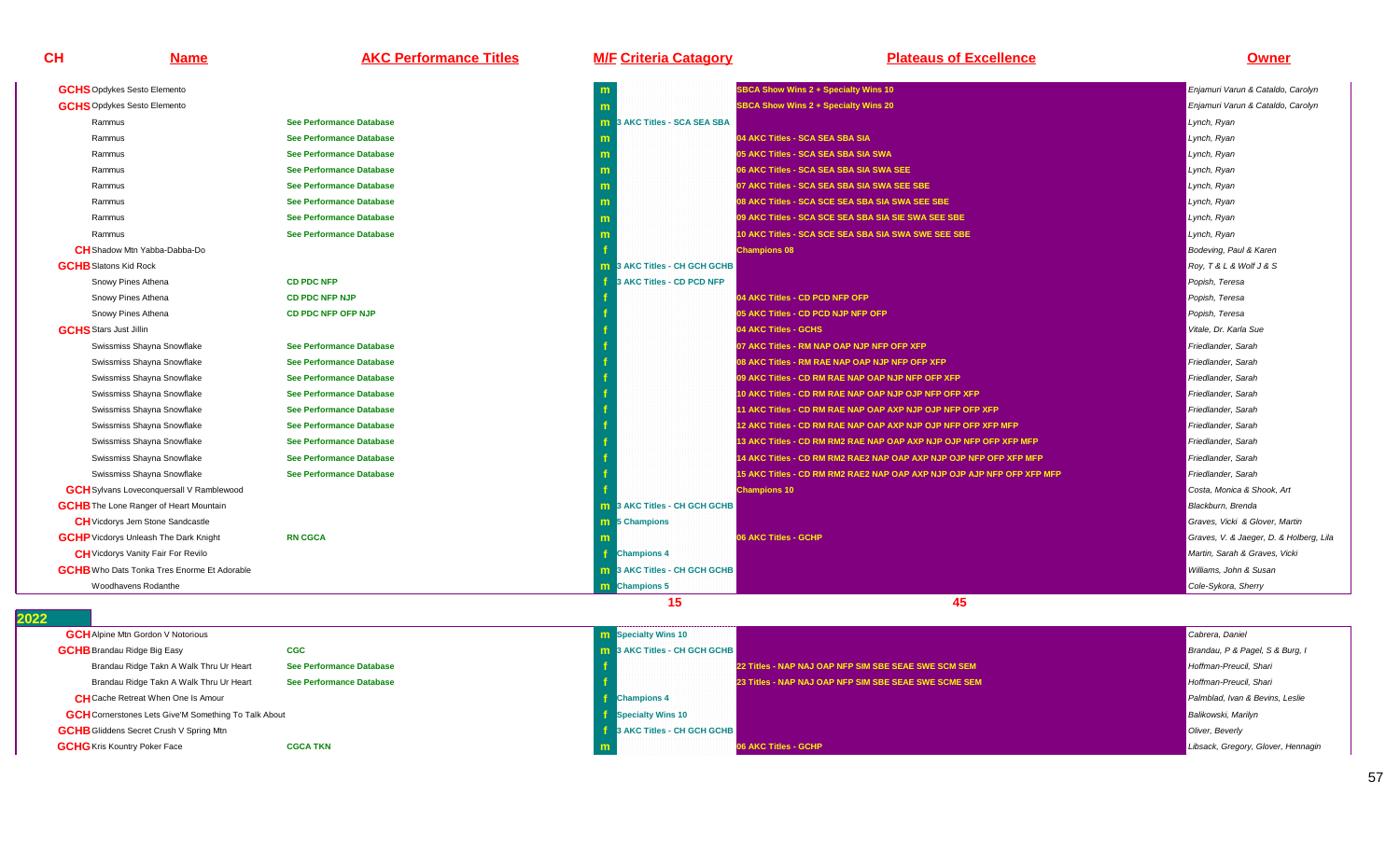**Name AKC Performance Titles M/F Criteria Catagory Plateaus of Excellence Owner**

| <b>GCHS</b> Opdykes Sesto Elemento                 |                                 |                                 | <b>SBCA Show Wins 2 + Specialty Wins 10</b>                            | Enjamuri Varun & Cataldo, Carolyn       |
|----------------------------------------------------|---------------------------------|---------------------------------|------------------------------------------------------------------------|-----------------------------------------|
| <b>GCHS</b> Opdykes Sesto Elemento                 |                                 |                                 | <b>SBCA Show Wins 2 + Specialty Wins 20</b>                            | Enjamuri Varun & Cataldo, Carolyn       |
| Rammus                                             | <b>See Performance Database</b> | 3 AKC Titles - SCA SEA SBA      |                                                                        | Lynch, Ryan                             |
| Rammus                                             | See Performance Database        |                                 | 04 AKC Titles - SCA SEA SBA SIA                                        | Lynch, Ryan                             |
| Rammus                                             | <b>See Performance Database</b> |                                 | 05 AKC Titles - SCA SEA SBA SIA SWA                                    | Lynch, Ryan                             |
| Rammus                                             | <b>See Performance Database</b> |                                 | 06 AKC Titles - SCA SEA SBA SIA SWA SEE                                | Lynch, Ryan                             |
| Rammus                                             | <b>See Performance Database</b> |                                 | 07 AKC Titles - SCA SEA SBA SIA SWA SEE SBE                            | Lynch, Ryan                             |
| Rammus                                             | <b>See Performance Database</b> |                                 | 08 AKC Titles - SCA SCE SEA SBA SIA SWA SEE SBE                        | Lynch, Ryan                             |
| Rammus                                             | <b>See Performance Database</b> |                                 | 09 AKC Titles - SCA SCE SEA SBA SIA SIE SWA SEE SBE                    | Lynch, Ryan                             |
| Rammus                                             | <b>See Performance Database</b> |                                 | 10 AKC Titles - SCA SCE SEA SBA SIA SWA SWE SEE SBE                    | Lynch, Ryan                             |
| <b>CH</b> Shadow Mtn Yabba-Dabba-Do                |                                 |                                 | <b>Champions 08</b>                                                    | Bodeving, Paul & Karen                  |
| <b>GCHB</b> Slatons Kid Rock                       |                                 | 3 AKC Titles - CH GCH GCHB      |                                                                        | Roy, T & L & Wolf J & S                 |
| Snowy Pines Athena                                 | <b>CD PDC NFP</b>               | 3 AKC Titles - CD PCD NFP       |                                                                        | Popish, Teresa                          |
| Snowy Pines Athena                                 | <b>CD PDC NFP NJP</b>           |                                 | 04 AKC Titles - CD PCD NFP OFP                                         | Popish, Teresa                          |
| Snowy Pines Athena                                 | CD PDC NFP OFP NJP              |                                 | 05 AKC Titles - CD PCD NJP NFP OFP                                     | Popish, Teresa                          |
| <b>GCHS</b> Stars Just Jillin                      |                                 |                                 | 04 AKC Titles - GCHS                                                   | Vitale, Dr. Karla Sue                   |
| Swissmiss Shayna Snowflake                         | <b>See Performance Database</b> |                                 | 07 AKC Titles - RM NAP OAP NJP NFP OFP XFP                             | Friedlander, Sarah                      |
| Swissmiss Shayna Snowflake                         | <b>See Performance Database</b> |                                 | 08 AKC Titles - RM RAE NAP OAP NJP NFP OFP XFP                         | Friedlander, Sarah                      |
| Swissmiss Shayna Snowflake                         | <b>See Performance Database</b> |                                 | 09 AKC Titles - CD RM RAE NAP OAP NJP NFP OFP XFP                      | Friedlander, Sarah                      |
| Swissmiss Shayna Snowflake                         | <b>See Performance Database</b> |                                 | 10 AKC Titles - CD RM RAE NAP OAP NJP OJP NFP OFP XFP                  | Friedlander, Sarah                      |
| Swissmiss Shayna Snowflake                         | <b>See Performance Database</b> |                                 | 11 AKC Titles - CD RM RAE NAP OAP AXP NJP OJP NFP OFP XFP              | Friedlander, Sarah                      |
| Swissmiss Shayna Snowflake                         | <b>See Performance Database</b> |                                 | 12 AKC Titles - CD RM RAE NAP OAP AXP NJP OJP NFP OFP XFP MFP          | Friedlander, Sarah                      |
| Swissmiss Shayna Snowflake                         | See Performance Database        |                                 | 13 AKC Titles - CD RM RM2 RAE NAP OAP AXP NJP OJP NFP OFP XFP MFP      | Friedlander, Sarah                      |
| Swissmiss Shayna Snowflake                         | <b>See Performance Database</b> |                                 | 14 AKC Titles - CD RM RM2 RAE2 NAP OAP AXP NJP OJP NFP OFP XFP MFP     | Friedlander, Sarah                      |
| Swissmiss Shayna Snowflake                         | <b>See Performance Database</b> |                                 | 15 AKC Titles - CD RM RM2 RAE2 NAP OAP AXP NJP OJP AJP NFP OFP XFP MFP | Friedlander, Sarah                      |
| <b>GCH</b> Sylvans Loveconquersall V Ramblewood    |                                 |                                 | <b>Champions 10</b>                                                    | Costa, Monica & Shook, Art              |
| <b>GCHB</b> The Lone Ranger of Heart Mountain      |                                 | 3 AKC Titles - CH GCH GCHB      |                                                                        | Blackburn, Brenda                       |
| <b>CH</b> Vicdorys Jem Stone Sandcastle            |                                 | <b>m</b> 5 Champions            |                                                                        | Graves, Vicki & Glover, Martin          |
| <b>GCHP</b> Vicdorys Unleash The Dark Knight       | <b>RN CGCA</b>                  |                                 | 06 AKC Titles - GCHP                                                   | Graves, V. & Jaeger, D. & Holberg, Lila |
| <b>CH</b> Vicdorys Vanity Fair For Revilo          |                                 | <b>Champions 4</b>              |                                                                        | Martin, Sarah & Graves, Vicki           |
| <b>GCHB</b> Who Dats Tonka Tres Enorme Et Adorable |                                 | 3 AKC Titles - CH GCH GCHB<br>m |                                                                        | Williams. John & Susan                  |
| Woodhavens Rodanthe                                |                                 | <b>Champions 5</b>              |                                                                        | Cole-Sykora, Sherry                     |
|                                                    |                                 | 15                              | 45                                                                     |                                         |

| <b>GCH</b> Alpine Mtn Gordon V Notorious                    |                          | <b>m</b> Specialty Wins 10 |                                     |                                                       | Cabrera, Daniel                    |
|-------------------------------------------------------------|--------------------------|----------------------------|-------------------------------------|-------------------------------------------------------|------------------------------------|
| <b>GCHB</b> Brandau Ridge Big Easy                          | <b>CGC</b>               |                            | <b>m</b> 3 AKC Titles - CH GCH GCHB |                                                       | Brandau, P & Pagel, S & Burg, I    |
| Brandau Ridge Takn A Walk Thru Ur Heart                     | See Performance Database |                            |                                     | 22 Titles - NAP NAJ OAP NFP SIM SBE SEAE SWE SCM SEM  | Hoffman-Preucil, Shari             |
| Brandau Ridge Takn A Walk Thru Ur Heart                     | See Performance Database |                            |                                     | 23 Titles - NAP NAJ OAP NFP SIM SBE SEAE SWE SCME SEM | Hoffman-Preucil, Shari             |
| <b>CH</b> Cache Retreat When One Is Amour                   |                          | <b>Champions 4</b>         |                                     |                                                       | Palmblad, Ivan & Bevins, Leslie    |
| <b>GCH</b> Cornerstones Lets Give'M Something To Talk About |                          | <b>Specialty Wins 10</b>   |                                     |                                                       | <b>Balikowski</b> , Marilyn        |
| <b>GCHB</b> Gliddens Secret Crush V Spring Mtn              |                          |                            | <b>3 AKC Titles - CH GCH GCHB</b>   |                                                       | Oliver, Beverly                    |
| <b>GCHG</b> Kris Kountry Poker Face                         | <b>CGCA TKN</b>          |                            |                                     | 06 AKC Titles - GCHP                                  | Libsack, Gregory, Glover, Hennagin |
|                                                             |                          |                            |                                     |                                                       |                                    |